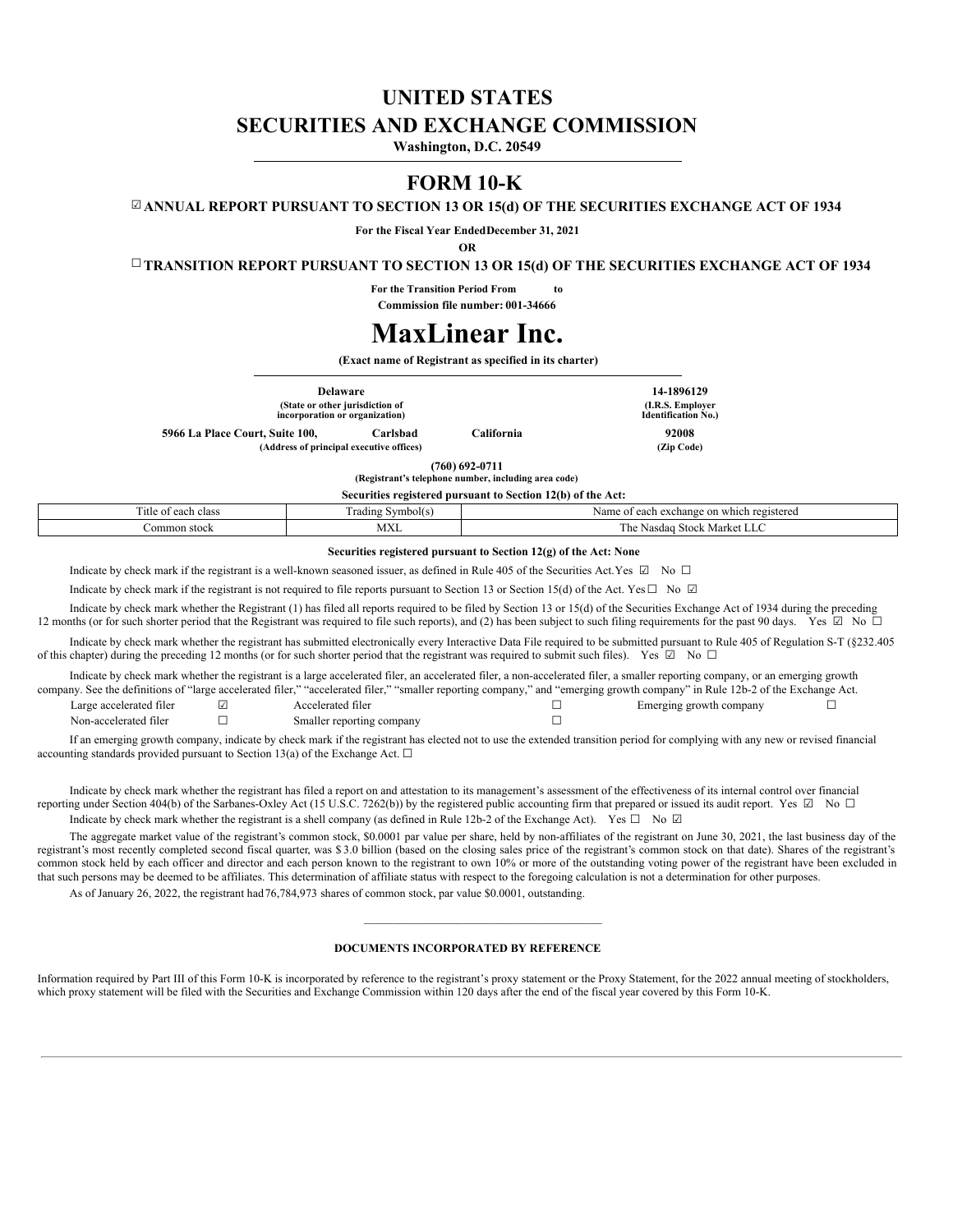# **UNITED STATES**

# **SECURITIES AND EXCHANGE COMMISSION**

**Washington, D.C. 20549**

# **FORM 10-K**

# ☑ **ANNUAL REPORT PURSUANT TO SECTION 13 OR 15(d) OF THE SECURITIES EXCHANGE ACT OF 1934**

**For the Fiscal Year EndedDecember 31, 2021**

**OR**

# ☐ **TRANSITION REPORT PURSUANT TO SECTION 13 OR 15(d) OF THE SECURITIES EXCHANGE ACT OF 1934**

**For the Transition Period From to Commission file number: 001-34666**

# **MaxLinear Inc.**

**(Exact name of Registrant as specified in its charter)**

| <b>Delaware</b>                                                   | 14-1896129<br>(I.R.S. Employer<br><b>Identification No.)</b> |            |            |
|-------------------------------------------------------------------|--------------------------------------------------------------|------------|------------|
| (State or other jurisdiction of<br>incorporation or organization) |                                                              |            |            |
| 5966 La Place Court, Suite 100,                                   | Carlsbad                                                     | California | 92008      |
| (Address of principal executive offices)                          |                                                              |            | (Zip Code) |

**(760) 692-0711**

**(Registrant's telephone number, including area code)**

**Securities registered pursuant to Section 12(b) of the Act:**

| . itle<br>class<br>each<br>ΩŤ<br>. | radıns<br>symbol(s           | Name<br>whic<br>exchange<br>registered<br>$\sim$<br>0.00k<br>CAULI<br>. |
|------------------------------------|------------------------------|-------------------------------------------------------------------------|
| Common stock                       | $A$ $A$ $B$ $B$ $C$<br>-WLAT | Marke<br>Stock<br>asdad<br>r pe-<br>⊷                                   |
|                                    |                              |                                                                         |

#### **Securities registered pursuant to Section 12(g) of the Act: None**

Indicate by check mark if the registrant is a well-known seasoned issuer, as defined in Rule 405 of the Securities Act.Yes  $\boxtimes$  No  $\Box$ 

Indicate by check mark if the registrant is not required to file reports pursuant to Section 13 or Section 15(d) of the Act. Yes $\square$  No  $\square$ 

Indicate by check mark whether the Registrant (1) has filed all reports required to be filed by Section 13 or 15(d) of the Securities Exchange Act of 1934 during the preceding 12 months (or for such shorter period that the Registrant was required to file such reports), and (2) has been subject to such filing requirements for the past 90 days. Yes  $\boxtimes$  No  $\Box$ 

Indicate by check mark whether the registrant has submitted electronically every Interactive Data File required to be submitted pursuant to Rule 405 of Regulation S-T (§232.405 of this chapter) during the preceding 12 months (or for such shorter period that the registrant was required to submit such files). Yes  $\boxtimes$  No  $\Box$ 

| Indicate by check mark whether the registrant is a large accelerated filer, an accelerated filer, a non-accelerated filer, a smaller reporting company, or an emerging growth |  |                           |  |                         |  |  |
|-------------------------------------------------------------------------------------------------------------------------------------------------------------------------------|--|---------------------------|--|-------------------------|--|--|
| company. See the definitions of "large accelerated filer," "accelerated filer," "smaller reporting company," and "emerging growth company" in Rule 12b-2 of the Exchange Act. |  |                           |  |                         |  |  |
| Large accelerated filer                                                                                                                                                       |  | Accelerated filer         |  | Emerging growth company |  |  |
| Non-accelerated filer                                                                                                                                                         |  | Smaller reporting company |  |                         |  |  |

If an emerging growth company, indicate by check mark if the registrant has elected not to use the extended transition period for complying with any new or revised financial accounting standards provided pursuant to Section 13(a) of the Exchange Act.  $\square$ 

Indicate by check mark whether the registrant has filed a report on and attestation to its management's assessment of the effectiveness of its internal control over financial reporting under Section 404(b) of the Sarbanes-Oxley Act (15 U.S.C. 7262(b)) by the registered public accounting firm that prepared or issued its audit report. Yes  $\boxtimes$  No  $\Box$ 

Indicate by check mark whether the registrant is a shell company (as defined in Rule 12b-2 of the Exchange Act). Yes  $\Box$  No  $\Box$ 

The aggregate market value of the registrant's common stock, \$0.0001 par value per share, held by non-affiliates of the registrant on June 30, 2021, the last business day of the registrant's most recently completed second fiscal quarter, was \$ 3.0 billion (based on the closing sales price of the registrant's common stock on that date). Shares of the registrant's common stock held by each officer and director and each person known to the registrant to own 10% or more of the outstanding voting power of the registrant have been excluded in that such persons may be deemed to be affiliates. This determination of affiliate status with respect to the foregoing calculation is not a determination for other purposes.

As of January 26, 2022, the registrant had76,784,973 shares of common stock, par value \$0.0001, outstanding.

# **DOCUMENTS INCORPORATED BY REFERENCE**

 $\mathcal{L}_\text{max}$ 

<span id="page-0-0"></span>Information required by Part III of this Form 10-K is incorporated by reference to the registrant's proxy statement or the Proxy Statement, for the 2022 annual meeting of stockholders, which proxy statement will be filed with the Securities and Exchange Commission within 120 days after the end of the fiscal year covered by this Form 10-K.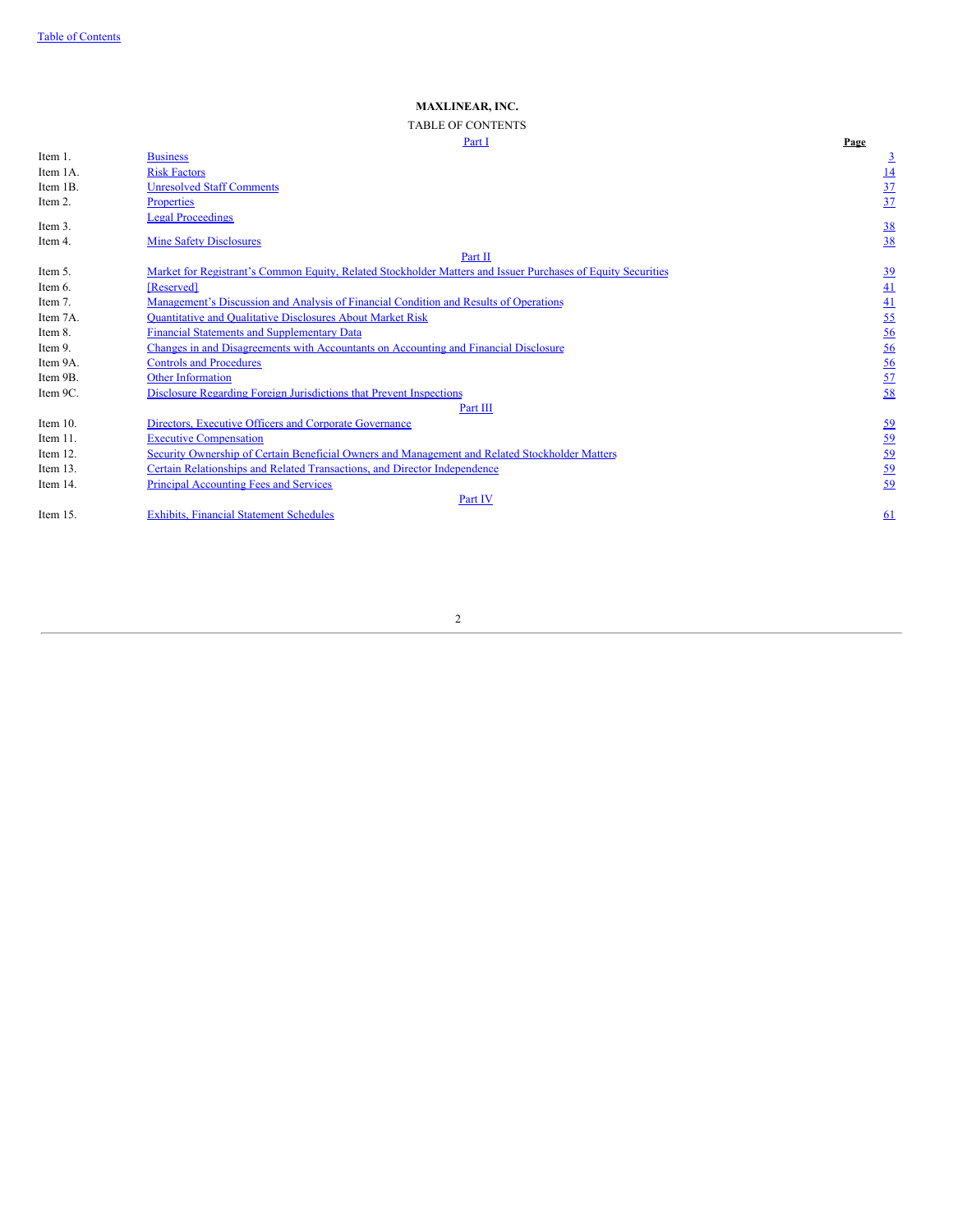# **MAXLINEAR, INC.**

<span id="page-1-0"></span>

|          | <b>TABLE OF CONTENTS</b>                                                                                     |                 |
|----------|--------------------------------------------------------------------------------------------------------------|-----------------|
|          | Part I                                                                                                       | Page            |
| Item 1.  | <b>Business</b>                                                                                              | $\overline{3}$  |
| Item 1A. | <b>Risk Factors</b>                                                                                          |                 |
| Item 1B. | <b>Unresolved Staff Comments</b>                                                                             |                 |
| Item 2.  | Properties                                                                                                   | $\frac{14}{37}$ |
| Item 3.  | <b>Legal Proceedings</b>                                                                                     | <u>38</u>       |
| Item 4.  | <b>Mine Safety Disclosures</b>                                                                               | 38              |
|          | Part II                                                                                                      |                 |
| Item 5.  | Market for Registrant's Common Equity, Related Stockholder Matters and Issuer Purchases of Equity Securities | <u>39</u>       |
| Item 6.  | [Reserved]                                                                                                   | $\overline{41}$ |
| Item 7.  | Management's Discussion and Analysis of Financial Condition and Results of Operations                        | $\overline{41}$ |
| Item 7A. | <b>Quantitative and Qualitative Disclosures About Market Risk</b>                                            | 55              |
| Item 8.  | <b>Financial Statements and Supplementary Data</b>                                                           | 56              |
| Item 9.  | Changes in and Disagreements with Accountants on Accounting and Financial Disclosure                         | $rac{56}{56}$   |
| Item 9A. | <b>Controls and Procedures</b>                                                                               |                 |
| Item 9B. | <b>Other Information</b>                                                                                     |                 |
| Item 9C. | Disclosure Regarding Foreign Jurisdictions that Prevent Inspections                                          | 58              |
|          | Part III                                                                                                     |                 |
| Item 10. | Directors, Executive Officers and Corporate Governance                                                       | <u>59</u>       |
| Item 11. | <b>Executive Compensation</b>                                                                                | 59              |
| Item 12. | Security Ownership of Certain Beneficial Owners and Management and Related Stockholder Matters               | $\frac{59}{59}$ |
| Item 13. | Certain Relationships and Related Transactions, and Director Independence                                    |                 |
| Item 14. | <b>Principal Accounting Fees and Services</b>                                                                |                 |
|          | Part IV                                                                                                      |                 |
| Item 15. | <b>Exhibits, Financial Statement Schedules</b>                                                               | 61              |
|          |                                                                                                              |                 |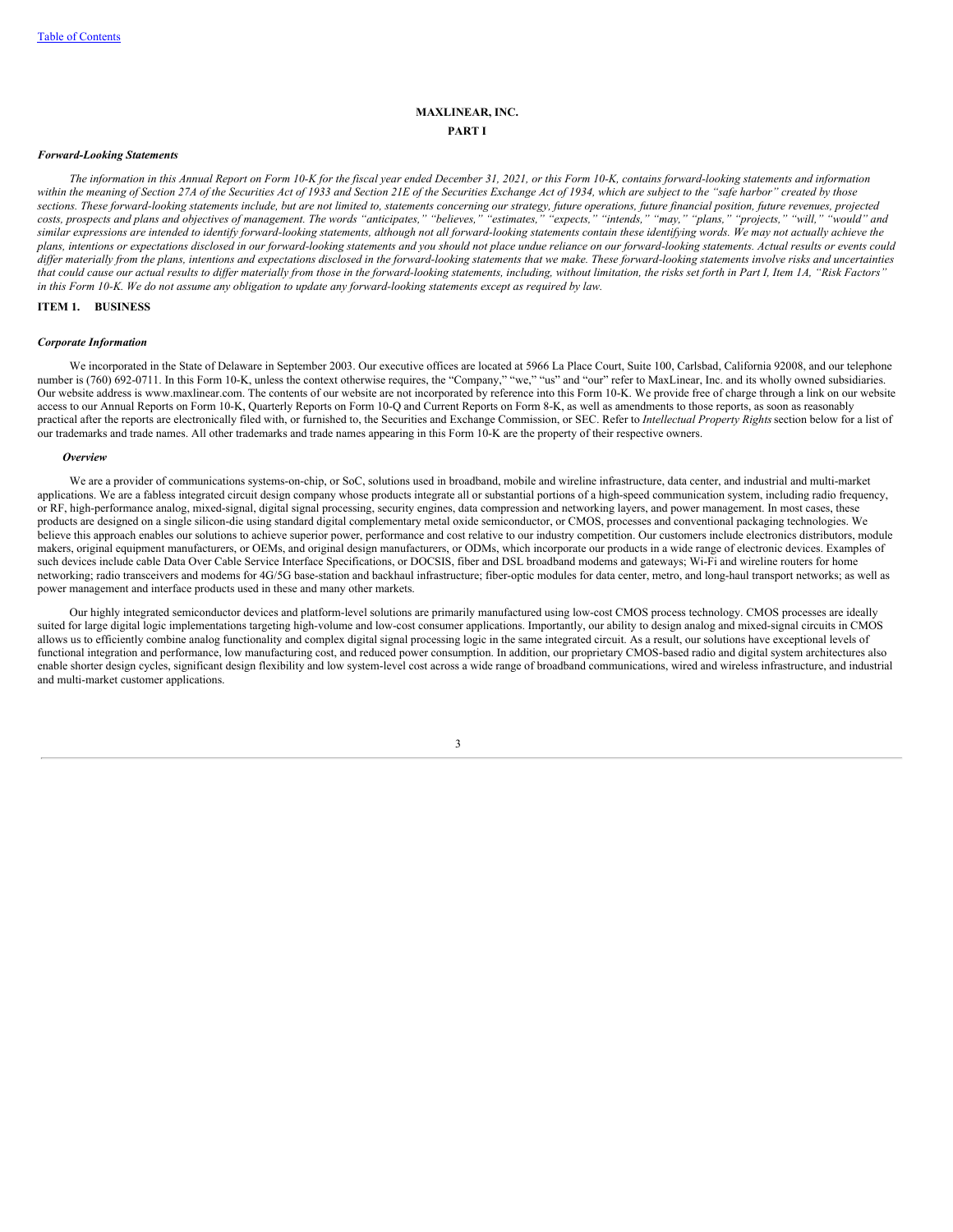# **MAXLINEAR, INC. PART I**

#### *Forward-Looking Statements*

The information in this Annual Report on Form 10-K for the fiscal year ended December 31, 2021, or this Form 10-K, contains forward-looking statements and information within the meaning of Section 27A of the Securities Act of 1933 and Section 21E of the Securities Exchange Act of 1934, which are subject to the "safe harbor" created by those sections. These forward-looking statements include, but are not limited to, statements concerning our strategy, future operations, future financial position, future revenues, projected costs, prospects and plans and objectives of management. The words "anticipates," "believes," "estimates," "expects," "intends," "may," "plans," "projects," "will," "would" and similar expressions are intended to identify forward-looking statements, although not all forward-looking statements contain these identifying words. We may not actually achieve the plans, intentions or expectations disclosed in our forward-looking statements and you should not place undue reliance on our forward-looking statements. Actual results or events could differ materially from the plans, intentions and expectations disclosed in the forward-looking statements that we make. These forward-looking statements involve risks and uncertainties that could cause our actual results to differ materially from those in the forward-looking statements, including, without limitation, the risks set forth in Part I, Item 1A, "Risk Factors" in this Form 10-K. We do not assume any obligation to update any forward-looking statements except as required by law.

# <span id="page-2-0"></span>**ITEM 1. BUSINESS**

#### *Corporate Information*

We incorporated in the State of Delaware in September 2003. Our executive offices are located at 5966 La Place Court, Suite 100, Carlsbad, California 92008, and our telephone number is (760) 692-0711. In this Form 10-K, unless the context otherwise requires, the "Company," "we," "us" and "our" refer to MaxLinear, Inc. and its wholly owned subsidiaries. Our website address is www.maxlinear.com. The contents of our website are not incorporated by reference into this Form 10-K. We provide free of charge through a link on our website access to our Annual Reports on Form 10-K, Quarterly Reports on Form 10-Q and Current Reports on Form 8-K, as well as amendments to those reports, as soon as reasonably practical after the reports are electronically filed with, or furnished to, the Securities and Exchange Commission, or SEC. Refer to *Intellectual Property Rights*section below for a list of our trademarks and trade names. All other trademarks and trade names appearing in this Form 10-K are the property of their respective owners.

#### *Overview*

We are a provider of communications systems-on-chip, or SoC, solutions used in broadband, mobile and wireline infrastructure, data center, and industrial and multi-market applications. We are a fabless integrated circuit design company whose products integrate all or substantial portions of a high-speed communication system, including radio frequency, or RF, high-performance analog, mixed-signal, digital signal processing, security engines, data compression and networking layers, and power management. In most cases, these products are designed on a single silicon-die using standard digital complementary metal oxide semiconductor, or CMOS, processes and conventional packaging technologies. We believe this approach enables our solutions to achieve superior power, performance and cost relative to our industry competition. Our customers include electronics distributors, module makers, original equipment manufacturers, or OEMs, and original design manufacturers, or ODMs, which incorporate our products in a wide range of electronic devices. Examples of such devices include cable Data Over Cable Service Interface Specifications, or DOCSIS, fiber and DSL broadband modems and gateways; Wi-Fi and wireline routers for home networking; radio transceivers and modems for 4G/5G base-station and backhaul infrastructure; fiber-optic modules for data center, metro, and long-haul transport networks; as well as power management and interface products used in these and many other markets.

Our highly integrated semiconductor devices and platform-level solutions are primarily manufactured using low-cost CMOS process technology. CMOS processes are ideally suited for large digital logic implementations targeting high-volume and low-cost consumer applications. Importantly, our ability to design analog and mixed-signal circuits in CMOS allows us to efficiently combine analog functionality and complex digital signal processing logic in the same integrated circuit. As a result, our solutions have exceptional levels of functional integration and performance, low manufacturing cost, and reduced power consumption. In addition, our proprietary CMOS-based radio and digital system architectures also enable shorter design cycles, significant design flexibility and low system-level cost across a wide range of broadband communications, wired and wireless infrastructure, and industrial and multi-market customer applications.

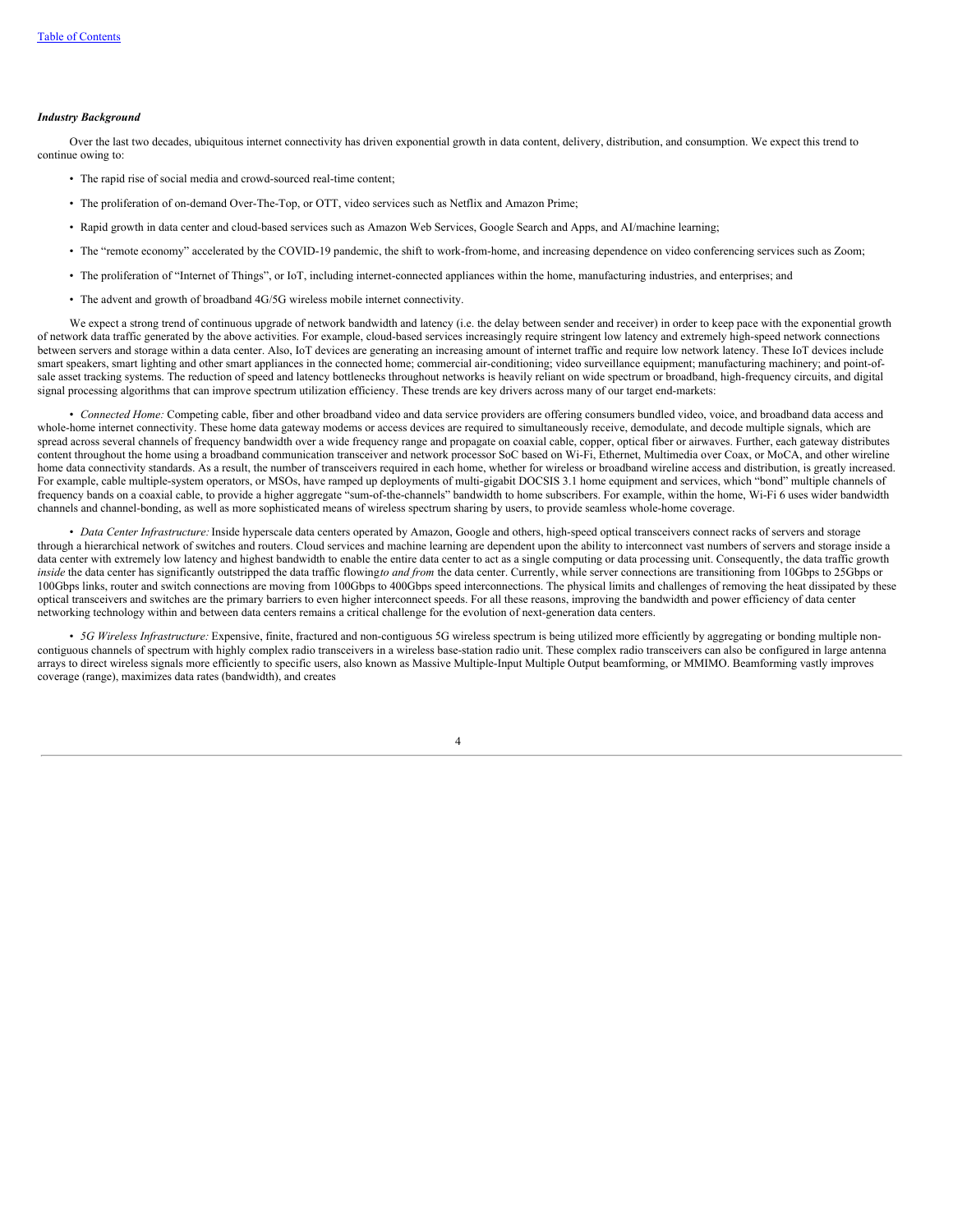### *Industry Background*

Over the last two decades, ubiquitous internet connectivity has driven exponential growth in data content, delivery, distribution, and consumption. We expect this trend to continue owing to:

- The rapid rise of social media and crowd-sourced real-time content;
- The proliferation of on-demand Over-The-Top, or OTT, video services such as Netflix and Amazon Prime;
- Rapid growth in data center and cloud-based services such as Amazon Web Services, Google Search and Apps, and AI/machine learning;
- The "remote economy" accelerated by the COVID-19 pandemic, the shift to work-from-home, and increasing dependence on video conferencing services such as Zoom;
- The proliferation of "Internet of Things", or IoT, including internet-connected appliances within the home, manufacturing industries, and enterprises; and
- The advent and growth of broadband 4G/5G wireless mobile internet connectivity.

We expect a strong trend of continuous upgrade of network bandwidth and latency (i.e. the delay between sender and receiver) in order to keep pace with the exponential growth of network data traffic generated by the above activities. For example, cloud-based services increasingly require stringent low latency and extremely high-speed network connections between servers and storage within a data center. Also, IoT devices are generating an increasing amount of internet traffic and require low network latency. These IoT devices include smart speakers, smart lighting and other smart appliances in the connected home; commercial air-conditioning; video surveillance equipment; manufacturing machinery; and point-ofsale asset tracking systems. The reduction of speed and latency bottlenecks throughout networks is heavily reliant on wide spectrum or broadband, high-frequency circuits, and digital signal processing algorithms that can improve spectrum utilization efficiency. These trends are key drivers across many of our target end-markets:

• *Connected Home:* Competing cable, fiber and other broadband video and data service providers are offering consumers bundled video, voice, and broadband data access and whole-home internet connectivity. These home data gateway modems or access devices are required to simultaneously receive, demodulate, and decode multiple signals, which are spread across several channels of frequency bandwidth over a wide frequency range and propagate on coaxial cable, copper, optical fiber or airwaves. Further, each gateway distributes content throughout the home using a broadband communication transceiver and network processor SoC based on Wi-Fi, Ethernet, Multimedia over Coax, or MoCA, and other wireline home data connectivity standards. As a result, the number of transceivers required in each home, whether for wireless or broadband wireline access and distribution, is greatly increased. For example, cable multiple-system operators, or MSOs, have ramped up deployments of multi-gigabit DOCSIS 3.1 home equipment and services, which "bond" multiple channels of frequency bands on a coaxial cable, to provide a higher aggregate "sum-of-the-channels" bandwidth to home subscribers. For example, within the home, Wi-Fi 6 uses wider bandwidth channels and channel-bonding, as well as more sophisticated means of wireless spectrum sharing by users, to provide seamless whole-home coverage.

• *Data Center Infrastructure:*Inside hyperscale data centers operated by Amazon, Google and others, high-speed optical transceivers connect racks of servers and storage through a hierarchical network of switches and routers. Cloud services and machine learning are dependent upon the ability to interconnect vast numbers of servers and storage inside a data center with extremely low latency and highest bandwidth to enable the entire data center to act as a single computing or data processing unit. Consequently, the data traffic growth *inside* the data center has significantly outstripped the data traffic flowing*to and from* the data center. Currently, while server connections are transitioning from 10Gbps to 25Gbps or 100Gbps links, router and switch connections are moving from 100Gbps to 400Gbps speed interconnections. The physical limits and challenges of removing the heat dissipated by these optical transceivers and switches are the primary barriers to even higher interconnect speeds. For all these reasons, improving the bandwidth and power efficiency of data center networking technology within and between data centers remains a critical challenge for the evolution of next-generation data centers.

• *5G Wireless Infrastructure:* Expensive, finite, fractured and non-contiguous 5G wireless spectrum is being utilized more efficiently by aggregating or bonding multiple noncontiguous channels of spectrum with highly complex radio transceivers in a wireless base-station radio unit. These complex radio transceivers can also be configured in large antenna arrays to direct wireless signals more efficiently to specific users, also known as Massive Multiple-Input Multiple Output beamforming, or MMIMO. Beamforming vastly improves coverage (range), maximizes data rates (bandwidth), and creates

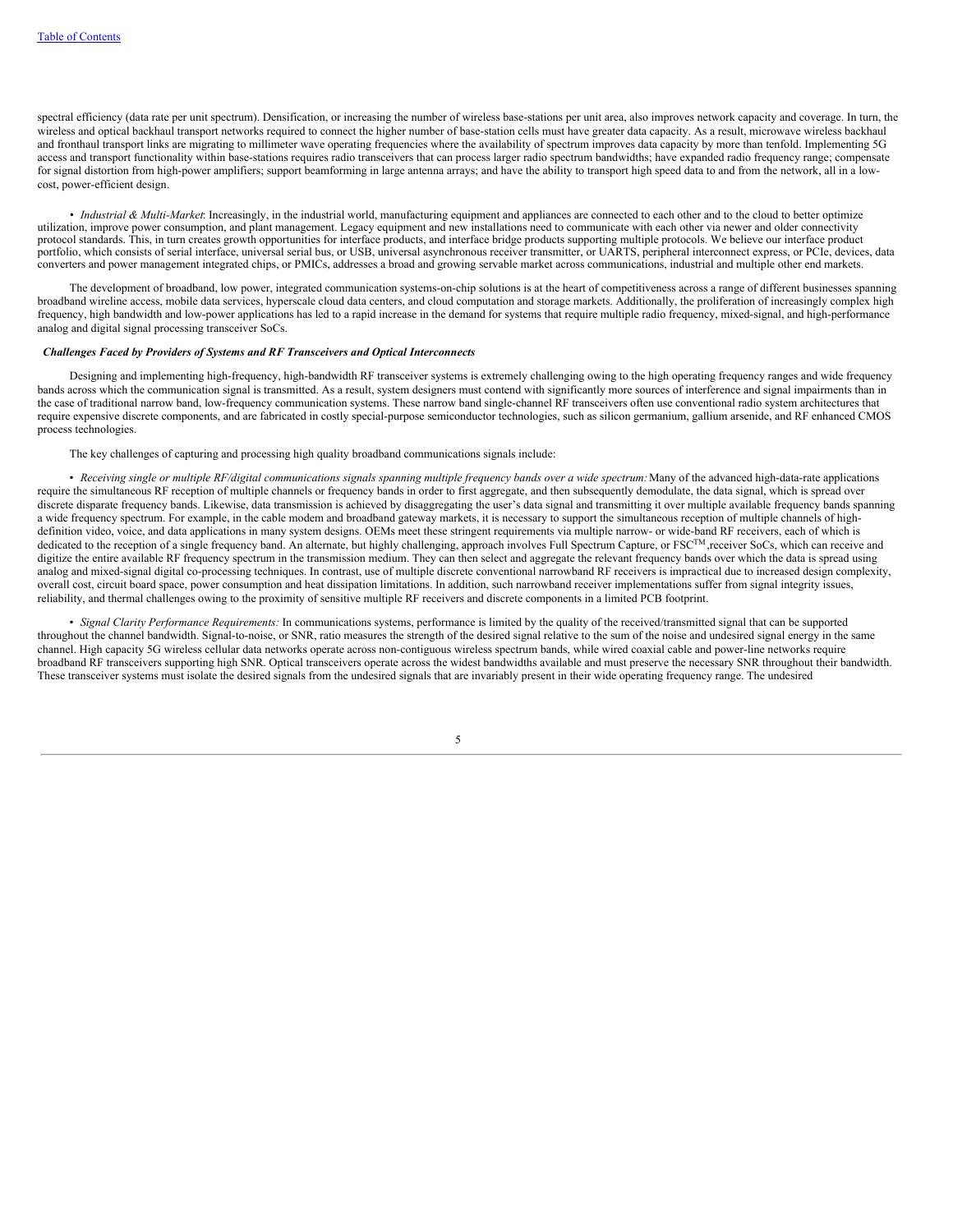spectral efficiency (data rate per unit spectrum). Densification, or increasing the number of wireless base-stations per unit area, also improves network capacity and coverage. In turn, the wireless and optical backhaul transport networks required to connect the higher number of base-station cells must have greater data capacity. As a result, microwave wireless backhaul and fronthaul transport links are migrating to millimeter wave operating frequencies where the availability of spectrum improves data capacity by more than tenfold. Implementing 5G access and transport functionality within base-stations requires radio transceivers that can process larger radio spectrum bandwidths; have expanded radio frequency range; compensate for signal distortion from high-power amplifiers; support beamforming in large antenna arrays; and have the ability to transport high speed data to and from the network, all in a lowcost, power-efficient design.

*• Industrial & Multi-Market*: Increasingly, in the industrial world, manufacturing equipment and appliances are connected to each other and to the cloud to better optimize utilization, improve power consumption, and plant management. Legacy equipment and new installations need to communicate with each other via newer and older connectivity protocol standards. This, in turn creates growth opportunities for interface products, and interface bridge products supporting multiple protocols. We believe our interface product portfolio, which consists of serial interface, universal serial bus, or USB, universal asynchronous receiver transmitter, or UARTS, peripheral interconnect express, or PCIe, devices, data converters and power management integrated chips, or PMICs, addresses a broad and growing servable market across communications, industrial and multiple other end markets.

The development of broadband, low power, integrated communication systems-on-chip solutions is at the heart of competitiveness across a range of different businesses spanning broadband wireline access, mobile data services, hyperscale cloud data centers, and cloud computation and storage markets. Additionally, the proliferation of increasingly complex high frequency, high bandwidth and low-power applications has led to a rapid increase in the demand for systems that require multiple radio frequency, mixed-signal, and high-performance analog and digital signal processing transceiver SoCs.

# *Challenges Faced by Providers of Systems and RF Transceivers and Optical Interconnects*

Designing and implementing high-frequency, high-bandwidth RF transceiver systems is extremely challenging owing to the high operating frequency ranges and wide frequency bands across which the communication signal is transmitted. As a result, system designers must contend with significantly more sources of interference and signal impairments than in the case of traditional narrow band, low-frequency communication systems. These narrow band single-channel RF transceivers often use conventional radio system architectures that require expensive discrete components, and are fabricated in costly special-purpose semiconductor technologies, such as silicon germanium, gallium arsenide, and RF enhanced CMOS process technologies.

The key challenges of capturing and processing high quality broadband communications signals include:

· Receiving single or multiple RF/digital communications signals spanning multiple frequency bands over a wide spectrum: Many of the advanced high-data-rate applications require the simultaneous RF reception of multiple channels or frequency bands in order to first aggregate, and then subsequently demodulate, the data signal, which is spread over discrete disparate frequency bands. Likewise, data transmission is achieved by disaggregating the user's data signal and transmitting it over multiple available frequency bands spanning a wide frequency spectrum. For example, in the cable modem and broadband gateway markets, it is necessary to support the simultaneous reception of multiple channels of highdefinition video, voice, and data applications in many system designs. OEMs meet these stringent requirements via multiple narrow- or wide-band RF receivers, each of which is dedicated to the reception of a single frequency band. An alternate, but highly challenging, approach involves Full Spectrum Capture, or FSC<sup>TM</sup>, receiver SoCs, which can receive and digitize the entire available RF frequency spectrum in the transmission medium. They can then select and aggregate the relevant frequency bands over which the data is spread using analog and mixed-signal digital co-processing techniques. In contrast, use of multiple discrete conventional narrowband RF receivers is impractical due to increased design complexity, overall cost, circuit board space, power consumption and heat dissipation limitations. In addition, such narrowband receiver implementations suffer from signal integrity issues, reliability, and thermal challenges owing to the proximity of sensitive multiple RF receivers and discrete components in a limited PCB footprint.

• *Signal Clarity Performance Requirements:* In communications systems, performance is limited by the quality of the received/transmitted signal that can be supported throughout the channel bandwidth. Signal-to-noise, or SNR, ratio measures the strength of the desired signal relative to the sum of the noise and undesired signal energy in the same channel. High capacity 5G wireless cellular data networks operate across non-contiguous wireless spectrum bands, while wired coaxial cable and power-line networks require broadband RF transceivers supporting high SNR. Optical transceivers operate across the widest bandwidths available and must preserve the necessary SNR throughout their bandwidth. These transceiver systems must isolate the desired signals from the undesired signals that are invariably present in their wide operating frequency range. The undesired

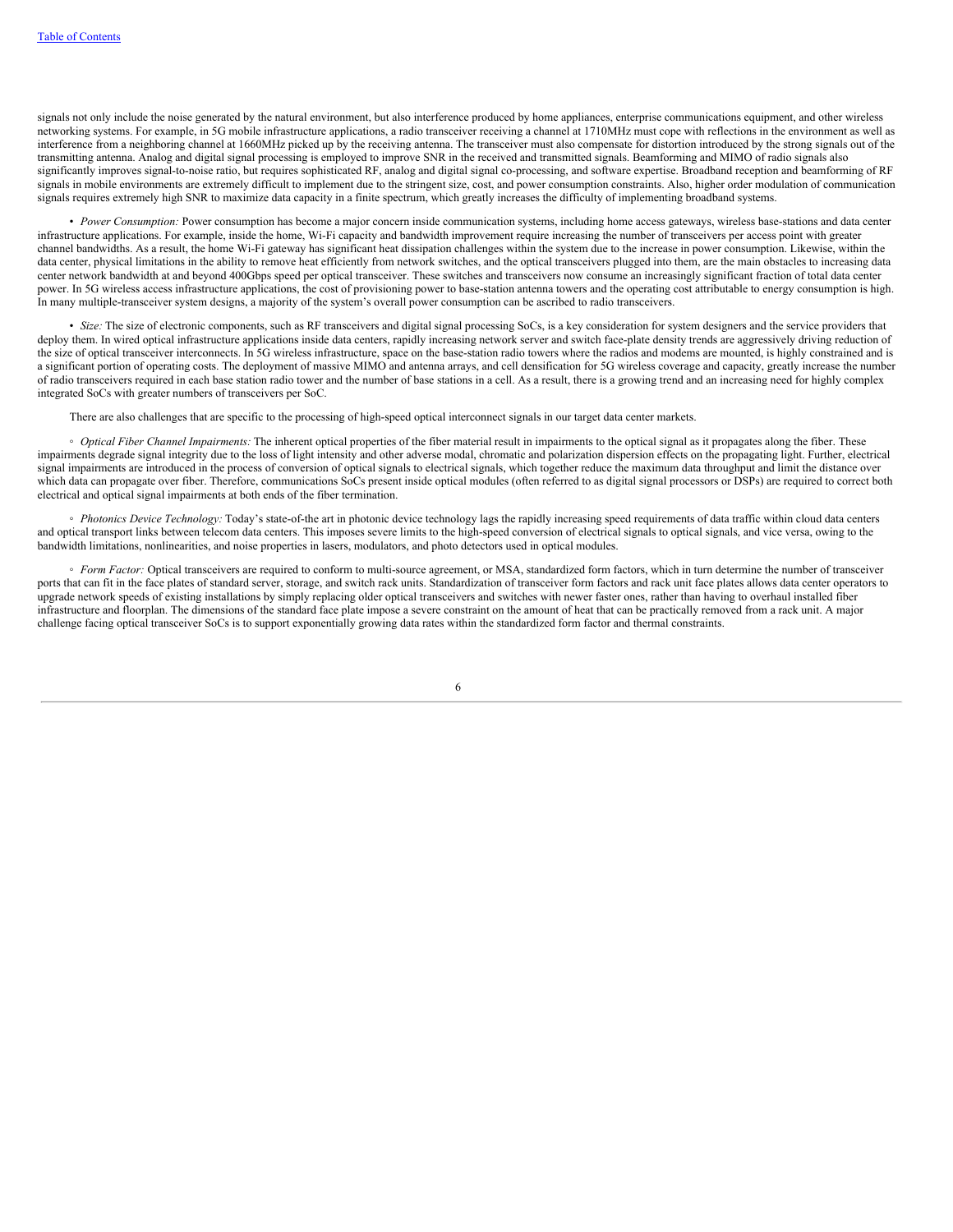signals not only include the noise generated by the natural environment, but also interference produced by home appliances, enterprise communications equipment, and other wireless networking systems. For example, in 5G mobile infrastructure applications, a radio transceiver receiving a channel at 1710MHz must cope with reflections in the environment as well as interference from a neighboring channel at 1660MHz picked up by the receiving antenna. The transceiver must also compensate for distortion introduced by the strong signals out of the transmitting antenna. Analog and digital signal processing is employed to improve SNR in the received and transmitted signals. Beamforming and MIMO of radio signals also significantly improves signal-to-noise ratio, but requires sophisticated RF, analog and digital signal co-processing, and software expertise. Broadband reception and beamforming of RF signals in mobile environments are extremely difficult to implement due to the stringent size, cost, and power consumption constraints. Also, higher order modulation of communication signals requires extremely high SNR to maximize data capacity in a finite spectrum, which greatly increases the difficulty of implementing broadband systems.

• *Power Consumption:* Power consumption has become a major concern inside communication systems, including home access gateways, wireless base-stations and data center infrastructure applications. For example, inside the home, Wi-Fi capacity and bandwidth improvement require increasing the number of transceivers per access point with greater channel bandwidths. As a result, the home Wi-Fi gateway has significant heat dissipation challenges within the system due to the increase in power consumption. Likewise, within the data center, physical limitations in the ability to remove heat efficiently from network switches, and the optical transceivers plugged into them, are the main obstacles to increasing data center network bandwidth at and beyond 400Gbps speed per optical transceiver. These switches and transceivers now consume an increasingly significant fraction of total data center power. In 5G wireless access infrastructure applications, the cost of provisioning power to base-station antenna towers and the operating cost attributable to energy consumption is high. In many multiple-transceiver system designs, a majority of the system's overall power consumption can be ascribed to radio transceivers.

• Size: The size of electronic components, such as RF transceivers and digital signal processing SoCs, is a key consideration for system designers and the service providers that deploy them. In wired optical infrastructure applications inside data centers, rapidly increasing network server and switch face-plate density trends are aggressively driving reduction of the size of optical transceiver interconnects. In 5G wireless infrastructure, space on the base-station radio towers where the radios and modems are mounted, is highly constrained and is a significant portion of operating costs. The deployment of massive MIMO and antenna arrays, and cell densification for 5G wireless coverage and capacity, greatly increase the number of radio transceivers required in each base station radio tower and the number of base stations in a cell. As a result, there is a growing trend and an increasing need for highly complex integrated SoCs with greater numbers of transceivers per SoC.

There are also challenges that are specific to the processing of high-speed optical interconnect signals in our target data center markets.

◦ *Optical Fiber Channel Impairments:* The inherent optical properties of the fiber material result in impairments to the optical signal as it propagates along the fiber. These impairments degrade signal integrity due to the loss of light intensity and other adverse modal, chromatic and polarization dispersion effects on the propagating light. Further, electrical signal impairments are introduced in the process of conversion of optical signals to electrical signals, which together reduce the maximum data throughput and limit the distance over which data can propagate over fiber. Therefore, communications SoCs present inside optical modules (often referred to as digital signal processors or DSPs) are required to correct both electrical and optical signal impairments at both ends of the fiber termination.

◦ *Photonics Device Technology:* Today's state-of-the art in photonic device technology lags the rapidly increasing speed requirements of data traffic within cloud data centers and optical transport links between telecom data centers. This imposes severe limits to the high-speed conversion of electrical signals to optical signals, and vice versa, owing to the bandwidth limitations, nonlinearities, and noise properties in lasers, modulators, and photo detectors used in optical modules.

◦ *Form Factor:* Optical transceivers are required to conform to multi-source agreement, or MSA, standardized form factors, which in turn determine the number of transceiver ports that can fit in the face plates of standard server, storage, and switch rack units. Standardization of transceiver form factors and rack unit face plates allows data center operators to upgrade network speeds of existing installations by simply replacing older optical transceivers and switches with newer faster ones, rather than having to overhaul installed fiber infrastructure and floorplan. The dimensions of the standard face plate impose a severe constraint on the amount of heat that can be practically removed from a rack unit. A major challenge facing optical transceiver SoCs is to support exponentially growing data rates within the standardized form factor and thermal constraints.

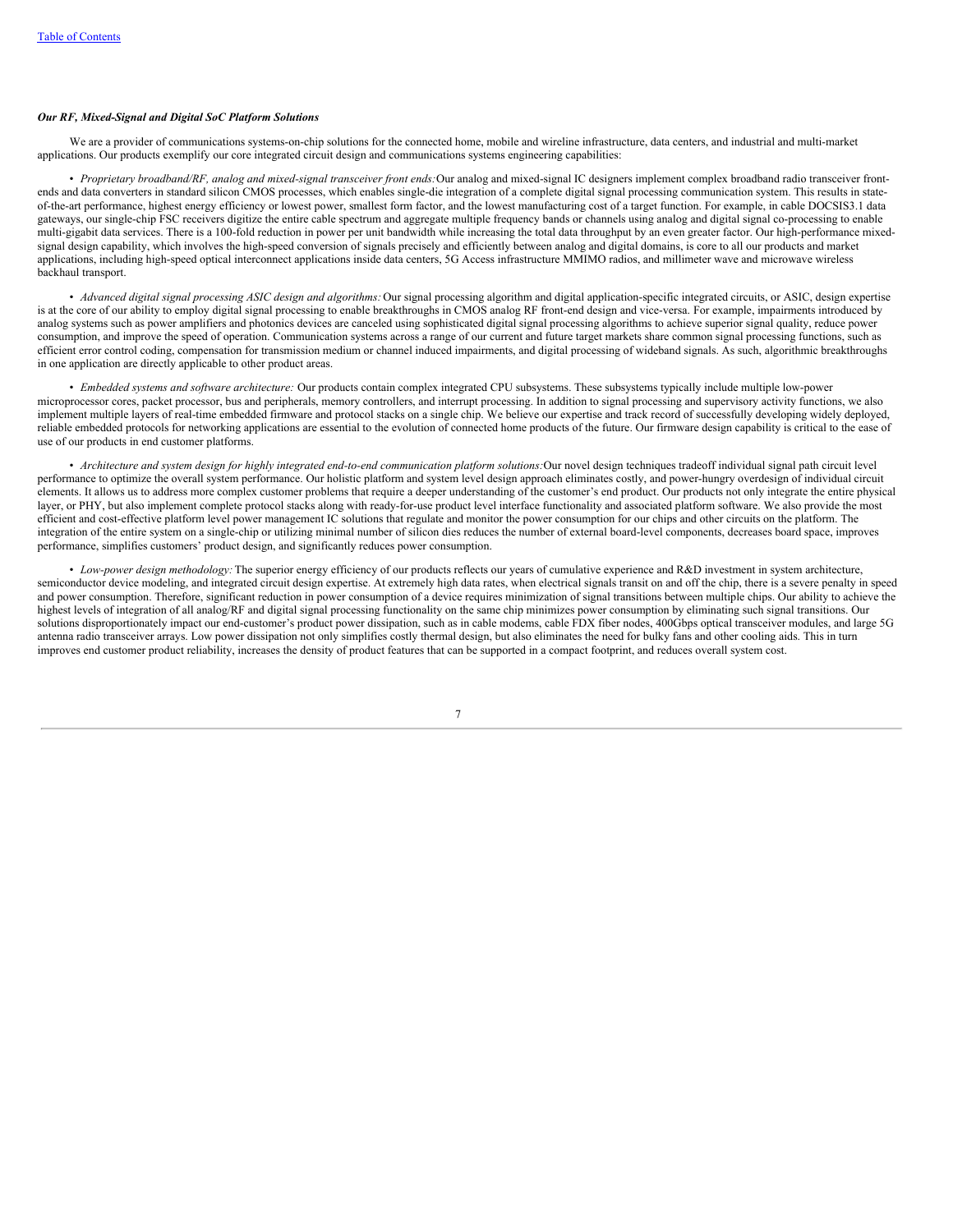# *Our RF, Mixed-Signal and Digital SoC Platform Solutions*

We are a provider of communications systems-on-chip solutions for the connected home, mobile and wireline infrastructure, data centers, and industrial and multi-market applications. Our products exemplify our core integrated circuit design and communications systems engineering capabilities:

• *Proprietary broadband/RF, analog and mixed-signal transceiver front ends:*Our analog and mixed-signal IC designers implement complex broadband radio transceiver frontends and data converters in standard silicon CMOS processes, which enables single-die integration of a complete digital signal processing communication system. This results in stateof-the-art performance, highest energy efficiency or lowest power, smallest form factor, and the lowest manufacturing cost of a target function. For example, in cable DOCSIS3.1 data gateways, our single-chip FSC receivers digitize the entire cable spectrum and aggregate multiple frequency bands or channels using analog and digital signal co-processing to enable multi-gigabit data services. There is a 100-fold reduction in power per unit bandwidth while increasing the total data throughput by an even greater factor. Our high-performance mixedsignal design capability, which involves the high-speed conversion of signals precisely and efficiently between analog and digital domains, is core to all our products and market applications, including high-speed optical interconnect applications inside data centers, 5G Access infrastructure MMIMO radios, and millimeter wave and microwave wireless backhaul transport.

• Advanced digital signal processing ASIC design and algorithms: Our signal processing algorithm and digital application-specific integrated circuits, or ASIC, design expertise is at the core of our ability to employ digital signal processing to enable breakthroughs in CMOS analog RF front-end design and vice-versa. For example, impairments introduced by analog systems such as power amplifiers and photonics devices are canceled using sophisticated digital signal processing algorithms to achieve superior signal quality, reduce power consumption, and improve the speed of operation. Communication systems across a range of our current and future target markets share common signal processing functions, such as efficient error control coding, compensation for transmission medium or channel induced impairments, and digital processing of wideband signals. As such, algorithmic breakthroughs in one application are directly applicable to other product areas.

• *Embedded systems and software architecture:* Our products contain complex integrated CPU subsystems. These subsystems typically include multiple low-power microprocessor cores, packet processor, bus and peripherals, memory controllers, and interrupt processing. In addition to signal processing and supervisory activity functions, we also implement multiple layers of real-time embedded firmware and protocol stacks on a single chip. We believe our expertise and track record of successfully developing widely deployed, reliable embedded protocols for networking applications are essential to the evolution of connected home products of the future. Our firmware design capability is critical to the ease of use of our products in end customer platforms.

• Architecture and system design for highly integrated end-to-end communication platform solutions: Our novel design techniques tradeoff individual signal path circuit level performance to optimize the overall system performance. Our holistic platform and system level design approach eliminates costly, and power-hungry overdesign of individual circuit elements. It allows us to address more complex customer problems that require a deeper understanding of the customer's end product. Our products not only integrate the entire physical layer, or PHY, but also implement complete protocol stacks along with ready-for-use product level interface functionality and associated platform software. We also provide the most efficient and cost-effective platform level power management IC solutions that regulate and monitor the power consumption for our chips and other circuits on the platform. The integration of the entire system on a single-chip or utilizing minimal number of silicon dies reduces the number of external board-level components, decreases board space, improves performance, simplifies customers' product design, and significantly reduces power consumption.

• *Low-power design methodology:* The superior energy efficiency of our products reflects our years of cumulative experience and R&D investment in system architecture, semiconductor device modeling, and integrated circuit design expertise. At extremely high data rates, when electrical signals transit on and off the chip, there is a severe penalty in speed and power consumption. Therefore, significant reduction in power consumption of a device requires minimization of signal transitions between multiple chips. Our ability to achieve the highest levels of integration of all analog/RF and digital signal processing functionality on the same chip minimizes power consumption by eliminating such signal transitions. Our solutions disproportionately impact our end-customer's product power dissipation, such as in cable modems, cable FDX fiber nodes, 400Gbps optical transceiver modules, and large 5G antenna radio transceiver arrays. Low power dissipation not only simplifies costly thermal design, but also eliminates the need for bulky fans and other cooling aids. This in turn improves end customer product reliability, increases the density of product features that can be supported in a compact footprint, and reduces overall system cost.

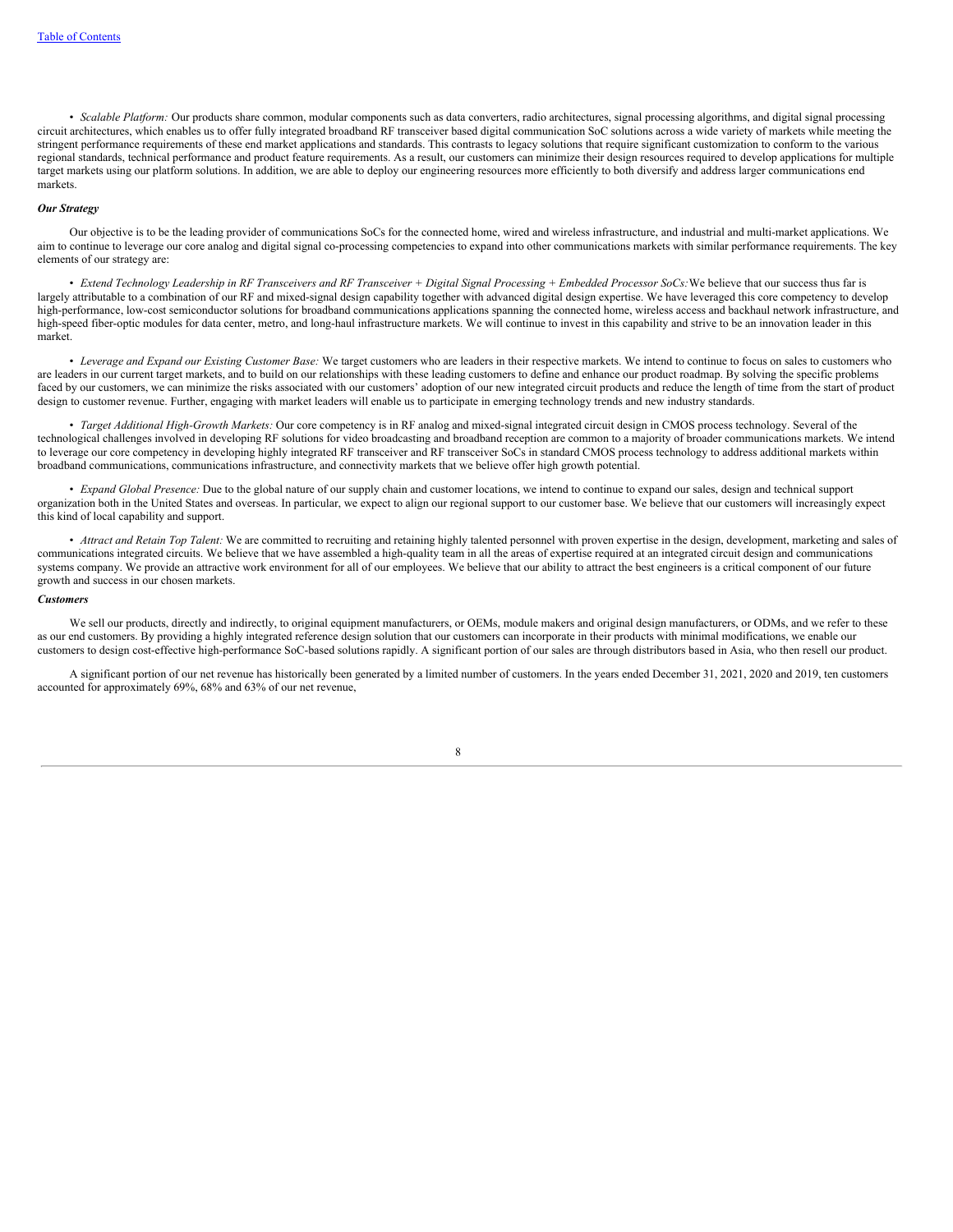• *Scalable Platform:* Our products share common, modular components such as data converters, radio architectures, signal processing algorithms, and digital signal processing circuit architectures, which enables us to offer fully integrated broadband RF transceiver based digital communication SoC solutions across a wide variety of markets while meeting the stringent performance requirements of these end market applications and standards. This contrasts to legacy solutions that require significant customization to conform to the various regional standards, technical performance and product feature requirements. As a result, our customers can minimize their design resources required to develop applications for multiple target markets using our platform solutions. In addition, we are able to deploy our engineering resources more efficiently to both diversify and address larger communications end markets.

#### *Our Strategy*

Our objective is to be the leading provider of communications SoCs for the connected home, wired and wireless infrastructure, and industrial and multi-market applications. We aim to continue to leverage our core analog and digital signal co-processing competencies to expand into other communications markets with similar performance requirements. The key elements of our strategy are:

• Extend Technology Leadership in RF Transceivers and RF Transceiver + Digital Signal Processing + Embedded Processor SoCs: We believe that our success thus far is largely attributable to a combination of our RF and mixed-signal design capability together with advanced digital design expertise. We have leveraged this core competency to develop high-performance, low-cost semiconductor solutions for broadband communications applications spanning the connected home, wireless access and backhaul network infrastructure, and high-speed fiber-optic modules for data center, metro, and long-haul infrastructure markets. We will continue to invest in this capability and strive to be an innovation leader in this market.

• *Leverage and Expand our Existing Customer Base:* We target customers who are leaders in their respective markets. We intend to continue to focus on sales to customers who are leaders in our current target markets, and to build on our relationships with these leading customers to define and enhance our product roadmap. By solving the specific problems faced by our customers, we can minimize the risks associated with our customers' adoption of our new integrated circuit products and reduce the length of time from the start of product design to customer revenue. Further, engaging with market leaders will enable us to participate in emerging technology trends and new industry standards.

• *Target Additional High-Growth Markets:* Our core competency is in RF analog and mixed-signal integrated circuit design in CMOS process technology. Several of the technological challenges involved in developing RF solutions for video broadcasting and broadband reception are common to a majority of broader communications markets. We intend to leverage our core competency in developing highly integrated RF transceiver and RF transceiver SoCs in standard CMOS process technology to address additional markets within broadband communications, communications infrastructure, and connectivity markets that we believe offer high growth potential.

• *Expand Global Presence:* Due to the global nature of our supply chain and customer locations, we intend to continue to expand our sales, design and technical support organization both in the United States and overseas. In particular, we expect to align our regional support to our customer base. We believe that our customers will increasingly expect this kind of local capability and support.

• *Attract and Retain Top Talent:* We are committed to recruiting and retaining highly talented personnel with proven expertise in the design, development, marketing and sales of communications integrated circuits. We believe that we have assembled a high-quality team in all the areas of expertise required at an integrated circuit design and communications systems company. We provide an attractive work environment for all of our employees. We believe that our ability to attract the best engineers is a critical component of our future growth and success in our chosen markets.

#### *Customers*

We sell our products, directly and indirectly, to original equipment manufacturers, or OEMs, module makers and original design manufacturers, or ODMs, and we refer to these as our end customers. By providing a highly integrated reference design solution that our customers can incorporate in their products with minimal modifications, we enable our customers to design cost-effective high-performance SoC-based solutions rapidly. A significant portion of our sales are through distributors based in Asia, who then resell our product.

A significant portion of our net revenue has historically been generated by a limited number of customers. In the years ended December 31, 2021, 2020 and 2019, ten customers accounted for approximately 69%, 68% and 63% of our net revenue,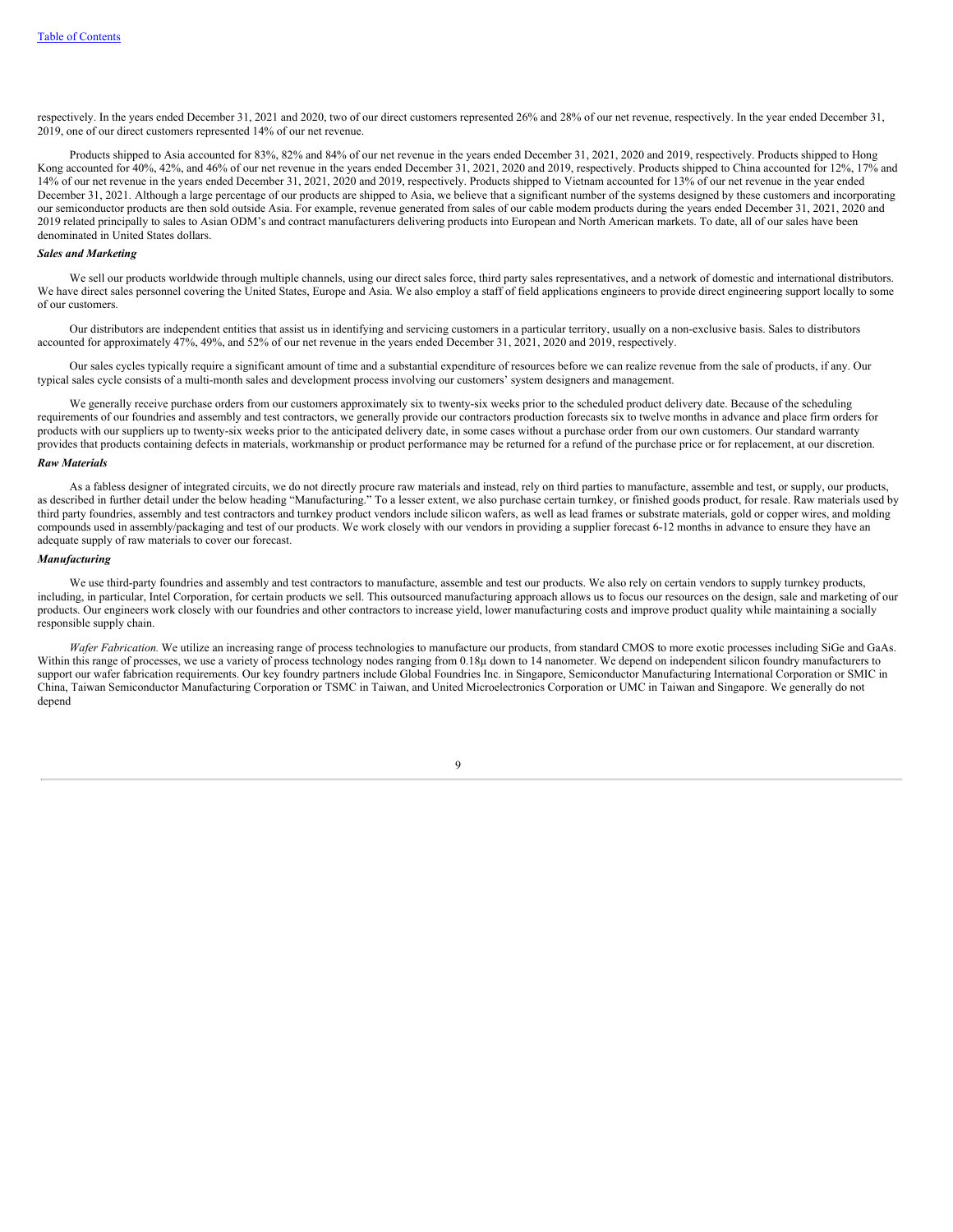respectively. In the years ended December 31, 2021 and 2020, two of our direct customers represented 26% and 28% of our net revenue, respectively. In the year ended December 31, 2019, one of our direct customers represented 14% of our net revenue.

Products shipped to Asia accounted for 83%, 82% and 84% of our net revenue in the years ended December 31, 2021, 2020 and 2019, respectively. Products shipped to Hong Kong accounted for 40%, 42%, and 46% of our net revenue in the years ended December 31, 2021, 2020 and 2019, respectively. Products shipped to China accounted for 12%, 17% and 14% of our net revenue in the years ended December 31, 2021, 2020 and 2019, respectively. Products shipped to Vietnam accounted for 13% of our net revenue in the year ended December 31, 2021. Although a large percentage of our products are shipped to Asia, we believe that a significant number of the systems designed by these customers and incorporating our semiconductor products are then sold outside Asia. For example, revenue generated from sales of our cable modem products during the years ended December 31, 2021, 2020 and 2019 related principally to sales to Asian ODM's and contract manufacturers delivering products into European and North American markets. To date, all of our sales have been denominated in United States dollars.

# *Sales and Marketing*

We sell our products worldwide through multiple channels, using our direct sales force, third party sales representatives, and a network of domestic and international distributors. We have direct sales personnel covering the United States, Europe and Asia. We also employ a staff of field applications engineers to provide direct engineering support locally to some of our customers.

Our distributors are independent entities that assist us in identifying and servicing customers in a particular territory, usually on a non-exclusive basis. Sales to distributors accounted for approximately 47%, 49%, and 52% of our net revenue in the years ended December 31, 2021, 2020 and 2019, respectively.

Our sales cycles typically require a significant amount of time and a substantial expenditure of resources before we can realize revenue from the sale of products, if any. Our typical sales cycle consists of a multi-month sales and development process involving our customers' system designers and management.

We generally receive purchase orders from our customers approximately six to twenty-six weeks prior to the scheduled product delivery date. Because of the scheduling requirements of our foundries and assembly and test contractors, we generally provide our contractors production forecasts six to twelve months in advance and place firm orders for products with our suppliers up to twenty-six weeks prior to the anticipated delivery date, in some cases without a purchase order from our own customers. Our standard warranty provides that products containing defects in materials, workmanship or product performance may be returned for a refund of the purchase price or for replacement, at our discretion.

# *Raw Materials*

As a fabless designer of integrated circuits, we do not directly procure raw materials and instead, rely on third parties to manufacture, assemble and test, or supply, our products, as described in further detail under the below heading "Manufacturing." To a lesser extent, we also purchase certain turnkey, or finished goods product, for resale. Raw materials used by third party foundries, assembly and test contractors and turnkey product vendors include silicon wafers, as well as lead frames or substrate materials, gold or copper wires, and molding compounds used in assembly/packaging and test of our products. We work closely with our vendors in providing a supplier forecast 6-12 months in advance to ensure they have an adequate supply of raw materials to cover our forecast.

#### *Manufacturing*

We use third-party foundries and assembly and test contractors to manufacture, assemble and test our products. We also rely on certain vendors to supply turnkey products, including, in particular, Intel Corporation, for certain products we sell. This outsourced manufacturing approach allows us to focus our resources on the design, sale and marketing of our products. Our engineers work closely with our foundries and other contractors to increase yield, lower manufacturing costs and improve product quality while maintaining a socially responsible supply chain.

*Wafer Fabrication.* We utilize an increasing range of process technologies to manufacture our products, from standard CMOS to more exotic processes including SiGe and GaAs. Within this range of processes, we use a variety of process technology nodes ranging from 0.18µ down to 14 nanometer. We depend on independent silicon foundry manufacturers to support our wafer fabrication requirements. Our key foundry partners include Global Foundries Inc. in Singapore, Semiconductor Manufacturing International Corporation or SMIC in China, Taiwan Semiconductor Manufacturing Corporation or TSMC in Taiwan, and United Microelectronics Corporation or UMC in Taiwan and Singapore. We generally do not depend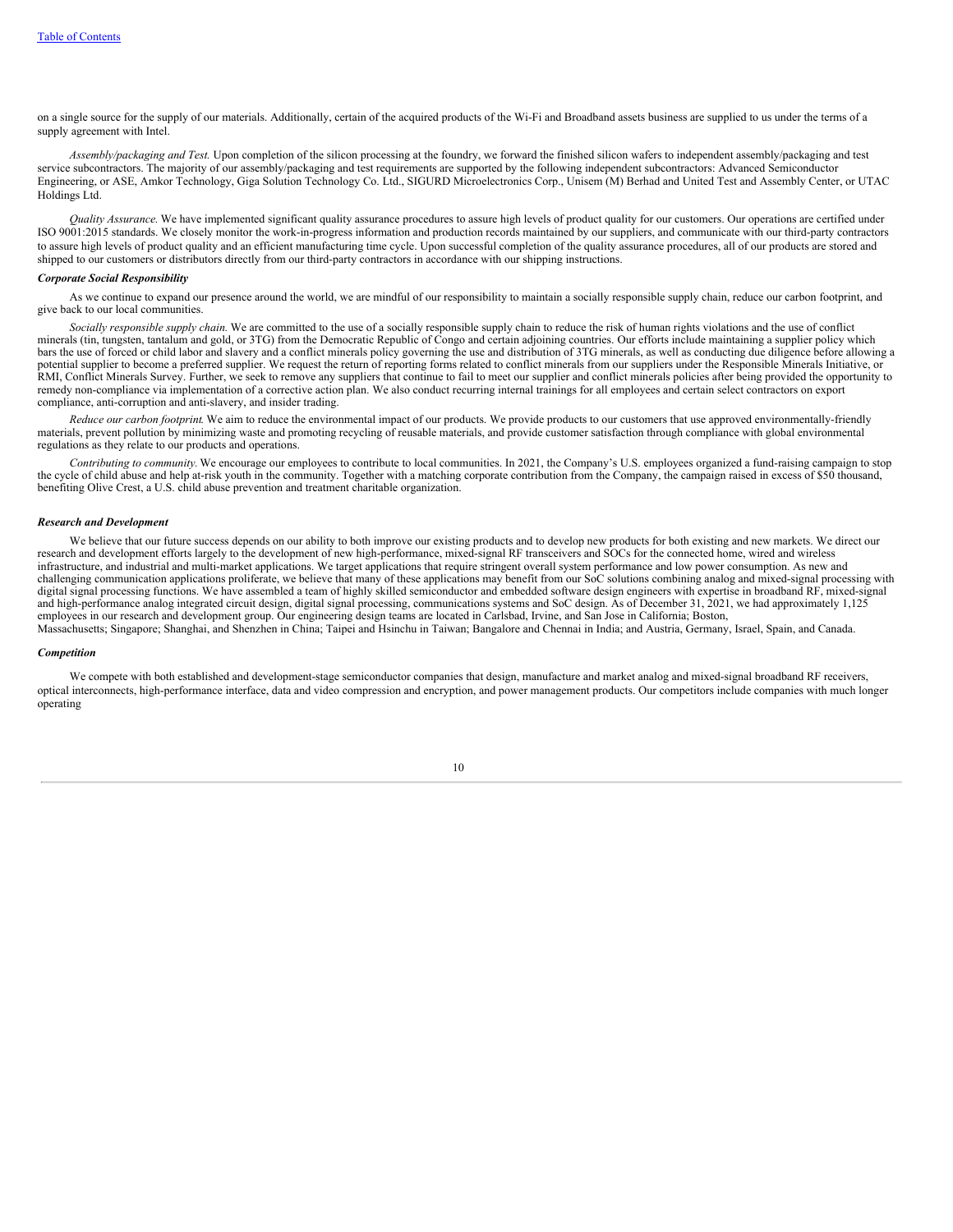on a single source for the supply of our materials. Additionally, certain of the acquired products of the Wi-Fi and Broadband assets business are supplied to us under the terms of a supply agreement with Intel.

*Assembly/packaging and Test.* Upon completion of the silicon processing at the foundry, we forward the finished silicon wafers to independent assembly/packaging and test service subcontractors. The majority of our assembly/packaging and test requirements are supported by the following independent subcontractors: Advanced Semiconductor Engineering, or ASE, Amkor Technology, Giga Solution Technology Co. Ltd., SIGURD Microelectronics Corp., Unisem (M) Berhad and United Test and Assembly Center, or UTAC Holdings Ltd.

*Quality Assurance.* We have implemented significant quality assurance procedures to assure high levels of product quality for our customers. Our operations are certified under ISO 9001:2015 standards. We closely monitor the work-in-progress information and production records maintained by our suppliers, and communicate with our third-party contractors to assure high levels of product quality and an efficient manufacturing time cycle. Upon successful completion of the quality assurance procedures, all of our products are stored and shipped to our customers or distributors directly from our third-party contractors in accordance with our shipping instructions.

#### *Corporate Social Responsibility*

As we continue to expand our presence around the world, we are mindful of our responsibility to maintain a socially responsible supply chain, reduce our carbon footprint, and give back to our local communities.

*Socially responsible supply chain.* We are committed to the use of a socially responsible supply chain to reduce the risk of human rights violations and the use of conflict minerals (tin, tungsten, tantalum and gold, or 3TG) from the Democratic Republic of Congo and certain adjoining countries. Our efforts include maintaining a supplier policy which bars the use of forced or child labor and slavery and a conflict minerals policy governing the use and distribution of 3TG minerals, as well as conducting due diligence before allowing a potential supplier to become a preferred supplier. We request the return of reporting forms related to conflict minerals from our suppliers under the Responsible Minerals Initiative, or RMI, Conflict Minerals Survey. Further, we seek to remove any suppliers that continue to fail to meet our supplier and conflict minerals policies after being provided the opportunity to remedy non-compliance via implementation of a corrective action plan. We also conduct recurring internal trainings for all employees and certain select contractors on export compliance, anti-corruption and anti-slavery, and insider trading.

*Reduce our carbon footprint*. We aim to reduce the environmental impact of our products. We provide products to our customers that use approved environmentally-friendly materials, prevent pollution by minimizing waste and promoting recycling of reusable materials, and provide customer satisfaction through compliance with global environmental regulations as they relate to our products and operations.

*Contributing to community.*We encourage our employees to contribute to local communities. In 2021, the Company's U.S. employees organized a fund-raising campaign to stop the cycle of child abuse and help at-risk youth in the community. Together with a matching corporate contribution from the Company, the campaign raised in excess of \$50 thousand, benefiting Olive Crest, a U.S. child abuse prevention and treatment charitable organization.

#### *Research and Development*

We believe that our future success depends on our ability to both improve our existing products and to develop new products for both existing and new markets. We direct our research and development efforts largely to the development of new high-performance, mixed-signal RF transceivers and SOCs for the connected home, wired and wireless infrastructure, and industrial and multi-market applications. We target applications that require stringent overall system performance and low power consumption. As new and challenging communication applications proliferate, we believe that many of these applications may benefit from our SoC solutions combining analog and mixed-signal processing with digital signal processing functions. We have assembled a team of highly skilled semiconductor and embedded software design engineers with expertise in broadband RF, mixed-signal and high-performance analog integrated circuit design, digital signal processing, communications systems and SoC design. As of December 31, 2021, we had approximately 1,125 employees in our research and development group. Our engineering design teams are located in Carlsbad, Irvine, and San Jose in California; Boston, Massachusetts; Singapore; Shanghai, and Shenzhen in China; Taipei and Hsinchu in Taiwan; Bangalore and Chennai in India; and Austria, Germany, Israel, Spain, and Canada.

#### *Competition*

We compete with both established and development-stage semiconductor companies that design, manufacture and market analog and mixed-signal broadband RF receivers, optical interconnects, high-performance interface, data and video compression and encryption, and power management products. Our competitors include companies with much longer operating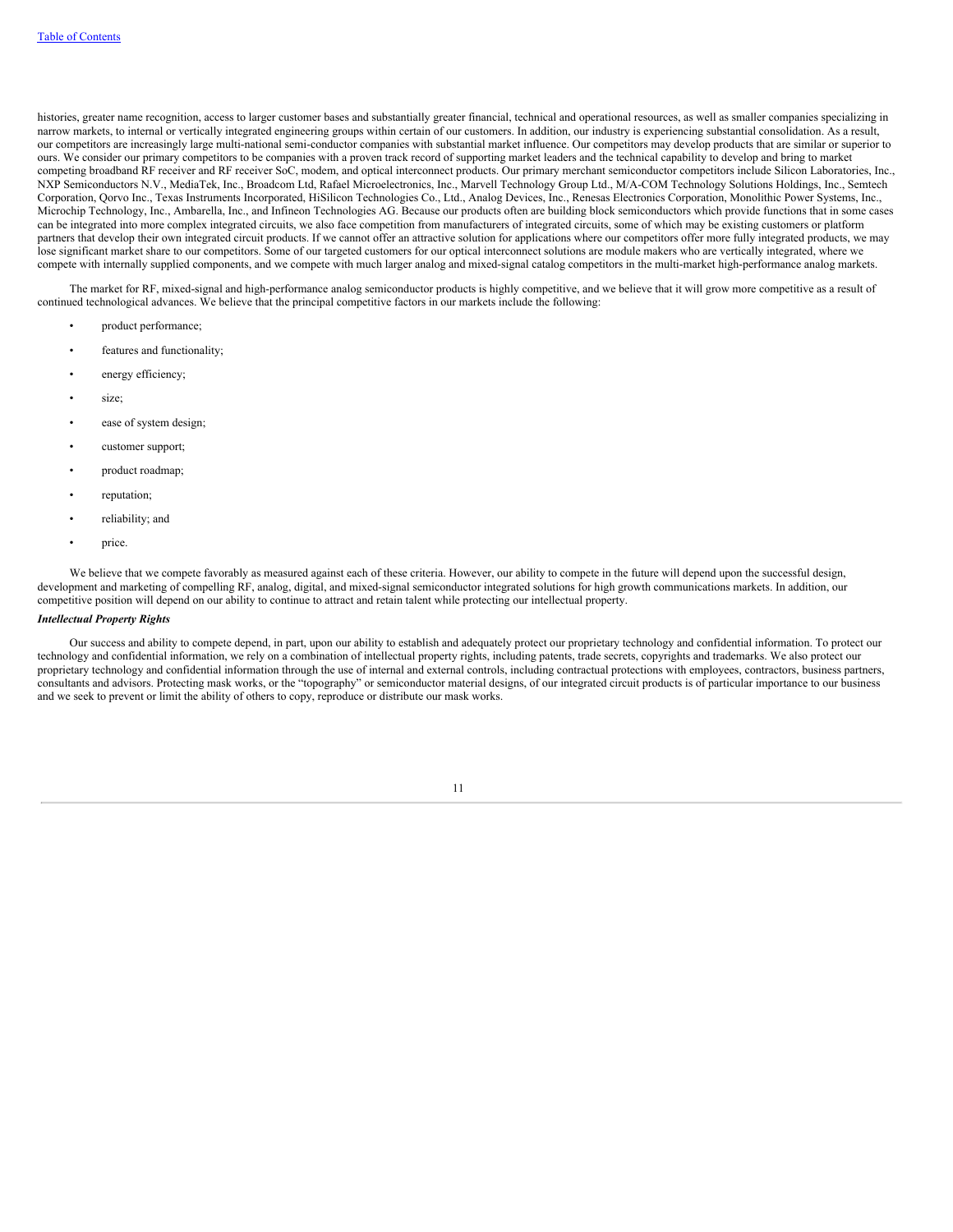histories, greater name recognition, access to larger customer bases and substantially greater financial, technical and operational resources, as well as smaller companies specializing in narrow markets, to internal or vertically integrated engineering groups within certain of our customers. In addition, our industry is experiencing substantial consolidation. As a result, our competitors are increasingly large multi-national semi-conductor companies with substantial market influence. Our competitors may develop products that are similar or superior to ours. We consider our primary competitors to be companies with a proven track record of supporting market leaders and the technical capability to develop and bring to market competing broadband RF receiver and RF receiver SoC, modem, and optical interconnect products. Our primary merchant semiconductor competitors include Silicon Laboratories, Inc., NXP Semiconductors N.V., MediaTek, Inc., Broadcom Ltd, Rafael Microelectronics, Inc., Marvell Technology Group Ltd., M/A-COM Technology Solutions Holdings, Inc., Semtech Corporation, Qorvo Inc., Texas Instruments Incorporated, HiSilicon Technologies Co., Ltd., Analog Devices, Inc., Renesas Electronics Corporation, Monolithic Power Systems, Inc., Microchip Technology, Inc., Ambarella, Inc., and Infineon Technologies AG. Because our products often are building block semiconductors which provide functions that in some cases can be integrated into more complex integrated circuits, we also face competition from manufacturers of integrated circuits, some of which may be existing customers or platform partners that develop their own integrated circuit products. If we cannot offer an attractive solution for applications where our competitors offer more fully integrated products, we may lose significant market share to our competitors. Some of our targeted customers for our optical interconnect solutions are module makers who are vertically integrated, where we compete with internally supplied components, and we compete with much larger analog and mixed-signal catalog competitors in the multi-market high-performance analog markets.

The market for RF, mixed-signal and high-performance analog semiconductor products is highly competitive, and we believe that it will grow more competitive as a result of continued technological advances. We believe that the principal competitive factors in our markets include the following:

- product performance;
- features and functionality;
- energy efficiency;
- size<sup>.</sup>
- ease of system design;
- customer support;
- product roadmap;
- reputation;
- reliability; and
- price.

We believe that we compete favorably as measured against each of these criteria. However, our ability to compete in the future will depend upon the successful design, development and marketing of compelling RF, analog, digital, and mixed-signal semiconductor integrated solutions for high growth communications markets. In addition, our competitive position will depend on our ability to continue to attract and retain talent while protecting our intellectual property.

## *Intellectual Property Rights*

Our success and ability to compete depend, in part, upon our ability to establish and adequately protect our proprietary technology and confidential information. To protect our technology and confidential information, we rely on a combination of intellectual property rights, including patents, trade secrets, copyrights and trademarks. We also protect our proprietary technology and confidential information through the use of internal and external controls, including contractual protections with employees, contractors, business partners, consultants and advisors. Protecting mask works, or the "topography" or semiconductor material designs, of our integrated circuit products is of particular importance to our business and we seek to prevent or limit the ability of others to copy, reproduce or distribute our mask works.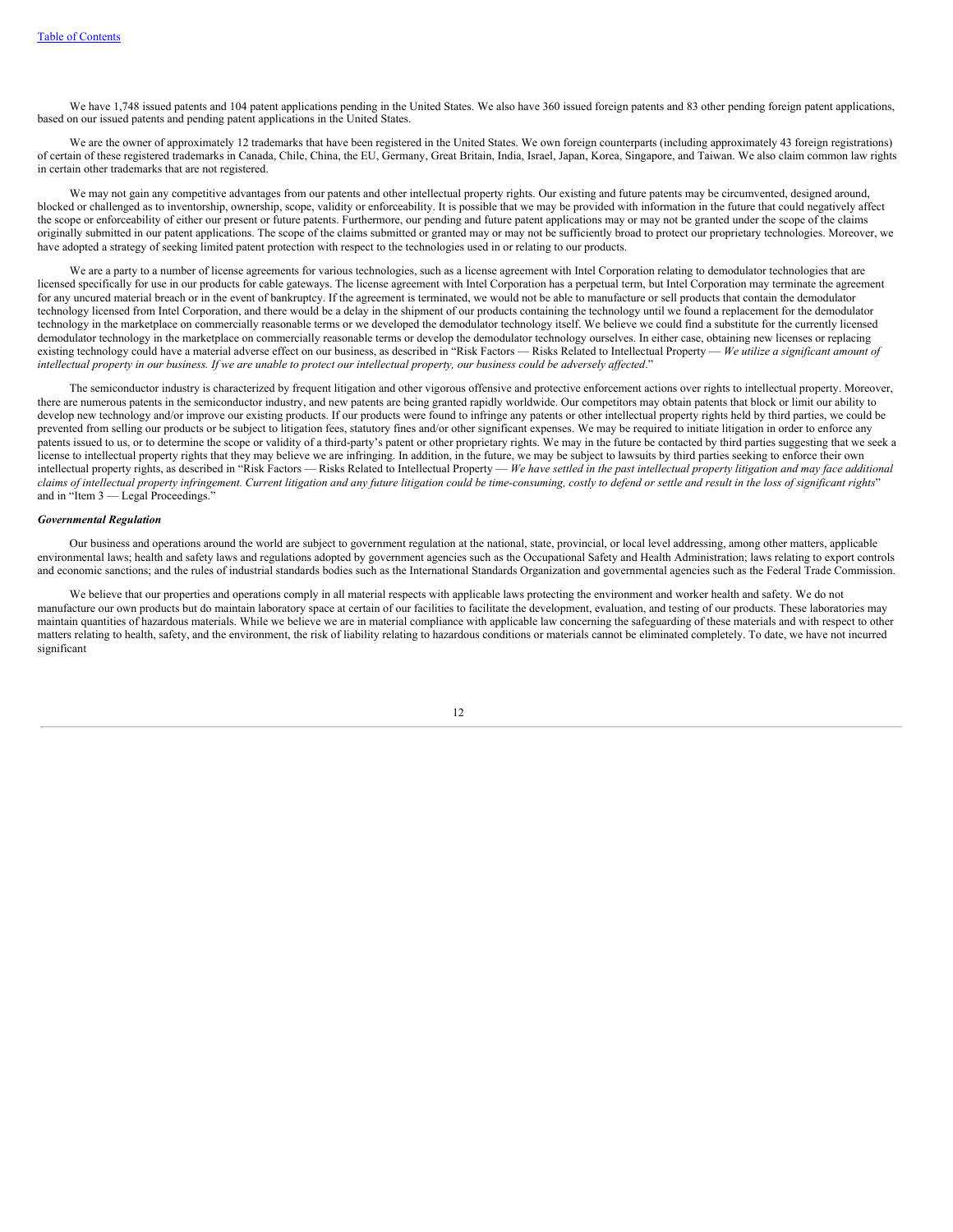We have 1,748 issued patents and 104 patent applications pending in the United States. We also have 360 issued foreign patents and 83 other pending foreign patent applications, based on our issued patents and pending patent applications in the United States.

We are the owner of approximately 12 trademarks that have been registered in the United States. We own foreign counterparts (including approximately 43 foreign registrations) of certain of these registered trademarks in Canada, Chile, China, the EU, Germany, Great Britain, India, Israel, Japan, Korea, Singapore, and Taiwan. We also claim common law rights in certain other trademarks that are not registered.

We may not gain any competitive advantages from our patents and other intellectual property rights. Our existing and future patents may be circumvented, designed around, blocked or challenged as to inventorship, ownership, scope, validity or enforceability. It is possible that we may be provided with information in the future that could negatively affect the scope or enforceability of either our present or future patents. Furthermore, our pending and future patent applications may or may not be granted under the scope of the claims originally submitted in our patent applications. The scope of the claims submitted or granted may or may not be sufficiently broad to protect our proprietary technologies. Moreover, we have adopted a strategy of seeking limited patent protection with respect to the technologies used in or relating to our products.

We are a party to a number of license agreements for various technologies, such as a license agreement with Intel Corporation relating to demodulator technologies that are licensed specifically for use in our products for cable gateways. The license agreement with Intel Corporation has a perpetual term, but Intel Corporation may terminate the agreement for any uncured material breach or in the event of bankruptcy. If the agreement is terminated, we would not be able to manufacture or sell products that contain the demodulator technology licensed from Intel Corporation, and there would be a delay in the shipment of our products containing the technology until we found a replacement for the demodulator technology in the marketplace on commercially reasonable terms or we developed the demodulator technology itself. We believe we could find a substitute for the currently licensed demodulator technology in the marketplace on commercially reasonable terms or develop the demodulator technology ourselves. In either case, obtaining new licenses or replacing existing technology could have a material adverse effect on our business, as described in "Risk Factors — Risks Related to Intellectual Property — *We utilize a significant amount of* intellectual property in our business. If we are unable to protect our intellectual property, our business could be adversely affected."

The semiconductor industry is characterized by frequent litigation and other vigorous offensive and protective enforcement actions over rights to intellectual property. Moreover, there are numerous patents in the semiconductor industry, and new patents are being granted rapidly worldwide. Our competitors may obtain patents that block or limit our ability to develop new technology and/or improve our existing products. If our products were found to infringe any patents or other intellectual property rights held by third parties, we could be prevented from selling our products or be subject to litigation fees, statutory fines and/or other significant expenses. We may be required to initiate litigation in order to enforce any patents issued to us, or to determine the scope or validity of a third-party's patent or other proprietary rights. We may in the future be contacted by third parties suggesting that we seek a license to intellectual property rights that they may believe we are infringing. In addition, in the future, we may be subject to lawsuits by third parties seeking to enforce their own intellectual property rights, as described in "Risk Factors — Risks Related to Intellectual Property — We have settled in the past intellectual property litigation and may face additional claims of intellectual property infringement. Current litigation and any future litigation could be time-consuming, costly to defend or settle and result in the loss of significant rights" and in "Item 3 — Legal Proceedings."

# *Governmental Regulation*

Our business and operations around the world are subject to government regulation at the national, state, provincial, or local level addressing, among other matters, applicable environmental laws; health and safety laws and regulations adopted by government agencies such as the Occupational Safety and Health Administration; laws relating to export controls and economic sanctions; and the rules of industrial standards bodies such as the International Standards Organization and governmental agencies such as the Federal Trade Commission.

We believe that our properties and operations comply in all material respects with applicable laws protecting the environment and worker health and safety. We do not manufacture our own products but do maintain laboratory space at certain of our facilities to facilitate the development, evaluation, and testing of our products. These laboratories may maintain quantities of hazardous materials. While we believe we are in material compliance with applicable law concerning the safeguarding of these materials and with respect to other matters relating to health, safety, and the environment, the risk of liability relating to hazardous conditions or materials cannot be eliminated completely. To date, we have not incurred significant

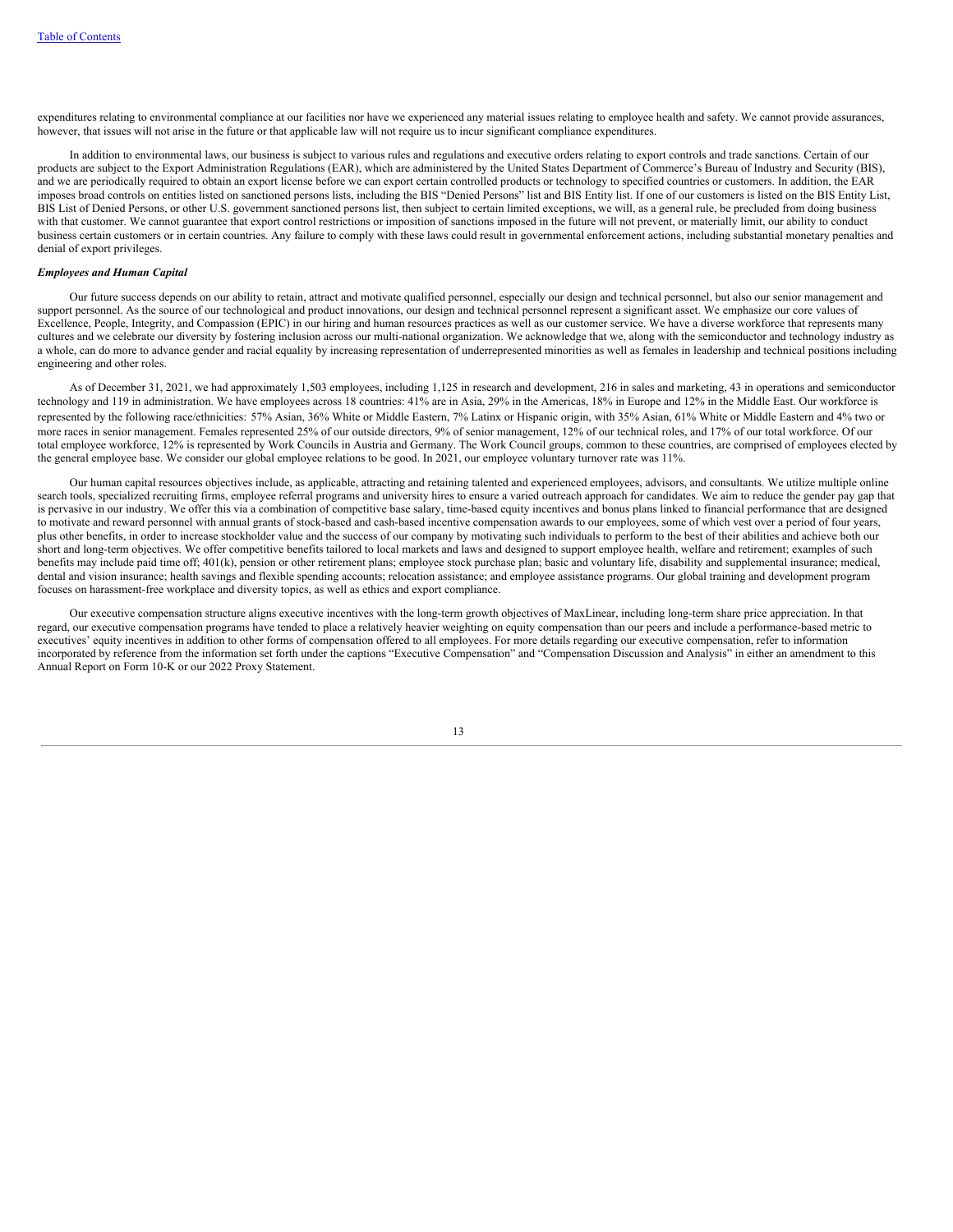expenditures relating to environmental compliance at our facilities nor have we experienced any material issues relating to employee health and safety. We cannot provide assurances, however, that issues will not arise in the future or that applicable law will not require us to incur significant compliance expenditures.

In addition to environmental laws, our business is subject to various rules and regulations and executive orders relating to export controls and trade sanctions. Certain of our products are subject to the Export Administration Regulations (EAR), which are administered by the United States Department of Commerce's Bureau of Industry and Security (BIS), and we are periodically required to obtain an export license before we can export certain controlled products or technology to specified countries or customers. In addition, the EAR imposes broad controls on entities listed on sanctioned persons lists, including the BIS "Denied Persons" list and BIS Entity list. If one of our customers is listed on the BIS Entity List, BIS List of Denied Persons, or other U.S. government sanctioned persons list, then subject to certain limited exceptions, we will, as a general rule, be precluded from doing business with that customer. We cannot guarantee that export control restrictions or imposition of sanctions imposed in the future will not prevent, or materially limit, our ability to conduct business certain customers or in certain countries. Any failure to comply with these laws could result in governmental enforcement actions, including substantial monetary penalties and denial of export privileges.

# *Employees and Human Capital*

Our future success depends on our ability to retain, attract and motivate qualified personnel, especially our design and technical personnel, but also our senior management and support personnel. As the source of our technological and product innovations, our design and technical personnel represent a significant asset. We emphasize our core values of Excellence, People, Integrity, and Compassion (EPIC) in our hiring and human resources practices as well as our customer service. We have a diverse workforce that represents many cultures and we celebrate our diversity by fostering inclusion across our multi-national organization. We acknowledge that we, along with the semiconductor and technology industry as a whole, can do more to advance gender and racial equality by increasing representation of underrepresented minorities as well as females in leadership and technical positions including engineering and other roles.

As of December 31, 2021, we had approximately 1,503 employees, including 1,125 in research and development, 216 in sales and marketing, 43 in operations and semiconductor technology and 119 in administration. We have employees across 18 countries: 41% are in Asia, 29% in the Americas, 18% in Europe and 12% in the Middle East. Our workforce is represented by the following race/ethnicities: 57% Asian, 36% White or Middle Eastern, 7% Latinx or Hispanic origin, with 35% Asian, 61% White or Middle Eastern and 4% two or more races in senior management. Females represented 25% of our outside directors, 9% of senior management, 12% of our technical roles, and 17% of our total workforce. Of our total employee workforce, 12% is represented by Work Councils in Austria and Germany. The Work Council groups, common to these countries, are comprised of employees elected by the general employee base. We consider our global employee relations to be good. In 2021, our employee voluntary turnover rate was 11%.

Our human capital resources objectives include, as applicable, attracting and retaining talented and experienced employees, advisors, and consultants. We utilize multiple online search tools, specialized recruiting firms, employee referral programs and university hires to ensure a varied outreach approach for candidates. We aim to reduce the gender pay gap that is pervasive in our industry. We offer this via a combination of competitive base salary, time-based equity incentives and bonus plans linked to financial performance that are designed to motivate and reward personnel with annual grants of stock-based and cash-based incentive compensation awards to our employees, some of which vest over a period of four years, plus other benefits, in order to increase stockholder value and the success of our company by motivating such individuals to perform to the best of their abilities and achieve both our short and long-term objectives. We offer competitive benefits tailored to local markets and laws and designed to support employee health, welfare and retirement; examples of such benefits may include paid time off; 401(k), pension or other retirement plans; employee stock purchase plan; basic and voluntary life, disability and supplemental insurance; medical, dental and vision insurance; health savings and flexible spending accounts; relocation assistance; and employee assistance programs. Our global training and development program focuses on harassment-free workplace and diversity topics, as well as ethics and export compliance.

Our executive compensation structure aligns executive incentives with the long-term growth objectives of MaxLinear, including long-term share price appreciation. In that regard, our executive compensation programs have tended to place a relatively heavier weighting on equity compensation than our peers and include a performance-based metric to executives' equity incentives in addition to other forms of compensation offered to all employees. For more details regarding our executive compensation, refer to information incorporated by reference from the information set forth under the captions "Executive Compensation" and "Compensation Discussion and Analysis" in either an amendment to this Annual Report on Form 10-K or our 2022 Proxy Statement.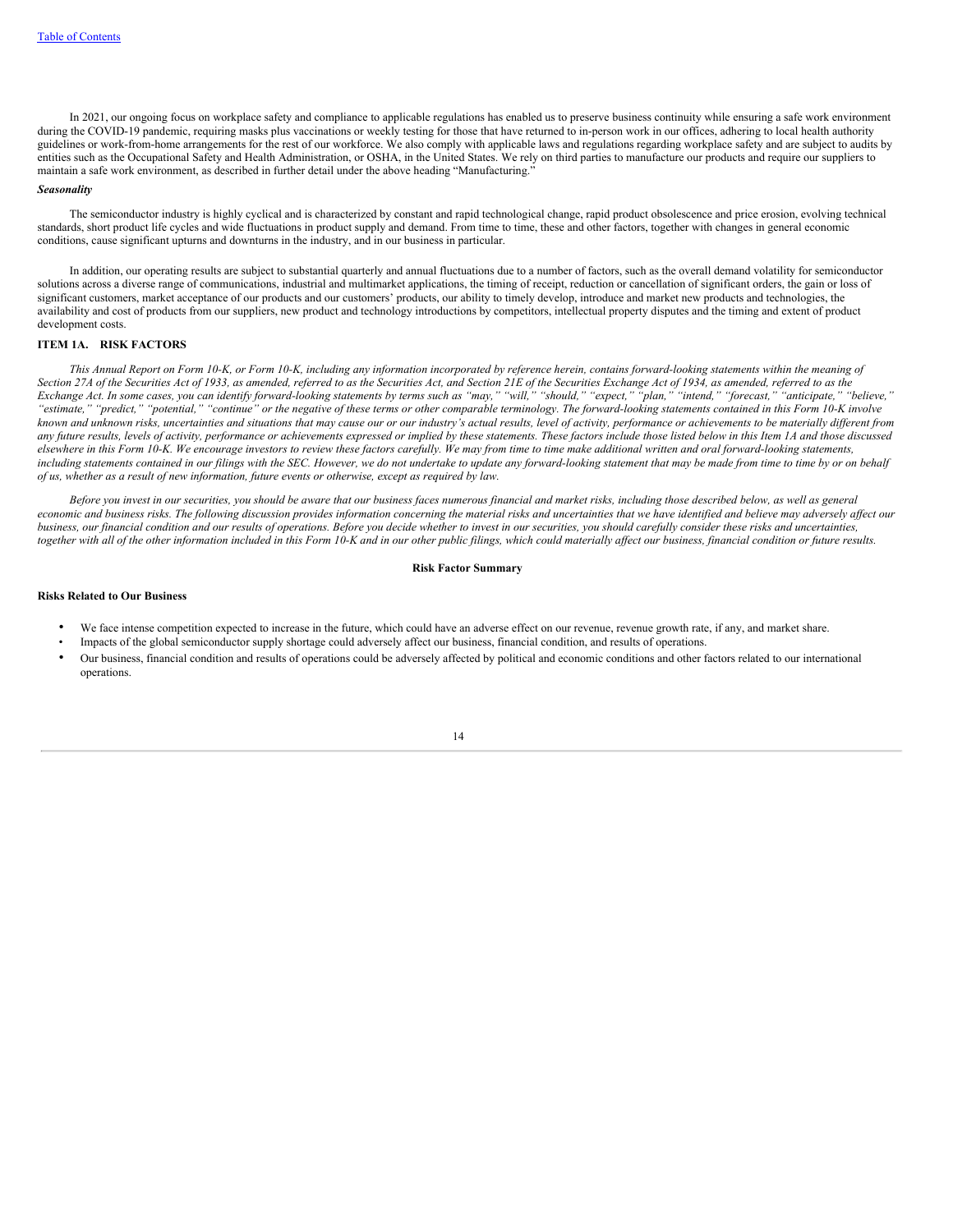In 2021, our ongoing focus on workplace safety and compliance to applicable regulations has enabled us to preserve business continuity while ensuring a safe work environment during the COVID-19 pandemic, requiring masks plus vaccinations or weekly testing for those that have returned to in-person work in our offices, adhering to local health authority guidelines or work-from-home arrangements for the rest of our workforce. We also comply with applicable laws and regulations regarding workplace safety and are subject to audits by entities such as the Occupational Safety and Health Administration, or OSHA, in the United States. We rely on third parties to manufacture our products and require our suppliers to maintain a safe work environment, as described in further detail under the above heading "Manufacturing."

# *Seasonality*

The semiconductor industry is highly cyclical and is characterized by constant and rapid technological change, rapid product obsolescence and price erosion, evolving technical standards, short product life cycles and wide fluctuations in product supply and demand. From time to time, these and other factors, together with changes in general economic conditions, cause significant upturns and downturns in the industry, and in our business in particular.

In addition, our operating results are subject to substantial quarterly and annual fluctuations due to a number of factors, such as the overall demand volatility for semiconductor solutions across a diverse range of communications, industrial and multimarket applications, the timing of receipt, reduction or cancellation of significant orders, the gain or loss of significant customers, market acceptance of our products and our customers' products, our ability to timely develop, introduce and market new products and technologies, the availability and cost of products from our suppliers, new product and technology introductions by competitors, intellectual property disputes and the timing and extent of product development costs.

# <span id="page-13-0"></span>**ITEM 1A. RISK FACTORS**

This Annual Report on Form 10-K, or Form 10-K, including any information incorporated by reference herein, contains forward-looking statements within the meaning of Section 27A of the Securities Act of 1933, as amended, referred to as the Securities Act, and Section 21E of the Securities Exchange Act of 1934, as amended, referred to as the "Exchange Act. In some cases, you can identify forward-looking statements by terms such as "may," "will," "should," "expect," "plan," "intend," "forecast," "anticipate," "believe," "estimate," "predict," "potential," "continue" or the negative of these terms or other comparable terminology. The forward-looking statements contained in this Form 10-K involve known and unknown risks, uncertainties and situations that may cause our or our industry's actual results, level of activity, performance or achievements to be materially different from any future results, levels of activity, performance or achievements expressed or implied by these statements. These factors include those listed below in this Item 1A and those discussed elsewhere in this Form 10-K. We encourage investors to review these factors carefully. We may from time to time make additional written and oral forward-looking statements, including statements contained in our filings with the SEC. However, we do not undertake to update any forward-looking statement that may be made from time to time by or on behalf of us, whether as a result of new information, future events or otherwise, except as required by law.

Before you invest in our securities, you should be aware that our business faces numerous financial and market risks, including those described below, as well as general economic and business risks. The following discussion provides information concerning the material risks and uncertainties that we have identified and believe may adversely affect our business, our financial condition and our results of operations. Before you decide whether to invest in our securities, you should carefully consider these risks and uncertainties, together with all of the other information included in this Form 10-K and in our other public filings, which could materially affect our business, financial condition or future results.

# **Risk Factor Summary**

#### **Risks Related to Our Business**

- We face intense competition expected to increase in the future, which could have an adverse effect on our revenue, revenue growth rate, if any, and market share.
- Impacts of the global semiconductor supply shortage could adversely affect our business, financial condition, and results of operations.
- Our business, financial condition and results of operations could be adversely affected by political and economic conditions and other factors related to our international operations.

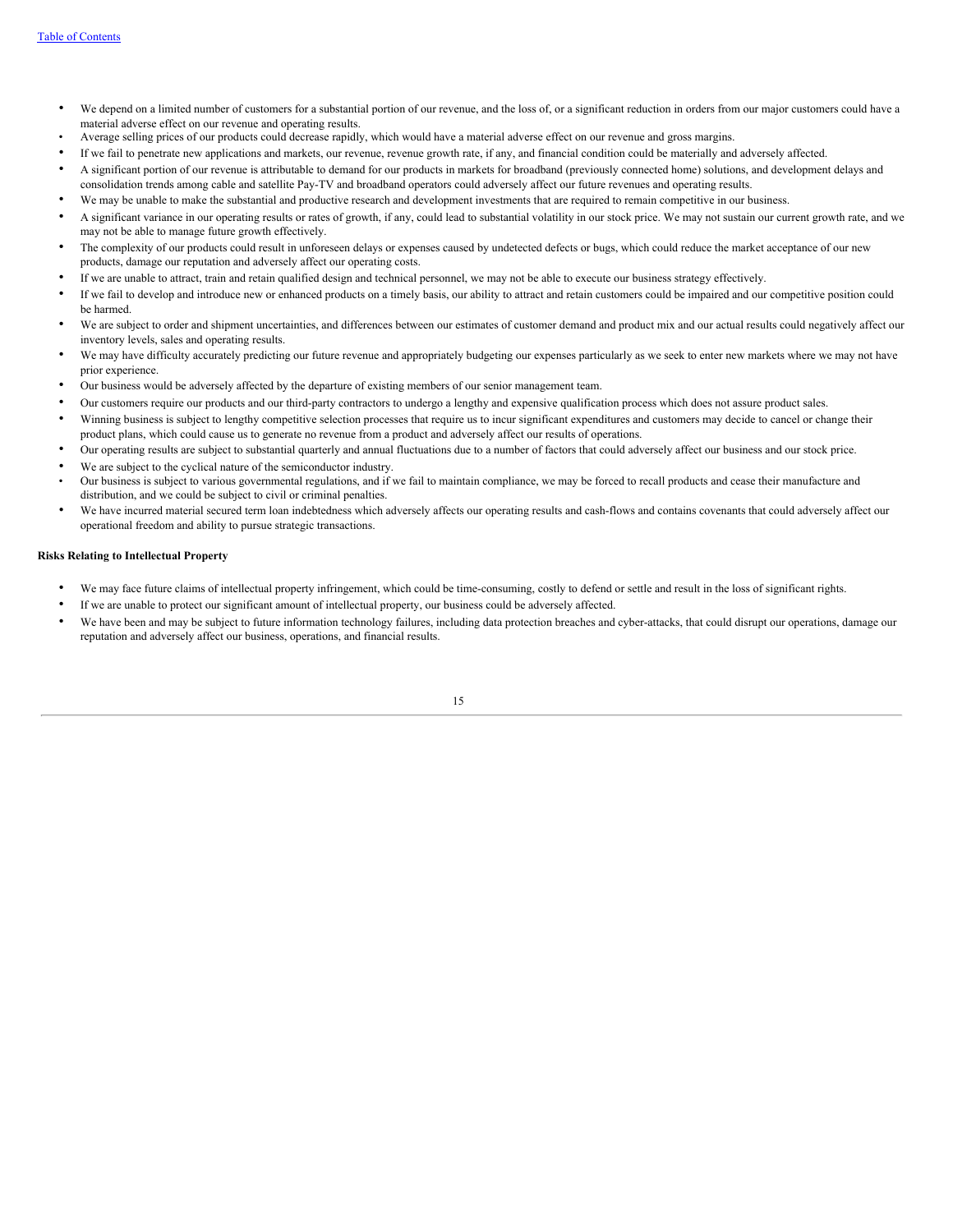- We depend on a limited number of customers for a substantial portion of our revenue, and the loss of, or a significant reduction in orders from our major customers could have a material adverse effect on our revenue and operating results.
- Average selling prices of our products could decrease rapidly, which would have a material adverse effect on our revenue and gross margins.
- If we fail to penetrate new applications and markets, our revenue, revenue growth rate, if any, and financial condition could be materially and adversely affected.
- A significant portion of our revenue is attributable to demand for our products in markets for broadband (previously connected home) solutions, and development delays and consolidation trends among cable and satellite Pay-TV and broadband operators could adversely affect our future revenues and operating results.
- We may be unable to make the substantial and productive research and development investments that are required to remain competitive in our business.
- A significant variance in our operating results or rates of growth, if any, could lead to substantial volatility in our stock price. We may not sustain our current growth rate, and we may not be able to manage future growth effectively.
- The complexity of our products could result in unforeseen delays or expenses caused by undetected defects or bugs, which could reduce the market acceptance of our new products, damage our reputation and adversely affect our operating costs.
- If we are unable to attract, train and retain qualified design and technical personnel, we may not be able to execute our business strategy effectively.
- If we fail to develop and introduce new or enhanced products on a timely basis, our ability to attract and retain customers could be impaired and our competitive position could be harmed.
- We are subject to order and shipment uncertainties, and differences between our estimates of customer demand and product mix and our actual results could negatively affect our inventory levels, sales and operating results.
- We may have difficulty accurately predicting our future revenue and appropriately budgeting our expenses particularly as we seek to enter new markets where we may not have prior experience.
- Our business would be adversely affected by the departure of existing members of our senior management team.
- Our customers require our products and our third-party contractors to undergo a lengthy and expensive qualification process which does not assure product sales.
- Winning business is subject to lengthy competitive selection processes that require us to incur significant expenditures and customers may decide to cancel or change their product plans, which could cause us to generate no revenue from a product and adversely affect our results of operations.
- Our operating results are subject to substantial quarterly and annual fluctuations due to a number of factors that could adversely affect our business and our stock price.
- We are subject to the cyclical nature of the semiconductor industry.
- Our business is subject to various governmental regulations, and if we fail to maintain compliance, we may be forced to recall products and cease their manufacture and distribution, and we could be subject to civil or criminal penalties.
- We have incurred material secured term loan indebtedness which adversely affects our operating results and cash-flows and contains covenants that could adversely affect our operational freedom and ability to pursue strategic transactions.

# **Risks Relating to Intellectual Property**

- We may face future claims of intellectual property infringement, which could be time-consuming, costly to defend or settle and result in the loss of significant rights.
- If we are unable to protect our significant amount of intellectual property, our business could be adversely affected.
- We have been and may be subject to future information technology failures, including data protection breaches and cyber-attacks, that could disrupt our operations, damage our reputation and adversely affect our business, operations, and financial results.

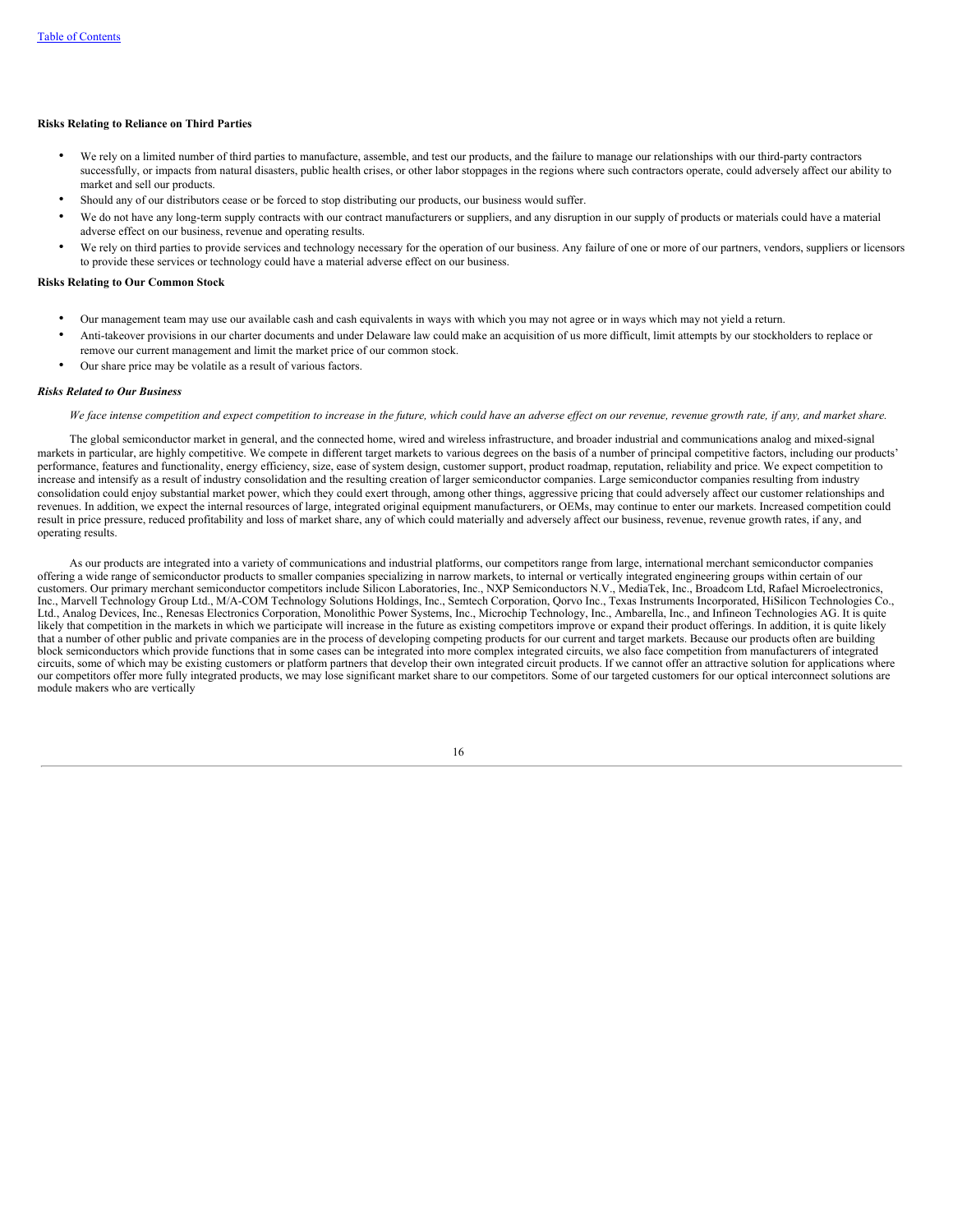#### **Risks Relating to Reliance on Third Parties**

- We rely on a limited number of third parties to manufacture, assemble, and test our products, and the failure to manage our relationships with our third-party contractors successfully, or impacts from natural disasters, public health crises, or other labor stoppages in the regions where such contractors operate, could adversely affect our ability to market and sell our products.
- Should any of our distributors cease or be forced to stop distributing our products, our business would suffer.
- We do not have any long-term supply contracts with our contract manufacturers or suppliers, and any disruption in our supply of products or materials could have a material adverse effect on our business, revenue and operating results.
- We rely on third parties to provide services and technology necessary for the operation of our business. Any failure of one or more of our partners, vendors, suppliers or licensors to provide these services or technology could have a material adverse effect on our business.

#### **Risks Relating to Our Common Stock**

- Our management team may use our available cash and cash equivalents in ways with which you may not agree or in ways which may not yield a return.
- Anti-takeover provisions in our charter documents and under Delaware law could make an acquisition of us more difficult, limit attempts by our stockholders to replace or remove our current management and limit the market price of our common stock.
- Our share price may be volatile as a result of various factors.

#### *Risks Related to Our Business*

We face intense competition and expect competition to increase in the future, which could have an adverse effect on our revenue, revenue growth rate, if any, and market share.

The global semiconductor market in general, and the connected home, wired and wireless infrastructure, and broader industrial and communications analog and mixed-signal markets in particular, are highly competitive. We compete in different target markets to various degrees on the basis of a number of principal competitive factors, including our products' performance, features and functionality, energy efficiency, size, ease of system design, customer support, product roadmap, reputation, reliability and price. We expect competition to increase and intensify as a result of industry consolidation and the resulting creation of larger semiconductor companies. Large semiconductor companies resulting from industry consolidation could enjoy substantial market power, which they could exert through, among other things, aggressive pricing that could adversely affect our customer relationships and revenues. In addition, we expect the internal resources of large, integrated original equipment manufacturers, or OEMs, may continue to enter our markets. Increased competition could result in price pressure, reduced profitability and loss of market share, any of which could materially and adversely affect our business, revenue, revenue growth rates, if any, and operating results.

As our products are integrated into a variety of communications and industrial platforms, our competitors range from large, international merchant semiconductor companies offering a wide range of semiconductor products to smaller companies specializing in narrow markets, to internal or vertically integrated engineering groups within certain of our customers. Our primary merchant semiconductor competitors include Silicon Laboratories, Inc., NXP Semiconductors N.V., MediaTek, Inc., Broadcom Ltd, Rafael Microelectronics, Inc., Marvell Technology Group Ltd., M/A-COM Technology Solutions Holdings, Inc., Semtech Corporation, Qorvo Inc., Texas Instruments Incorporated, HiSilicon Technologies Co., Ltd., Analog Devices, Inc., Renesas Electronics Corporation, Monolithic Power Systems, Inc., Microchip Technology, Inc., Ambarella, Inc., and Infineon Technologies AG. It is quite likely that competition in the markets in which we participate will increase in the future as existing competitors improve or expand their product offerings. In addition, it is quite likely that a number of other public and private companies are in the process of developing competing products for our current and target markets. Because our products often are building block semiconductors which provide functions that in some cases can be integrated into more complex integrated circuits, we also face competition from manufacturers of integrated circuits, some of which may be existing customers or platform partners that develop their own integrated circuit products. If we cannot offer an attractive solution for applications where our competitors offer more fully integrated products, we may lose significant market share to our competitors. Some of our targeted customers for our optical interconnect solutions are module makers who are vertically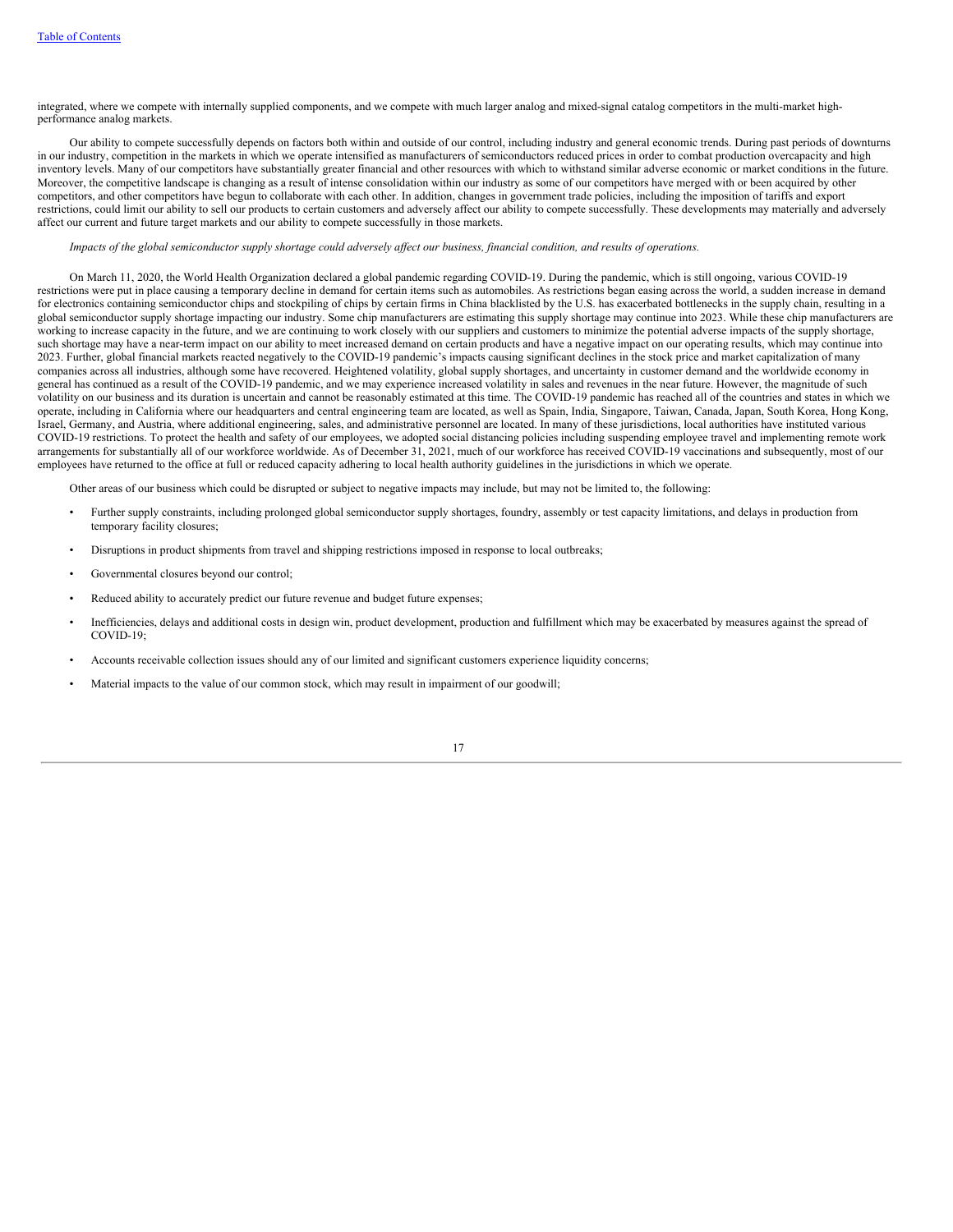integrated, where we compete with internally supplied components, and we compete with much larger analog and mixed-signal catalog competitors in the multi-market highperformance analog markets.

Our ability to compete successfully depends on factors both within and outside of our control, including industry and general economic trends. During past periods of downturns in our industry, competition in the markets in which we operate intensified as manufacturers of semiconductors reduced prices in order to combat production overcapacity and high inventory levels. Many of our competitors have substantially greater financial and other resources with which to withstand similar adverse economic or market conditions in the future. Moreover, the competitive landscape is changing as a result of intense consolidation within our industry as some of our competitors have merged with or been acquired by other competitors, and other competitors have begun to collaborate with each other. In addition, changes in government trade policies, including the imposition of tariffs and export restrictions, could limit our ability to sell our products to certain customers and adversely affect our ability to compete successfully. These developments may materially and adversely affect our current and future target markets and our ability to compete successfully in those markets.

# Impacts of the global semiconductor supply shortage could adversely affect our business, financial condition, and results of operations.

On March 11, 2020, the World Health Organization declared a global pandemic regarding COVID-19. During the pandemic, which is still ongoing, various COVID-19 restrictions were put in place causing a temporary decline in demand for certain items such as automobiles. As restrictions began easing across the world, a sudden increase in demand for electronics containing semiconductor chips and stockpiling of chips by certain firms in China blacklisted by the U.S. has exacerbated bottlenecks in the supply chain, resulting in a global semiconductor supply shortage impacting our industry. Some chip manufacturers are estimating this supply shortage may continue into 2023. While these chip manufacturers are working to increase capacity in the future, and we are continuing to work closely with our suppliers and customers to minimize the potential adverse impacts of the supply shortage, such shortage may have a near-term impact on our ability to meet increased demand on certain products and have a negative impact on our operating results, which may continue into 2023. Further, global financial markets reacted negatively to the COVID-19 pandemic's impacts causing significant declines in the stock price and market capitalization of many companies across all industries, although some have recovered. Heightened volatility, global supply shortages, and uncertainty in customer demand and the worldwide economy in general has continued as a result of the COVID-19 pandemic, and we may experience increased volatility in sales and revenues in the near future. However, the magnitude of such volatility on our business and its duration is uncertain and cannot be reasonably estimated at this time. The COVID-19 pandemic has reached all of the countries and states in which we operate, including in California where our headquarters and central engineering team are located, as well as Spain, India, Singapore, Taiwan, Canada, Japan, South Korea, Hong Kong, Israel, Germany, and Austria, where additional engineering, sales, and administrative personnel are located. In many of these jurisdictions, local authorities have instituted various COVID-19 restrictions. To protect the health and safety of our employees, we adopted social distancing policies including suspending employee travel and implementing remote work arrangements for substantially all of our workforce worldwide. As of December 31, 2021, much of our workforce has received COVID-19 vaccinations and subsequently, most of our employees have returned to the office at full or reduced capacity adhering to local health authority guidelines in the jurisdictions in which we operate.

Other areas of our business which could be disrupted or subject to negative impacts may include, but may not be limited to, the following:

- Further supply constraints, including prolonged global semiconductor supply shortages, foundry, assembly or test capacity limitations, and delays in production from temporary facility closures;
- Disruptions in product shipments from travel and shipping restrictions imposed in response to local outbreaks;
- Governmental closures beyond our control;
- Reduced ability to accurately predict our future revenue and budget future expenses;
- Inefficiencies, delays and additional costs in design win, product development, production and fulfillment which may be exacerbated by measures against the spread of COVID-19;
- Accounts receivable collection issues should any of our limited and significant customers experience liquidity concerns;
- Material impacts to the value of our common stock, which may result in impairment of our goodwill;

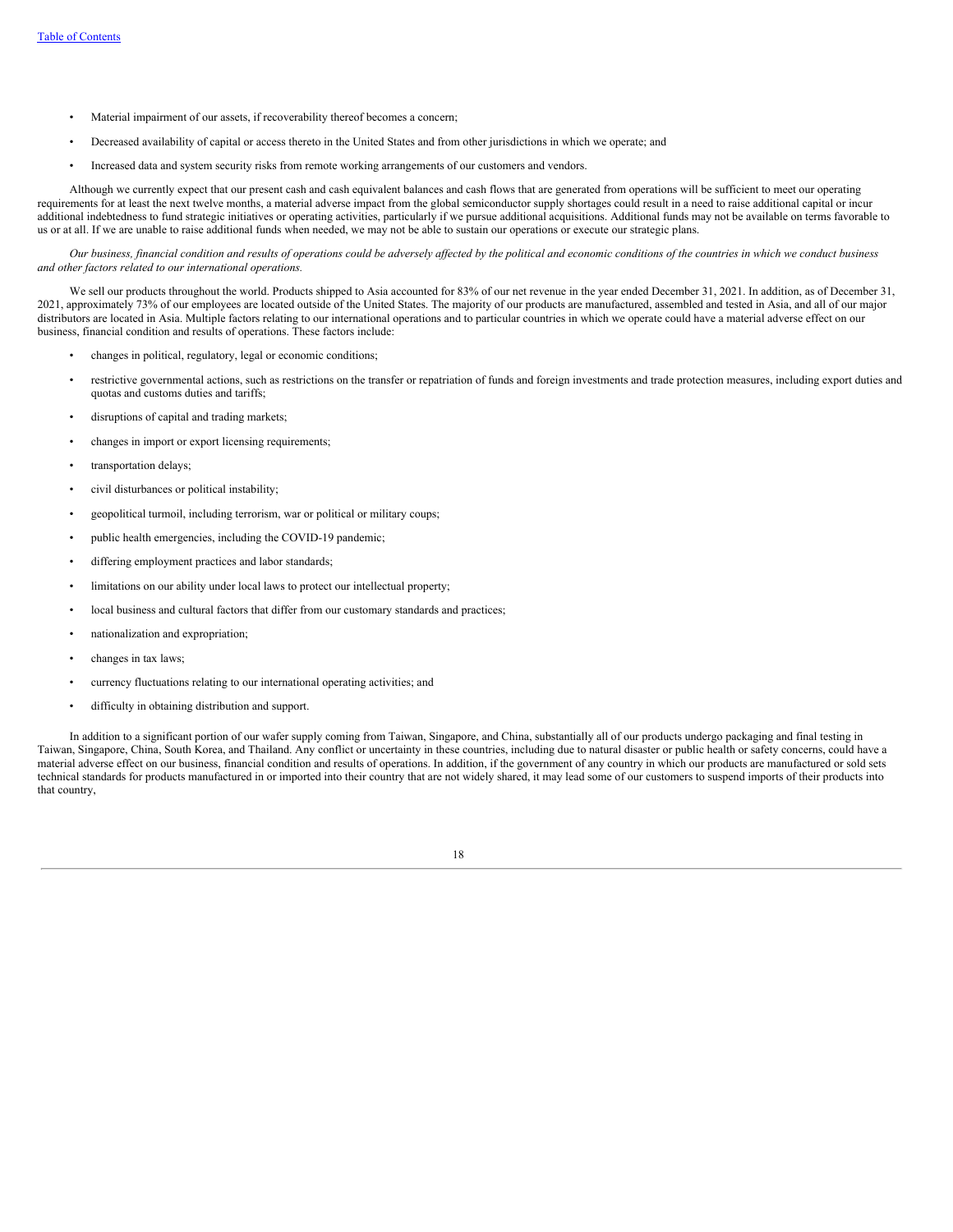- Material impairment of our assets, if recoverability thereof becomes a concern;
- Decreased availability of capital or access thereto in the United States and from other jurisdictions in which we operate; and
- Increased data and system security risks from remote working arrangements of our customers and vendors.

Although we currently expect that our present cash and cash equivalent balances and cash flows that are generated from operations will be sufficient to meet our operating requirements for at least the next twelve months, a material adverse impact from the global semiconductor supply shortages could result in a need to raise additional capital or incur additional indebtedness to fund strategic initiatives or operating activities, particularly if we pursue additional acquisitions. Additional funds may not be available on terms favorable to us or at all. If we are unable to raise additional funds when needed, we may not be able to sustain our operations or execute our strategic plans.

Our business, financial condition and results of operations could be adversely affected by the political and economic conditions of the countries in which we conduct business *and other factors related to our international operations.*

We sell our products throughout the world. Products shipped to Asia accounted for 83% of our net revenue in the year ended December 31, 2021. In addition, as of December 31, 2021, approximately 73% of our employees are located outside of the United States. The majority of our products are manufactured, assembled and tested in Asia, and all of our major distributors are located in Asia. Multiple factors relating to our international operations and to particular countries in which we operate could have a material adverse effect on our business, financial condition and results of operations. These factors include:

- changes in political, regulatory, legal or economic conditions;
- restrictive governmental actions, such as restrictions on the transfer or repatriation of funds and foreign investments and trade protection measures, including export duties and quotas and customs duties and tariffs;
- disruptions of capital and trading markets;
- changes in import or export licensing requirements;
- transportation delays;
- civil disturbances or political instability;
- geopolitical turmoil, including terrorism, war or political or military coups;
- public health emergencies, including the COVID-19 pandemic;
- differing employment practices and labor standards;
- limitations on our ability under local laws to protect our intellectual property;
- local business and cultural factors that differ from our customary standards and practices;
- nationalization and expropriation;
- changes in tax laws;
- currency fluctuations relating to our international operating activities; and
- difficulty in obtaining distribution and support.

In addition to a significant portion of our wafer supply coming from Taiwan, Singapore, and China, substantially all of our products undergo packaging and final testing in Taiwan, Singapore, China, South Korea, and Thailand. Any conflict or uncertainty in these countries, including due to natural disaster or public health or safety concerns, could have a material adverse effect on our business, financial condition and results of operations. In addition, if the government of any country in which our products are manufactured or sold sets technical standards for products manufactured in or imported into their country that are not widely shared, it may lead some of our customers to suspend imports of their products into that country,

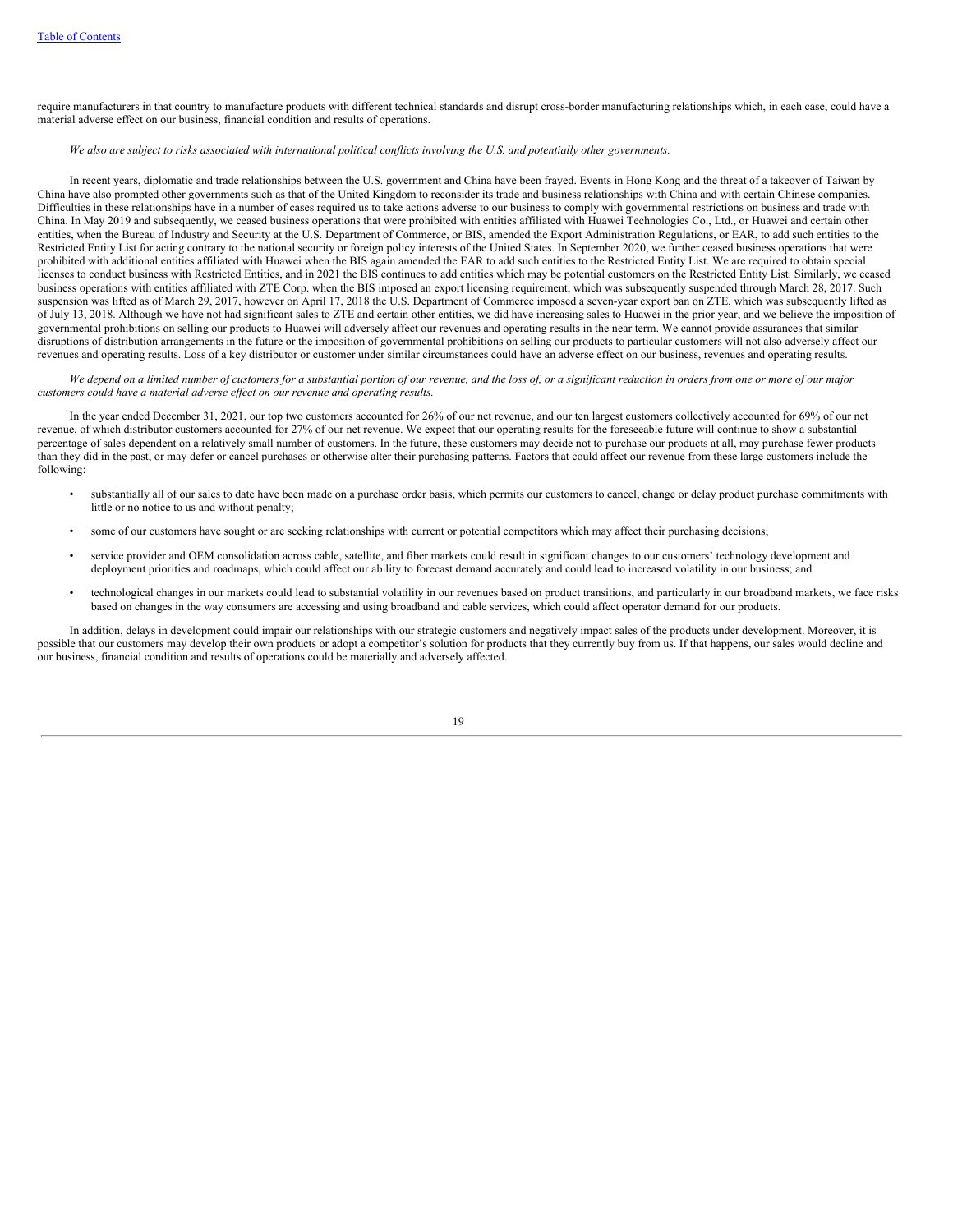require manufacturers in that country to manufacture products with different technical standards and disrupt cross-border manufacturing relationships which, in each case, could have a material adverse effect on our business, financial condition and results of operations.

#### We also are subject to risks associated with international political conflicts involving the U.S. and potentially other governments.

In recent years, diplomatic and trade relationships between the U.S. government and China have been frayed. Events in Hong Kong and the threat of a takeover of Taiwan by China have also prompted other governments such as that of the United Kingdom to reconsider its trade and business relationships with China and with certain Chinese companies. Difficulties in these relationships have in a number of cases required us to take actions adverse to our business to comply with governmental restrictions on business and trade with China. In May 2019 and subsequently, we ceased business operations that were prohibited with entities affiliated with Huawei Technologies Co., Ltd., or Huawei and certain other entities, when the Bureau of Industry and Security at the U.S. Department of Commerce, or BIS, amended the Export Administration Regulations, or EAR, to add such entities to the Restricted Entity List for acting contrary to the national security or foreign policy interests of the United States. In September 2020, we further ceased business operations that were prohibited with additional entities affiliated with Huawei when the BIS again amended the EAR to add such entities to the Restricted Entity List. We are required to obtain special licenses to conduct business with Restricted Entities, and in 2021 the BIS continues to add entities which may be potential customers on the Restricted Entity List. Similarly, we ceased business operations with entities affiliated with ZTE Corp. when the BIS imposed an export licensing requirement, which was subsequently suspended through March 28, 2017. Such suspension was lifted as of March 29, 2017, however on April 17, 2018 the U.S. Department of Commerce imposed a seven-year export ban on ZTE, which was subsequently lifted as of July 13, 2018. Although we have not had significant sales to ZTE and certain other entities, we did have increasing sales to Huawei in the prior year, and we believe the imposition of governmental prohibitions on selling our products to Huawei will adversely affect our revenues and operating results in the near term. We cannot provide assurances that similar disruptions of distribution arrangements in the future or the imposition of governmental prohibitions on selling our products to particular customers will not also adversely affect our revenues and operating results. Loss of a key distributor or customer under similar circumstances could have an adverse effect on our business, revenues and operating results.

# We depend on a limited number of customers for a substantial portion of our revenue, and the loss of, or a significant reduction in orders from one or more of our major *customers could have a material adverse ef ect on our revenue and operating results.*

In the year ended December 31, 2021, our top two customers accounted for 26% of our net revenue, and our ten largest customers collectively accounted for 69% of our net revenue, of which distributor customers accounted for 27% of our net revenue. We expect that our operating results for the foreseeable future will continue to show a substantial percentage of sales dependent on a relatively small number of customers. In the future, these customers may decide not to purchase our products at all, may purchase fewer products than they did in the past, or may defer or cancel purchases or otherwise alter their purchasing patterns. Factors that could affect our revenue from these large customers include the following:

- substantially all of our sales to date have been made on a purchase order basis, which permits our customers to cancel, change or delay product purchase commitments with little or no notice to us and without penalty;
- some of our customers have sought or are seeking relationships with current or potential competitors which may affect their purchasing decisions;
- service provider and OEM consolidation across cable, satellite, and fiber markets could result in significant changes to our customers' technology development and deployment priorities and roadmaps, which could affect our ability to forecast demand accurately and could lead to increased volatility in our business; and
- technological changes in our markets could lead to substantial volatility in our revenues based on product transitions, and particularly in our broadband markets, we face risks based on changes in the way consumers are accessing and using broadband and cable services, which could affect operator demand for our products.

In addition, delays in development could impair our relationships with our strategic customers and negatively impact sales of the products under development. Moreover, it is possible that our customers may develop their own products or adopt a competitor's solution for products that they currently buy from us. If that happens, our sales would decline and our business, financial condition and results of operations could be materially and adversely affected.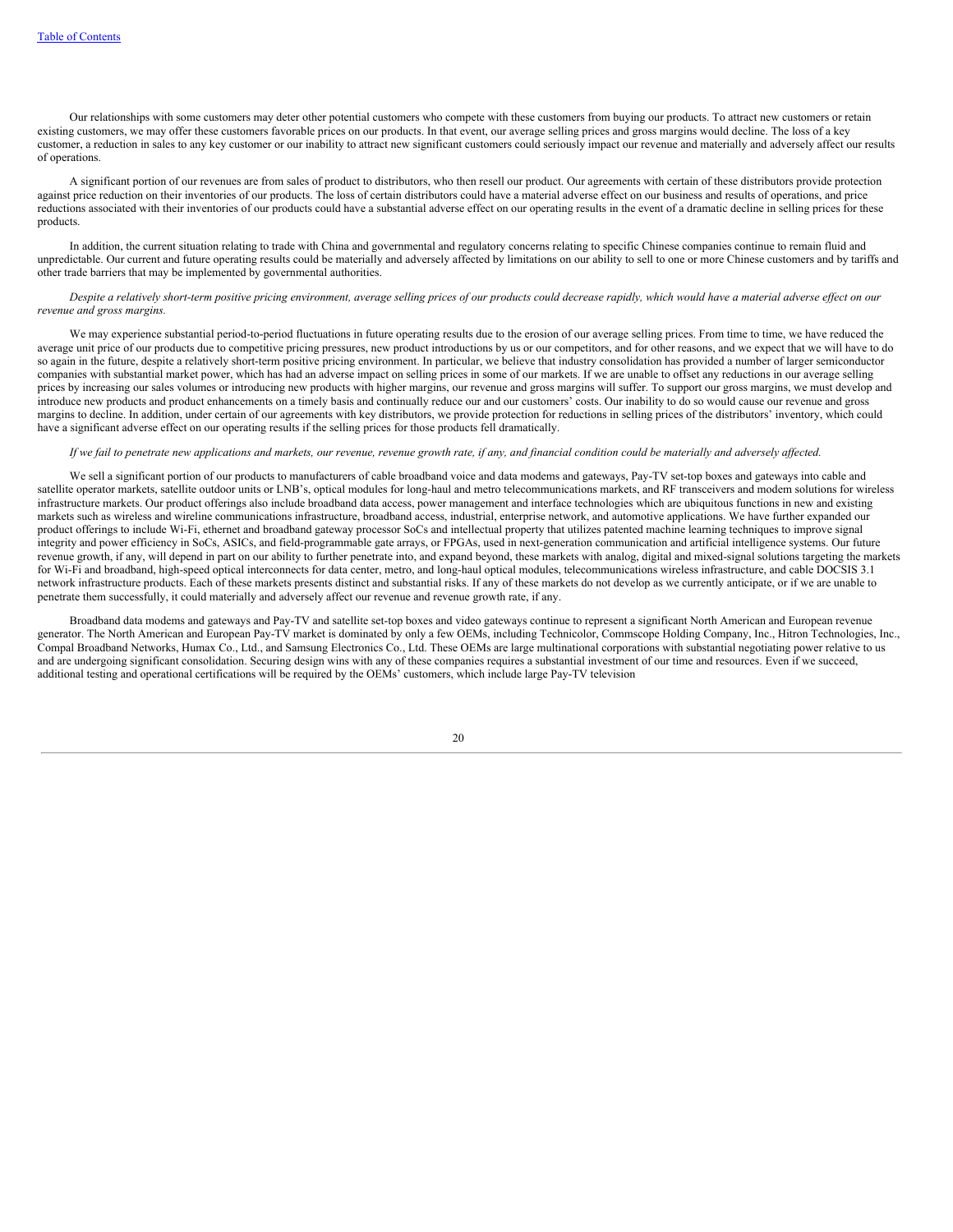Our relationships with some customers may deter other potential customers who compete with these customers from buying our products. To attract new customers or retain existing customers, we may offer these customers favorable prices on our products. In that event, our average selling prices and gross margins would decline. The loss of a key customer, a reduction in sales to any key customer or our inability to attract new significant customers could seriously impact our revenue and materially and adversely affect our results of operations.

A significant portion of our revenues are from sales of product to distributors, who then resell our product. Our agreements with certain of these distributors provide protection against price reduction on their inventories of our products. The loss of certain distributors could have a material adverse effect on our business and results of operations, and price reductions associated with their inventories of our products could have a substantial adverse effect on our operating results in the event of a dramatic decline in selling prices for these products.

In addition, the current situation relating to trade with China and governmental and regulatory concerns relating to specific Chinese companies continue to remain fluid and unpredictable. Our current and future operating results could be materially and adversely affected by limitations on our ability to sell to one or more Chinese customers and by tariffs and other trade barriers that may be implemented by governmental authorities.

# Despite a relatively short-term positive pricing environment, average selling prices of our products could decrease rapidly, which would have a material adverse effect on our *revenue and gross margins.*

We may experience substantial period-to-period fluctuations in future operating results due to the erosion of our average selling prices. From time to time, we have reduced the average unit price of our products due to competitive pricing pressures, new product introductions by us or our competitors, and for other reasons, and we expect that we will have to do so again in the future, despite a relatively short-term positive pricing environment. In particular, we believe that industry consolidation has provided a number of larger semiconductor companies with substantial market power, which has had an adverse impact on selling prices in some of our markets. If we are unable to offset any reductions in our average selling prices by increasing our sales volumes or introducing new products with higher margins, our revenue and gross margins will suffer. To support our gross margins, we must develop and introduce new products and product enhancements on a timely basis and continually reduce our and our customers' costs. Our inability to do so would cause our revenue and gross margins to decline. In addition, under certain of our agreements with key distributors, we provide protection for reductions in selling prices of the distributors' inventory, which could have a significant adverse effect on our operating results if the selling prices for those products fell dramatically.

# If we fail to penetrate new applications and markets, our revenue, revenue growth rate, if any, and financial condition could be materially and adversely affected.

We sell a significant portion of our products to manufacturers of cable broadband voice and data modems and gateways, Pay-TV set-top boxes and gateways into cable and satellite operator markets, satellite outdoor units or LNB's, optical modules for long-haul and metro telecommunications markets, and RF transceivers and modem solutions for wireless infrastructure markets. Our product offerings also include broadband data access, power management and interface technologies which are ubiquitous functions in new and existing markets such as wireless and wireline communications infrastructure, broadband access, industrial, enterprise network, and automotive applications. We have further expanded our product offerings to include Wi-Fi, ethernet and broadband gateway processor SoCs and intellectual property that utilizes patented machine learning techniques to improve signal integrity and power efficiency in SoCs, ASICs, and field-programmable gate arrays, or FPGAs, used in next-generation communication and artificial intelligence systems. Our future revenue growth, if any, will depend in part on our ability to further penetrate into, and expand beyond, these markets with analog, digital and mixed-signal solutions targeting the markets for Wi-Fi and broadband, high-speed optical interconnects for data center, metro, and long-haul optical modules, telecommunications wireless infrastructure, and cable DOCSIS 3.1 network infrastructure products. Each of these markets presents distinct and substantial risks. If any of these markets do not develop as we currently anticipate, or if we are unable to penetrate them successfully, it could materially and adversely affect our revenue and revenue growth rate, if any.

Broadband data modems and gateways and Pay-TV and satellite set-top boxes and video gateways continue to represent a significant North American and European revenue generator. The North American and European Pay-TV market is dominated by only a few OEMs, including Technicolor, Commscope Holding Company, Inc., Hitron Technologies, Inc., Compal Broadband Networks, Humax Co., Ltd., and Samsung Electronics Co., Ltd. These OEMs are large multinational corporations with substantial negotiating power relative to us and are undergoing significant consolidation. Securing design wins with any of these companies requires a substantial investment of our time and resources. Even if we succeed, additional testing and operational certifications will be required by the OEMs' customers, which include large Pay-TV television

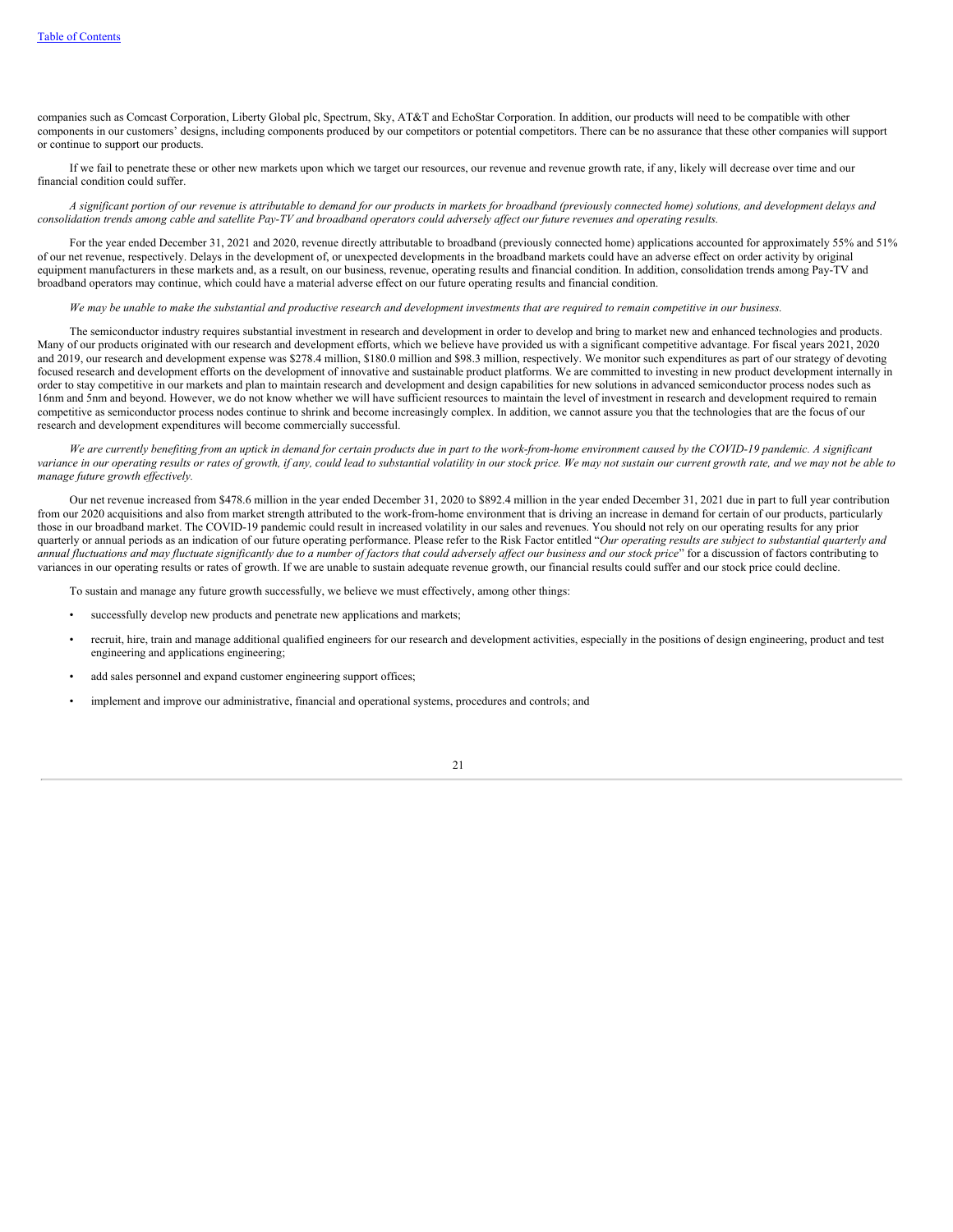companies such as Comcast Corporation, Liberty Global plc, Spectrum, Sky, AT&T and EchoStar Corporation. In addition, our products will need to be compatible with other components in our customers' designs, including components produced by our competitors or potential competitors. There can be no assurance that these other companies will support or continue to support our products.

If we fail to penetrate these or other new markets upon which we target our resources, our revenue and revenue growth rate, if any, likely will decrease over time and our financial condition could suffer.

A significant portion of our revenue is attributable to demand for our products in markets for broadband (previously connected home) solutions, and development delays and consolidation trends among cable and satellite Pay-TV and broadband operators could adversely affect our future revenues and operating results.

For the year ended December 31, 2021 and 2020, revenue directly attributable to broadband (previously connected home) applications accounted for approximately 55% and 51% of our net revenue, respectively. Delays in the development of, or unexpected developments in the broadband markets could have an adverse effect on order activity by original equipment manufacturers in these markets and, as a result, on our business, revenue, operating results and financial condition. In addition, consolidation trends among Pay-TV and broadband operators may continue, which could have a material adverse effect on our future operating results and financial condition.

We may be unable to make the substantial and productive research and development investments that are required to remain competitive in our business.

The semiconductor industry requires substantial investment in research and development in order to develop and bring to market new and enhanced technologies and products. Many of our products originated with our research and development efforts, which we believe have provided us with a significant competitive advantage. For fiscal years 2021, 2020 and 2019, our research and development expense was \$278.4 million, \$180.0 million and \$98.3 million, respectively. We monitor such expenditures as part of our strategy of devoting focused research and development efforts on the development of innovative and sustainable product platforms. We are committed to investing in new product development internally in order to stay competitive in our markets and plan to maintain research and development and design capabilities for new solutions in advanced semiconductor process nodes such as 16nm and 5nm and beyond. However, we do not know whether we will have sufficient resources to maintain the level of investment in research and development required to remain competitive as semiconductor process nodes continue to shrink and become increasingly complex. In addition, we cannot assure you that the technologies that are the focus of our research and development expenditures will become commercially successful.

We are currently benefiting from an uptick in demand for certain products due in part to the work-from-home environment caused by the COVID-19 pandemic. A significant variance in our operating results or rates of growth, if any, could lead to substantial volatility in our stock price. We may not sustain our current growth rate, and we may not be able to *manage future growth ef ectively.*

Our net revenue increased from \$478.6 million in the year ended December 31, 2020 to \$892.4 million in the year ended December 31, 2021 due in part to full year contribution from our 2020 acquisitions and also from market strength attributed to the work-from-home environment that is driving an increase in demand for certain of our products, particularly those in our broadband market. The COVID-19 pandemic could result in increased volatility in our sales and revenues. You should not rely on our operating results for any prior quarterly or annual periods as an indication of our future operating performance. Please refer to the Risk Factor entitled "Our operating results are subject to substantial quarterly and annual fluctuations and may fluctuate significantly due to a number of factors that could adversely affect our business and our stock price" for a discussion of factors contributing to variances in our operating results or rates of growth. If we are unable to sustain adequate revenue growth, our financial results could suffer and our stock price could decline.

To sustain and manage any future growth successfully, we believe we must effectively, among other things:

- successfully develop new products and penetrate new applications and markets;
- recruit, hire, train and manage additional qualified engineers for our research and development activities, especially in the positions of design engineering, product and test engineering and applications engineering;
- add sales personnel and expand customer engineering support offices;
- implement and improve our administrative, financial and operational systems, procedures and controls; and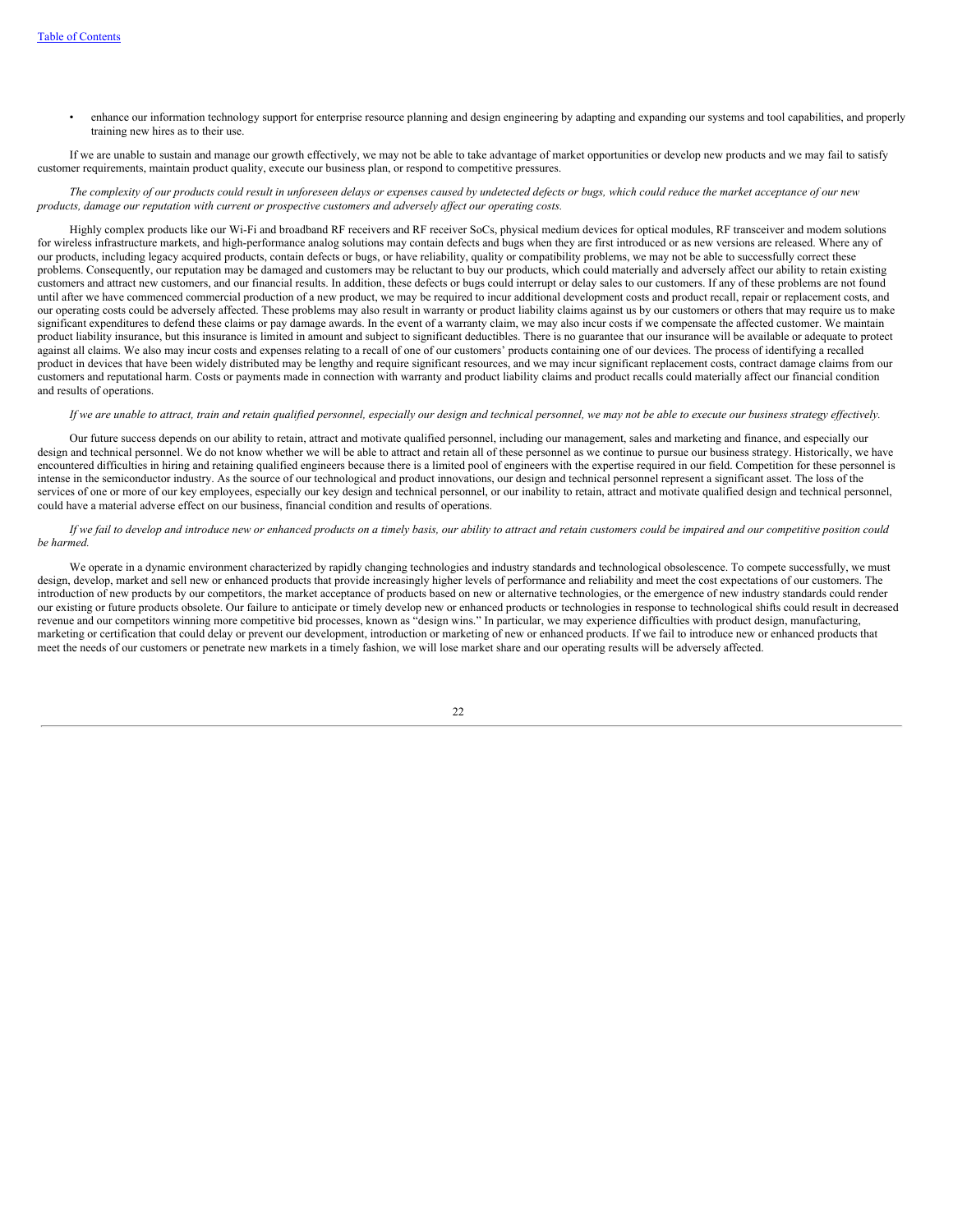• enhance our information technology support for enterprise resource planning and design engineering by adapting and expanding our systems and tool capabilities, and properly training new hires as to their use.

If we are unable to sustain and manage our growth effectively, we may not be able to take advantage of market opportunities or develop new products and we may fail to satisfy customer requirements, maintain product quality, execute our business plan, or respond to competitive pressures.

The complexity of our products could result in unforeseen delays or expenses caused by undetected defects or bugs, which could reduce the market acceptance of our new *products, damage our reputation with current or prospective customers and adversely af ect our operating costs.*

Highly complex products like our Wi-Fi and broadband RF receivers and RF receiver SoCs, physical medium devices for optical modules, RF transceiver and modem solutions for wireless infrastructure markets, and high-performance analog solutions may contain defects and bugs when they are first introduced or as new versions are released. Where any of our products, including legacy acquired products, contain defects or bugs, or have reliability, quality or compatibility problems, we may not be able to successfully correct these problems. Consequently, our reputation may be damaged and customers may be reluctant to buy our products, which could materially and adversely affect our ability to retain existing customers and attract new customers, and our financial results. In addition, these defects or bugs could interrupt or delay sales to our customers. If any of these problems are not found until after we have commenced commercial production of a new product, we may be required to incur additional development costs and product recall, repair or replacement costs, and our operating costs could be adversely affected. These problems may also result in warranty or product liability claims against us by our customers or others that may require us to make significant expenditures to defend these claims or pay damage awards. In the event of a warranty claim, we may also incur costs if we compensate the affected customer. We maintain product liability insurance, but this insurance is limited in amount and subject to significant deductibles. There is no guarantee that our insurance will be available or adequate to protect against all claims. We also may incur costs and expenses relating to a recall of one of our customers' products containing one of our devices. The process of identifying a recalled product in devices that have been widely distributed may be lengthy and require significant resources, and we may incur significant replacement costs, contract damage claims from our customers and reputational harm. Costs or payments made in connection with warranty and product liability claims and product recalls could materially affect our financial condition and results of operations.

#### If we are unable to attract, train and retain qualified personnel, especially our design and technical personnel, we may not be able to execute our business strategy effectively.

Our future success depends on our ability to retain, attract and motivate qualified personnel, including our management, sales and marketing and finance, and especially our design and technical personnel. We do not know whether we will be able to attract and retain all of these personnel as we continue to pursue our business strategy. Historically, we have encountered difficulties in hiring and retaining qualified engineers because there is a limited pool of engineers with the expertise required in our field. Competition for these personnel is intense in the semiconductor industry. As the source of our technological and product innovations, our design and technical personnel represent a significant asset. The loss of the services of one or more of our key employees, especially our key design and technical personnel, or our inability to retain, attract and motivate qualified design and technical personnel, could have a material adverse effect on our business, financial condition and results of operations.

If we fail to develop and introduce new or enhanced products on a timely basis, our ability to attract and retain customers could be impaired and our competitive position could *be harmed.*

We operate in a dynamic environment characterized by rapidly changing technologies and industry standards and technological obsolescence. To compete successfully, we must design, develop, market and sell new or enhanced products that provide increasingly higher levels of performance and reliability and meet the cost expectations of our customers. The introduction of new products by our competitors, the market acceptance of products based on new or alternative technologies, or the emergence of new industry standards could render our existing or future products obsolete. Our failure to anticipate or timely develop new or enhanced products or technologies in response to technological shifts could result in decreased revenue and our competitors winning more competitive bid processes, known as "design wins." In particular, we may experience difficulties with product design, manufacturing, marketing or certification that could delay or prevent our development, introduction or marketing of new or enhanced products. If we fail to introduce new or enhanced products that meet the needs of our customers or penetrate new markets in a timely fashion, we will lose market share and our operating results will be adversely affected.

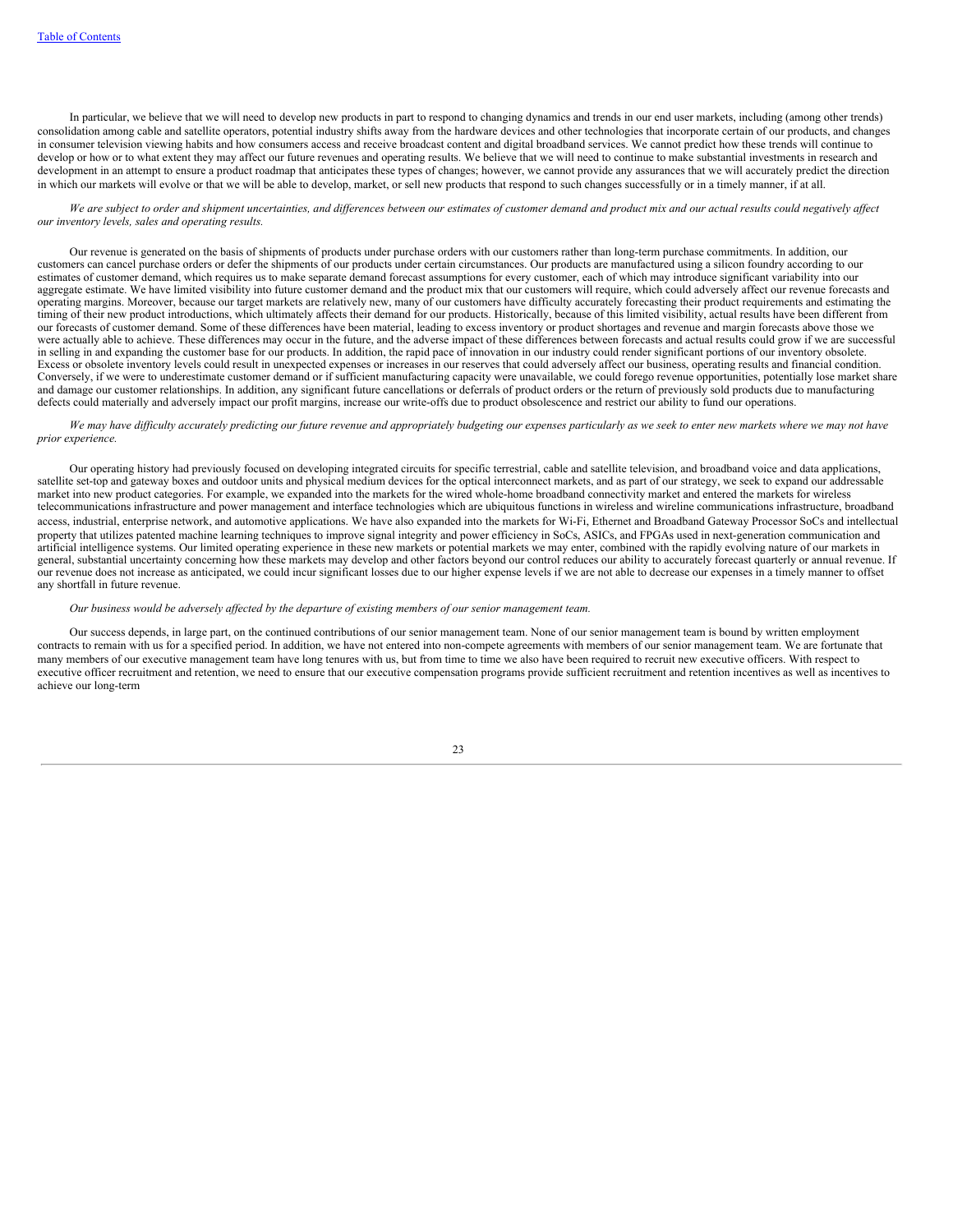In particular, we believe that we will need to develop new products in part to respond to changing dynamics and trends in our end user markets, including (among other trends) consolidation among cable and satellite operators, potential industry shifts away from the hardware devices and other technologies that incorporate certain of our products, and changes in consumer television viewing habits and how consumers access and receive broadcast content and digital broadband services. We cannot predict how these trends will continue to develop or how or to what extent they may affect our future revenues and operating results. We believe that we will need to continue to make substantial investments in research and development in an attempt to ensure a product roadmap that anticipates these types of changes; however, we cannot provide any assurances that we will accurately predict the direction in which our markets will evolve or that we will be able to develop, market, or sell new products that respond to such changes successfully or in a timely manner, if at all.

We are subject to order and shipment uncertainties, and differences between our estimates of customer demand and product mix and our actual results could negatively affect *our inventory levels, sales and operating results.*

Our revenue is generated on the basis of shipments of products under purchase orders with our customers rather than long-term purchase commitments. In addition, our customers can cancel purchase orders or defer the shipments of our products under certain circumstances. Our products are manufactured using a silicon foundry according to our estimates of customer demand, which requires us to make separate demand forecast assumptions for every customer, each of which may introduce significant variability into our aggregate estimate. We have limited visibility into future customer demand and the product mix that our customers will require, which could adversely affect our revenue forecasts and operating margins. Moreover, because our target markets are relatively new, many of our customers have difficulty accurately forecasting their product requirements and estimating the timing of their new product introductions, which ultimately affects their demand for our products. Historically, because of this limited visibility, actual results have been different from our forecasts of customer demand. Some of these differences have been material, leading to excess inventory or product shortages and revenue and margin forecasts above those we were actually able to achieve. These differences may occur in the future, and the adverse impact of these differences between forecasts and actual results could grow if we are successful in selling in and expanding the customer base for our products. In addition, the rapid pace of innovation in our industry could render significant portions of our inventory obsolete. Excess or obsolete inventory levels could result in unexpected expenses or increases in our reserves that could adversely affect our business, operating results and financial condition. Conversely, if we were to underestimate customer demand or if sufficient manufacturing capacity were unavailable, we could forego revenue opportunities, potentially lose market share and damage our customer relationships. In addition, any significant future cancellations or deferrals of product orders or the return of previously sold products due to manufacturing defects could materially and adversely impact our profit margins, increase our write-offs due to product obsolescence and restrict our ability to fund our operations.

We may have difficulty accurately predicting our future revenue and appropriately budgeting our expenses particularly as we seek to enter new markets where we may not have *prior experience.*

Our operating history had previously focused on developing integrated circuits for specific terrestrial, cable and satellite television, and broadband voice and data applications, satellite set-top and gateway boxes and outdoor units and physical medium devices for the optical interconnect markets, and as part of our strategy, we seek to expand our addressable market into new product categories. For example, we expanded into the markets for the wired whole-home broadband connectivity market and entered the markets for wireless telecommunications infrastructure and power management and interface technologies which are ubiquitous functions in wireless and wireline communications infrastructure, broadband access, industrial, enterprise network, and automotive applications. We have also expanded into the markets for Wi-Fi, Ethernet and Broadband Gateway Processor SoCs and intellectual property that utilizes patented machine learning techniques to improve signal integrity and power efficiency in SoCs, ASICs, and FPGAs used in next-generation communication and artificial intelligence systems. Our limited operating experience in these new markets or potential markets we may enter, combined with the rapidly evolving nature of our markets in general, substantial uncertainty concerning how these markets may develop and other factors beyond our control reduces our ability to accurately forecast quarterly or annual revenue. If our revenue does not increase as anticipated, we could incur significant losses due to our higher expense levels if we are not able to decrease our expenses in a timely manner to offset any shortfall in future revenue.

### Our business would be adversely affected by the departure of existing members of our senior management team.

Our success depends, in large part, on the continued contributions of our senior management team. None of our senior management team is bound by written employment contracts to remain with us for a specified period. In addition, we have not entered into non-compete agreements with members of our senior management team. We are fortunate that many members of our executive management team have long tenures with us, but from time to time we also have been required to recruit new executive officers. With respect to executive officer recruitment and retention, we need to ensure that our executive compensation programs provide sufficient recruitment and retention incentives as well as incentives to achieve our long-term

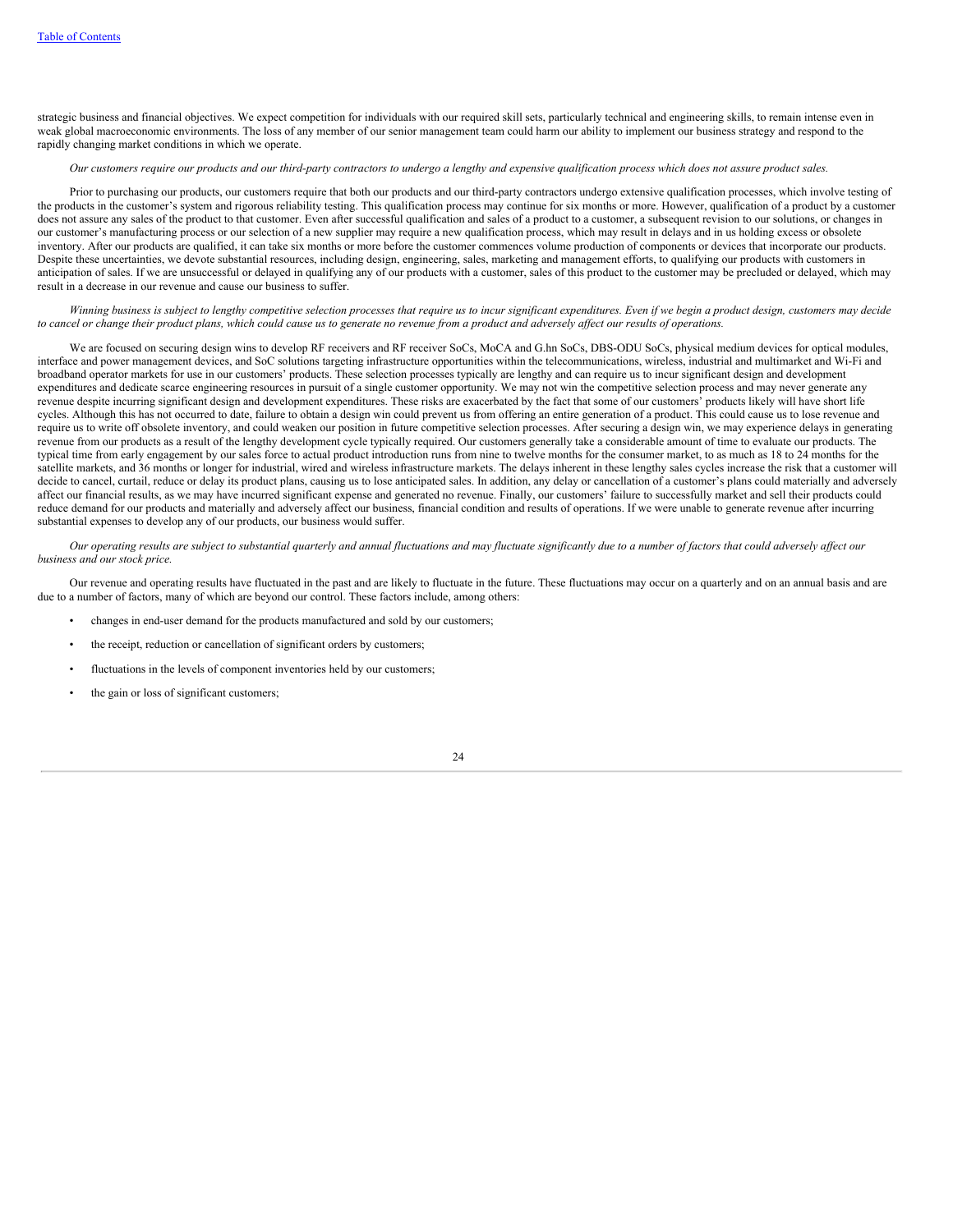strategic business and financial objectives. We expect competition for individuals with our required skill sets, particularly technical and engineering skills, to remain intense even in weak global macroeconomic environments. The loss of any member of our senior management team could harm our ability to implement our business strategy and respond to the rapidly changing market conditions in which we operate.

# Our customers require our products and our third-party contractors to undergo a lengthy and expensive qualification process which does not assure product sales.

Prior to purchasing our products, our customers require that both our products and our third-party contractors undergo extensive qualification processes, which involve testing of the products in the customer's system and rigorous reliability testing. This qualification process may continue for six months or more. However, qualification of a product by a customer does not assure any sales of the product to that customer. Even after successful qualification and sales of a product to a customer, a subsequent revision to our solutions, or changes in our customer's manufacturing process or our selection of a new supplier may require a new qualification process, which may result in delays and in us holding excess or obsolete inventory. After our products are qualified, it can take six months or more before the customer commences volume production of components or devices that incorporate our products. Despite these uncertainties, we devote substantial resources, including design, engineering, sales, marketing and management efforts, to qualifying our products with customers in anticipation of sales. If we are unsuccessful or delayed in qualifying any of our products with a customer, sales of this product to the customer may be precluded or delayed, which may result in a decrease in our revenue and cause our business to suffer.

Winning business is subject to lengthy competitive selection processes that require us to incur significant expenditures. Even if we begin a product design, customers may decide to cancel or change their product plans, which could cause us to generate no revenue from a product and adversely affect our results of operations.

We are focused on securing design wins to develop RF receivers and RF receiver SoCs, MoCA and G.hn SoCs, DBS-ODU SoCs, physical medium devices for optical modules, interface and power management devices, and SoC solutions targeting infrastructure opportunities within the telecommunications, wireless, industrial and multimarket and Wi-Fi and broadband operator markets for use in our customers' products. These selection processes typically are lengthy and can require us to incur significant design and development expenditures and dedicate scarce engineering resources in pursuit of a single customer opportunity. We may not win the competitive selection process and may never generate any revenue despite incurring significant design and development expenditures. These risks are exacerbated by the fact that some of our customers' products likely will have short life cycles. Although this has not occurred to date, failure to obtain a design win could prevent us from offering an entire generation of a product. This could cause us to lose revenue and require us to write off obsolete inventory, and could weaken our position in future competitive selection processes. After securing a design win, we may experience delays in generating revenue from our products as a result of the lengthy development cycle typically required. Our customers generally take a considerable amount of time to evaluate our products. The typical time from early engagement by our sales force to actual product introduction runs from nine to twelve months for the consumer market, to as much as 18 to 24 months for the satellite markets, and 36 months or longer for industrial, wired and wireless infrastructure markets. The delays inherent in these lengthy sales cycles increase the risk that a customer will decide to cancel, curtail, reduce or delay its product plans, causing us to lose anticipated sales. In addition, any delay or cancellation of a customer's plans could materially and adversely affect our financial results, as we may have incurred significant expense and generated no revenue. Finally, our customers' failure to successfully market and sell their products could reduce demand for our products and materially and adversely affect our business, financial condition and results of operations. If we were unable to generate revenue after incurring substantial expenses to develop any of our products, our business would suffer.

Our operating results are subject to substantial quarterly and annual fluctuations and may fluctuate significantly due to a number of factors that could adversely affect our *business and our stock price.*

Our revenue and operating results have fluctuated in the past and are likely to fluctuate in the future. These fluctuations may occur on a quarterly and on an annual basis and are due to a number of factors, many of which are beyond our control. These factors include, among others:

- changes in end-user demand for the products manufactured and sold by our customers;
- the receipt, reduction or cancellation of significant orders by customers;
- fluctuations in the levels of component inventories held by our customers;
- the gain or loss of significant customers;

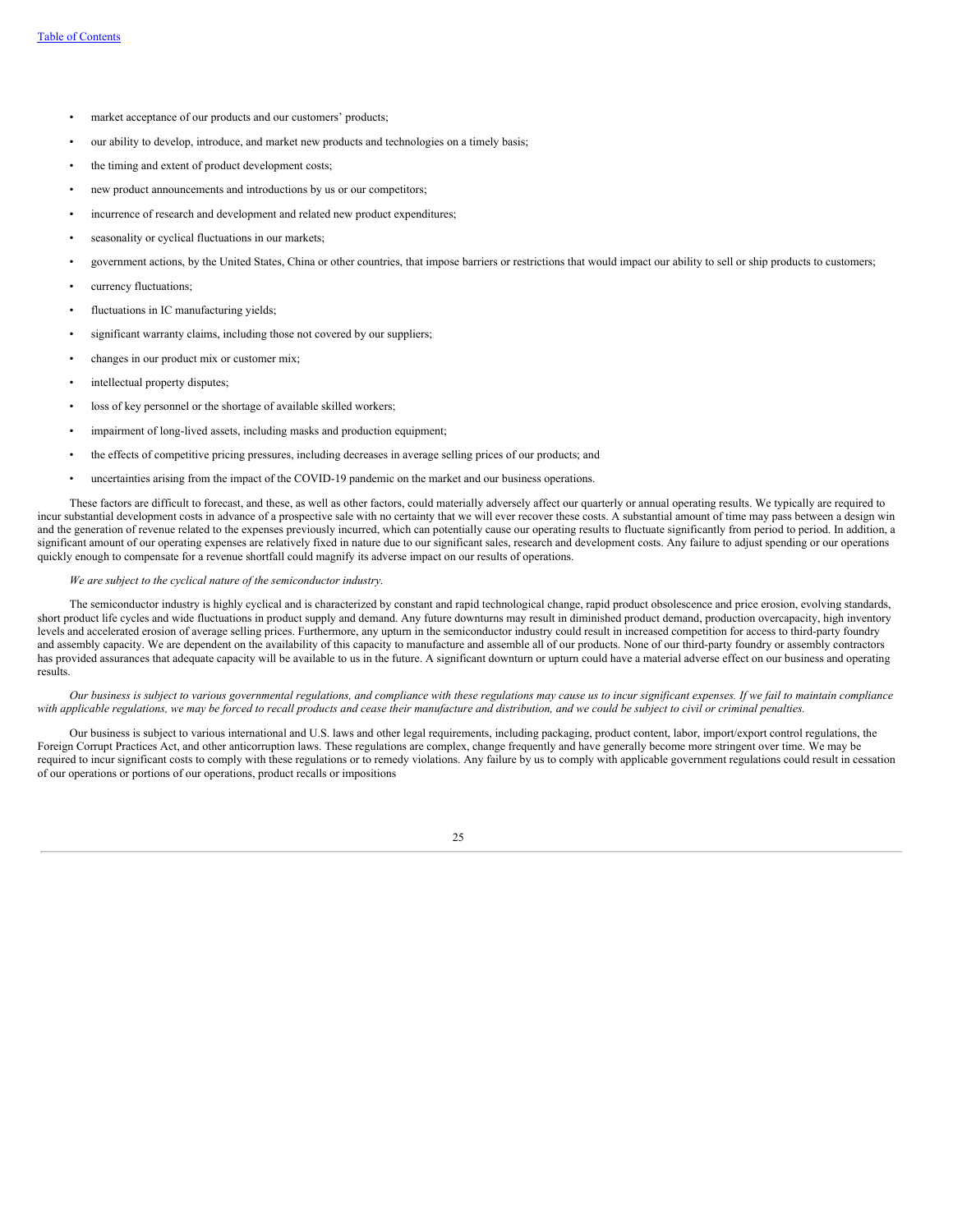- market acceptance of our products and our customers' products;
- our ability to develop, introduce, and market new products and technologies on a timely basis;
- the timing and extent of product development costs;
- new product announcements and introductions by us or our competitors;
- incurrence of research and development and related new product expenditures;
- seasonality or cyclical fluctuations in our markets;
- government actions, by the United States, China or other countries, that impose barriers or restrictions that would impact our ability to sell or ship products to customers;
- currency fluctuations;
- fluctuations in IC manufacturing yields;
- significant warranty claims, including those not covered by our suppliers;
- changes in our product mix or customer mix;
- intellectual property disputes;
- loss of key personnel or the shortage of available skilled workers;
- impairment of long-lived assets, including masks and production equipment;
- the effects of competitive pricing pressures, including decreases in average selling prices of our products; and
- uncertainties arising from the impact of the COVID-19 pandemic on the market and our business operations.

These factors are difficult to forecast, and these, as well as other factors, could materially adversely affect our quarterly or annual operating results. We typically are required to incur substantial development costs in advance of a prospective sale with no certainty that we will ever recover these costs. A substantial amount of time may pass between a design win and the generation of revenue related to the expenses previously incurred, which can potentially cause our operating results to fluctuate significantly from period to period. In addition, a significant amount of our operating expenses are relatively fixed in nature due to our significant sales, research and development costs. Any failure to adjust spending or our operations quickly enough to compensate for a revenue shortfall could magnify its adverse impact on our results of operations.

#### *We are subject to the cyclical nature of the semiconductor industry.*

The semiconductor industry is highly cyclical and is characterized by constant and rapid technological change, rapid product obsolescence and price erosion, evolving standards, short product life cycles and wide fluctuations in product supply and demand. Any future downturns may result in diminished product demand, production overcapacity, high inventory levels and accelerated erosion of average selling prices. Furthermore, any upturn in the semiconductor industry could result in increased competition for access to third-party foundry and assembly capacity. We are dependent on the availability of this capacity to manufacture and assemble all of our products. None of our third-party foundry or assembly contractors has provided assurances that adequate capacity will be available to us in the future. A significant downturn or upturn could have a material adverse effect on our business and operating results.

Our business is subject to various governmental regulations, and compliance with these regulations may cause us to incur significant expenses. If we fail to maintain compliance with applicable regulations, we may be forced to recall products and cease their manufacture and distribution, and we could be subject to civil or criminal penalties.

Our business is subject to various international and U.S. laws and other legal requirements, including packaging, product content, labor, import/export control regulations, the Foreign Corrupt Practices Act, and other anticorruption laws. These regulations are complex, change frequently and have generally become more stringent over time. We may be required to incur significant costs to comply with these regulations or to remedy violations. Any failure by us to comply with applicable government regulations could result in cessation of our operations or portions of our operations, product recalls or impositions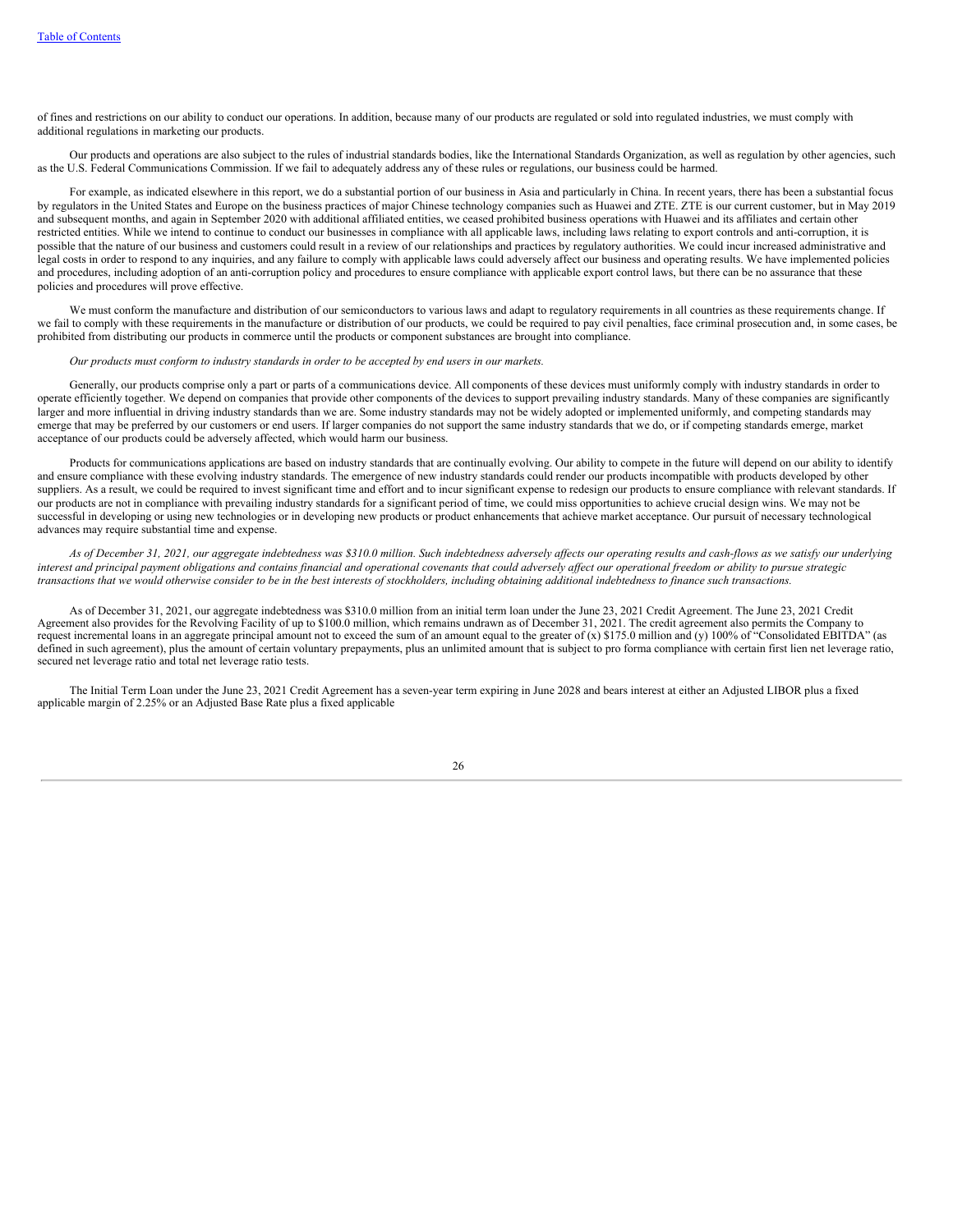of fines and restrictions on our ability to conduct our operations. In addition, because many of our products are regulated or sold into regulated industries, we must comply with additional regulations in marketing our products.

Our products and operations are also subject to the rules of industrial standards bodies, like the International Standards Organization, as well as regulation by other agencies, such as the U.S. Federal Communications Commission. If we fail to adequately address any of these rules or regulations, our business could be harmed.

For example, as indicated elsewhere in this report, we do a substantial portion of our business in Asia and particularly in China. In recent years, there has been a substantial focus by regulators in the United States and Europe on the business practices of major Chinese technology companies such as Huawei and ZTE. ZTE is our current customer, but in May 2019 and subsequent months, and again in September 2020 with additional affiliated entities, we ceased prohibited business operations with Huawei and its affiliates and certain other restricted entities. While we intend to continue to conduct our businesses in compliance with all applicable laws, including laws relating to export controls and anti-corruption, it is possible that the nature of our business and customers could result in a review of our relationships and practices by regulatory authorities. We could incur increased administrative and legal costs in order to respond to any inquiries, and any failure to comply with applicable laws could adversely affect our business and operating results. We have implemented policies and procedures, including adoption of an anti-corruption policy and procedures to ensure compliance with applicable export control laws, but there can be no assurance that these policies and procedures will prove effective.

We must conform the manufacture and distribution of our semiconductors to various laws and adapt to regulatory requirements in all countries as these requirements change. If we fail to comply with these requirements in the manufacture or distribution of our products, we could be required to pay civil penalties, face criminal prosecution and, in some cases, be prohibited from distributing our products in commerce until the products or component substances are brought into compliance.

#### Our products must conform to industry standards in order to be accepted by end users in our markets.

Generally, our products comprise only a part or parts of a communications device. All components of these devices must uniformly comply with industry standards in order to operate efficiently together. We depend on companies that provide other components of the devices to support prevailing industry standards. Many of these companies are significantly larger and more influential in driving industry standards than we are. Some industry standards may not be widely adopted or implemented uniformly, and competing standards may emerge that may be preferred by our customers or end users. If larger companies do not support the same industry standards that we do, or if competing standards emerge, market acceptance of our products could be adversely affected, which would harm our business.

Products for communications applications are based on industry standards that are continually evolving. Our ability to compete in the future will depend on our ability to identify and ensure compliance with these evolving industry standards. The emergence of new industry standards could render our products incompatible with products developed by other suppliers. As a result, we could be required to invest significant time and effort and to incur significant expense to redesign our products to ensure compliance with relevant standards. If our products are not in compliance with prevailing industry standards for a significant period of time, we could miss opportunities to achieve crucial design wins. We may not be successful in developing or using new technologies or in developing new products or product enhancements that achieve market acceptance. Our pursuit of necessary technological advances may require substantial time and expense.

As of December 31, 2021, our aggregate indebtedness was \$310.0 million. Such indebtedness adversely affects our operating results and cash-flows as we satisfy our underlying interest and principal payment obligations and contains financial and operational covenants that could adversely affect our operational freedom or ability to pursue strategic transactions that we would otherwise consider to be in the best interests of stockholders, including obtaining additional indebtedness to finance such transactions.

As of December 31, 2021, our aggregate indebtedness was \$310.0 million from an initial term loan under the June 23, 2021 Credit Agreement. The June 23, 2021 Credit Agreement also provides for the Revolving Facility of up to \$100.0 million, which remains undrawn as of December 31, 2021. The credit agreement also permits the Company to request incremental loans in an aggregate principal amount not to exceed the sum of an amount equal to the greater of (x) \$175.0 million and (y) 100% of "Consolidated EBITDA" (as defined in such agreement), plus the amount of certain voluntary prepayments, plus an unlimited amount that is subject to pro forma compliance with certain first lien net leverage ratio, secured net leverage ratio and total net leverage ratio tests.

The Initial Term Loan under the June 23, 2021 Credit Agreement has a seven-year term expiring in June 2028 and bears interest at either an Adjusted LIBOR plus a fixed applicable margin of 2.25% or an Adjusted Base Rate plus a fixed applicable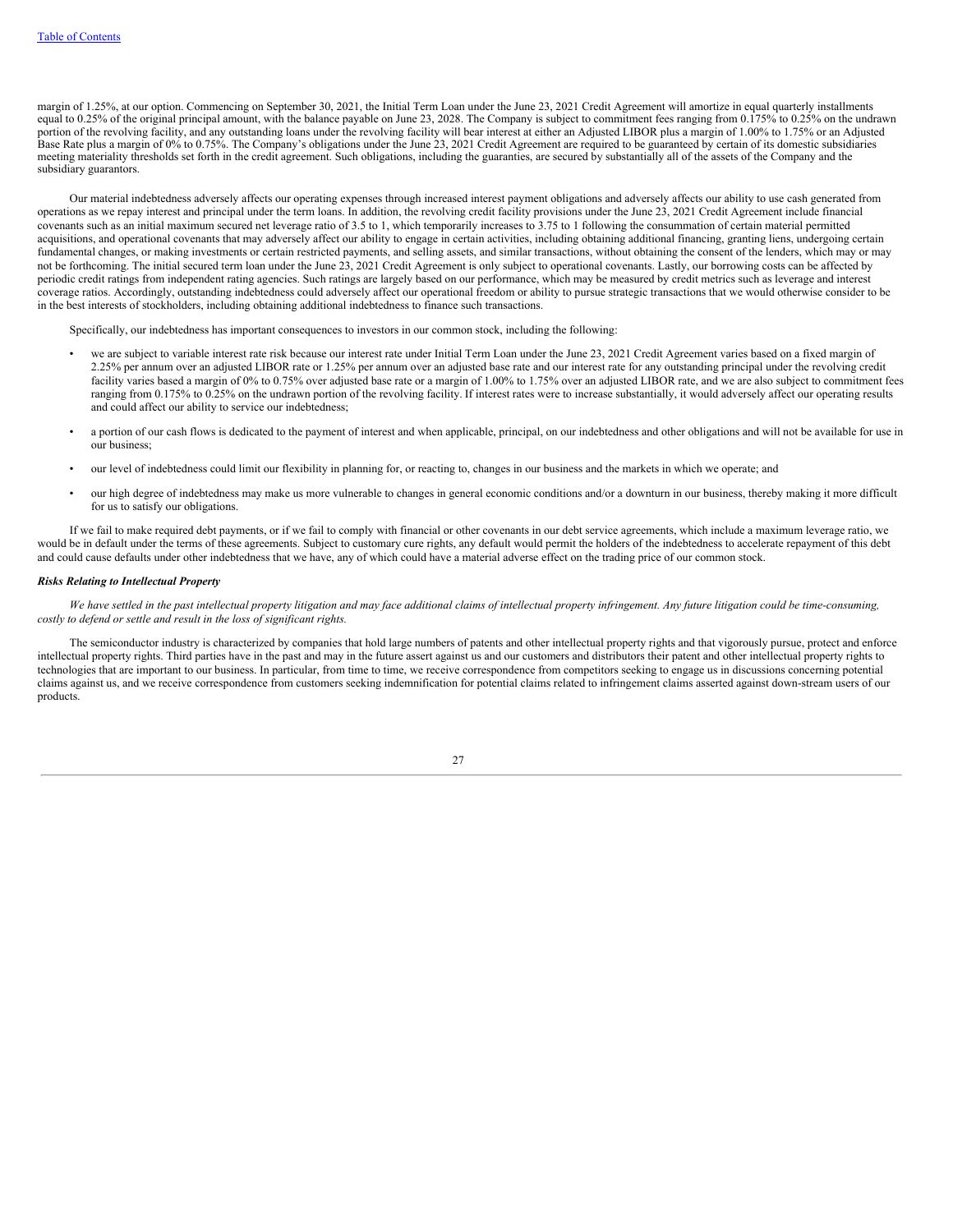margin of 1.25%, at our option. Commencing on September 30, 2021, the Initial Term Loan under the June 23, 2021 Credit Agreement will amortize in equal quarterly installments equal to 0.25% of the original principal amount, with the balance payable on June 23, 2028. The Company is subject to commitment fees ranging from 0.175% to 0.25% on the undrawn portion of the revolving facility, and any outstanding loans under the revolving facility will bear interest at either an Adjusted LIBOR plus a margin of 1.00% to 1.75% or an Adjusted Base Rate plus a margin of 0% to 0.75%. The Company's obligations under the June 23, 2021 Credit Agreement are required to be guaranteed by certain of its domestic subsidiaries meeting materiality thresholds set forth in the credit agreement. Such obligations, including the guaranties, are secured by substantially all of the assets of the Company and the subsidiary guarantors.

Our material indebtedness adversely affects our operating expenses through increased interest payment obligations and adversely affects our ability to use cash generated from operations as we repay interest and principal under the term loans. In addition, the revolving credit facility provisions under the June 23, 2021 Credit Agreement include financial covenants such as an initial maximum secured net leverage ratio of 3.5 to 1, which temporarily increases to 3.75 to 1 following the consummation of certain material permitted acquisitions, and operational covenants that may adversely affect our ability to engage in certain activities, including obtaining additional financing, granting liens, undergoing certain fundamental changes, or making investments or certain restricted payments, and selling assets, and similar transactions, without obtaining the consent of the lenders, which may or may not be forthcoming. The initial secured term loan under the June 23, 2021 Credit Agreement is only subject to operational covenants. Lastly, our borrowing costs can be affected by periodic credit ratings from independent rating agencies. Such ratings are largely based on our performance, which may be measured by credit metrics such as leverage and interest coverage ratios. Accordingly, outstanding indebtedness could adversely affect our operational freedom or ability to pursue strategic transactions that we would otherwise consider to be in the best interests of stockholders, including obtaining additional indebtedness to finance such transactions.

Specifically, our indebtedness has important consequences to investors in our common stock, including the following:

- we are subject to variable interest rate risk because our interest rate under Initial Term Loan under the June 23, 2021 Credit Agreement varies based on a fixed margin of 2.25% per annum over an adjusted LIBOR rate or 1.25% per annum over an adjusted base rate and our interest rate for any outstanding principal under the revolving credit facility varies based a margin of 0% to 0.75% over adjusted base rate or a margin of 1.00% to 1.75% over an adjusted LIBOR rate, and we are also subject to commitment fees ranging from 0.175% to 0.25% on the undrawn portion of the revolving facility. If interest rates were to increase substantially, it would adversely affect our operating results and could affect our ability to service our indebtedness;
- a portion of our cash flows is dedicated to the payment of interest and when applicable, principal, on our indebtedness and other obligations and will not be available for use in our business;
- our level of indebtedness could limit our flexibility in planning for, or reacting to, changes in our business and the markets in which we operate; and
- our high degree of indebtedness may make us more vulnerable to changes in general economic conditions and/or a downturn in our business, thereby making it more difficult for us to satisfy our obligations.

If we fail to make required debt payments, or if we fail to comply with financial or other covenants in our debt service agreements, which include a maximum leverage ratio, we would be in default under the terms of these agreements. Subject to customary cure rights, any default would permit the holders of the indebtedness to accelerate repayment of this debt and could cause defaults under other indebtedness that we have, any of which could have a material adverse effect on the trading price of our common stock.

#### *Risks Relating to Intellectual Property*

We have settled in the past intellectual property litigation and may face additional claims of intellectual property infringement. Any future litigation could be time-consuming, *costly to defend or settle and result in the loss of significant rights.*

The semiconductor industry is characterized by companies that hold large numbers of patents and other intellectual property rights and that vigorously pursue, protect and enforce intellectual property rights. Third parties have in the past and may in the future assert against us and our customers and distributors their patent and other intellectual property rights to technologies that are important to our business. In particular, from time to time, we receive correspondence from competitors seeking to engage us in discussions concerning potential claims against us, and we receive correspondence from customers seeking indemnification for potential claims related to infringement claims asserted against down-stream users of our products.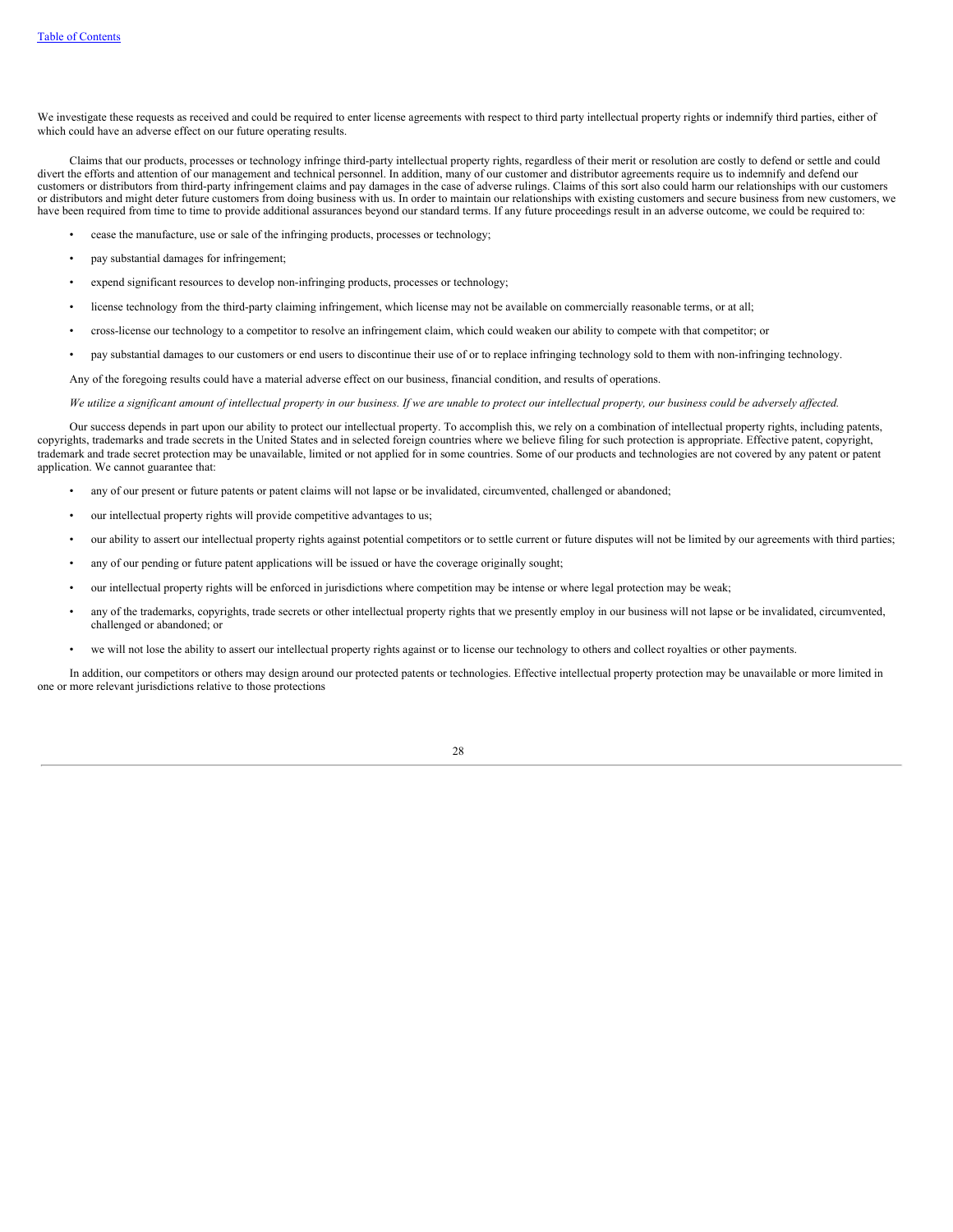We investigate these requests as received and could be required to enter license agreements with respect to third party intellectual property rights or indemnify third parties, either of which could have an adverse effect on our future operating results.

Claims that our products, processes or technology infringe third-party intellectual property rights, regardless of their merit or resolution are costly to defend or settle and could divert the efforts and attention of our management and technical personnel. In addition, many of our customer and distributor agreements require us to indemnify and defend our customers or distributors from third-party infringement claims and pay damages in the case of adverse rulings. Claims of this sort also could harm our relationships with our customers or distributors and might deter future customers from doing business with us. In order to maintain our relationships with existing customers and secure business from new customers, we have been required from time to time to provide additional assurances beyond our standard terms. If any future proceedings result in an adverse outcome, we could be required to:

- cease the manufacture, use or sale of the infringing products, processes or technology;
- pay substantial damages for infringement;
- expend significant resources to develop non-infringing products, processes or technology;
- license technology from the third-party claiming infringement, which license may not be available on commercially reasonable terms, or at all;
- cross-license our technology to a competitor to resolve an infringement claim, which could weaken our ability to compete with that competitor; or
- pay substantial damages to our customers or end users to discontinue their use of or to replace infringing technology sold to them with non-infringing technology.

Any of the foregoing results could have a material adverse effect on our business, financial condition, and results of operations.

We utilize a significant amount of intellectual property in our business. If we are unable to protect our intellectual property, our business could be adversely affected.

Our success depends in part upon our ability to protect our intellectual property. To accomplish this, we rely on a combination of intellectual property rights, including patents, copyrights, trademarks and trade secrets in the United States and in selected foreign countries where we believe filing for such protection is appropriate. Effective patent, copyright, trademark and trade secret protection may be unavailable, limited or not applied for in some countries. Some of our products and technologies are not covered by any patent or patent application. We cannot guarantee that:

- any of our present or future patents or patent claims will not lapse or be invalidated, circumvented, challenged or abandoned;
- our intellectual property rights will provide competitive advantages to us;
- our ability to assert our intellectual property rights against potential competitors or to settle current or future disputes will not be limited by our agreements with third parties;
- any of our pending or future patent applications will be issued or have the coverage originally sought;
- our intellectual property rights will be enforced in jurisdictions where competition may be intense or where legal protection may be weak;
- any of the trademarks, copyrights, trade secrets or other intellectual property rights that we presently employ in our business will not lapse or be invalidated, circumvented, challenged or abandoned; or
- we will not lose the ability to assert our intellectual property rights against or to license our technology to others and collect royalties or other payments.

In addition, our competitors or others may design around our protected patents or technologies. Effective intellectual property protection may be unavailable or more limited in one or more relevant jurisdictions relative to those protections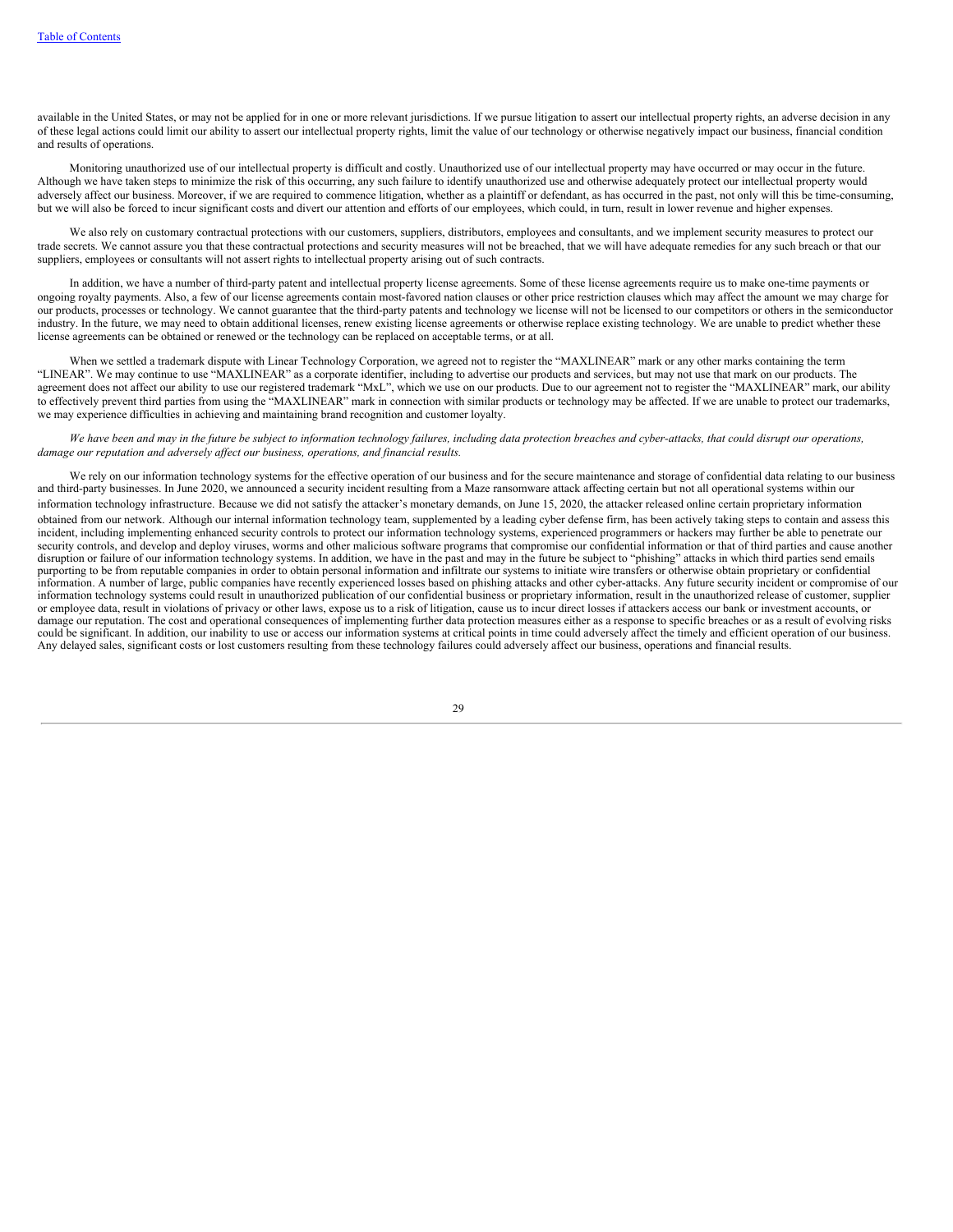available in the United States, or may not be applied for in one or more relevant jurisdictions. If we pursue litigation to assert our intellectual property rights, an adverse decision in any of these legal actions could limit our ability to assert our intellectual property rights, limit the value of our technology or otherwise negatively impact our business, financial condition and results of operations.

Monitoring unauthorized use of our intellectual property is difficult and costly. Unauthorized use of our intellectual property may have occurred or may occur in the future. Although we have taken steps to minimize the risk of this occurring, any such failure to identify unauthorized use and otherwise adequately protect our intellectual property would adversely affect our business. Moreover, if we are required to commence litigation, whether as a plaintiff or defendant, as has occurred in the past, not only will this be time-consuming, but we will also be forced to incur significant costs and divert our attention and efforts of our employees, which could, in turn, result in lower revenue and higher expenses.

We also rely on customary contractual protections with our customers, suppliers, distributors, employees and consultants, and we implement security measures to protect our trade secrets. We cannot assure you that these contractual protections and security measures will not be breached, that we will have adequate remedies for any such breach or that our suppliers, employees or consultants will not assert rights to intellectual property arising out of such contracts.

In addition, we have a number of third-party patent and intellectual property license agreements. Some of these license agreements require us to make one-time payments or ongoing royalty payments. Also, a few of our license agreements contain most-favored nation clauses or other price restriction clauses which may affect the amount we may charge for our products, processes or technology. We cannot guarantee that the third-party patents and technology we license will not be licensed to our competitors or others in the semiconductor industry. In the future, we may need to obtain additional licenses, renew existing license agreements or otherwise replace existing technology. We are unable to predict whether these license agreements can be obtained or renewed or the technology can be replaced on acceptable terms, or at all.

When we settled a trademark dispute with Linear Technology Corporation, we agreed not to register the "MAXLINEAR" mark or any other marks containing the term "LINEAR". We may continue to use "MAXLINEAR" as a corporate identifier, including to advertise our products and services, but may not use that mark on our products. The agreement does not affect our ability to use our registered trademark "MxL", which we use on our products. Due to our agreement not to register the "MAXLINEAR" mark, our ability to effectively prevent third parties from using the "MAXLINEAR" mark in connection with similar products or technology may be affected. If we are unable to protect our trademarks, we may experience difficulties in achieving and maintaining brand recognition and customer loyalty.

We have been and may in the future be subject to information technology failures, including data protection breaches and cyber-attacks, that could disrupt our operations, *damage our reputation and adversely af ect our business, operations, and financial results.*

We rely on our information technology systems for the effective operation of our business and for the secure maintenance and storage of confidential data relating to our business and third-party businesses. In June 2020, we announced a security incident resulting from a Maze ransomware attack affecting certain but not all operational systems within our information technology infrastructure. Because we did not satisfy the attacker's monetary demands, on June 15, 2020, the attacker released online certain proprietary information obtained from our network. Although our internal information technology team, supplemented by a leading cyber defense firm, has been actively taking steps to contain and assess this incident, including implementing enhanced security controls to protect our information technology systems, experienced programmers or hackers may further be able to penetrate our security controls, and develop and deploy viruses, worms and other malicious software programs that compromise our confidential information or that of third parties and cause another disruption or failure of our information technology systems. In addition, we have in the past and may in the future be subject to "phishing" attacks in which third parties send emails purporting to be from reputable companies in order to obtain personal information and infiltrate our systems to initiate wire transfers or otherwise obtain proprietary or confidential information. A number of large, public companies have recently experienced losses based on phishing attacks and other cyber-attacks. Any future security incident or compromise of our information technology systems could result in unauthorized publication of our confidential business or proprietary information, result in the unauthorized release of customer, supplier or employee data, result in violations of privacy or other laws, expose us to a risk of litigation, cause us to incur direct losses if attackers access our bank or investment accounts, or damage our reputation. The cost and operational consequences of implementing further data protection measures either as a response to specific breaches or as a result of evolving risks could be significant. In addition, our inability to use or access our information systems at critical points in time could adversely affect the timely and efficient operation of our business. Any delayed sales, significant costs or lost customers resulting from these technology failures could adversely affect our business, operations and financial results.

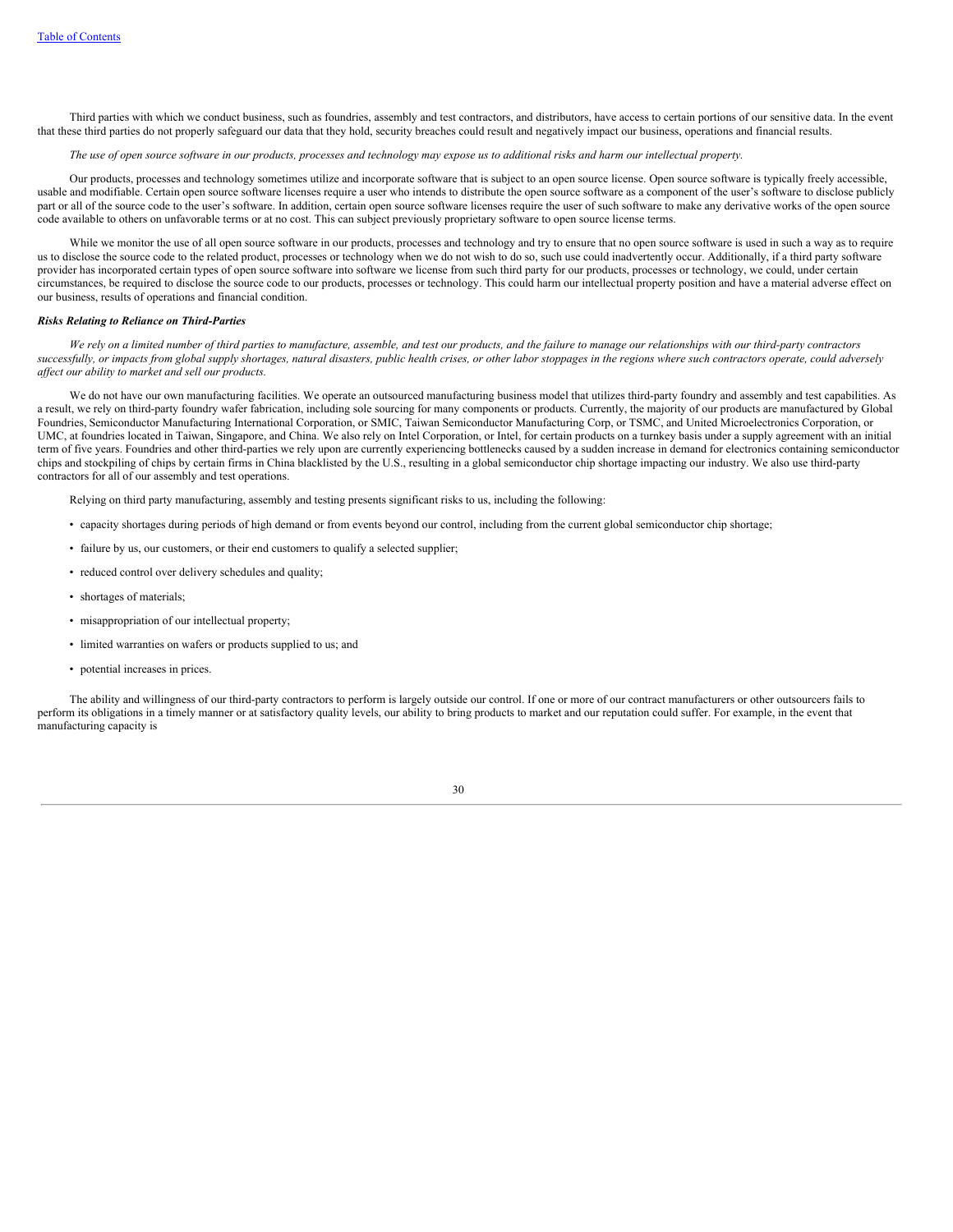Third parties with which we conduct business, such as foundries, assembly and test contractors, and distributors, have access to certain portions of our sensitive data. In the event that these third parties do not properly safeguard our data that they hold, security breaches could result and negatively impact our business, operations and financial results.

The use of open source software in our products, processes and technology may expose us to additional risks and harm our intellectual property.

Our products, processes and technology sometimes utilize and incorporate software that is subject to an open source license. Open source software is typically freely accessible, usable and modifiable. Certain open source software licenses require a user who intends to distribute the open source software as a component of the user's software to disclose publicly part or all of the source code to the user's software. In addition, certain open source software licenses require the user of such software to make any derivative works of the open source code available to others on unfavorable terms or at no cost. This can subject previously proprietary software to open source license terms.

While we monitor the use of all open source software in our products, processes and technology and try to ensure that no open source software is used in such a way as to require us to disclose the source code to the related product, processes or technology when we do not wish to do so, such use could inadvertently occur. Additionally, if a third party software provider has incorporated certain types of open source software into software we license from such third party for our products, processes or technology, we could, under certain circumstances, be required to disclose the source code to our products, processes or technology. This could harm our intellectual property position and have a material adverse effect on our business, results of operations and financial condition.

#### *Risks Relating to Reliance on Third-Parties*

We rely on a limited number of third parties to manufacture, assemble, and test our products, and the failure to manage our relationships with our third-party contractors successfully, or impacts from global supply shortages, natural disasters, public health crises, or other labor stoppages in the regions where such contractors operate, could adversely *af ect our ability to market and sell our products.*

We do not have our own manufacturing facilities. We operate an outsourced manufacturing business model that utilizes third-party foundry and assembly and test capabilities. As a result, we rely on third-party foundry wafer fabrication, including sole sourcing for many components or products. Currently, the majority of our products are manufactured by Global Foundries, Semiconductor Manufacturing International Corporation, or SMIC, Taiwan Semiconductor Manufacturing Corp, or TSMC, and United Microelectronics Corporation, or UMC, at foundries located in Taiwan, Singapore, and China. We also rely on Intel Corporation, or Intel, for certain products on a turnkey basis under a supply agreement with an initial term of five years. Foundries and other third-parties we rely upon are currently experiencing bottlenecks caused by a sudden increase in demand for electronics containing semiconductor chips and stockpiling of chips by certain firms in China blacklisted by the U.S., resulting in a global semiconductor chip shortage impacting our industry. We also use third-party contractors for all of our assembly and test operations.

Relying on third party manufacturing, assembly and testing presents significant risks to us, including the following:

- capacity shortages during periods of high demand or from events beyond our control, including from the current global semiconductor chip shortage;
- failure by us, our customers, or their end customers to qualify a selected supplier;
- reduced control over delivery schedules and quality;
- shortages of materials;
- misappropriation of our intellectual property;
- limited warranties on wafers or products supplied to us; and
- potential increases in prices.

The ability and willingness of our third-party contractors to perform is largely outside our control. If one or more of our contract manufacturers or other outsourcers fails to perform its obligations in a timely manner or at satisfactory quality levels, our ability to bring products to market and our reputation could suffer. For example, in the event that manufacturing capacity is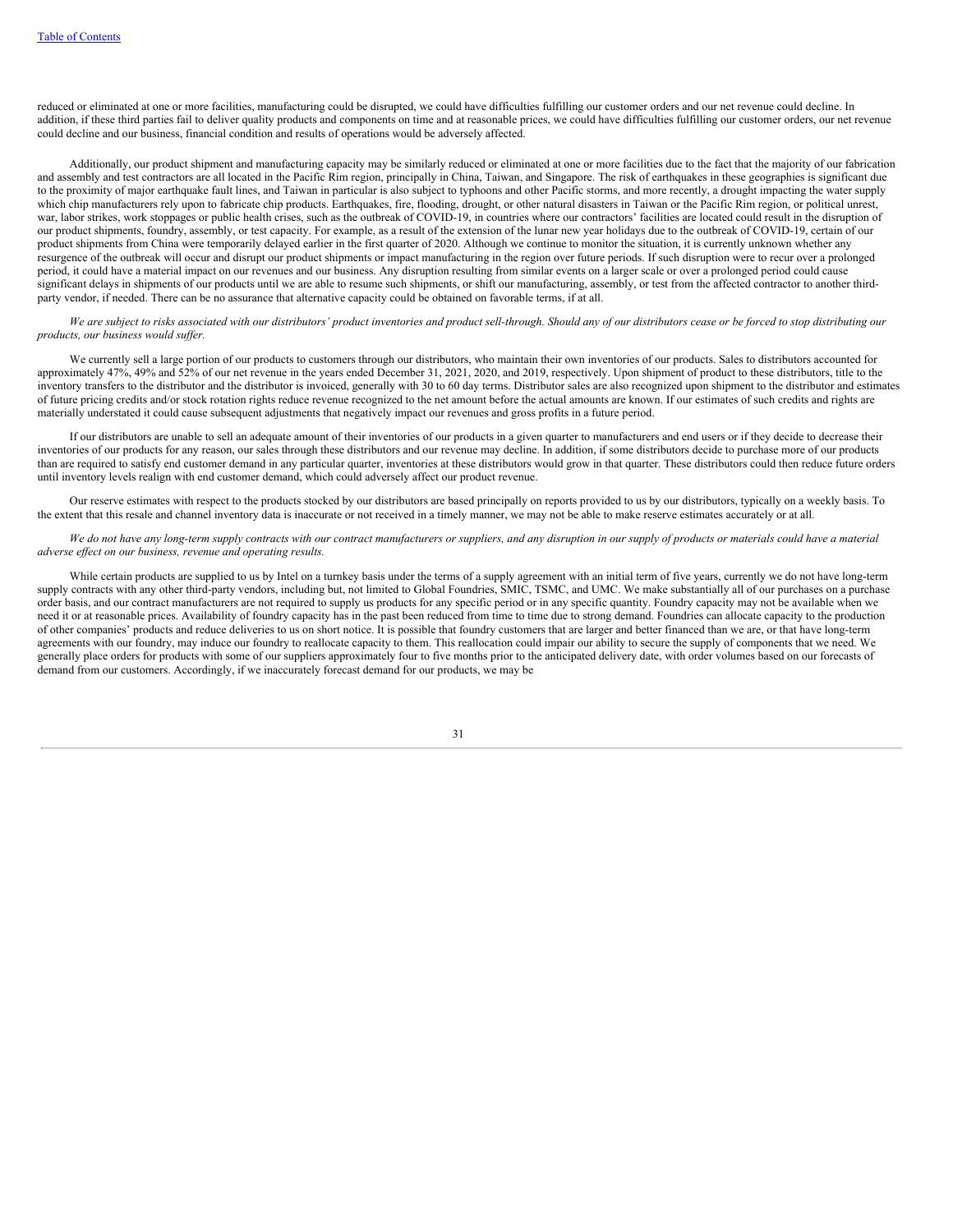reduced or eliminated at one or more facilities, manufacturing could be disrupted, we could have difficulties fulfilling our customer orders and our net revenue could decline. In addition, if these third parties fail to deliver quality products and components on time and at reasonable prices, we could have difficulties fulfilling our customer orders, our net revenue could decline and our business, financial condition and results of operations would be adversely affected.

Additionally, our product shipment and manufacturing capacity may be similarly reduced or eliminated at one or more facilities due to the fact that the majority of our fabrication and assembly and test contractors are all located in the Pacific Rim region, principally in China, Taiwan, and Singapore. The risk of earthquakes in these geographies is significant due to the proximity of major earthquake fault lines, and Taiwan in particular is also subject to typhoons and other Pacific storms, and more recently, a drought impacting the water supply which chip manufacturers rely upon to fabricate chip products. Earthquakes, fire, flooding, drought, or other natural disasters in Taiwan or the Pacific Rim region, or political unrest, war, labor strikes, work stoppages or public health crises, such as the outbreak of COVID-19, in countries where our contractors' facilities are located could result in the disruption of our product shipments, foundry, assembly, or test capacity. For example, as a result of the extension of the lunar new year holidays due to the outbreak of COVID-19, certain of our product shipments from China were temporarily delayed earlier in the first quarter of 2020. Although we continue to monitor the situation, it is currently unknown whether any resurgence of the outbreak will occur and disrupt our product shipments or impact manufacturing in the region over future periods. If such disruption were to recur over a prolonged period, it could have a material impact on our revenues and our business. Any disruption resulting from similar events on a larger scale or over a prolonged period could cause significant delays in shipments of our products until we are able to resume such shipments, or shift our manufacturing, assembly, or test from the affected contractor to another thirdparty vendor, if needed. There can be no assurance that alternative capacity could be obtained on favorable terms, if at all.

We are subject to risks associated with our distributors' product inventories and product sell-through. Should any of our distributors cease or be forced to stop distributing our *products, our business would suf er.*

We currently sell a large portion of our products to customers through our distributors, who maintain their own inventories of our products. Sales to distributors accounted for approximately 47%, 49% and 52% of our net revenue in the years ended December 31, 2021, 2020, and 2019, respectively. Upon shipment of product to these distributors, title to the inventory transfers to the distributor and the distributor is invoiced, generally with 30 to 60 day terms. Distributor sales are also recognized upon shipment to the distributor and estimates of future pricing credits and/or stock rotation rights reduce revenue recognized to the net amount before the actual amounts are known. If our estimates of such credits and rights are materially understated it could cause subsequent adjustments that negatively impact our revenues and gross profits in a future period.

If our distributors are unable to sell an adequate amount of their inventories of our products in a given quarter to manufacturers and end users or if they decide to decrease their inventories of our products for any reason, our sales through these distributors and our revenue may decline. In addition, if some distributors decide to purchase more of our products than are required to satisfy end customer demand in any particular quarter, inventories at these distributors would grow in that quarter. These distributors could then reduce future orders until inventory levels realign with end customer demand, which could adversely affect our product revenue.

Our reserve estimates with respect to the products stocked by our distributors are based principally on reports provided to us by our distributors, typically on a weekly basis. To the extent that this resale and channel inventory data is inaccurate or not received in a timely manner, we may not be able to make reserve estimates accurately or at all.

We do not have any long-term supply contracts with our contract manufacturers or suppliers, and any disruption in our supply of products or materials could have a material *adverse ef ect on our business, revenue and operating results.*

While certain products are supplied to us by Intel on a turnkey basis under the terms of a supply agreement with an initial term of five years, currently we do not have long-term supply contracts with any other third-party vendors, including but, not limited to Global Foundries, SMIC, TSMC, and UMC. We make substantially all of our purchases on a purchase order basis, and our contract manufacturers are not required to supply us products for any specific period or in any specific quantity. Foundry capacity may not be available when we need it or at reasonable prices. Availability of foundry capacity has in the past been reduced from time to time due to strong demand. Foundries can allocate capacity to the production of other companies' products and reduce deliveries to us on short notice. It is possible that foundry customers that are larger and better financed than we are, or that have long-term agreements with our foundry, may induce our foundry to reallocate capacity to them. This reallocation could impair our ability to secure the supply of components that we need. We generally place orders for products with some of our suppliers approximately four to five months prior to the anticipated delivery date, with order volumes based on our forecasts of demand from our customers. Accordingly, if we inaccurately forecast demand for our products, we may be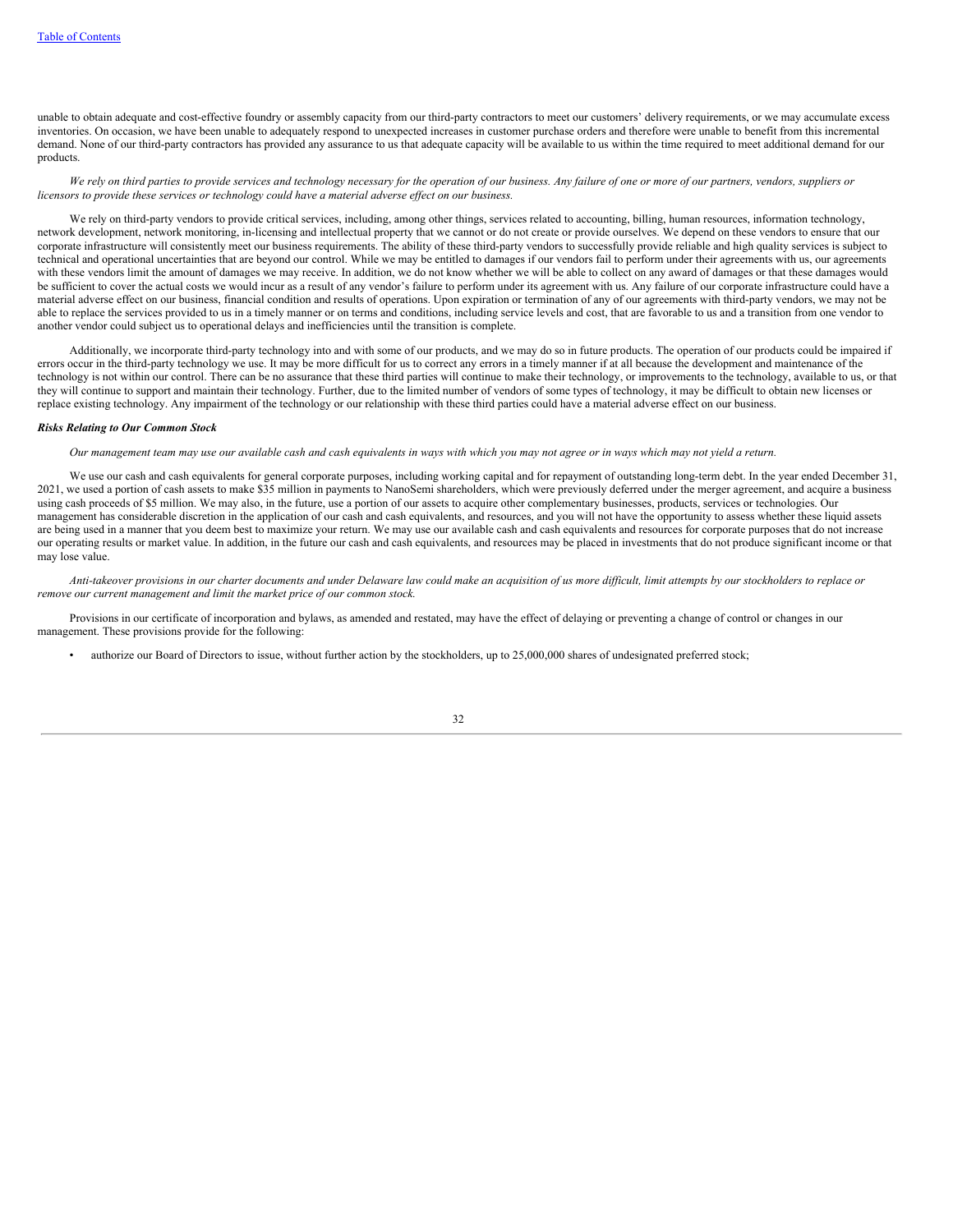unable to obtain adequate and cost-effective foundry or assembly capacity from our third-party contractors to meet our customers' delivery requirements, or we may accumulate excess inventories. On occasion, we have been unable to adequately respond to unexpected increases in customer purchase orders and therefore were unable to benefit from this incremental demand. None of our third-party contractors has provided any assurance to us that adequate capacity will be available to us within the time required to meet additional demand for our products.

We rely on third parties to provide services and technology necessary for the operation of our business. Any failure of one or more of our partners, vendors, suppliers or *licensors to provide these services or technology could have a material adverse ef ect on our business.*

We rely on third-party vendors to provide critical services, including, among other things, services related to accounting, billing, human resources, information technology, network development, network monitoring, in-licensing and intellectual property that we cannot or do not create or provide ourselves. We depend on these vendors to ensure that our corporate infrastructure will consistently meet our business requirements. The ability of these third-party vendors to successfully provide reliable and high quality services is subject to technical and operational uncertainties that are beyond our control. While we may be entitled to damages if our vendors fail to perform under their agreements with us, our agreements with these vendors limit the amount of damages we may receive. In addition, we do not know whether we will be able to collect on any award of damages or that these damages would be sufficient to cover the actual costs we would incur as a result of any vendor's failure to perform under its agreement with us. Any failure of our corporate infrastructure could have a material adverse effect on our business, financial condition and results of operations. Upon expiration or termination of any of our agreements with third-party vendors, we may not be able to replace the services provided to us in a timely manner or on terms and conditions, including service levels and cost, that are favorable to us and a transition from one vendor to another vendor could subject us to operational delays and inefficiencies until the transition is complete.

Additionally, we incorporate third-party technology into and with some of our products, and we may do so in future products. The operation of our products could be impaired if errors occur in the third-party technology we use. It may be more difficult for us to correct any errors in a timely manner if at all because the development and maintenance of the technology is not within our control. There can be no assurance that these third parties will continue to make their technology, or improvements to the technology, available to us, or that they will continue to support and maintain their technology. Further, due to the limited number of vendors of some types of technology, it may be difficult to obtain new licenses or replace existing technology. Any impairment of the technology or our relationship with these third parties could have a material adverse effect on our business.

#### *Risks Relating to Our Common Stock*

Our management team may use our available cash and cash equivalents in ways with which you may not agree or in ways which may not yield a return.

We use our cash and cash equivalents for general corporate purposes, including working capital and for repayment of outstanding long-term debt. In the year ended December 31, 2021, we used a portion of cash assets to make \$35 million in payments to NanoSemi shareholders, which were previously deferred under the merger agreement, and acquire a business using cash proceeds of \$5 million. We may also, in the future, use a portion of our assets to acquire other complementary businesses, products, services or technologies. Our management has considerable discretion in the application of our cash and cash equivalents, and resources, and you will not have the opportunity to assess whether these liquid assets are being used in a manner that you deem best to maximize your return. We may use our available cash and cash equivalents and resources for corporate purposes that do not increase our operating results or market value. In addition, in the future our cash and cash equivalents, and resources may be placed in investments that do not produce significant income or that may lose value.

Anti-takeover provisions in our charter documents and under Delaware law could make an acquisition of us more difficult, limit attempts by our stockholders to replace or *remove our current management and limit the market price of our common stock.*

Provisions in our certificate of incorporation and bylaws, as amended and restated, may have the effect of delaying or preventing a change of control or changes in our management. These provisions provide for the following:

• authorize our Board of Directors to issue, without further action by the stockholders, up to 25,000,000 shares of undesignated preferred stock;

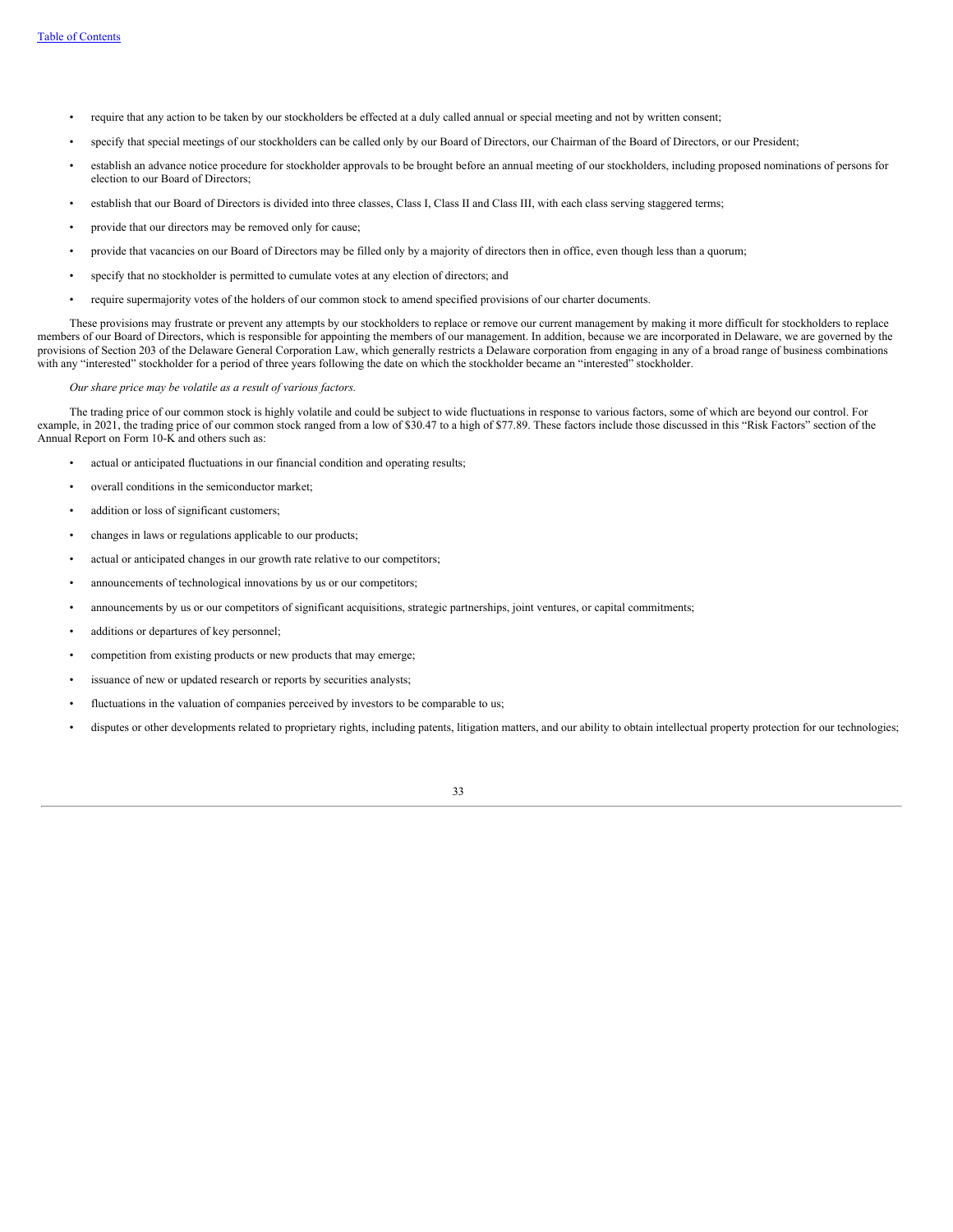- require that any action to be taken by our stockholders be effected at a duly called annual or special meeting and not by written consent;
- specify that special meetings of our stockholders can be called only by our Board of Directors, our Chairman of the Board of Directors, or our President;
- establish an advance notice procedure for stockholder approvals to be brought before an annual meeting of our stockholders, including proposed nominations of persons for election to our Board of Directors;
- establish that our Board of Directors is divided into three classes, Class I, Class II and Class III, with each class serving staggered terms;
- provide that our directors may be removed only for cause;
- provide that vacancies on our Board of Directors may be filled only by a majority of directors then in office, even though less than a quorum;
- specify that no stockholder is permitted to cumulate votes at any election of directors; and
- require supermajority votes of the holders of our common stock to amend specified provisions of our charter documents.

These provisions may frustrate or prevent any attempts by our stockholders to replace or remove our current management by making it more difficult for stockholders to replace members of our Board of Directors, which is responsible for appointing the members of our management. In addition, because we are incorporated in Delaware, we are governed by the provisions of Section 203 of the Delaware General Corporation Law, which generally restricts a Delaware corporation from engaging in any of a broad range of business combinations with any "interested" stockholder for a period of three years following the date on which the stockholder became an "interested" stockholder.

#### *Our share price may be volatile as a result of various factors.*

The trading price of our common stock is highly volatile and could be subject to wide fluctuations in response to various factors, some of which are beyond our control. For example, in 2021, the trading price of our common stock ranged from a low of \$30.47 to a high of \$77.89. These factors include those discussed in this "Risk Factors" section of the Annual Report on Form 10-K and others such as:

- actual or anticipated fluctuations in our financial condition and operating results;
- overall conditions in the semiconductor market;
- addition or loss of significant customers;
- changes in laws or regulations applicable to our products;
- actual or anticipated changes in our growth rate relative to our competitors;
- announcements of technological innovations by us or our competitors;
- announcements by us or our competitors of significant acquisitions, strategic partnerships, joint ventures, or capital commitments;
- additions or departures of key personnel;
- competition from existing products or new products that may emerge;
- issuance of new or updated research or reports by securities analysts;
- fluctuations in the valuation of companies perceived by investors to be comparable to us;
- disputes or other developments related to proprietary rights, including patents, litigation matters, and our ability to obtain intellectual property protection for our technologies;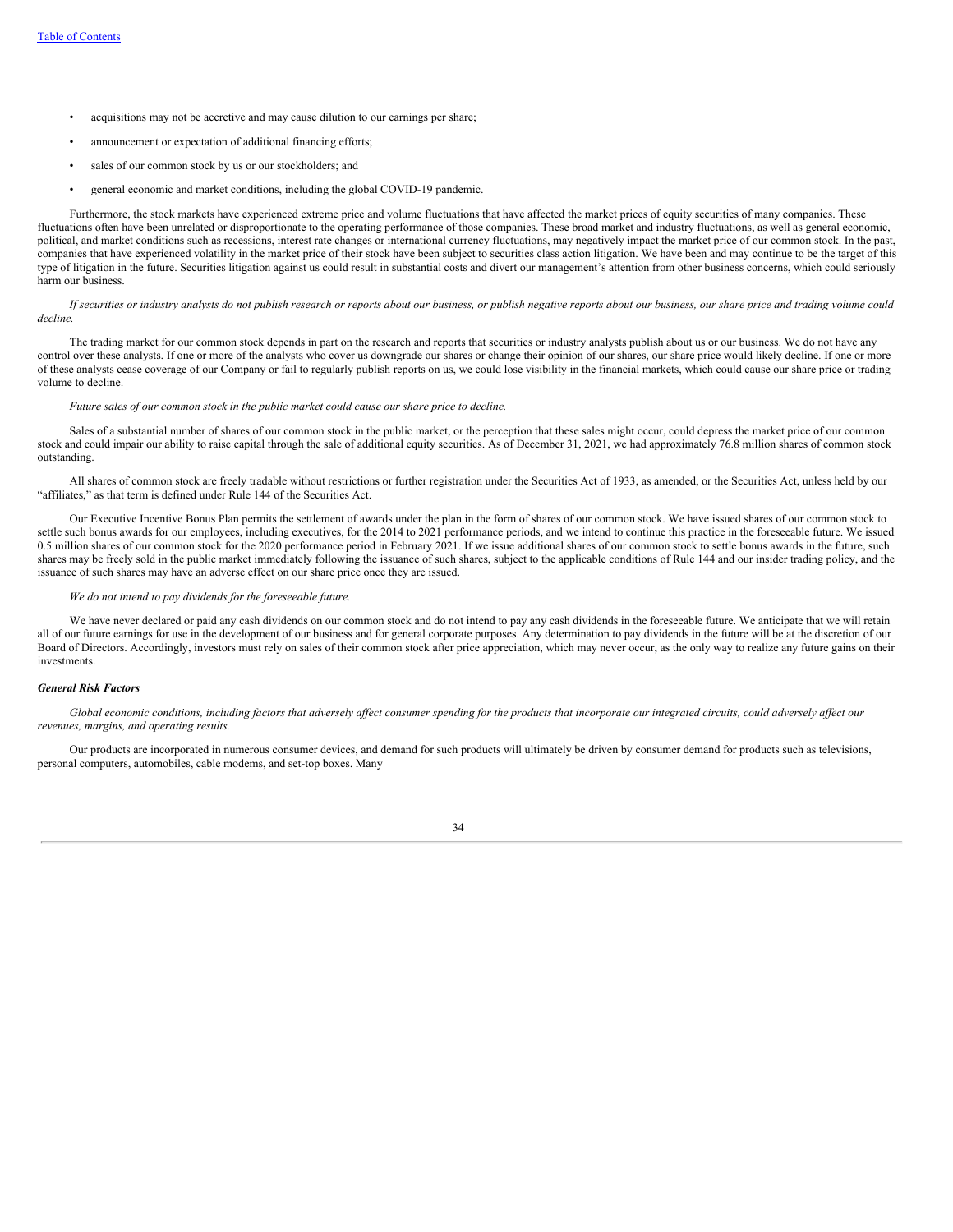- acquisitions may not be accretive and may cause dilution to our earnings per share;
- announcement or expectation of additional financing efforts;
- sales of our common stock by us or our stockholders; and
- general economic and market conditions, including the global COVID-19 pandemic.

Furthermore, the stock markets have experienced extreme price and volume fluctuations that have affected the market prices of equity securities of many companies. These fluctuations often have been unrelated or disproportionate to the operating performance of those companies. These broad market and industry fluctuations, as well as general economic, political, and market conditions such as recessions, interest rate changes or international currency fluctuations, may negatively impact the market price of our common stock. In the past, companies that have experienced volatility in the market price of their stock have been subject to securities class action litigation. We have been and may continue to be the target of this type of litigation in the future. Securities litigation against us could result in substantial costs and divert our management's attention from other business concerns, which could seriously harm our business.

If securities or industry analysts do not publish research or reports about our business, or publish negative reports about our business, our share price and trading volume could *decline.*

The trading market for our common stock depends in part on the research and reports that securities or industry analysts publish about us or our business. We do not have any control over these analysts. If one or more of the analysts who cover us downgrade our shares or change their opinion of our shares, our share price would likely decline. If one or more of these analysts cease coverage of our Company or fail to regularly publish reports on us, we could lose visibility in the financial markets, which could cause our share price or trading volume to decline.

#### *Future sales of our common stock in the public market could cause our share price to decline.*

Sales of a substantial number of shares of our common stock in the public market, or the perception that these sales might occur, could depress the market price of our common stock and could impair our ability to raise capital through the sale of additional equity securities. As of December 31, 2021, we had approximately 76.8 million shares of common stock outstanding.

All shares of common stock are freely tradable without restrictions or further registration under the Securities Act of 1933, as amended, or the Securities Act, unless held by our "affiliates," as that term is defined under Rule 144 of the Securities Act.

Our Executive Incentive Bonus Plan permits the settlement of awards under the plan in the form of shares of our common stock. We have issued shares of our common stock to settle such bonus awards for our employees, including executives, for the 2014 to 2021 performance periods, and we intend to continue this practice in the foreseeable future. We issued 0.5 million shares of our common stock for the 2020 performance period in February 2021. If we issue additional shares of our common stock to settle bonus awards in the future, such shares may be freely sold in the public market immediately following the issuance of such shares, subject to the applicable conditions of Rule 144 and our insider trading policy, and the issuance of such shares may have an adverse effect on our share price once they are issued.

# *We do not intend to pay dividends for the foreseeable future.*

We have never declared or paid any cash dividends on our common stock and do not intend to pay any cash dividends in the foreseeable future. We anticipate that we will retain all of our future earnings for use in the development of our business and for general corporate purposes. Any determination to pay dividends in the future will be at the discretion of our Board of Directors. Accordingly, investors must rely on sales of their common stock after price appreciation, which may never occur, as the only way to realize any future gains on their investments.

#### *General Risk Factors*

Global economic conditions, including factors that adversely affect consumer spending for the products that incorporate our integrated circuits, could adversely affect our *revenues, margins, and operating results.*

Our products are incorporated in numerous consumer devices, and demand for such products will ultimately be driven by consumer demand for products such as televisions, personal computers, automobiles, cable modems, and set-top boxes. Many

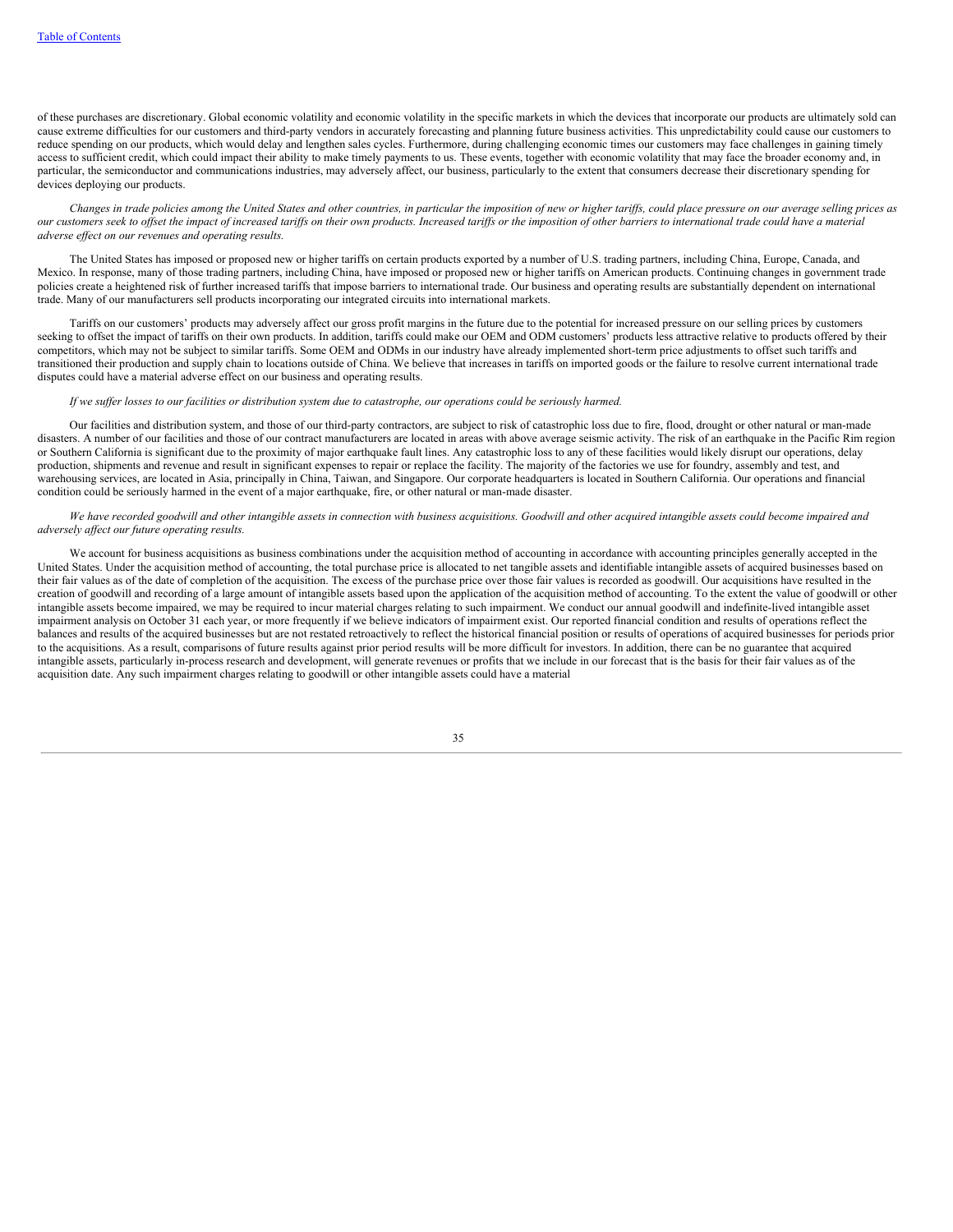of these purchases are discretionary. Global economic volatility and economic volatility in the specific markets in which the devices that incorporate our products are ultimately sold can cause extreme difficulties for our customers and third-party vendors in accurately forecasting and planning future business activities. This unpredictability could cause our customers to reduce spending on our products, which would delay and lengthen sales cycles. Furthermore, during challenging economic times our customers may face challenges in gaining timely access to sufficient credit, which could impact their ability to make timely payments to us. These events, together with economic volatility that may face the broader economy and, in particular, the semiconductor and communications industries, may adversely affect, our business, particularly to the extent that consumers decrease their discretionary spending for devices deploying our products.

Changes in trade policies among the United States and other countries, in particular the imposition of new or higher tariffs, could place pressure on our average selling prices as our customers seek to offset the impact of increased tariffs on their own products. Increased tariffs or the imposition of other barriers to international trade could have a material *adverse ef ect on our revenues and operating results.*

The United States has imposed or proposed new or higher tariffs on certain products exported by a number of U.S. trading partners, including China, Europe, Canada, and Mexico. In response, many of those trading partners, including China, have imposed or proposed new or higher tariffs on American products. Continuing changes in government trade policies create a heightened risk of further increased tariffs that impose barriers to international trade. Our business and operating results are substantially dependent on international trade. Many of our manufacturers sell products incorporating our integrated circuits into international markets.

Tariffs on our customers' products may adversely affect our gross profit margins in the future due to the potential for increased pressure on our selling prices by customers seeking to offset the impact of tariffs on their own products. In addition, tariffs could make our OEM and ODM customers' products less attractive relative to products offered by their competitors, which may not be subject to similar tariffs. Some OEM and ODMs in our industry have already implemented short-term price adjustments to offset such tariffs and transitioned their production and supply chain to locations outside of China. We believe that increases in tariffs on imported goods or the failure to resolve current international trade disputes could have a material adverse effect on our business and operating results.

If we suffer losses to our facilities or distribution system due to catastrophe, our operations could be seriously harmed.

Our facilities and distribution system, and those of our third-party contractors, are subject to risk of catastrophic loss due to fire, flood, drought or other natural or man-made disasters. A number of our facilities and those of our contract manufacturers are located in areas with above average seismic activity. The risk of an earthquake in the Pacific Rim region or Southern California is significant due to the proximity of major earthquake fault lines. Any catastrophic loss to any of these facilities would likely disrupt our operations, delay production, shipments and revenue and result in significant expenses to repair or replace the facility. The majority of the factories we use for foundry, assembly and test, and warehousing services, are located in Asia, principally in China, Taiwan, and Singapore. Our corporate headquarters is located in Southern California. Our operations and financial condition could be seriously harmed in the event of a major earthquake, fire, or other natural or man-made disaster.

We have recorded goodwill and other intangible assets in connection with business acquisitions. Goodwill and other acquired intangible assets could become impaired and *adversely af ect our future operating results.*

We account for business acquisitions as business combinations under the acquisition method of accounting in accordance with accounting principles generally accepted in the United States. Under the acquisition method of accounting, the total purchase price is allocated to net tangible assets and identifiable intangible assets of acquired businesses based on their fair values as of the date of completion of the acquisition. The excess of the purchase price over those fair values is recorded as goodwill. Our acquisitions have resulted in the creation of goodwill and recording of a large amount of intangible assets based upon the application of the acquisition method of accounting. To the extent the value of goodwill or other intangible assets become impaired, we may be required to incur material charges relating to such impairment. We conduct our annual goodwill and indefinite-lived intangible asset impairment analysis on October 31 each year, or more frequently if we believe indicators of impairment exist. Our reported financial condition and results of operations reflect the balances and results of the acquired businesses but are not restated retroactively to reflect the historical financial position or results of operations of acquired businesses for periods prior to the acquisitions. As a result, comparisons of future results against prior period results will be more difficult for investors. In addition, there can be no guarantee that acquired intangible assets, particularly in-process research and development, will generate revenues or profits that we include in our forecast that is the basis for their fair values as of the acquisition date. Any such impairment charges relating to goodwill or other intangible assets could have a material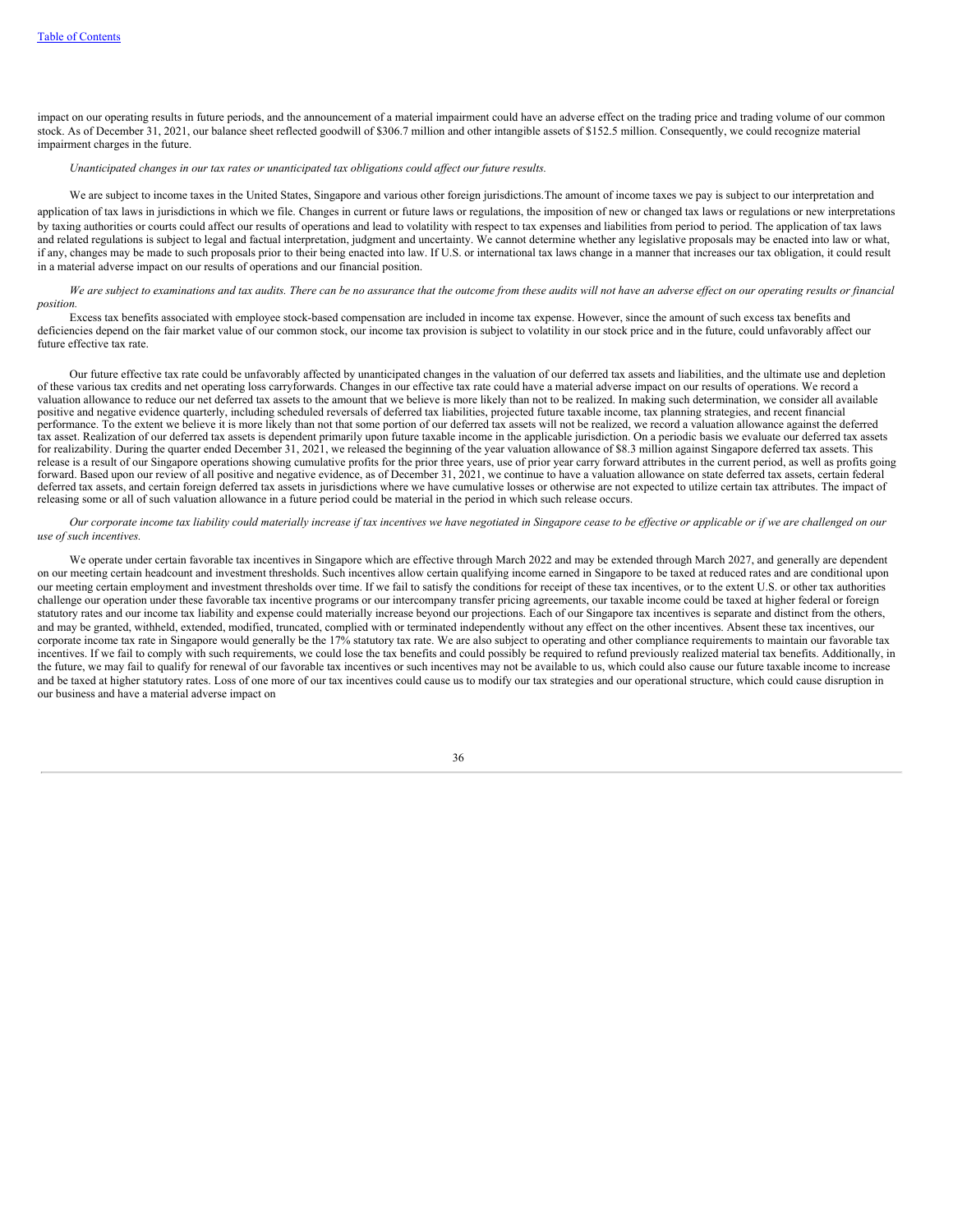impact on our operating results in future periods, and the announcement of a material impairment could have an adverse effect on the trading price and trading volume of our common stock. As of December 31, 2021, our balance sheet reflected goodwill of \$306.7 million and other intangible assets of \$152.5 million. Consequently, we could recognize material impairment charges in the future.

# *Unanticipated changes in our tax rates or unanticipated tax obligations could af ect our future results.*

We are subject to income taxes in the United States, Singapore and various other foreign jurisdictions.The amount of income taxes we pay is subject to our interpretation and application of tax laws in jurisdictions in which we file. Changes in current or future laws or regulations, the imposition of new or changed tax laws or regulations or new interpretations by taxing authorities or courts could affect our results of operations and lead to volatility with respect to tax expenses and liabilities from period to period. The application of tax laws and related regulations is subject to legal and factual interpretation, judgment and uncertainty. We cannot determine whether any legislative proposals may be enacted into law or what, if any, changes may be made to such proposals prior to their being enacted into law. If U.S. or international tax laws change in a manner that increases our tax obligation, it could result in a material adverse impact on our results of operations and our financial position.

We are subject to examinations and tax audits. There can be no assurance that the outcome from these audits will not have an adverse effect on our operating results or financial *position.*

Excess tax benefits associated with employee stock-based compensation are included in income tax expense. However, since the amount of such excess tax benefits and deficiencies depend on the fair market value of our common stock, our income tax provision is subject to volatility in our stock price and in the future, could unfavorably affect our future effective tax rate.

Our future effective tax rate could be unfavorably affected by unanticipated changes in the valuation of our deferred tax assets and liabilities, and the ultimate use and depletion of these various tax credits and net operating loss carryforwards. Changes in our effective tax rate could have a material adverse impact on our results of operations. We record a valuation allowance to reduce our net deferred tax assets to the amount that we believe is more likely than not to be realized. In making such determination, we consider all available positive and negative evidence quarterly, including scheduled reversals of deferred tax liabilities, projected future taxable income, tax planning strategies, and recent financial performance. To the extent we believe it is more likely than not that some portion of our deferred tax assets will not be realized, we record a valuation allowance against the deferred tax asset. Realization of our deferred tax assets is dependent primarily upon future taxable income in the applicable jurisdiction. On a periodic basis we evaluate our deferred tax assets for realizability. During the quarter ended December 31, 2021, we released the beginning of the year valuation allowance of \$8.3 million against Singapore deferred tax assets. This release is a result of our Singapore operations showing cumulative profits for the prior three years, use of prior year carry forward attributes in the current period, as well as profits going forward. Based upon our review of all positive and negative evidence, as of December 31, 2021, we continue to have a valuation allowance on state deferred tax assets, certain federal deferred tax assets, and certain foreign deferred tax assets in jurisdictions where we have cumulative losses or otherwise are not expected to utilize certain tax attributes. The impact of releasing some or all of such valuation allowance in a future period could be material in the period in which such release occurs.

## Our corporate income tax liability could materially increase if tax incentives we have negotiated in Singapore cease to be effective or applicable or if we are challenged on our *use of such incentives.*

We operate under certain favorable tax incentives in Singapore which are effective through March 2022 and may be extended through March 2027, and generally are dependent on our meeting certain headcount and investment thresholds. Such incentives allow certain qualifying income earned in Singapore to be taxed at reduced rates and are conditional upon our meeting certain employment and investment thresholds over time. If we fail to satisfy the conditions for receipt of these tax incentives, or to the extent U.S. or other tax authorities challenge our operation under these favorable tax incentive programs or our intercompany transfer pricing agreements, our taxable income could be taxed at higher federal or foreign statutory rates and our income tax liability and expense could materially increase beyond our projections. Each of our Singapore tax incentives is separate and distinct from the others, and may be granted, withheld, extended, modified, truncated, complied with or terminated independently without any effect on the other incentives. Absent these tax incentives, our corporate income tax rate in Singapore would generally be the 17% statutory tax rate. We are also subject to operating and other compliance requirements to maintain our favorable tax incentives. If we fail to comply with such requirements, we could lose the tax benefits and could possibly be required to refund previously realized material tax benefits. Additionally, in the future, we may fail to qualify for renewal of our favorable tax incentives or such incentives may not be available to us, which could also cause our future taxable income to increase and be taxed at higher statutory rates. Loss of one more of our tax incentives could cause us to modify our tax strategies and our operational structure, which could cause disruption in our business and have a material adverse impact on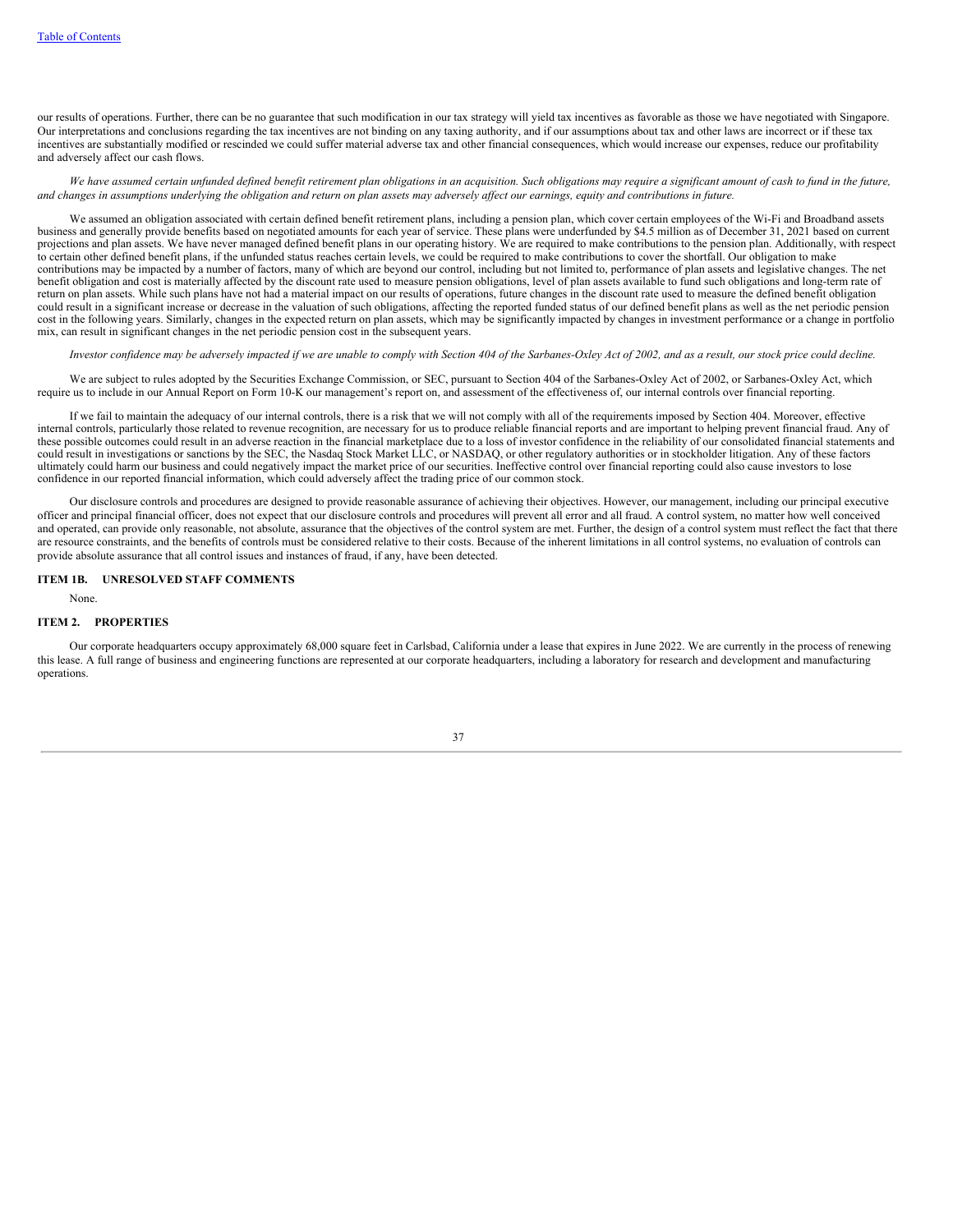our results of operations. Further, there can be no guarantee that such modification in our tax strategy will yield tax incentives as favorable as those we have negotiated with Singapore. Our interpretations and conclusions regarding the tax incentives are not binding on any taxing authority, and if our assumptions about tax and other laws are incorrect or if these tax incentives are substantially modified or rescinded we could suffer material adverse tax and other financial consequences, which would increase our expenses, reduce our profitability and adversely affect our cash flows.

We have assumed certain unfunded defined benefit retirement plan obligations in an acquisition. Such obligations may require a significant amount of cash to fund in the future, and changes in assumptions underlying the obligation and return on plan assets may adversely affect our earnings, equity and contributions in future.

We assumed an obligation associated with certain defined benefit retirement plans, including a pension plan, which cover certain employees of the Wi-Fi and Broadband assets business and generally provide benefits based on negotiated amounts for each year of service. These plans were underfunded by \$4.5 million as of December 31, 2021 based on current projections and plan assets. We have never managed defined benefit plans in our operating history. We are required to make contributions to the pension plan. Additionally, with respect to certain other defined benefit plans, if the unfunded status reaches certain levels, we could be required to make contributions to cover the shortfall. Our obligation to make contributions may be impacted by a number of factors, many of which are beyond our control, including but not limited to, performance of plan assets and legislative changes. The net benefit obligation and cost is materially affected by the discount rate used to measure pension obligations, level of plan assets available to fund such obligations and long-term rate of return on plan assets. While such plans have not had a material impact on our results of operations, future changes in the discount rate used to measure the defined benefit obligation could result in a significant increase or decrease in the valuation of such obligations, affecting the reported funded status of our defined benefit plans as well as the net periodic pension cost in the following years. Similarly, changes in the expected return on plan assets, which may be significantly impacted by changes in investment performance or a change in portfolio mix, can result in significant changes in the net periodic pension cost in the subsequent years.

Investor confidence may be adversely impacted if we are unable to comply with Section 404 of the Sarbanes-Oxley Act of 2002, and as a result, our stock price could decline.

We are subject to rules adopted by the Securities Exchange Commission, or SEC, pursuant to Section 404 of the Sarbanes-Oxley Act of 2002, or Sarbanes-Oxley Act, which require us to include in our Annual Report on Form 10-K our management's report on, and assessment of the effectiveness of, our internal controls over financial reporting.

If we fail to maintain the adequacy of our internal controls, there is a risk that we will not comply with all of the requirements imposed by Section 404. Moreover, effective internal controls, particularly those related to revenue recognition, are necessary for us to produce reliable financial reports and are important to helping prevent financial fraud. Any of these possible outcomes could result in an adverse reaction in the financial marketplace due to a loss of investor confidence in the reliability of our consolidated financial statements and could result in investigations or sanctions by the SEC, the Nasdaq Stock Market LLC, or NASDAQ, or other regulatory authorities or in stockholder litigation. Any of these factors ultimately could harm our business and could negatively impact the market price of our securities. Ineffective control over financial reporting could also cause investors to lose confidence in our reported financial information, which could adversely affect the trading price of our common stock.

Our disclosure controls and procedures are designed to provide reasonable assurance of achieving their objectives. However, our management, including our principal executive officer and principal financial officer, does not expect that our disclosure controls and procedures will prevent all error and all fraud. A control system, no matter how well conceived and operated, can provide only reasonable, not absolute, assurance that the objectives of the control system are met. Further, the design of a control system must reflect the fact that there are resource constraints, and the benefits of controls must be considered relative to their costs. Because of the inherent limitations in all control systems, no evaluation of controls can provide absolute assurance that all control issues and instances of fraud, if any, have been detected.

## **ITEM 1B. UNRESOLVED STAFF COMMENTS**

None.

## **ITEM 2. PROPERTIES**

Our corporate headquarters occupy approximately 68,000 square feet in Carlsbad, California under a lease that expires in June 2022. We are currently in the process of renewing this lease. A full range of business and engineering functions are represented at our corporate headquarters, including a laboratory for research and development and manufacturing operations.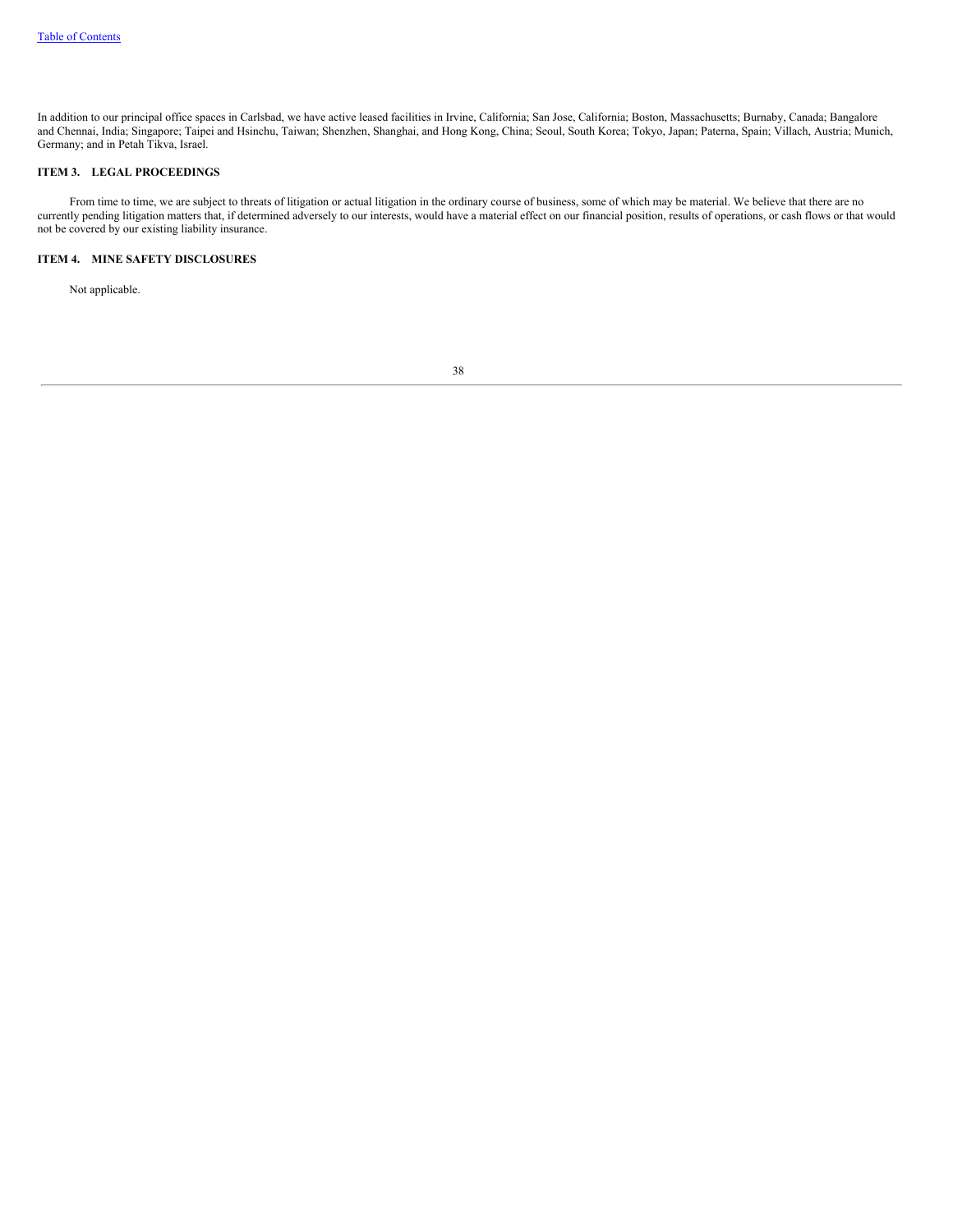In addition to our principal office spaces in Carlsbad, we have active leased facilities in Irvine, California; San Jose, California; Boston, Massachusetts; Burnaby, Canada; Bangalore and Chennai, India; Singapore; Taipei and Hsinchu, Taiwan; Shenzhen, Shanghai, and Hong Kong, China; Seoul, South Korea; Tokyo, Japan; Paterna, Spain; Villach, Austria; Munich, Germany; and in Petah Tikva, Israel.

# **ITEM 3. LEGAL PROCEEDINGS**

From time to time, we are subject to threats of litigation or actual litigation in the ordinary course of business, some of which may be material. We believe that there are no currently pending litigation matters that, if determined adversely to our interests, would have a material effect on our financial position, results of operations, or cash flows or that would not be covered by our existing liability insurance.

# **ITEM 4. MINE SAFETY DISCLOSURES**

Not applicable.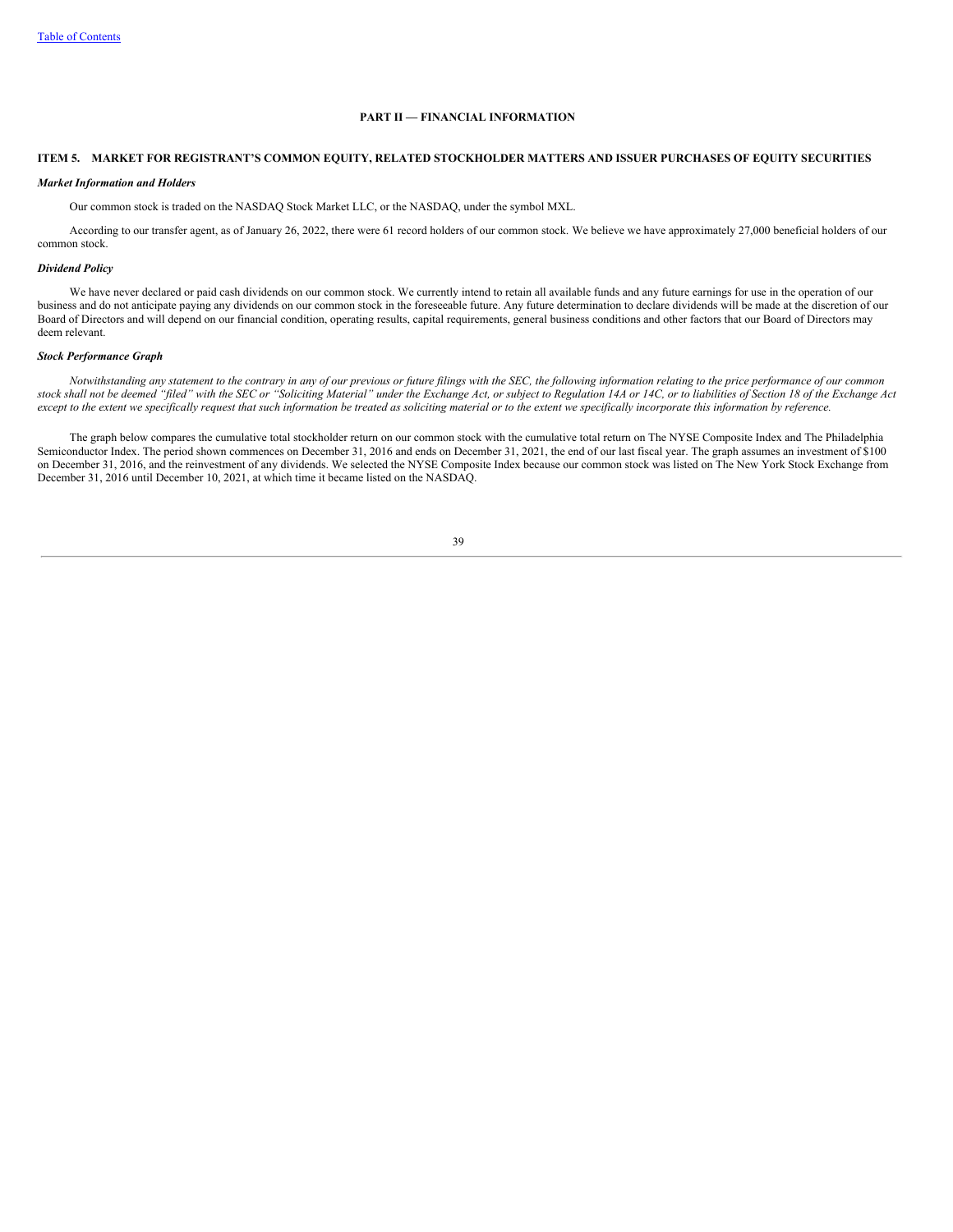## **PART II — FINANCIAL INFORMATION**

# ITEM 5. MARKET FOR REGISTRANT'S COMMON EQUITY, RELATED STOCKHOLDER MATTERS AND ISSUER PURCHASES OF EQUITY SECURITIES

#### *Market Information and Holders*

Our common stock is traded on the NASDAQ Stock Market LLC, or the NASDAQ, under the symbol MXL.

According to our transfer agent, as of January 26, 2022, there were 61 record holders of our common stock. We believe we have approximately 27,000 beneficial holders of our common stock.

### *Dividend Policy*

We have never declared or paid cash dividends on our common stock. We currently intend to retain all available funds and any future earnings for use in the operation of our business and do not anticipate paying any dividends on our common stock in the foreseeable future. Any future determination to declare dividends will be made at the discretion of our Board of Directors and will depend on our financial condition, operating results, capital requirements, general business conditions and other factors that our Board of Directors may deem relevant.

#### *Stock Performance Graph*

Notwithstanding any statement to the contrary in any of our previous or future filings with the SEC, the following information relating to the price performance of our common stock shall not be deemed "filed" with the SEC or "Soliciting Material" under the Exchange Act, or subject to Regulation 14A or 14C, or to liabilities of Section 18 of the Exchange Act except to the extent we specifically request that such information be treated as soliciting material or to the extent we specifically incorporate this information by reference.

The graph below compares the cumulative total stockholder return on our common stock with the cumulative total return on The NYSE Composite Index and The Philadelphia Semiconductor Index. The period shown commences on December 31, 2016 and ends on December 31, 2021, the end of our last fiscal year. The graph assumes an investment of \$100 on December 31, 2016, and the reinvestment of any dividends. We selected the NYSE Composite Index because our common stock was listed on The New York Stock Exchange from December 31, 2016 until December 10, 2021, at which time it became listed on the NASDAQ.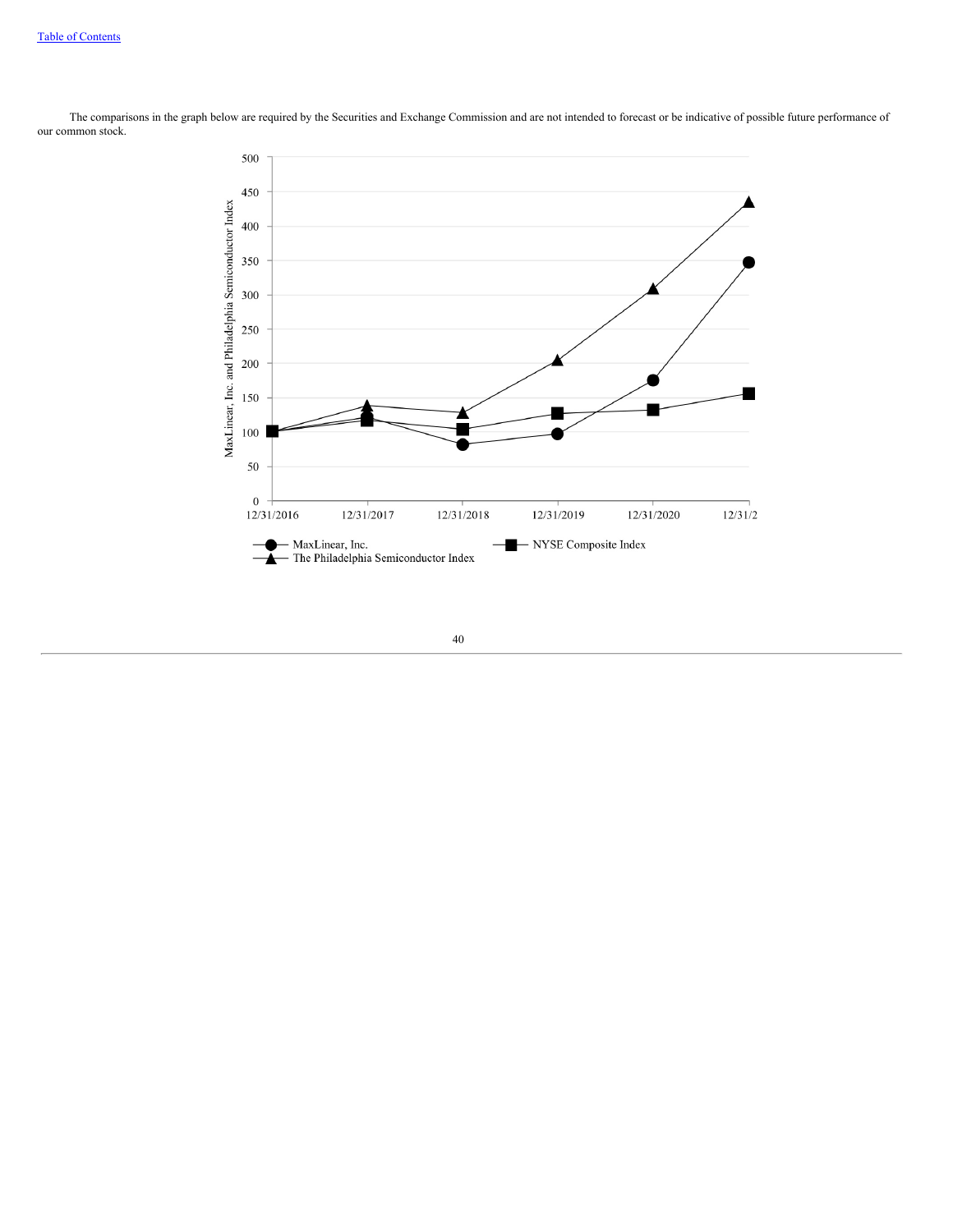The comparisons in the graph below are required by the Securities and Exchange Commission and are not intended to forecast or be indicative of possible future performance of our common stock.

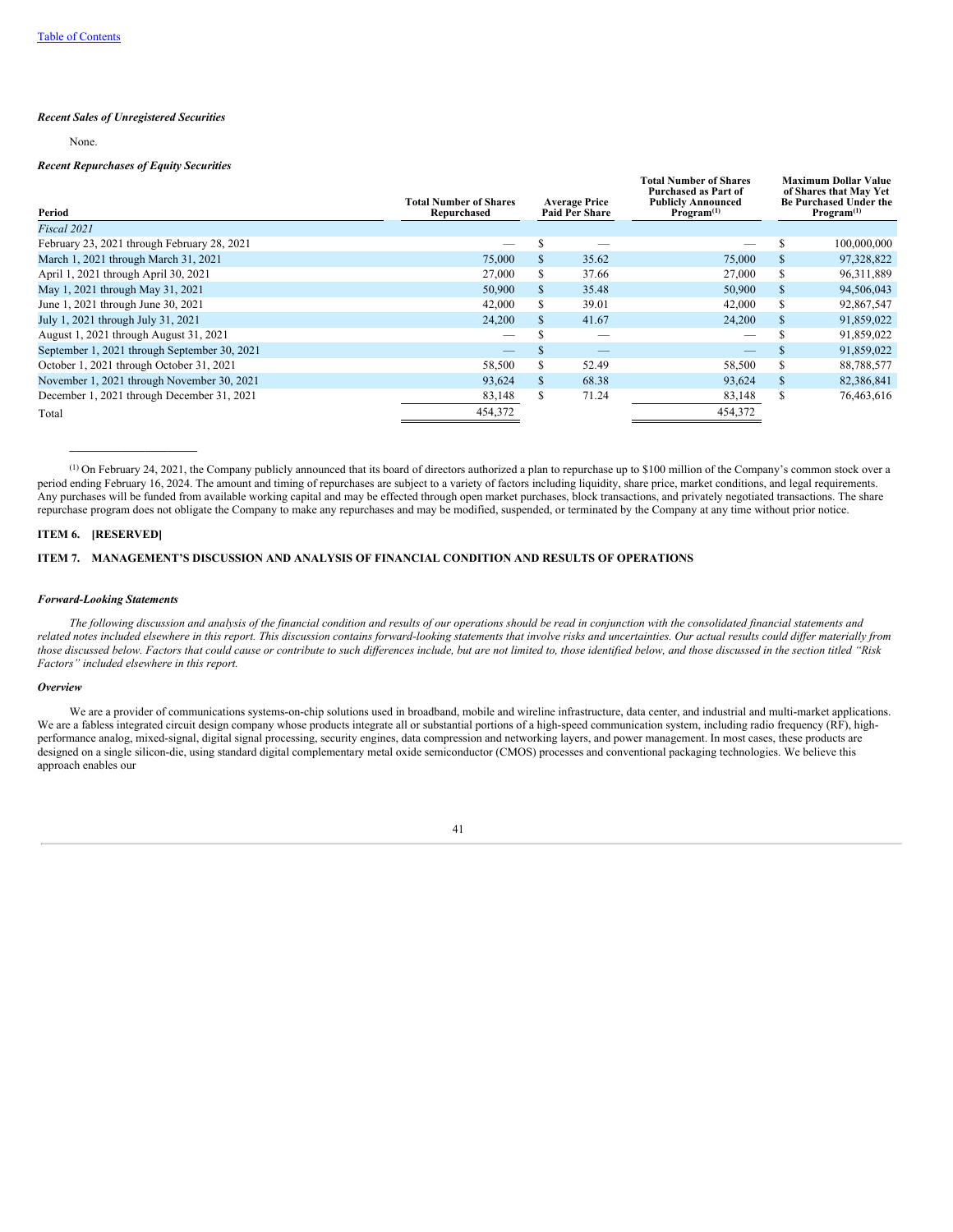## *Recent Sales of Unregistered Securities*

### None.

# *Recent Repurchases of Equity Securities*

| Period                                       | <b>Total Number of Shares</b><br>Repurchased |     | <b>Average Price</b><br>Paid Per Share | <b>Total Number of Shares</b><br><b>Purchased as Part of</b><br><b>Publicly Announced</b><br>Program <sup>(1)</sup> | <b>Maximum Dollar Value</b><br>of Shares that May Yet<br><b>Be Purchased Under the</b><br>Program <sup>(1)</sup> |             |  |
|----------------------------------------------|----------------------------------------------|-----|----------------------------------------|---------------------------------------------------------------------------------------------------------------------|------------------------------------------------------------------------------------------------------------------|-------------|--|
| Fiscal 2021                                  |                                              |     |                                        |                                                                                                                     |                                                                                                                  |             |  |
| February 23, 2021 through February 28, 2021  |                                              | \$  |                                        |                                                                                                                     |                                                                                                                  | 100,000,000 |  |
| March 1, 2021 through March 31, 2021         | 75,000                                       | S.  | 35.62                                  | 75,000                                                                                                              |                                                                                                                  | 97,328,822  |  |
| April 1, 2021 through April 30, 2021         | 27,000                                       | S   | 37.66                                  | 27,000                                                                                                              |                                                                                                                  | 96,311,889  |  |
| May 1, 2021 through May 31, 2021             | 50,900                                       | S.  | 35.48                                  | 50,900                                                                                                              | S.                                                                                                               | 94,506,043  |  |
| June 1, 2021 through June 30, 2021           | 42,000                                       | \$  | 39.01                                  | 42,000                                                                                                              |                                                                                                                  | 92,867,547  |  |
| July 1, 2021 through July 31, 2021           | 24,200                                       | S.  | 41.67                                  | 24,200                                                                                                              |                                                                                                                  | 91,859,022  |  |
| August 1, 2021 through August 31, 2021       |                                              |     |                                        |                                                                                                                     |                                                                                                                  | 91,859,022  |  |
| September 1, 2021 through September 30, 2021 |                                              |     |                                        |                                                                                                                     |                                                                                                                  | 91,859,022  |  |
| October 1, 2021 through October 31, 2021     | 58,500                                       | \$. | 52.49                                  | 58,500                                                                                                              |                                                                                                                  | 88,788,577  |  |
| November 1, 2021 through November 30, 2021   | 93,624                                       | \$  | 68.38                                  | 93,624                                                                                                              |                                                                                                                  | 82,386,841  |  |
| December 1, 2021 through December 31, 2021   | 83,148                                       | \$  | 71.24                                  | 83,148                                                                                                              | S                                                                                                                | 76,463,616  |  |
| Total                                        | 454,372                                      |     |                                        | 454,372                                                                                                             |                                                                                                                  |             |  |

 $(1)$  On February 24, 2021, the Company publicly announced that its board of directors authorized a plan to repurchase up to \$100 million of the Company's common stock over a period ending February 16, 2024. The amount and timing of repurchases are subject to a variety of factors including liquidity, share price, market conditions, and legal requirements. Any purchases will be funded from available working capital and may be effected through open market purchases, block transactions, and privately negotiated transactions. The share repurchase program does not obligate the Company to make any repurchases and may be modified, suspended, or terminated by the Company at any time without prior notice.

## **ITEM 6. [RESERVED]**

**\_\_\_\_\_\_\_\_\_\_\_\_\_\_\_\_\_\_\_\_\_\_**

# **ITEM 7. MANAGEMENT'S DISCUSSION AND ANALYSIS OF FINANCIAL CONDITION AND RESULTS OF OPERATIONS**

## *Forward-Looking Statements*

The following discussion and analysis of the financial condition and results of our operations should be read in conjunction with the consolidated financial statements and related notes included elsewhere in this report. This discussion contains forward-looking statements that involve risks and uncertainties. Our actual results could differ materially from those discussed below. Factors that could cause or contribute to such differences include, but are not limited to, those identified below, and those discussed in the section titled "Risk *Factors" included elsewhere in this report.*

#### *Overview*

We are a provider of communications systems-on-chip solutions used in broadband, mobile and wireline infrastructure, data center, and industrial and multi-market applications. We are a fabless integrated circuit design company whose products integrate all or substantial portions of a high-speed communication system, including radio frequency (RF), highperformance analog, mixed-signal, digital signal processing, security engines, data compression and networking layers, and power management. In most cases, these products are designed on a single silicon-die, using standard digital complementary metal oxide semiconductor (CMOS) processes and conventional packaging technologies. We believe this approach enables our

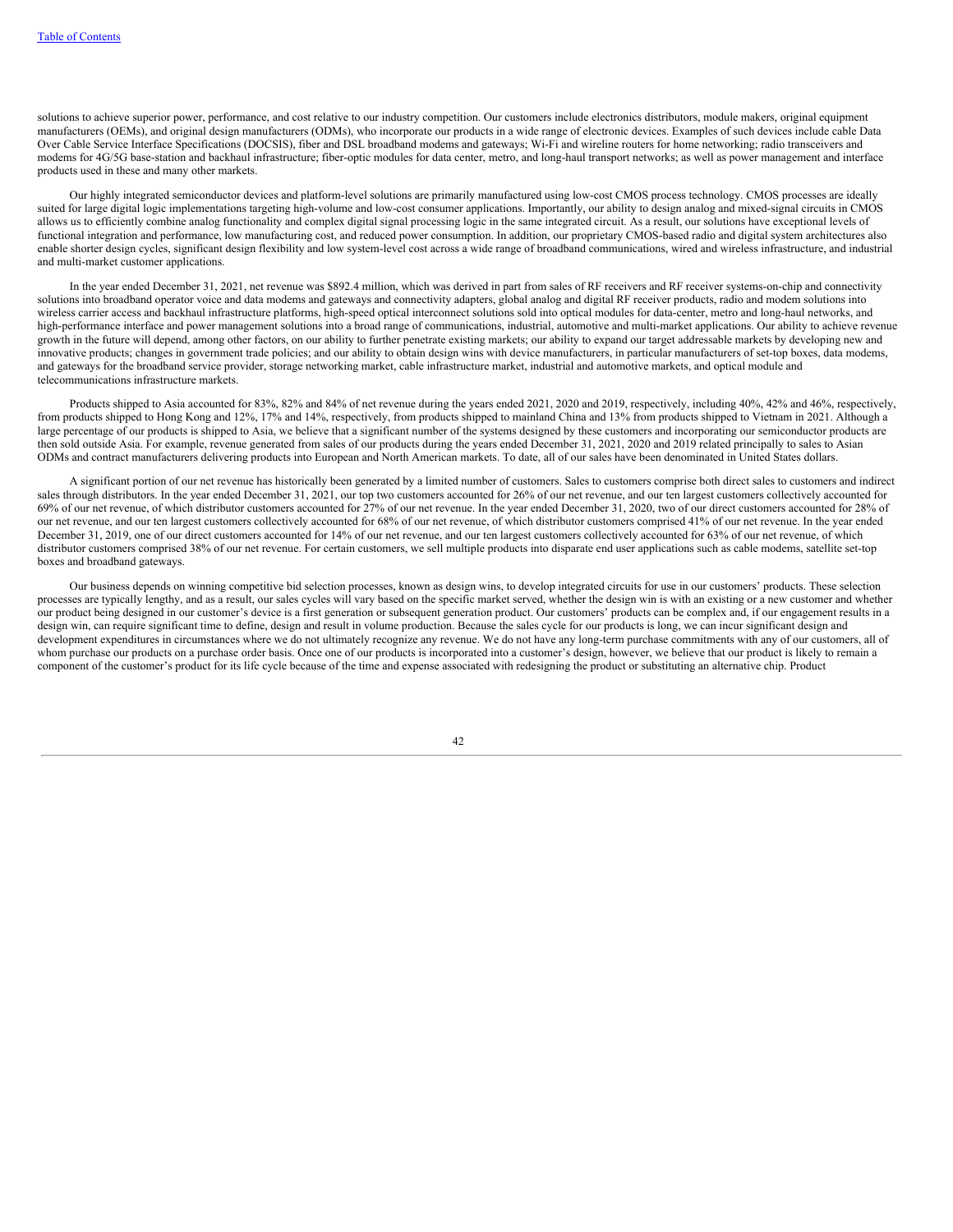solutions to achieve superior power, performance, and cost relative to our industry competition. Our customers include electronics distributors, module makers, original equipment manufacturers (OEMs), and original design manufacturers (ODMs), who incorporate our products in a wide range of electronic devices. Examples of such devices include cable Data Over Cable Service Interface Specifications (DOCSIS), fiber and DSL broadband modems and gateways; Wi-Fi and wireline routers for home networking; radio transceivers and modems for 4G/5G base-station and backhaul infrastructure; fiber-optic modules for data center, metro, and long-haul transport networks; as well as power management and interface products used in these and many other markets.

Our highly integrated semiconductor devices and platform-level solutions are primarily manufactured using low-cost CMOS process technology. CMOS processes are ideally suited for large digital logic implementations targeting high-volume and low-cost consumer applications. Importantly, our ability to design analog and mixed-signal circuits in CMOS allows us to efficiently combine analog functionality and complex digital signal processing logic in the same integrated circuit. As a result, our solutions have exceptional levels of functional integration and performance, low manufacturing cost, and reduced power consumption. In addition, our proprietary CMOS-based radio and digital system architectures also enable shorter design cycles, significant design flexibility and low system-level cost across a wide range of broadband communications, wired and wireless infrastructure, and industrial and multi-market customer applications.

In the year ended December 31, 2021, net revenue was \$892.4 million, which was derived in part from sales of RF receivers and RF receiver systems-on-chip and connectivity solutions into broadband operator voice and data modems and gateways and connectivity adapters, global analog and digital RF receiver products, radio and modem solutions into wireless carrier access and backhaul infrastructure platforms, high-speed optical interconnect solutions sold into optical modules for data-center, metro and long-haul networks, and high-performance interface and power management solutions into a broad range of communications, industrial, automotive and multi-market applications. Our ability to achieve revenue growth in the future will depend, among other factors, on our ability to further penetrate existing markets; our ability to expand our target addressable markets by developing new and innovative products; changes in government trade policies; and our ability to obtain design wins with device manufacturers, in particular manufacturers of set-top boxes, data modems, and gateways for the broadband service provider, storage networking market, cable infrastructure market, industrial and automotive markets, and optical module and telecommunications infrastructure markets.

Products shipped to Asia accounted for 83%, 82% and 84% of net revenue during the years ended 2021, 2020 and 2019, respectively, including 40%, 42% and 46%, respectively, from products shipped to Hong Kong and 12%, 17% and 14%, respectively, from products shipped to mainland China and 13% from products shipped to Vietnam in 2021. Although a large percentage of our products is shipped to Asia, we believe that a significant number of the systems designed by these customers and incorporating our semiconductor products are then sold outside Asia. For example, revenue generated from sales of our products during the years ended December 31, 2021, 2020 and 2019 related principally to sales to Asian ODMs and contract manufacturers delivering products into European and North American markets. To date, all of our sales have been denominated in United States dollars.

A significant portion of our net revenue has historically been generated by a limited number of customers. Sales to customers comprise both direct sales to customers and indirect sales through distributors. In the year ended December 31, 2021, our top two customers accounted for 26% of our net revenue, and our ten largest customers collectively accounted for 69% of our net revenue, of which distributor customers accounted for 27% of our net revenue. In the year ended December 31, 2020, two of our direct customers accounted for 28% of our net revenue, and our ten largest customers collectively accounted for 68% of our net revenue, of which distributor customers comprised 41% of our net revenue. In the year ended December 31, 2019, one of our direct customers accounted for 14% of our net revenue, and our ten largest customers collectively accounted for 63% of our net revenue, of which distributor customers comprised 38% of our net revenue. For certain customers, we sell multiple products into disparate end user applications such as cable modems, satellite set-top boxes and broadband gateways.

Our business depends on winning competitive bid selection processes, known as design wins, to develop integrated circuits for use in our customers' products. These selection processes are typically lengthy, and as a result, our sales cycles will vary based on the specific market served, whether the design win is with an existing or a new customer and whether our product being designed in our customer's device is a first generation or subsequent generation product. Our customers' products can be complex and, if our engagement results in a design win, can require significant time to define, design and result in volume production. Because the sales cycle for our products is long, we can incur significant design and development expenditures in circumstances where we do not ultimately recognize any revenue. We do not have any long-term purchase commitments with any of our customers, all of whom purchase our products on a purchase order basis. Once one of our products is incorporated into a customer's design, however, we believe that our product is likely to remain a component of the customer's product for its life cycle because of the time and expense associated with redesigning the product or substituting an alternative chip. Product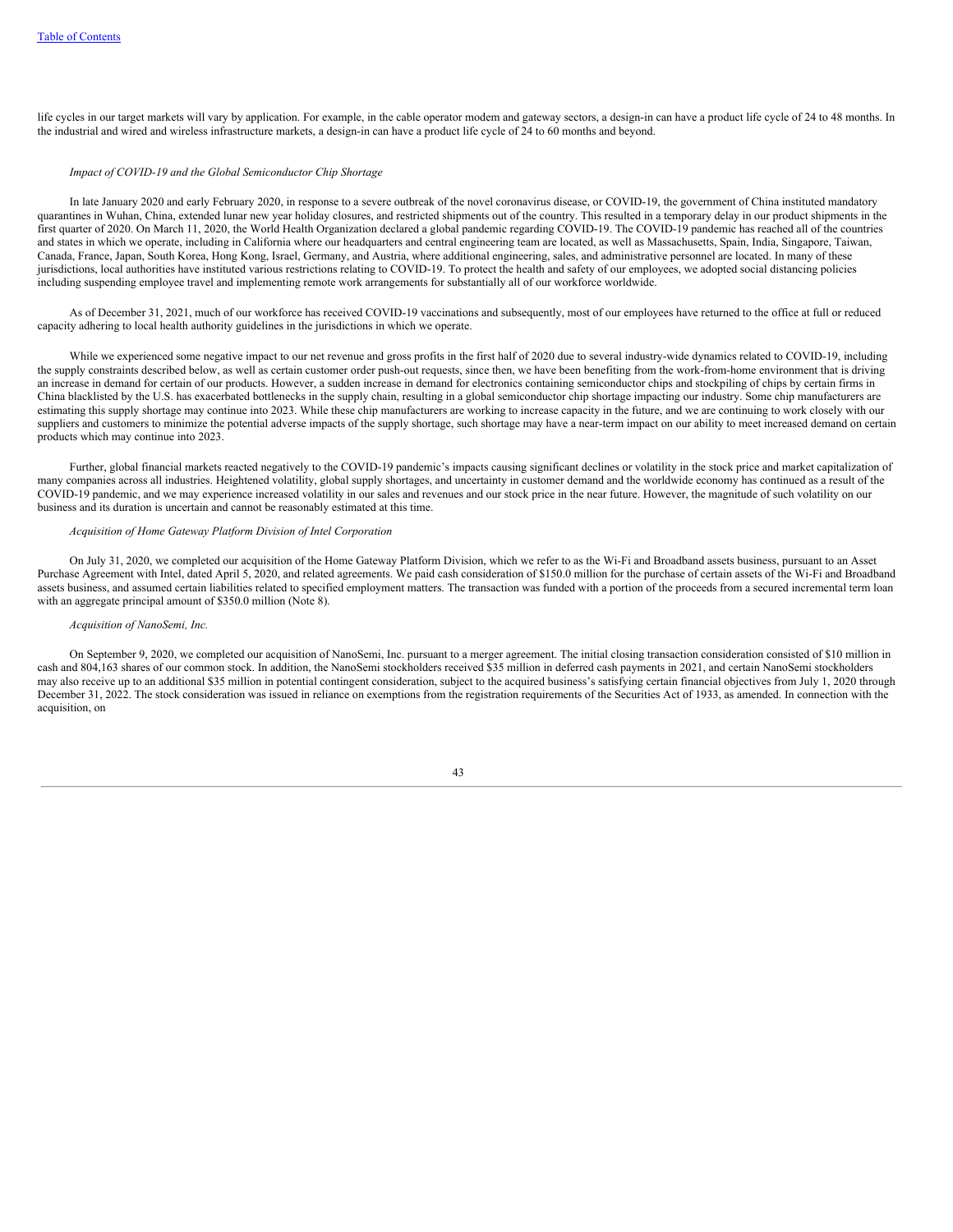life cycles in our target markets will vary by application. For example, in the cable operator modem and gateway sectors, a design-in can have a product life cycle of 24 to 48 months. In the industrial and wired and wireless infrastructure markets, a design-in can have a product life cycle of 24 to 60 months and beyond.

## *Impact of COVID-19 and the Global Semiconductor Chip Shortage*

In late January 2020 and early February 2020, in response to a severe outbreak of the novel coronavirus disease, or COVID-19, the government of China instituted mandatory quarantines in Wuhan, China, extended lunar new year holiday closures, and restricted shipments out of the country. This resulted in a temporary delay in our product shipments in the first quarter of 2020. On March 11, 2020, the World Health Organization declared a global pandemic regarding COVID-19. The COVID-19 pandemic has reached all of the countries and states in which we operate, including in California where our headquarters and central engineering team are located, as well as Massachusetts, Spain, India, Singapore, Taiwan, Canada, France, Japan, South Korea, Hong Kong, Israel, Germany, and Austria, where additional engineering, sales, and administrative personnel are located. In many of these jurisdictions, local authorities have instituted various restrictions relating to COVID-19. To protect the health and safety of our employees, we adopted social distancing policies including suspending employee travel and implementing remote work arrangements for substantially all of our workforce worldwide.

As of December 31, 2021, much of our workforce has received COVID-19 vaccinations and subsequently, most of our employees have returned to the office at full or reduced capacity adhering to local health authority guidelines in the jurisdictions in which we operate.

While we experienced some negative impact to our net revenue and gross profits in the first half of 2020 due to several industry-wide dynamics related to COVID-19, including the supply constraints described below, as well as certain customer order push-out requests, since then, we have been benefiting from the work-from-home environment that is driving an increase in demand for certain of our products. However, a sudden increase in demand for electronics containing semiconductor chips and stockpiling of chips by certain firms in China blacklisted by the U.S. has exacerbated bottlenecks in the supply chain, resulting in a global semiconductor chip shortage impacting our industry. Some chip manufacturers are estimating this supply shortage may continue into 2023. While these chip manufacturers are working to increase capacity in the future, and we are continuing to work closely with our suppliers and customers to minimize the potential adverse impacts of the supply shortage, such shortage may have a near-term impact on our ability to meet increased demand on certain products which may continue into 2023.

Further, global financial markets reacted negatively to the COVID-19 pandemic's impacts causing significant declines or volatility in the stock price and market capitalization of many companies across all industries. Heightened volatility, global supply shortages, and uncertainty in customer demand and the worldwide economy has continued as a result of the COVID-19 pandemic, and we may experience increased volatility in our sales and revenues and our stock price in the near future. However, the magnitude of such volatility on our business and its duration is uncertain and cannot be reasonably estimated at this time.

#### *Acquisition of Home Gateway Platform Division of Intel Corporation*

On July 31, 2020, we completed our acquisition of the Home Gateway Platform Division, which we refer to as the Wi-Fi and Broadband assets business, pursuant to an Asset Purchase Agreement with Intel, dated April 5, 2020, and related agreements. We paid cash consideration of \$150.0 million for the purchase of certain assets of the Wi-Fi and Broadband assets business, and assumed certain liabilities related to specified employment matters. The transaction was funded with a portion of the proceeds from a secured incremental term loan with an aggregate principal amount of \$350.0 million (Note 8).

### *Acquisition of NanoSemi, Inc.*

On September 9, 2020, we completed our acquisition of NanoSemi, Inc. pursuant to a merger agreement. The initial closing transaction consideration consisted of \$10 million in cash and 804,163 shares of our common stock. In addition, the NanoSemi stockholders received \$35 million in deferred cash payments in 2021, and certain NanoSemi stockholders may also receive up to an additional \$35 million in potential contingent consideration, subject to the acquired business's satisfying certain financial objectives from July 1, 2020 through December 31, 2022. The stock consideration was issued in reliance on exemptions from the registration requirements of the Securities Act of 1933, as amended. In connection with the acquisition, on

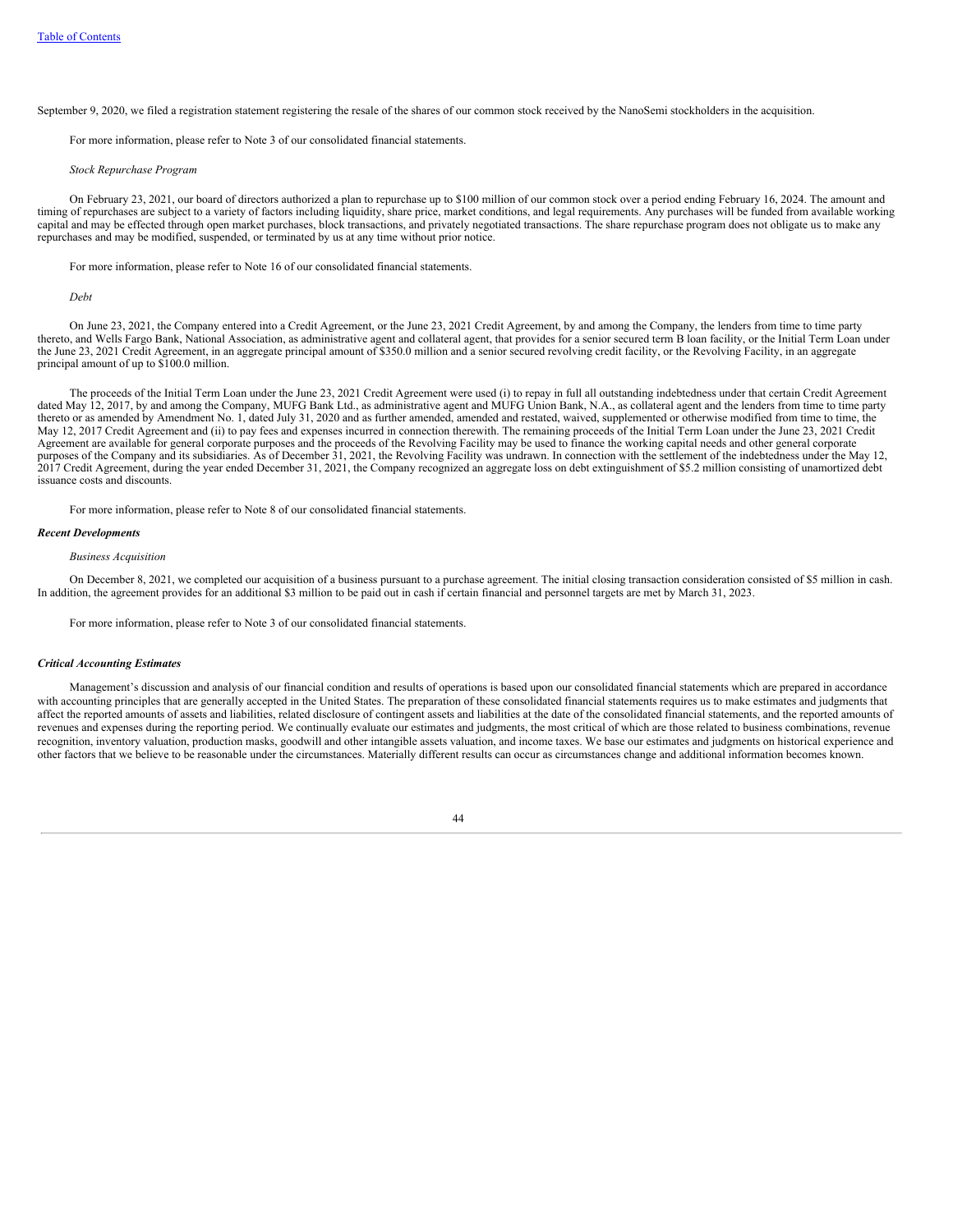September 9, 2020, we filed a registration statement registering the resale of the shares of our common stock received by the NanoSemi stockholders in the acquisition.

For more information, please refer to Note 3 of our consolidated financial statements.

#### *Stock Repurchase Program*

On February 23, 2021, our board of directors authorized a plan to repurchase up to \$100 million of our common stock over a period ending February 16, 2024. The amount and timing of repurchases are subject to a variety of factors including liquidity, share price, market conditions, and legal requirements. Any purchases will be funded from available working capital and may be effected through open market purchases, block transactions, and privately negotiated transactions. The share repurchase program does not obligate us to make any repurchases and may be modified, suspended, or terminated by us at any time without prior notice.

For more information, please refer to Note 16 of our consolidated financial statements.

#### *Debt*

On June 23, 2021, the Company entered into a Credit Agreement, or the June 23, 2021 Credit Agreement, by and among the Company, the lenders from time to time party thereto, and Wells Fargo Bank, National Association, as administrative agent and collateral agent, that provides for a senior secured term B loan facility, or the Initial Term Loan under the June 23, 2021 Credit Agreement, in an aggregate principal amount of \$350.0 million and a senior secured revolving credit facility, or the Revolving Facility, in an aggregate principal amount of up to \$100.0 million.

The proceeds of the Initial Term Loan under the June 23, 2021 Credit Agreement were used (i) to repay in full all outstanding indebtedness under that certain Credit Agreement dated May 12, 2017, by and among the Company, MUFG Bank Ltd., as administrative agent and MUFG Union Bank, N.A., as collateral agent and the lenders from time to time party thereto or as amended by Amendment No. 1, dated July 31, 2020 and as further amended, amended and restated, waived, supplemented or otherwise modified from time to time, the May 12, 2017 Credit Agreement and (ii) to pay fees and expenses incurred in connection therewith. The remaining proceeds of the Initial Term Loan under the June 23, 2021 Credit Agreement are available for general corporate purposes and the proceeds of the Revolving Facility may be used to finance the working capital needs and other general corporate purposes of the Company and its subsidiaries. As of December 31, 2021, the Revolving Facility was undrawn. In connection with the settlement of the indebtedness under the May 12, 2017 Credit Agreement, during the year ended December 31, 2021, the Company recognized an aggregate loss on debt extinguishment of \$5.2 million consisting of unamortized debt issuance costs and discounts.

For more information, please refer to Note 8 of our consolidated financial statements.

#### *Recent Developments*

*Business Acquisition*

On December 8, 2021, we completed our acquisition of a business pursuant to a purchase agreement. The initial closing transaction consideration consisted of \$5 million in cash. In addition, the agreement provides for an additional \$3 million to be paid out in cash if certain financial and personnel targets are met by March 31, 2023.

For more information, please refer to Note 3 of our consolidated financial statements.

#### *Critical Accounting Estimates*

Management's discussion and analysis of our financial condition and results of operations is based upon our consolidated financial statements which are prepared in accordance with accounting principles that are generally accepted in the United States. The preparation of these consolidated financial statements requires us to make estimates and judgments that affect the reported amounts of assets and liabilities, related disclosure of contingent assets and liabilities at the date of the consolidated financial statements, and the reported amounts of revenues and expenses during the reporting period. We continually evaluate our estimates and judgments, the most critical of which are those related to business combinations, revenue recognition, inventory valuation, production masks, goodwill and other intangible assets valuation, and income taxes. We base our estimates and judgments on historical experience and other factors that we believe to be reasonable under the circumstances. Materially different results can occur as circumstances change and additional information becomes known.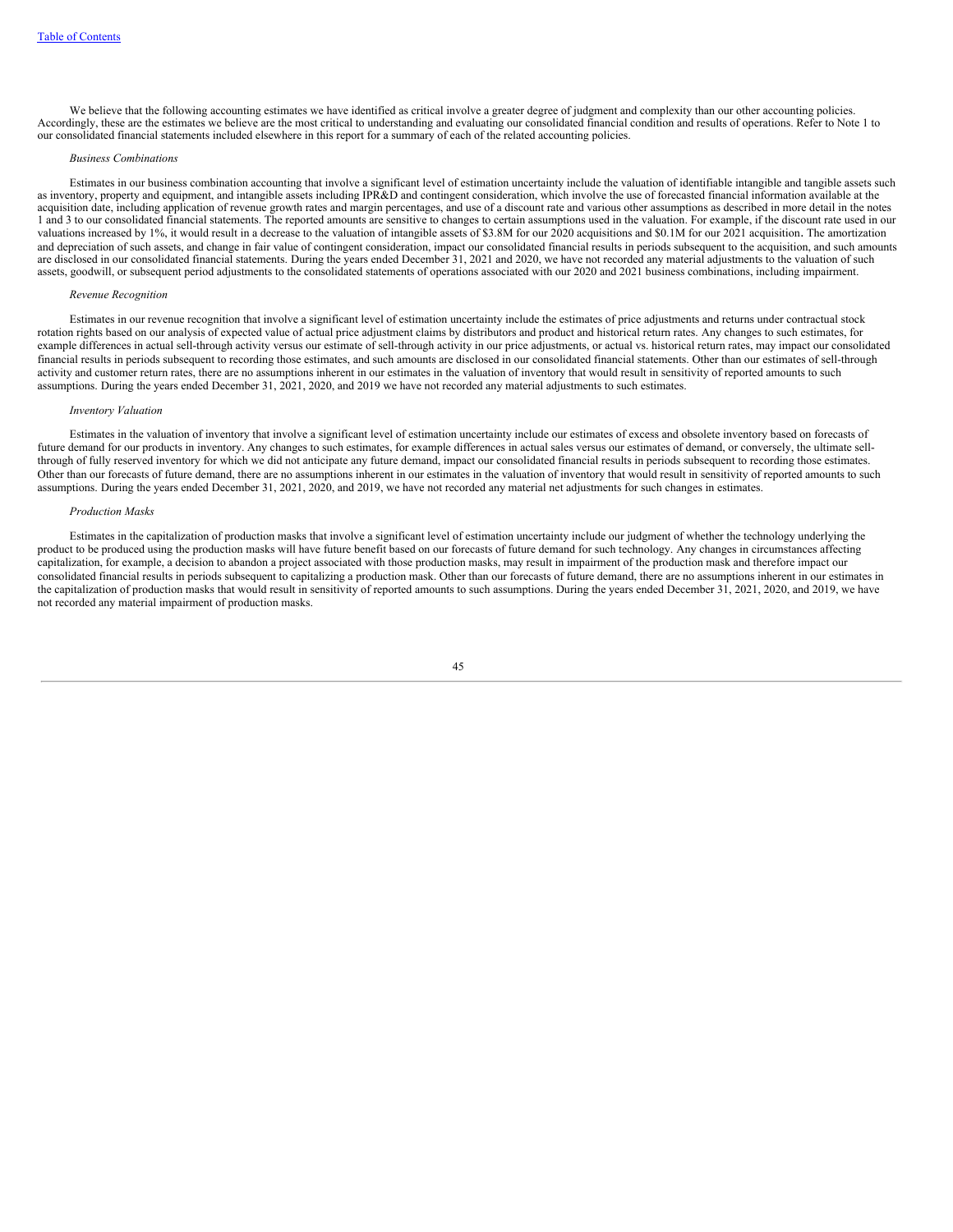We believe that the following accounting estimates we have identified as critical involve a greater degree of judgment and complexity than our other accounting policies. Accordingly, these are the estimates we believe are the most critical to understanding and evaluating our consolidated financial condition and results of operations. Refer to Note 1 to our consolidated financial statements included elsewhere in this report for a summary of each of the related accounting policies.

#### *Business Combinations*

Estimates in our business combination accounting that involve a significant level of estimation uncertainty include the valuation of identifiable intangible and tangible assets such as inventory, property and equipment, and intangible assets including IPR&D and contingent consideration, which involve the use of forecasted financial information available at the acquisition date, including application of revenue growth rates and margin percentages, and use of a discount rate and various other assumptions as described in more detail in the notes 1 and 3 to our consolidated financial statements. The reported amounts are sensitive to changes to certain assumptions used in the valuation. For example, if the discount rate used in our valuations increased by 1%, it would result in a decrease to the valuation of intangible assets of \$3.8M for our 2020 acquisitions and \$0.1M for our 2021 acquisition. The amortization and depreciation of such assets, and change in fair value of contingent consideration, impact our consolidated financial results in periods subsequent to the acquisition, and such amounts are disclosed in our consolidated financial statements. During the years ended December 31, 2021 and 2020, we have not recorded any material adjustments to the valuation of such assets, goodwill, or subsequent period adjustments to the consolidated statements of operations associated with our 2020 and 2021 business combinations, including impairment.

#### *Revenue Recognition*

Estimates in our revenue recognition that involve a significant level of estimation uncertainty include the estimates of price adjustments and returns under contractual stock rotation rights based on our analysis of expected value of actual price adjustment claims by distributors and product and historical return rates. Any changes to such estimates, for example differences in actual sell-through activity versus our estimate of sell-through activity in our price adjustments, or actual ys. historical return rates, may impact our consolidated financial results in periods subsequent to recording those estimates, and such amounts are disclosed in our consolidated financial statements. Other than our estimates of sell-through activity and customer return rates, there are no assumptions inherent in our estimates in the valuation of inventory that would result in sensitivity of reported amounts to such assumptions. During the years ended December 31, 2021, 2020, and 2019 we have not recorded any material adjustments to such estimates.

#### *Inventory Valuation*

Estimates in the valuation of inventory that involve a significant level of estimation uncertainty include our estimates of excess and obsolete inventory based on forecasts of future demand for our products in inventory. Any changes to such estimates, for example differences in actual sales versus our estimates of demand, or conversely, the ultimate sellthrough of fully reserved inventory for which we did not anticipate any future demand, impact our consolidated financial results in periods subsequent to recording those estimates. Other than our forecasts of future demand, there are no assumptions inherent in our estimates in the valuation of inventory that would result in sensitivity of reported amounts to such assumptions. During the years ended December 31, 2021, 2020, and 2019, we have not recorded any material net adjustments for such changes in estimates.

#### *Production Masks*

Estimates in the capitalization of production masks that involve a significant level of estimation uncertainty include our judgment of whether the technology underlying the product to be produced using the production masks will have future benefit based on our forecasts of future demand for such technology. Any changes in circumstances affecting capitalization, for example, a decision to abandon a project associated with those production masks, may result in impairment of the production mask and therefore impact our consolidated financial results in periods subsequent to capitalizing a production mask. Other than our forecasts of future demand, there are no assumptions inherent in our estimates in the capitalization of production masks that would result in sensitivity of reported amounts to such assumptions. During the years ended December 31, 2021, 2020, and 2019, we have not recorded any material impairment of production masks.

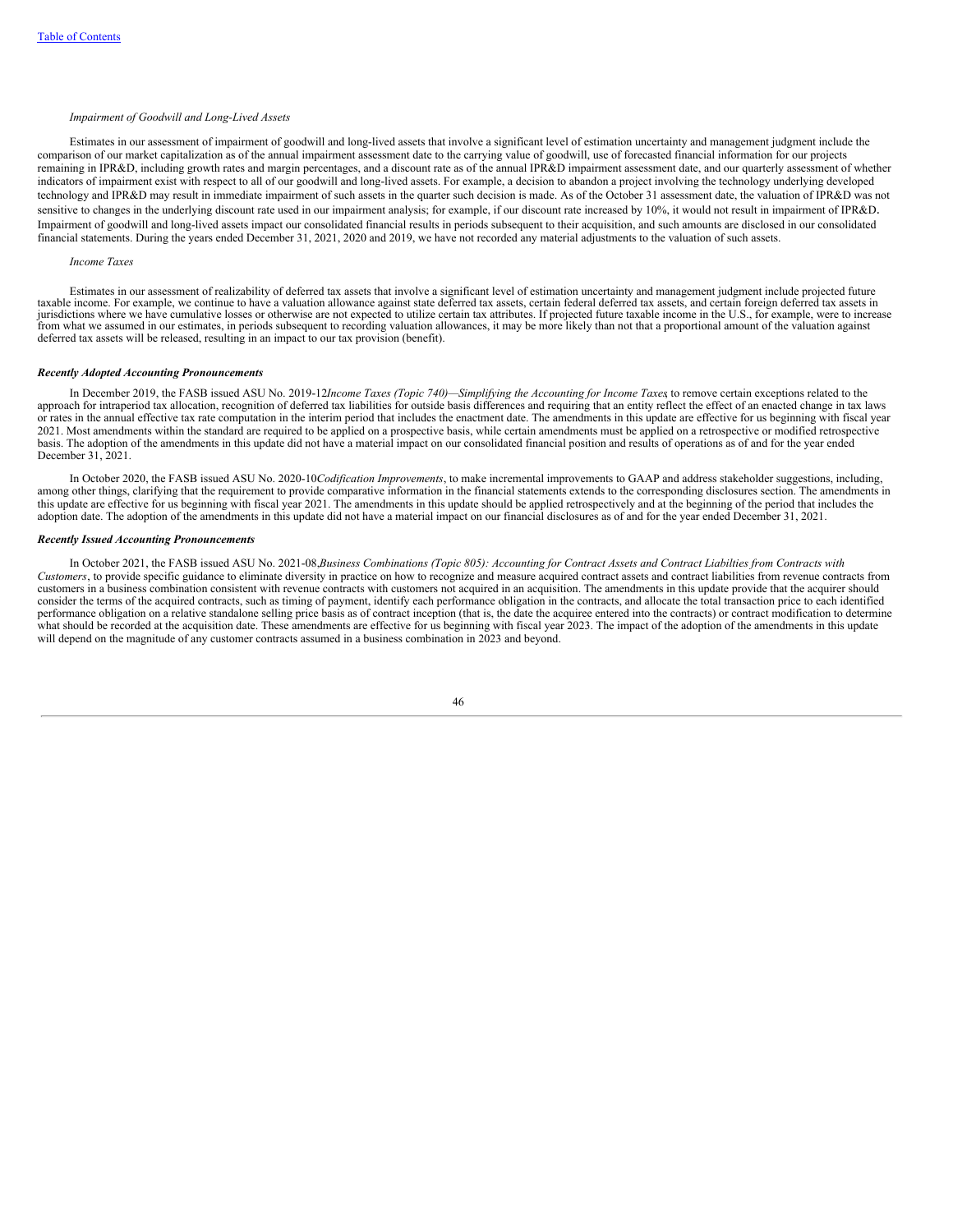### *Impairment of Goodwill and Long-Lived Assets*

Estimates in our assessment of impairment of goodwill and long-lived assets that involve a significant level of estimation uncertainty and management judgment include the comparison of our market capitalization as of the annual impairment assessment date to the carrying value of goodwill, use of forecasted financial information for our projects remaining in IPR&D, including growth rates and margin percentages, and a discount rate as of the annual IPR&D impairment assessment date, and our quarterly assessment of whether indicators of impairment exist with respect to all of our goodwill and long-lived assets. For example, a decision to abandon a project involving the technology underlying developed technology and IPR&D may result in immediate impairment of such assets in the quarter such decision is made. As of the October 31 assessment date, the valuation of IPR&D was not sensitive to changes in the underlying discount rate used in our impairment analysis; for example, if our discount rate increased by 10%, it would not result in impairment of IPR&D. Impairment of goodwill and long-lived assets impact our consolidated financial results in periods subsequent to their acquisition, and such amounts are disclosed in our consolidated financial statements. During the years ended December 31, 2021, 2020 and 2019, we have not recorded any material adjustments to the valuation of such assets.

### *Income Taxes*

Estimates in our assessment of realizability of deferred tax assets that involve a significant level of estimation uncertainty and management judgment include projected future taxable income. For example, we continue to have a valuation allowance against state deferred tax assets, certain federal deferred tax assets, and certain foreign deferred tax assets in jurisdictions where we have cumulative losses or otherwise are not expected to utilize certain tax attributes. If projected future taxable income in the U.S., for example, were to increase from what we assumed in our estimates, in periods subsequent to recording valuation allowances, it may be more likely than not that a proportional amount of the valuation against deferred tax assets will be released, resulting in an impact to our tax provision (benefit).

#### *Recently Adopted Accounting Pronouncements*

In December 2019, the FASB issued ASU No. 2019-12Income Taxes (Topic 740)—Simplifying the Accounting for Income Taxes to remove certain exceptions related to the approach for intraperiod tax allocation, recognition of deferred tax liabilities for outside basis differences and requiring that an entity reflect the effect of an enacted change in tax laws or rates in the annual effective tax rate computation in the interim period that includes the enactment date. The amendments in this update are effective for us beginning with fiscal year 2021. Most amendments within the standard are required to be applied on a prospective basis, while certain amendments must be applied on a retrospective or modified retrospective basis. The adoption of the amendments in this update did not have a material impact on our consolidated financial position and results of operations as of and for the year ended December 31, 2021.

In October 2020, the FASB issued ASU No. 2020-10*Codification Improvements*, to make incremental improvements to GAAP and address stakeholder suggestions, including, among other things, clarifying that the requirement to provide comparative information in the financial statements extends to the corresponding disclosures section. The amendments in this update are effective for us beginning with fiscal year 2021. The amendments in this update should be applied retrospectively and at the beginning of the period that includes the adoption date. The adoption of the amendments in this update did not have a material impact on our financial disclosures as of and for the year ended December 31, 2021.

#### *Recently Issued Accounting Pronouncements*

In October 2021, the FASB issued ASU No. 2021-08 Business Combinations (Topic 805): Accounting for Contract Assets and Contract Liabilties from Contracts with *Customers*, to provide specific guidance to eliminate diversity in practice on how to recognize and measure acquired contract assets and contract liabilities from revenue contracts from customers in a business combination consistent with revenue contracts with customers not acquired in an acquisition. The amendments in this update provide that the acquirer should consider the terms of the acquired contracts, such as timing of payment, identify each performance obligation in the contracts, and allocate the total transaction price to each identified performance obligation on a relative standalone selling price basis as of contract inception (that is, the date the acquiree entered into the contracts) or contract modification to determine what should be recorded at the acquisition date. These amendments are effective for us beginning with fiscal year 2023. The impact of the adoption of the amendments in this update will depend on the magnitude of any customer contracts assumed in a business combination in 2023 and beyond.

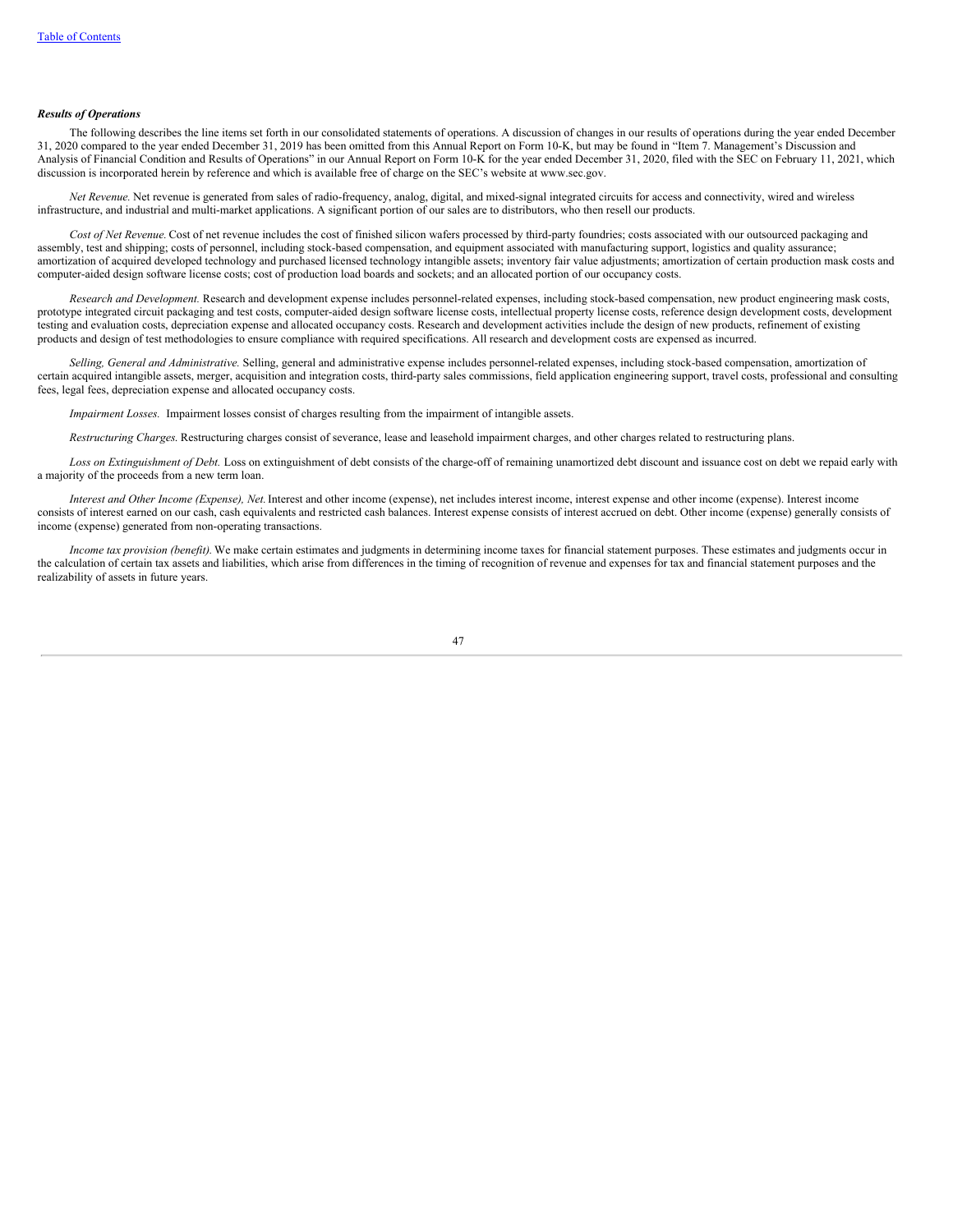### *Results of Operations*

The following describes the line items set forth in our consolidated statements of operations. A discussion of changes in our results of operations during the year ended December 31, 2020 compared to the year ended December 31, 2019 has been omitted from this Annual Report on Form 10-K, but may be found in "Item 7. Management's Discussion and Analysis of Financial Condition and Results of Operations" in our Annual Report on Form 10-K for the year ended December 31, 2020, filed with the SEC on February 11, 2021, which discussion is incorporated herein by reference and which is available free of charge on the SEC's website at www.sec.gov.

*Net Revenue.* Net revenue is generated from sales of radio-frequency, analog, digital, and mixed-signal integrated circuits for access and connectivity, wired and wireless infrastructure, and industrial and multi-market applications. A significant portion of our sales are to distributors, who then resell our products.

*Cost of Net Revenue.* Cost of net revenue includes the cost of finished silicon wafers processed by third-party foundries; costs associated with our outsourced packaging and assembly, test and shipping; costs of personnel, including stock-based compensation, and equipment associated with manufacturing support, logistics and quality assurance; amortization of acquired developed technology and purchased licensed technology intangible assets; inventory fair value adjustments; amortization of certain production mask costs and computer-aided design software license costs; cost of production load boards and sockets; and an allocated portion of our occupancy costs.

*Research and Development.* Research and development expense includes personnel-related expenses, including stock-based compensation, new product engineering mask costs, prototype integrated circuit packaging and test costs, computer-aided design software license costs, intellectual property license costs, reference design development costs, development testing and evaluation costs, depreciation expense and allocated occupancy costs. Research and development activities include the design of new products, refinement of existing products and design of test methodologies to ensure compliance with required specifications. All research and development costs are expensed as incurred.

*Selling, General and Administrative.* Selling, general and administrative expense includes personnel-related expenses, including stock-based compensation, amortization of certain acquired intangible assets, merger, acquisition and integration costs, third-party sales commissions, field application engineering support, travel costs, professional and consulting fees, legal fees, depreciation expense and allocated occupancy costs.

*Impairment Losses.* Impairment losses consist of charges resulting from the impairment of intangible assets.

*Restructuring Charges*. Restructuring charges consist of severance, lease and leasehold impairment charges, and other charges related to restructuring plans.

*Loss on Extinguishment of Debt.* Loss on extinguishment of debt consists of the charge-off of remaining unamortized debt discount and issuance cost on debt we repaid early with a majority of the proceeds from a new term loan.

*Interest and Other Income (Expense), Net.*Interest and other income (expense), net includes interest income, interest expense and other income (expense). Interest income consists of interest earned on our cash, cash equivalents and restricted cash balances. Interest expense consists of interest accrued on debt. Other income (expense) generally consists of income (expense) generated from non-operating transactions.

*Income tax provision (benefit)*. We make certain estimates and judgments in determining income taxes for financial statement purposes. These estimates and judgments occur in the calculation of certain tax assets and liabilities, which arise from differences in the timing of recognition of revenue and expenses for tax and financial statement purposes and the realizability of assets in future years.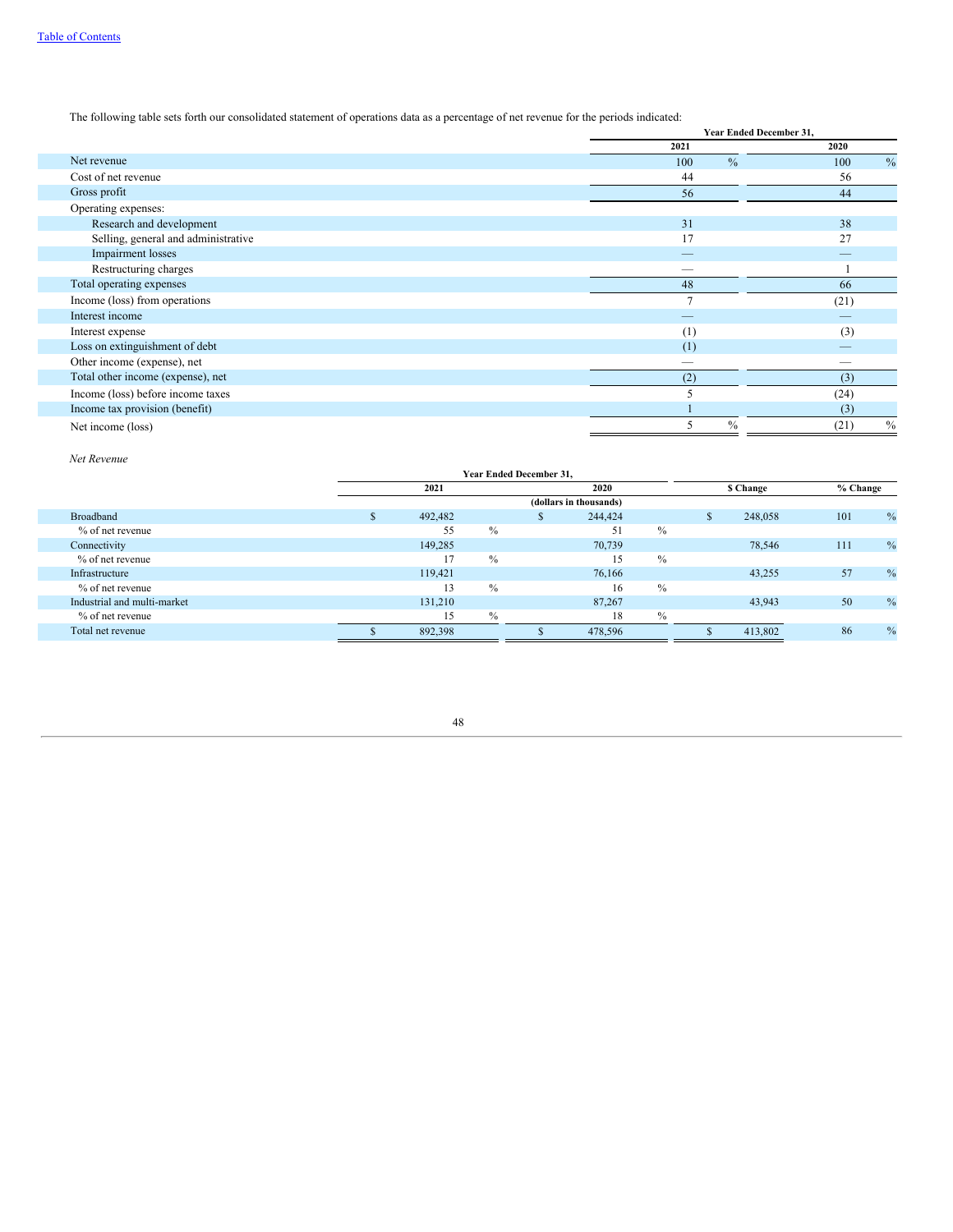# The following table sets forth our consolidated statement of operations data as a percentage of net revenue for the periods indicated:

|                                     |                | Year Ended December 31,                |
|-------------------------------------|----------------|----------------------------------------|
|                                     | 2021           | 2020                                   |
| Net revenue                         | 100            | $\frac{0}{0}$<br>$\frac{0}{0}$<br>100  |
| Cost of net revenue                 | 44             | 56                                     |
| Gross profit                        | 56             | 44                                     |
| Operating expenses:                 |                |                                        |
| Research and development            | 31             | 38                                     |
| Selling, general and administrative | 17             | 27                                     |
| Impairment losses                   |                |                                        |
| Restructuring charges               | __             |                                        |
| Total operating expenses            | 48             | 66                                     |
| Income (loss) from operations       | $\overline{7}$ | (21)                                   |
| Interest income                     |                |                                        |
| Interest expense                    | (1)            | (3)                                    |
| Loss on extinguishment of debt      | (1)            |                                        |
| Other income (expense), net         |                |                                        |
| Total other income (expense), net   | (2)            | (3)                                    |
| Income (loss) before income taxes   | 5              | (24)                                   |
| Income tax provision (benefit)      |                | (3)                                    |
| Net income (loss)                   | 5              | $\frac{0}{0}$<br>$\frac{0}{0}$<br>(21) |

*Net Revenue*

|                             |                        |         |               | <b>Year Ended December 31.</b> |         |      |   |           |          |               |
|-----------------------------|------------------------|---------|---------------|--------------------------------|---------|------|---|-----------|----------|---------------|
|                             | 2021                   |         |               | 2020                           |         |      |   | \$ Change | % Change |               |
|                             | (dollars in thousands) |         |               |                                |         |      |   |           |          |               |
| Broadband                   |                        | 492,482 |               |                                | 244,424 |      | ъ | 248,058   | 101      | $\frac{0}{0}$ |
| $%$ of net revenue          |                        | 55      | $\frac{0}{0}$ |                                | 51      | $\%$ |   |           |          |               |
| Connectivity                |                        | 149,285 |               |                                | 70,739  |      |   | 78,546    | 111      | $\frac{0}{0}$ |
| $%$ of net revenue          |                        | 17      | $\frac{0}{0}$ |                                | 15      | $\%$ |   |           |          |               |
| Infrastructure              |                        | 119,421 |               |                                | 76,166  |      |   | 43,255    | 57       | $\frac{0}{0}$ |
| $%$ of net revenue          |                        | 13      | $\frac{0}{0}$ |                                | 16      | $\%$ |   |           |          |               |
| Industrial and multi-market |                        | 131,210 |               |                                | 87,267  |      |   | 43,943    | 50       | $\frac{0}{0}$ |
| $\%$ of net revenue         |                        | 15      | $\frac{0}{0}$ |                                | 18      | $\%$ |   |           |          |               |
| Total net revenue           |                        | 892,398 |               |                                | 478,596 |      |   | 413,802   | 86       | $\frac{0}{0}$ |

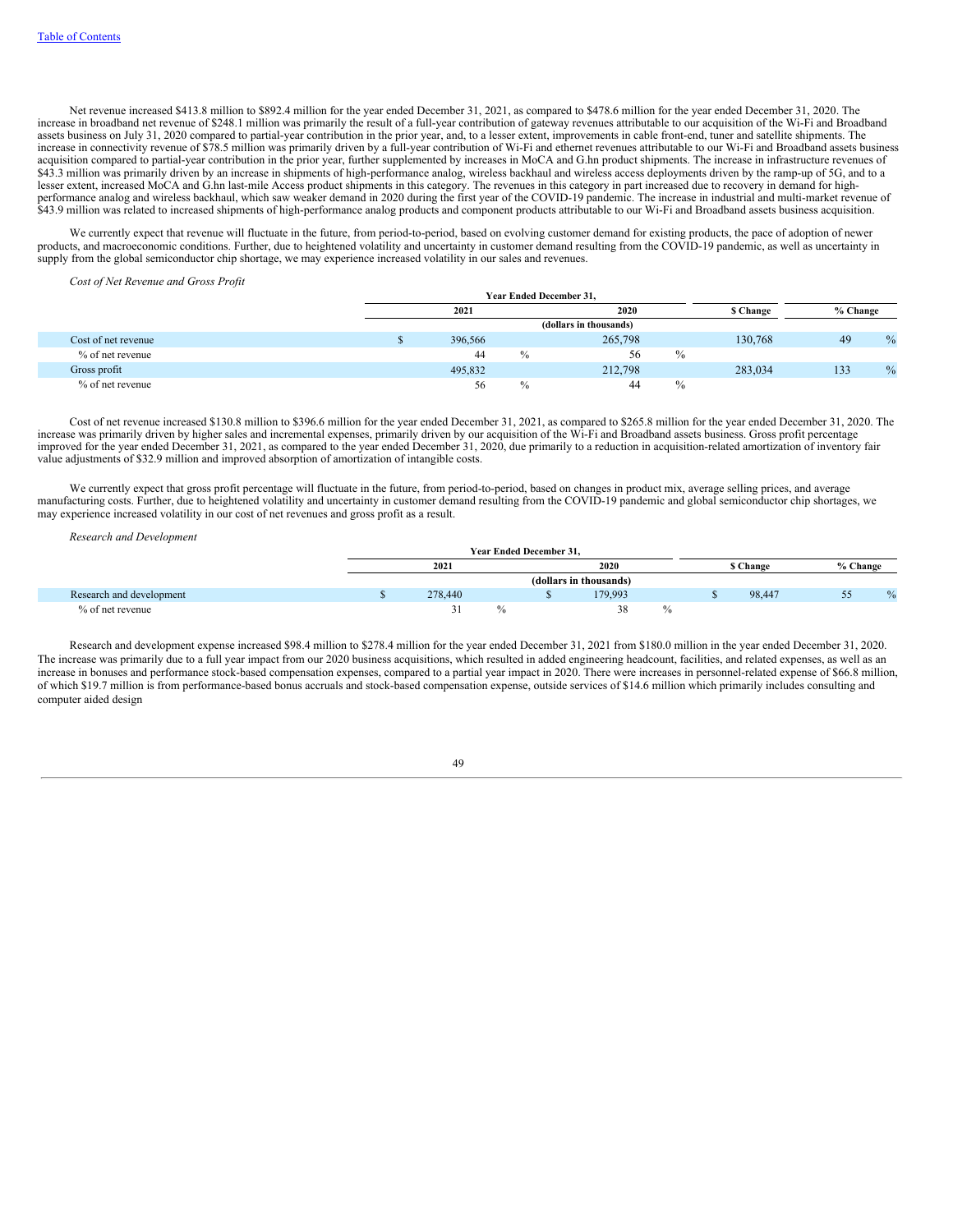Net revenue increased \$413.8 million to \$892.4 million for the year ended December 31, 2021, as compared to \$478.6 million for the year ended December 31, 2020. The increase in broadband net revenue of \$248.1 million was primarily the result of a full-year contribution of gateway revenues attributable to our acquisition of the Wi-Fi and Broadband assets business on July 31, 2020 compared to partial-year contribution in the prior year, and, to a lesser extent, improvements in cable front-end, tuner and satellite shipments. The increase in connectivity revenue of \$78.5 million was primarily driven by a full-year contribution of Wi-Fi and ethernet revenues attributable to our Wi-Fi and Broadband assets business acquisition compared to partial-year contribution in the prior year, further supplemented by increases in MoCA and G.hn product shipments. The increase in infrastructure revenues of \$43.3 million was primarily driven by an increase in shipments of high-performance analog, wireless backhaul and wireless access deployments driven by the ramp-up of 5G, and to a lesser extent, increased MoCA and G.hn last-mile Access product shipments in this category. The revenues in this category in part increased due to recovery in demand for highperformance analog and wireless backhaul, which saw weaker demand in 2020 during the first year of the COVID-19 pandemic. The increase in industrial and multi-market revenue of \$43.9 million was related to increased shipments of high-performance analog products and component products attributable to our Wi-Fi and Broadband assets business acquisition.

We currently expect that revenue will fluctuate in the future, from period-to-period, based on evolving customer demand for existing products, the pace of adoption of newer products, and macroeconomic conditions. Further, due to heightened volatility and uncertainty in customer demand resulting from the COVID-19 pandemic, as well as uncertainty in supply from the global semiconductor chip shortage, we may experience increased volatility in our sales and revenues.

*Cost of Net Revenue and Gross Profit*

|                     |                        | <b>Year Ended December 31.</b> |         |               |           |          |               |  |  |  |  |  |
|---------------------|------------------------|--------------------------------|---------|---------------|-----------|----------|---------------|--|--|--|--|--|
|                     | 2021<br>2020           |                                |         |               | \$ Change | % Change |               |  |  |  |  |  |
|                     | (dollars in thousands) |                                |         |               |           |          |               |  |  |  |  |  |
| Cost of net revenue | 396,566                |                                | 265,798 |               | 130,768   | 49       | $\frac{0}{0}$ |  |  |  |  |  |
| $\%$ of net revenue | 44                     | $\frac{0}{0}$                  | 56      | $\%$          |           |          |               |  |  |  |  |  |
| Gross profit        | 495,832                |                                | 212,798 |               | 283,034   | 133      | $\frac{0}{0}$ |  |  |  |  |  |
| $\%$ of net revenue | 56                     | $\frac{0}{0}$                  | 44      | $\frac{0}{0}$ |           |          |               |  |  |  |  |  |

Cost of net revenue increased \$130.8 million to \$396.6 million for the year ended December 31, 2021, as compared to \$265.8 million for the year ended December 31, 2020. The increase was primarily driven by higher sales and incremental expenses, primarily driven by our acquisition of the Wi-Fi and Broadband assets business. Gross profit percentage improved for the year ended December 31, 2021, as compared to the year ended December 31, 2020, due primarily to a reduction in acquisition-related amortization of inventory fair value adjustments of \$32.9 million and improved absorption of amortization of intangible costs.

We currently expect that gross profit percentage will fluctuate in the future, from period-to-period, based on changes in product mix, average selling prices, and average manufacturing costs. Further, due to heightened volatility and uncertainty in customer demand resulting from the COVID-19 pandemic and global semiconductor chip shortages, we may experience increased volatility in our cost of net revenues and gross profit as a result.

*Research and Development*

|                          |                        |  | <b>Year Ended December 31.</b> |         |               |  |                 |          |               |  |  |
|--------------------------|------------------------|--|--------------------------------|---------|---------------|--|-----------------|----------|---------------|--|--|
|                          | 2021                   |  |                                | 2020    |               |  | <b>S</b> Change | % Change |               |  |  |
|                          | (dollars in thousands) |  |                                |         |               |  |                 |          |               |  |  |
| Research and development | 278,440                |  |                                | 179,993 |               |  | 98,447          | ر ر      | $\frac{0}{0}$ |  |  |
| $%$ of net revenue       |                        |  |                                | 38      | $\frac{0}{0}$ |  |                 |          |               |  |  |

Research and development expense increased \$98.4 million to \$278.4 million for the year ended December 31, 2021 from \$180.0 million in the year ended December 31, 2020. The increase was primarily due to a full year impact from our 2020 business acquisitions, which resulted in added engineering headcount, facilities, and related expenses, as well as an increase in bonuses and performance stock-based compensation expenses, compared to a partial year impact in 2020. There were increases in personnel-related expense of \$66.8 million, of which \$19.7 million is from performance-based bonus accruals and stock-based compensation expense, outside services of \$14.6 million which primarily includes consulting and computer aided design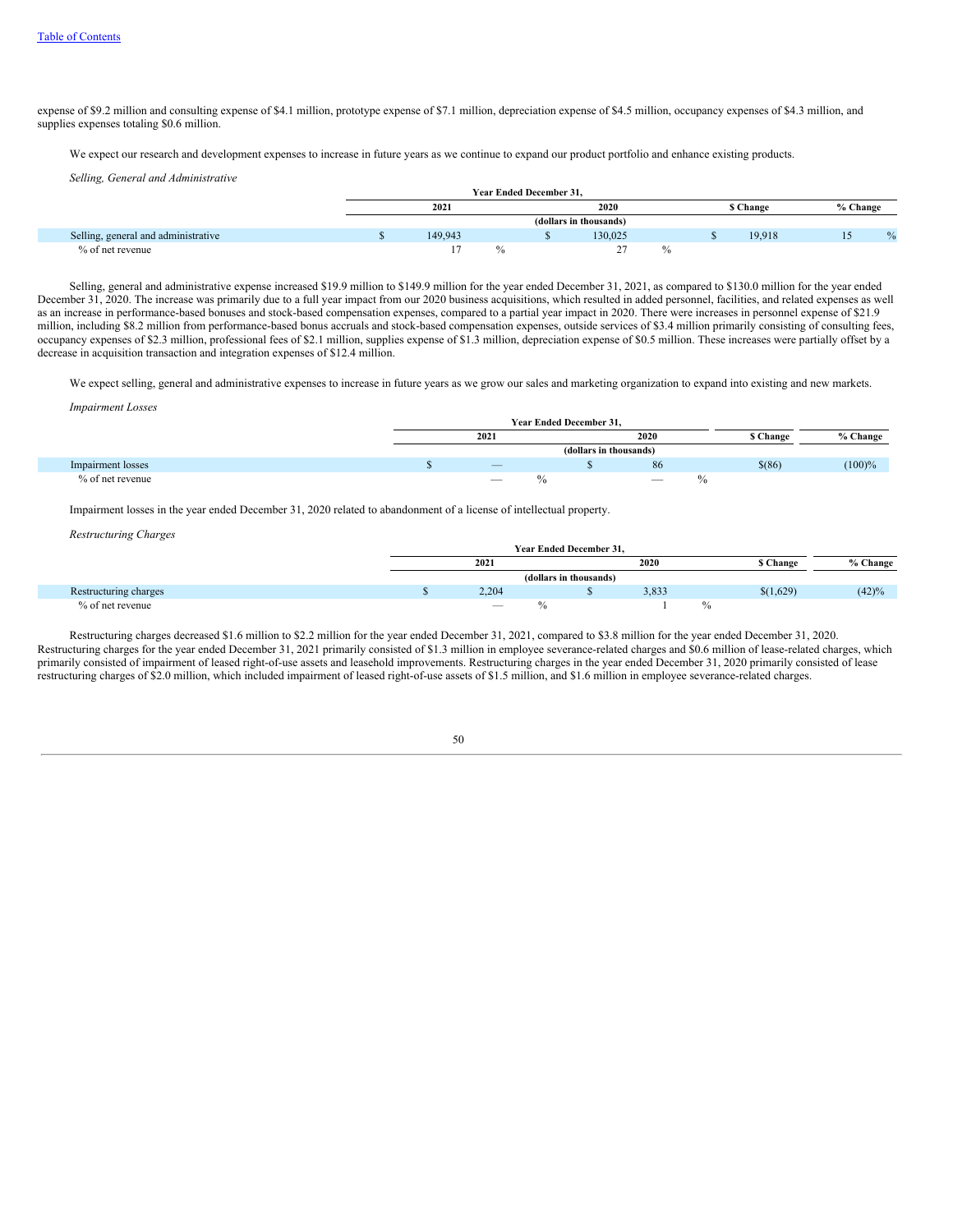expense of \$9.2 million and consulting expense of \$4.1 million, prototype expense of \$7.1 million, depreciation expense of \$4.5 million, occupancy expenses of \$4.3 million, and supplies expenses totaling \$0.6 million.

We expect our research and development expenses to increase in future years as we continue to expand our product portfolio and enhance existing products.

|                                     |                        |  | <b>Year Ended December 31.</b> |               |               |  |           |          |               |  |  |
|-------------------------------------|------------------------|--|--------------------------------|---------------|---------------|--|-----------|----------|---------------|--|--|
|                                     | 2021                   |  |                                | 2020          |               |  | \$ Change | % Change |               |  |  |
|                                     | (dollars in thousands) |  |                                |               |               |  |           |          |               |  |  |
| Selling, general and administrative | 149,943                |  |                                | 130,025       |               |  | 19,918    |          | $\frac{0}{0}$ |  |  |
| $\%$ of net revenue                 |                        |  |                                | $\sim$<br>، ت | $\frac{0}{0}$ |  |           |          |               |  |  |

Selling, general and administrative expense increased \$19.9 million to \$149.9 million for the year ended December 31, 2021, as compared to \$130.0 million for the year ended December 31, 2020. The increase was primarily due to a full year impact from our 2020 business acquisitions, which resulted in added personnel, facilities, and related expenses as well as an increase in performance-based bonuses and stock-based compensation expenses, compared to a partial year impact in 2020. There were increases in personnel expense of \$21.9 million, including \$8.2 million from performance-based bonus accruals and stock-based compensation expenses, outside services of \$3.4 million primarily consisting of consulting fees, occupancy expenses of \$2.3 million, professional fees of \$2.1 million, supplies expense of \$1.3 million, depreciation expense of \$0.5 million. These increases were partially offset by a decrease in acquisition transaction and integration expenses of \$12.4 million.

We expect selling, general and administrative expenses to increase in future years as we grow our sales and marketing organization to expand into existing and new markets.

| <b>Impairment Losses</b> |                                |                         |    |               |           |           |  |  |  |  |  |
|--------------------------|--------------------------------|-------------------------|----|---------------|-----------|-----------|--|--|--|--|--|
|                          |                                | Year Ended December 31, |    |               |           |           |  |  |  |  |  |
|                          | 2020<br>2021                   |                         |    |               | \$ Change | % Change  |  |  |  |  |  |
|                          | (dollars in thousands)         |                         |    |               |           |           |  |  |  |  |  |
| Impairment losses        |                                |                         | 86 |               | \$(86)    | $(100)\%$ |  |  |  |  |  |
| $%$ of net revenue       | $\overbrace{\hspace{25mm}}^{}$ | $\frac{0}{0}$           |    | $\frac{0}{0}$ |           |           |  |  |  |  |  |

Impairment losses in the year ended December 31, 2020 related to abandonment of a license of intellectual property.

| <b>Restructuring Charges</b> |                          |  |                         |       |               |           |          |  |  |  |  |
|------------------------------|--------------------------|--|-------------------------|-------|---------------|-----------|----------|--|--|--|--|
|                              |                          |  | Year Ended December 31, |       |               |           |          |  |  |  |  |
|                              | 2021                     |  |                         | 2020  |               | \$ Change | % Change |  |  |  |  |
|                              | (dollars in thousands)   |  |                         |       |               |           |          |  |  |  |  |
| Restructuring charges        | 2,204                    |  |                         | 3,833 |               | \$(1,629) | (42)%    |  |  |  |  |
| $\%$ of net revenue          | $\overline{\phantom{a}}$ |  |                         |       | $\frac{0}{0}$ |           |          |  |  |  |  |

Restructuring charges decreased \$1.6 million to \$2.2 million for the year ended December 31, 2021, compared to \$3.8 million for the year ended December 31, 2020. Restructuring charges for the year ended December 31, 2021 primarily consisted of \$1.3 million in employee severance-related charges and \$0.6 million of lease-related charges, which primarily consisted of impairment of leased right-of-use assets and leasehold improvements. Restructuring charges in the year ended December 31, 2020 primarily consisted of lease restructuring charges of \$2.0 million, which included impairment of leased right-of-use assets of \$1.5 million, and \$1.6 million in employee severance-related charges.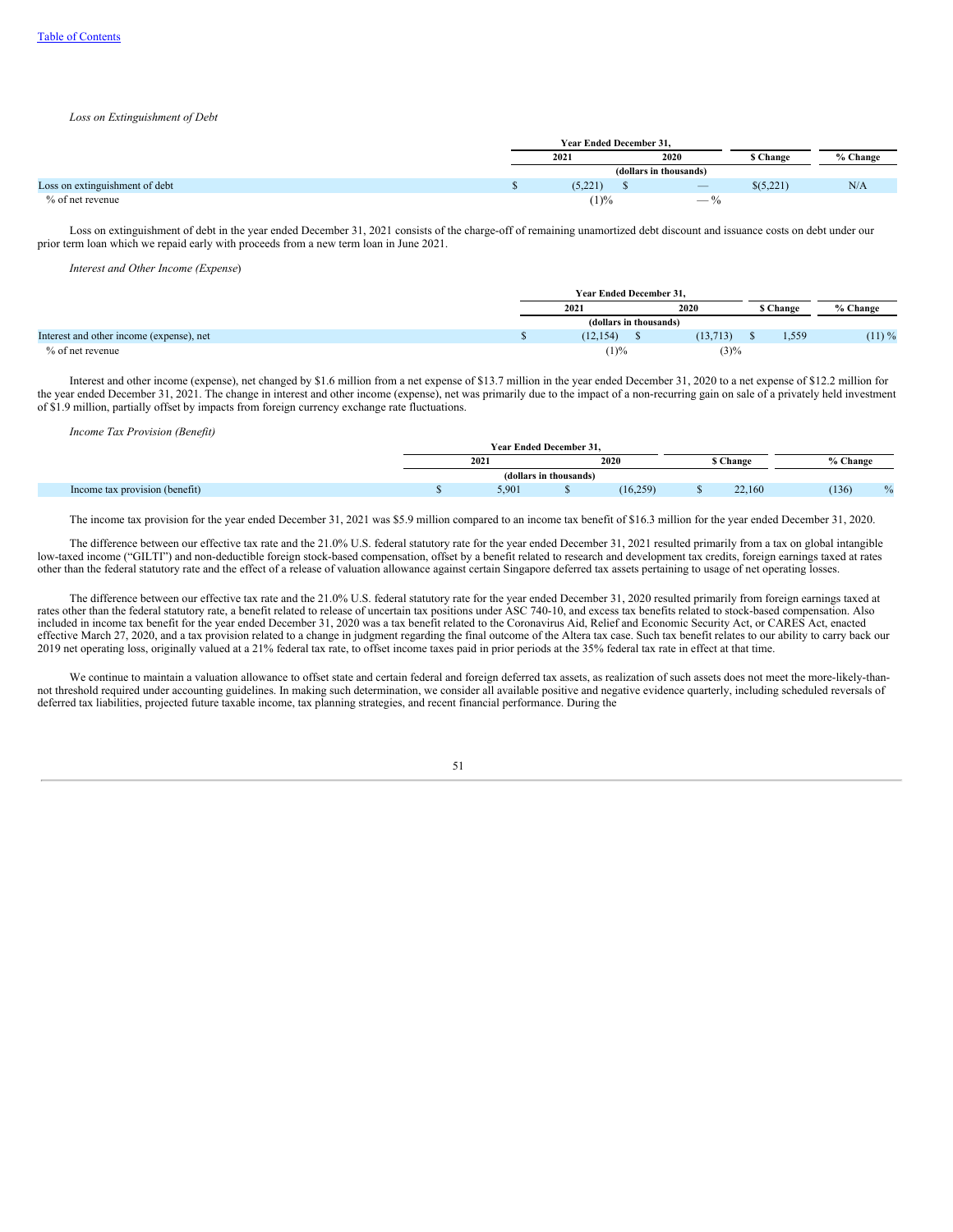### *Loss on Extinguishment of Debt*

|                                | <b>Year Ended December 31.</b> |      |                                              |                 |          |  |  |  |  |  |
|--------------------------------|--------------------------------|------|----------------------------------------------|-----------------|----------|--|--|--|--|--|
|                                | 2021                           | 2020 |                                              | <b>S</b> Change | % Change |  |  |  |  |  |
|                                | (dollars in thousands)         |      |                                              |                 |          |  |  |  |  |  |
| Loss on extinguishment of debt | (5,221)                        |      | $\hspace{0.1mm}-\hspace{0.1mm}$              | \$(5,221)       | N/A      |  |  |  |  |  |
| $%$ of net revenue             | (1)%                           |      | $\sim$ 0/<br>$\hspace{0.1mm}-\hspace{0.1mm}$ |                 |          |  |  |  |  |  |

Loss on extinguishment of debt in the year ended December 31, 2021 consists of the charge-off of remaining unamortized debt discount and issuance costs on debt under our prior term loan which we repaid early with proceeds from a new term loan in June 2021.

*Interest and Other Income (Expense*)

|                                          |      | <b>Year Ended December 31.</b> |  |           |                 |       |           |  |  |  |
|------------------------------------------|------|--------------------------------|--|-----------|-----------------|-------|-----------|--|--|--|
|                                          | 2021 |                                |  | 2020      | <b>S</b> Change |       | % Change  |  |  |  |
|                                          |      | (dollars in thousands)         |  |           |                 |       |           |  |  |  |
| Interest and other income (expense), net |      | (12, 154)                      |  | (13, 713) |                 | 1,559 | $(11) \%$ |  |  |  |
| $\%$ of net revenue                      |      | (1)%                           |  | $(3)\%$   |                 |       |           |  |  |  |

Interest and other income (expense), net changed by \$1.6 million from a net expense of \$13.7 million in the year ended December 31, 2020 to a net expense of \$12.2 million for the year ended December 31, 2021. The change in interest and other income (expense), net was primarily due to the impact of a non-recurring gain on sale of a privately held investment of \$1.9 million, partially offset by impacts from foreign currency exchange rate fluctuations.

*Income Tax Provision (Benefit)*

|                                |                        | <b>Year Ended December 31.</b> |           |           |          |        |       |               |  |  |  |
|--------------------------------|------------------------|--------------------------------|-----------|-----------|----------|--------|-------|---------------|--|--|--|
|                                | 2020<br>2021           |                                | \$ Change |           | % Change |        |       |               |  |  |  |
|                                | (dollars in thousands) |                                |           |           |          |        |       |               |  |  |  |
| Income tax provision (benefit) |                        | 5,901                          |           | (16, 259) |          | 22,160 | (136) | $\frac{0}{0}$ |  |  |  |

The income tax provision for the year ended December 31, 2021 was \$5.9 million compared to an income tax benefit of \$16.3 million for the year ended December 31, 2020.

The difference between our effective tax rate and the 21.0% U.S. federal statutory rate for the year ended December 31, 2021 resulted primarily from a tax on global intangible low-taxed income ("GILTI") and non-deductible foreign stock-based compensation, offset by a benefit related to research and development tax credits, foreign earnings taxed at rates other than the federal statutory rate and the effect of a release of valuation allowance against certain Singapore deferred tax assets pertaining to usage of net operating losses.

The difference between our effective tax rate and the 21.0% U.S. federal statutory rate for the year ended December 31, 2020 resulted primarily from foreign earnings taxed at rates other than the federal statutory rate, a benefit related to release of uncertain tax positions under ASC 740-10, and excess tax benefits related to stock-based compensation. Also included in income tax benefit for the year ended December 31, 2020 was a tax benefit related to the Coronavirus Aid, Relief and Economic Security Act, or CARES Act, enacted effective March 27, 2020, and a tax provision related to a change in judgment regarding the final outcome of the Altera tax case. Such tax benefit relates to our ability to carry back our 2019 net operating loss, originally valued at a 21% federal tax rate, to offset income taxes paid in prior periods at the 35% federal tax rate in effect at that time.

We continue to maintain a valuation allowance to offset state and certain federal and foreign deferred tax assets, as realization of such assets does not meet the more-likely-thannot threshold required under accounting guidelines. In making such determination, we consider all available positive and negative evidence quarterly, including scheduled reversals of deferred tax liabilities, projected future taxable income, tax planning strategies, and recent financial performance. During the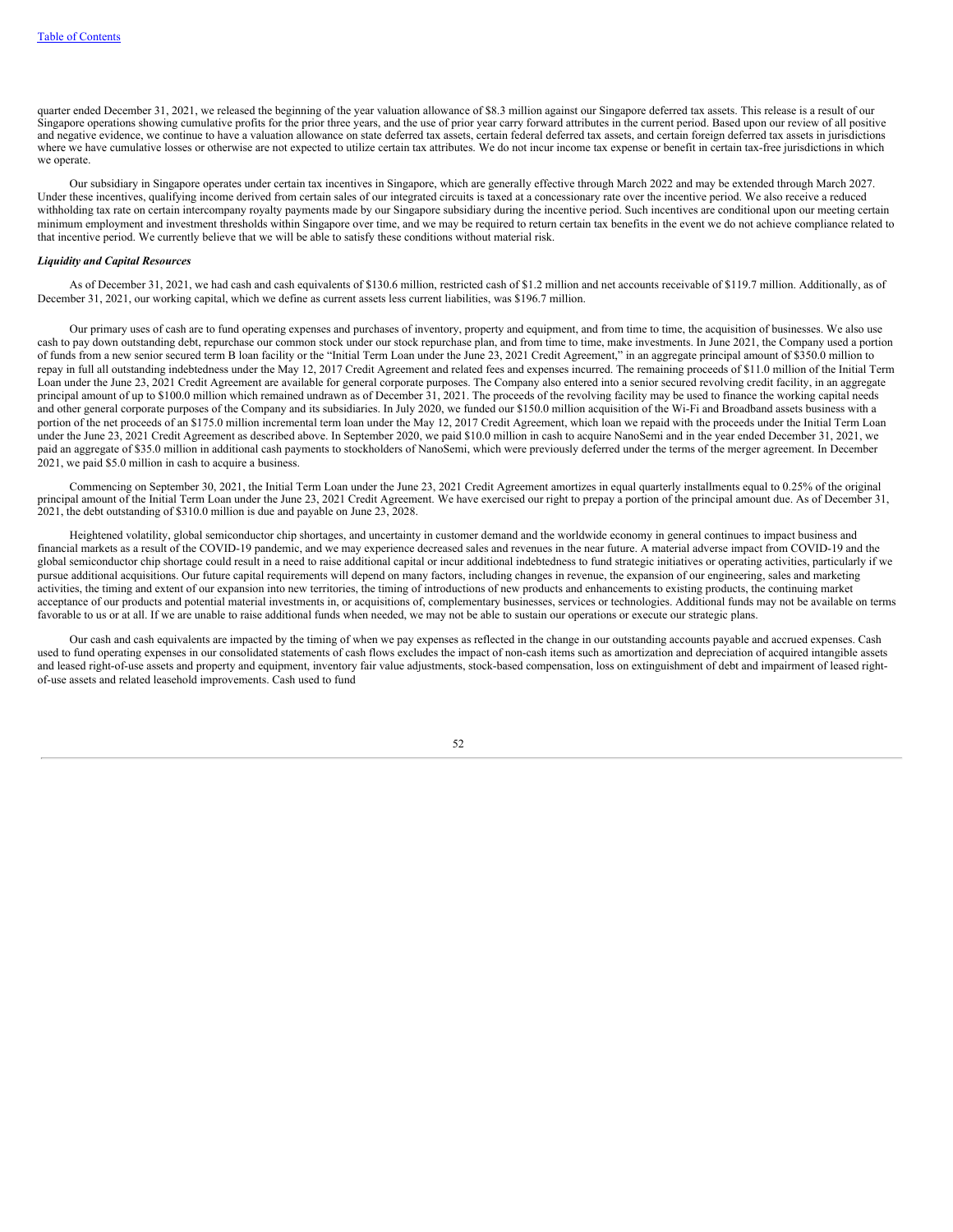quarter ended December 31, 2021, we released the beginning of the year valuation allowance of \$8.3 million against our Singapore deferred tax assets. This release is a result of our Singapore operations showing cumulative profits for the prior three years, and the use of prior year carry forward attributes in the current period. Based upon our review of all positive and negative evidence, we continue to have a valuation allowance on state deferred tax assets, certain federal deferred tax assets, and certain foreign deferred tax assets in jurisdictions where we have cumulative losses or otherwise are not expected to utilize certain tax attributes. We do not incur income tax expense or benefit in certain tax-free jurisdictions in which we operate.

Our subsidiary in Singapore operates under certain tax incentives in Singapore, which are generally effective through March 2022 and may be extended through March 2027. Under these incentives, qualifying income derived from certain sales of our integrated circuits is taxed at a concessionary rate over the incentive period. We also receive a reduced withholding tax rate on certain intercompany royalty payments made by our Singapore subsidiary during the incentive period. Such incentives are conditional upon our meeting certain minimum employment and investment thresholds within Singapore over time, and we may be required to return certain tax benefits in the event we do not achieve compliance related to that incentive period. We currently believe that we will be able to satisfy these conditions without material risk.

#### *Liquidity and Capital Resources*

As of December 31, 2021, we had cash and cash equivalents of \$130.6 million, restricted cash of \$1.2 million and net accounts receivable of \$119.7 million. Additionally, as of December 31, 2021, our working capital, which we define as current assets less current liabilities, was \$196.7 million.

Our primary uses of cash are to fund operating expenses and purchases of inventory, property and equipment, and from time to time, the acquisition of businesses. We also use cash to pay down outstanding debt, repurchase our common stock under our stock repurchase plan, and from time to time, make investments. In June 2021, the Company used a portion of funds from a new senior secured term B loan facility or the "Initial Term Loan under the June 23, 2021 Credit Agreement," in an aggregate principal amount of \$350.0 million to repay in full all outstanding indebtedness under the May 12, 2017 Credit Agreement and related fees and expenses incurred. The remaining proceeds of \$11.0 million of the Initial Term Loan under the June 23, 2021 Credit Agreement are available for general corporate purposes. The Company also entered into a senior secured revolving credit facility, in an aggregate principal amount of up to \$100.0 million which remained undrawn as of December 31, 2021. The proceeds of the revolving facility may be used to finance the working capital needs and other general corporate purposes of the Company and its subsidiaries. In July 2020, we funded our \$150.0 million acquisition of the Wi-Fi and Broadband assets business with a portion of the net proceeds of an \$175.0 million incremental term loan under the May 12, 2017 Credit Agreement, which loan we repaid with the proceeds under the Initial Term Loan under the June 23, 2021 Credit Agreement as described above. In September 2020, we paid \$10.0 million in cash to acquire NanoSemi and in the year ended December 31, 2021, we paid an aggregate of \$35.0 million in additional cash payments to stockholders of NanoSemi, which were previously deferred under the terms of the merger agreement. In December 2021, we paid \$5.0 million in cash to acquire a business.

Commencing on September 30, 2021, the Initial Term Loan under the June 23, 2021 Credit Agreement amortizes in equal quarterly installments equal to 0.25% of the original principal amount of the Initial Term Loan under the June 23, 2021 Credit Agreement. We have exercised our right to prepay a portion of the principal amount due. As of December 31, 2021, the debt outstanding of \$310.0 million is due and payable on June 23, 2028.

Heightened volatility, global semiconductor chip shortages, and uncertainty in customer demand and the worldwide economy in general continues to impact business and financial markets as a result of the COVID-19 pandemic, and we may experience decreased sales and revenues in the near future. A material adverse impact from COVID-19 and the global semiconductor chip shortage could result in a need to raise additional capital or incur additional indebtedness to fund strategic initiatives or operating activities, particularly if we pursue additional acquisitions. Our future capital requirements will depend on many factors, including changes in revenue, the expansion of our engineering, sales and marketing activities, the timing and extent of our expansion into new territories, the timing of introductions of new products and enhancements to existing products, the continuing market acceptance of our products and potential material investments in, or acquisitions of, complementary businesses, services or technologies. Additional funds may not be available on terms favorable to us or at all. If we are unable to raise additional funds when needed, we may not be able to sustain our operations or execute our strategic plans.

Our cash and cash equivalents are impacted by the timing of when we pay expenses as reflected in the change in our outstanding accounts payable and accrued expenses. Cash used to fund operating expenses in our consolidated statements of cash flows excludes the impact of non-cash items such as amortization and depreciation of acquired intangible assets and leased right-of-use assets and property and equipment, inventory fair value adjustments, stock-based compensation, loss on extinguishment of debt and impairment of leased rightof-use assets and related leasehold improvements. Cash used to fund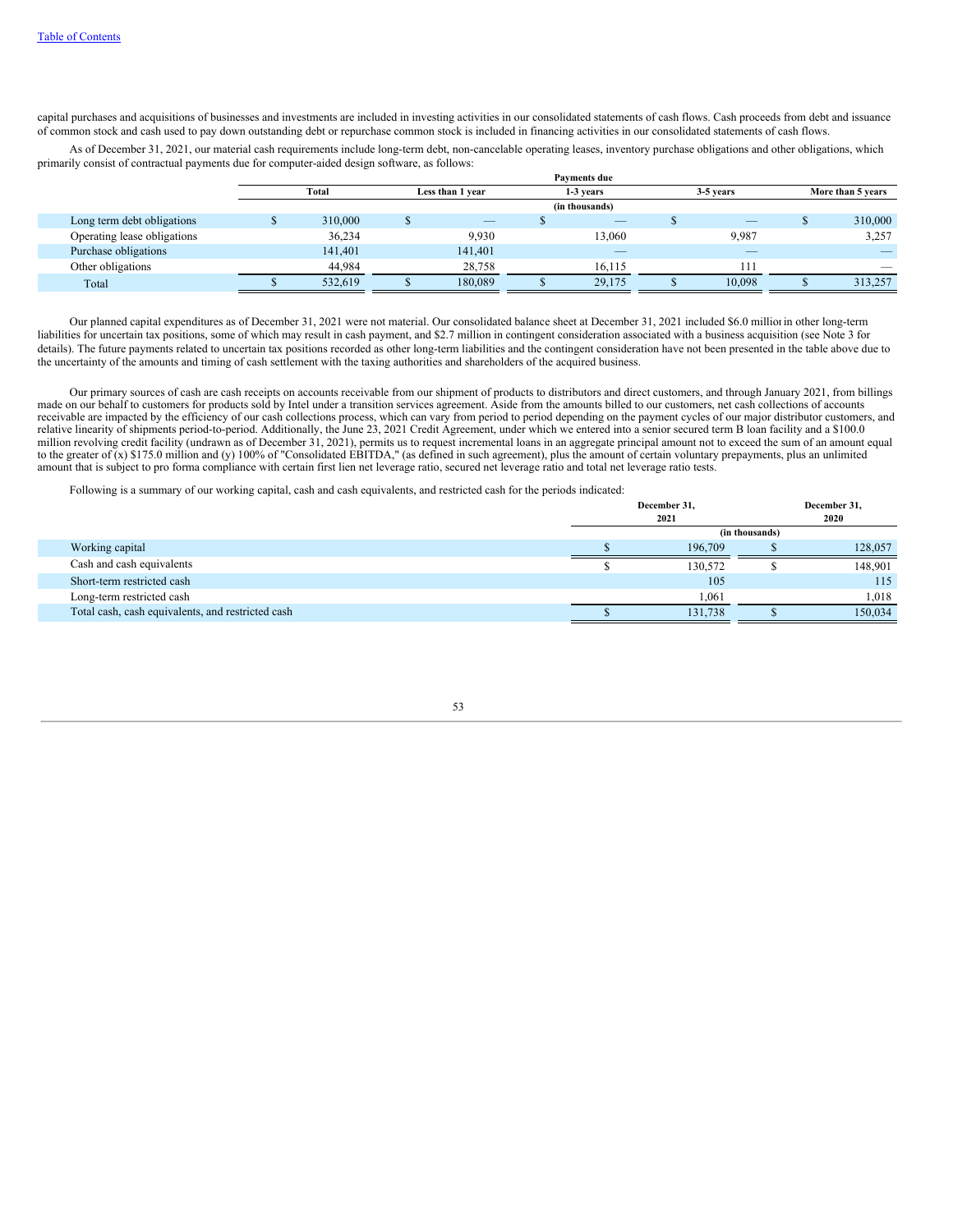capital purchases and acquisitions of businesses and investments are included in investing activities in our consolidated statements of cash flows. Cash proceeds from debt and issuance of common stock and cash used to pay down outstanding debt or repurchase common stock is included in financing activities in our consolidated statements of cash flows.

As of December 31, 2021, our material cash requirements include long-term debt, non-cancelable operating leases, inventory purchase obligations and other obligations, which primarily consist of contractual payments due for computer-aided design software, as follows:

|                             |         |                  | Payments due                   |                                |                   |
|-----------------------------|---------|------------------|--------------------------------|--------------------------------|-------------------|
|                             | Total   | Less than 1 year | 1-3 years                      | 3-5 years                      | More than 5 years |
|                             |         |                  | (in thousands)                 |                                |                   |
| Long term debt obligations  | 310,000 | $\qquad \qquad$  | $\overbrace{\hspace{25mm}}^{}$ | $\overbrace{\hspace{25mm}}^{}$ | 310,000           |
| Operating lease obligations | 36,234  | 9.930            | 13,060                         | 9.987                          | 3,257             |
| Purchase obligations        | 141,401 | 141,401          |                                | $\overbrace{\hspace{25mm}}^{}$ |                   |
| Other obligations           | 44.984  | 28,758           | 16.115                         | 111                            |                   |
| Total                       | 532,619 | 180.089          | 29,175                         | 10.098                         | 313,257           |

Our planned capital expenditures as of December 31, 2021 were not material. Our consolidated balance sheet at December 31, 2021 included \$6.0 millionin other long-term liabilities for uncertain tax positions, some of which may result in cash payment, and \$2.7 million in contingent consideration associated with a business acquisition (see Note 3 for details). The future payments related to uncertain tax positions recorded as other long-term liabilities and the contingent consideration have not been presented in the table above due to the uncertainty of the amounts and timing of cash settlement with the taxing authorities and shareholders of the acquired business.

Our primary sources of cash are cash receipts on accounts receivable from our shipment of products to distributors and direct customers, and through January 2021, from billings made on our behalf to customers for products sold by Intel under a transition services agreement. Aside from the amounts billed to our customers, net cash collections of accounts receivable are impacted by the efficiency of our cash collections process, which can vary from period to period depending on the payment cycles of our major distributor customers, and relative linearity of shipments period-to-period. Additionally, the June 23, 2021 Credit Agreement, under which we entered into a senior secured term B loan facility and a \$100.0 million revolving credit facility (undrawn as of December 31, 2021), permits us to request incremental loans in an aggregate principal amount not to exceed the sum of an amount equal to the greater of  $(x)$  \$175.0 million and  $(y)$  100% of "Consolidated EBITDA," (as defined in such agreement), plus the amount of certain voluntary prepayments, plus an unlimited amount that is subject to pro forma compliance with certain first lien net leverage ratio, secured net leverage ratio and total net leverage ratio tests.

Following is a summary of our working capital, cash and cash equivalents, and restricted cash for the periods indicated:

|                                                   | December 31, |                | December 31, |
|---------------------------------------------------|--------------|----------------|--------------|
|                                                   | 2021         |                | 2020         |
|                                                   |              | (in thousands) |              |
| Working capital                                   | 196,709      |                | 128,057      |
| Cash and cash equivalents                         | 130,572      |                | 148,901      |
| Short-term restricted cash                        | 105          |                | 115          |
| Long-term restricted cash                         | 1.061        |                | 1,018        |
| Total cash, cash equivalents, and restricted cash | 131,738      |                | 150,034      |
|                                                   |              |                |              |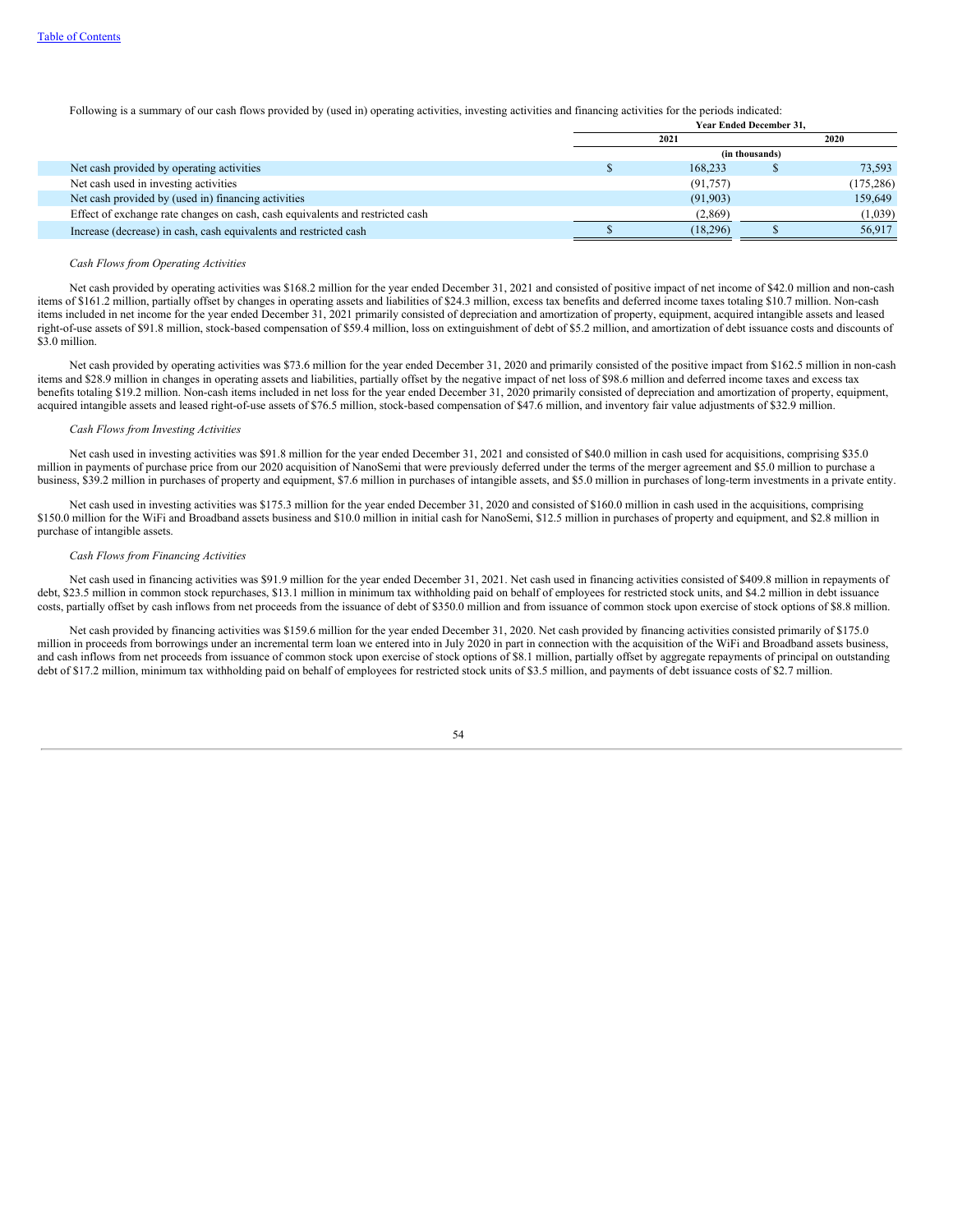Following is a summary of our cash flows provided by (used in) operating activities, investing activities and financing activities for the periods indicated:

|                                                                               | <b>Year Ended December 31.</b> |           |                |            |  |
|-------------------------------------------------------------------------------|--------------------------------|-----------|----------------|------------|--|
|                                                                               |                                | 2021      |                | 2020       |  |
|                                                                               |                                |           | (in thousands) |            |  |
| Net cash provided by operating activities                                     |                                | 168,233   |                | 73,593     |  |
| Net cash used in investing activities                                         |                                | (91, 757) |                | (175, 286) |  |
| Net cash provided by (used in) financing activities                           |                                | (91,903)  |                | 159,649    |  |
| Effect of exchange rate changes on cash, cash equivalents and restricted cash |                                | (2.869)   |                | (1,039)    |  |
| Increase (decrease) in cash, cash equivalents and restricted cash             |                                | (18.296)  |                | 56.917     |  |

## *Cash Flows from Operating Activities*

Net cash provided by operating activities was \$168.2 million for the year ended December 31, 2021 and consisted of positive impact of net income of \$42.0 million and non-cash items of \$161.2 million, partially offset by changes in operating assets and liabilities of \$24.3 million, excess tax benefits and deferred income taxes totaling \$10.7 million. Non-cash items included in net income for the year ended December 31, 2021 primarily consisted of depreciation and amortization of property, equipment, acquired intangible assets and leased right-of-use assets of \$91.8 million, stock-based compensation of \$59.4 million, loss on extinguishment of debt of \$5.2 million, and amortization of debt issuance costs and discounts of \$3.0 million.

Net cash provided by operating activities was \$73.6 million for the year ended December 31, 2020 and primarily consisted of the positive impact from \$162.5 million in non-cash items and \$28.9 million in changes in operating assets and liabilities, partially offset by the negative impact of net loss of \$98.6 million and deferred income taxes and excess tax benefits totaling \$19.2 million. Non-cash items included in net loss for the year ended December 31, 2020 primarily consisted of depreciation and amortization of property, equipment, acquired intangible assets and leased right-of-use assets of \$76.5 million, stock-based compensation of \$47.6 million, and inventory fair value adjustments of \$32.9 million.

#### *Cash Flows from Investing Activities*

Net cash used in investing activities was \$91.8 million for the year ended December 31, 2021 and consisted of \$40.0 million in cash used for acquisitions, comprising \$35.0 million in payments of purchase price from our 2020 acquisition of NanoSemi that were previously deferred under the terms of the merger agreement and \$5.0 million to purchase a business, \$39.2 million in purchases of property and equipment, \$7.6 million in purchases of intangible assets, and \$5.0 million in purchases of long-term investments in a private entity.

Net cash used in investing activities was \$175.3 million for the year ended December 31, 2020 and consisted of \$160.0 million in cash used in the acquisitions, comprising \$150.0 million for the WiFi and Broadband assets business and \$10.0 million in initial cash for NanoSemi, \$12.5 million in purchases of property and equipment, and \$2.8 million in purchase of intangible assets.

#### *Cash Flows from Financing Activities*

Net cash used in financing activities was \$91.9 million for the year ended December 31, 2021. Net cash used in financing activities consisted of \$409.8 million in repayments of debt, \$23.5 million in common stock repurchases, \$13.1 million in minimum tax withholding paid on behalf of employees for restricted stock units, and \$4.2 million in debt issuance costs, partially offset by cash inflows from net proceeds from the issuance of debt of \$350.0 million and from issuance of common stock upon exercise of stock options of \$8.8 million.

Net cash provided by financing activities was \$159.6 million for the year ended December 31, 2020. Net cash provided by financing activities consisted primarily of \$175.0 million in proceeds from borrowings under an incremental term loan we entered into in July 2020 in part in connection with the acquisition of the WiFi and Broadband assets business, and cash inflows from net proceeds from issuance of common stock upon exercise of stock options of \$8.1 million, partially offset by aggregate repayments of principal on outstanding debt of \$17.2 million, minimum tax withholding paid on behalf of employees for restricted stock units of \$3.5 million, and payments of debt issuance costs of \$2.7 million.

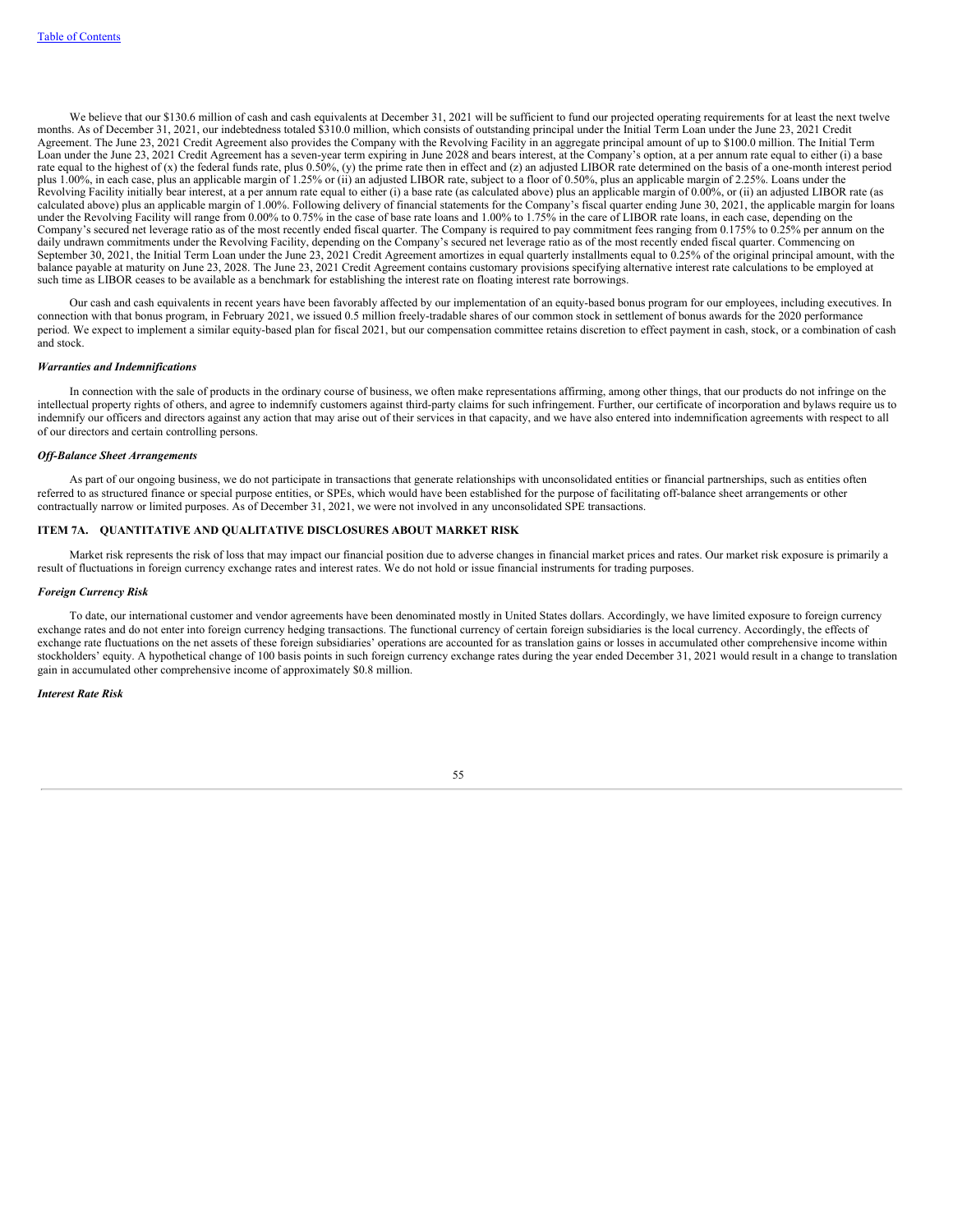We believe that our \$130.6 million of cash and cash equivalents at December 31, 2021 will be sufficient to fund our projected operating requirements for at least the next twelve months. As of December 31, 2021, our indebtedness totaled \$310.0 million, which consists of outstanding principal under the Initial Term Loan under the June 23, 2021 Credit Agreement. The June 23, 2021 Credit Agreement also provides the Company with the Revolving Facility in an aggregate principal amount of up to \$100.0 million. The Initial Term Loan under the June 23, 2021 Credit Agreement has a seven-year term expiring in June 2028 and bears interest, at the Company's option, at a per annum rate equal to either (i) a base rate equal to the highest of (x) the federal funds rate, plus 0.50%, (y) the prime rate then in effect and (z) an adjusted LIBOR rate determined on the basis of a one-month interest period plus 1.00%, in each case, plus an applicable margin of 1.25% or (ii) an adjusted LIBOR rate, subject to a floor of 0.50%, plus an applicable margin of 2.25%. Loans under the Revolving Facility initially bear interest, at a per annum rate equal to either (i) a base rate (as calculated above) plus an applicable margin of 0.00%, or (ii) an adjusted LIBOR rate (as calculated above) plus an applicable margin of 1.00%. Following delivery of financial statements for the Company's fiscal quarter ending June 30, 2021, the applicable margin for loans under the Revolving Facility will range from 0.00% to 0.75% in the case of base rate loans and 1.00% to 1.75% in the care of LIBOR rate loans, in each case, depending on the Company's secured net leverage ratio as of the most recently ended fiscal quarter. The Company is required to pay commitment fees ranging from 0.175% to 0.25% per annum on the daily undrawn commitments under the Revolving Facility, depending on the Company's secured net leverage ratio as of the most recently ended fiscal quarter. Commencing on September 30, 2021, the Initial Term Loan under the June 23, 2021 Credit Agreement amortizes in equal quarterly installments equal to 0.25% of the original principal amount, with the balance payable at maturity on June 23, 2028. The June 23, 2021 Credit Agreement contains customary provisions specifying alternative interest rate calculations to be employed at such time as LIBOR ceases to be available as a benchmark for establishing the interest rate on floating interest rate borrowings.

Our cash and cash equivalents in recent years have been favorably affected by our implementation of an equity-based bonus program for our employees, including executives. In connection with that bonus program, in February 2021, we issued 0.5 million freely-tradable shares of our common stock in settlement of bonus awards for the 2020 performance period. We expect to implement a similar equity-based plan for fiscal 2021, but our compensation committee retains discretion to effect payment in cash, stock, or a combination of cash and stock.

### *Warranties and Indemnifications*

In connection with the sale of products in the ordinary course of business, we often make representations affirming, among other things, that our products do not infringe on the intellectual property rights of others, and agree to indemnify customers against third-party claims for such infringement. Further, our certificate of incorporation and bylaws require us to indemnify our officers and directors against any action that may arise out of their services in that capacity, and we have also entered into indemnification agreements with respect to all of our directors and certain controlling persons.

#### *Of -Balance Sheet Arrangements*

As part of our ongoing business, we do not participate in transactions that generate relationships with unconsolidated entities or financial partnerships, such as entities often referred to as structured finance or special purpose entities, or SPEs, which would have been established for the purpose of facilitating off-balance sheet arrangements or other contractually narrow or limited purposes. As of December 31, 2021, we were not involved in any unconsolidated SPE transactions.

## **ITEM 7A. QUANTITATIVE AND QUALITATIVE DISCLOSURES ABOUT MARKET RISK**

Market risk represents the risk of loss that may impact our financial position due to adverse changes in financial market prices and rates. Our market risk exposure is primarily a result of fluctuations in foreign currency exchange rates and interest rates. We do not hold or issue financial instruments for trading purposes.

#### *Foreign Currency Risk*

To date, our international customer and vendor agreements have been denominated mostly in United States dollars. Accordingly, we have limited exposure to foreign currency exchange rates and do not enter into foreign currency hedging transactions. The functional currency of certain foreign subsidiaries is the local currency. Accordingly, the effects of exchange rate fluctuations on the net assets of these foreign subsidiaries' operations are accounted for as translation gains or losses in accumulated other comprehensive income within stockholders' equity. A hypothetical change of 100 basis points in such foreign currency exchange rates during the year ended December 31, 2021 would result in a change to translation gain in accumulated other comprehensive income of approximately \$0.8 million.

#### *Interest Rate Risk*

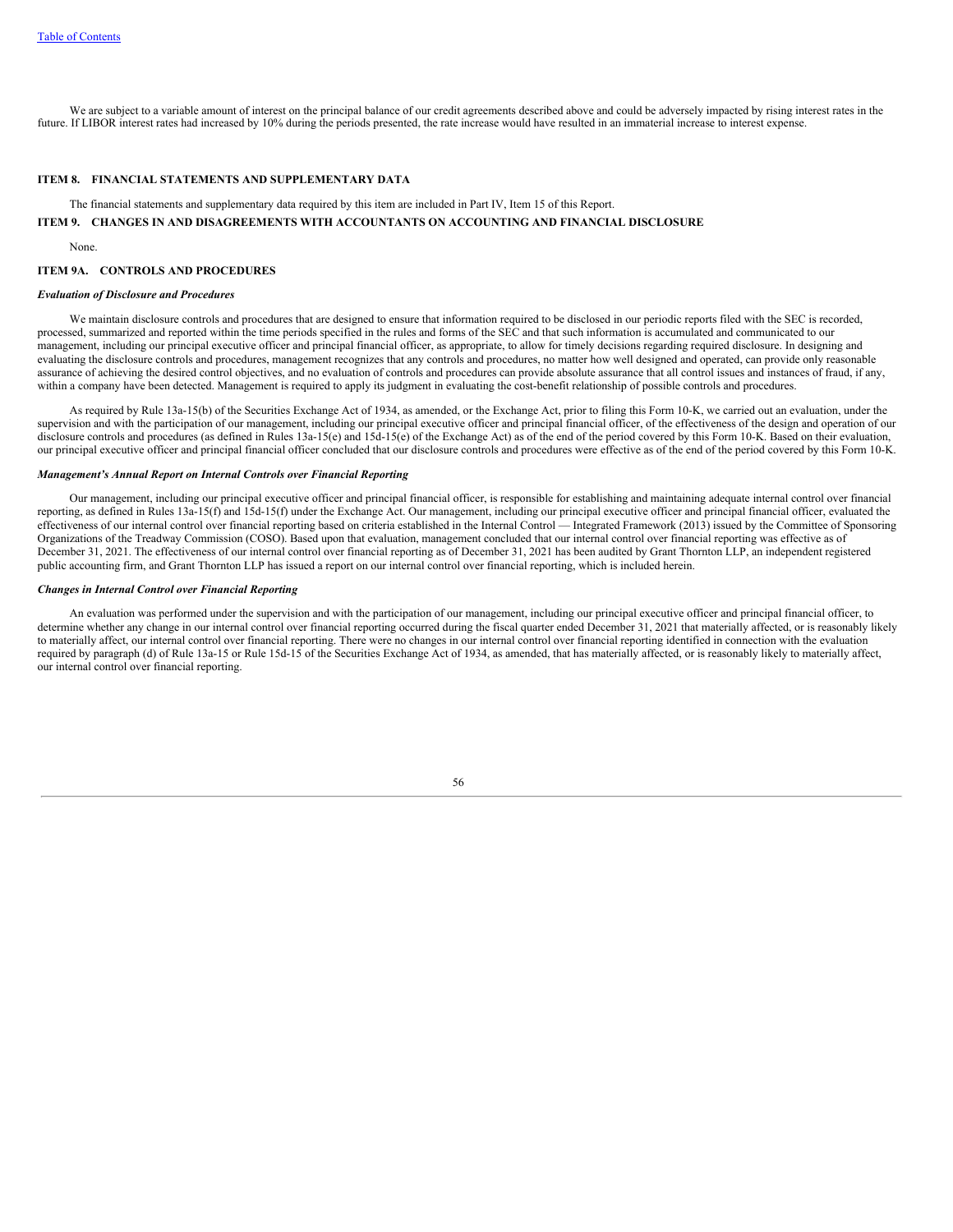We are subject to a variable amount of interest on the principal balance of our credit agreements described above and could be adversely impacted by rising interest rates in the future. If LIBOR interest rates had increased by 10% during the periods presented, the rate increase would have resulted in an immaterial increase to interest expense.

### **ITEM 8. FINANCIAL STATEMENTS AND SUPPLEMENTARY DATA**

The financial statements and supplementary data required by this item are included in Part IV, Item 15 of this Report.

# **ITEM 9. CHANGES IN AND DISAGREEMENTS WITH ACCOUNTANTS ON ACCOUNTING AND FINANCIAL DISCLOSURE**

None.

**ITEM 9A. CONTROLS AND PROCEDURES**

### *Evaluation of Disclosure and Procedures*

We maintain disclosure controls and procedures that are designed to ensure that information required to be disclosed in our periodic reports filed with the SEC is recorded, processed, summarized and reported within the time periods specified in the rules and forms of the SEC and that such information is accumulated and communicated to our management, including our principal executive officer and principal financial officer, as appropriate, to allow for timely decisions regarding required disclosure. In designing and evaluating the disclosure controls and procedures, management recognizes that any controls and procedures, no matter how well designed and operated, can provide only reasonable assurance of achieving the desired control objectives, and no evaluation of controls and procedures can provide absolute assurance that all control issues and instances of fraud, if any, within a company have been detected. Management is required to apply its judgment in evaluating the cost-benefit relationship of possible controls and procedures.

As required by Rule 13a-15(b) of the Securities Exchange Act of 1934, as amended, or the Exchange Act, prior to filing this Form 10-K, we carried out an evaluation, under the supervision and with the participation of our management, including our principal executive officer and principal financial officer, of the effectiveness of the design and operation of our disclosure controls and procedures (as defined in Rules 13a-15(e) and 15d-15(e) of the Exchange Act) as of the end of the period covered by this Form 10-K. Based on their evaluation, our principal executive officer and principal financial officer concluded that our disclosure controls and procedures were effective as of the end of the period covered by this Form 10-K.

#### *Management's Annual Report on Internal Controls over Financial Reporting*

Our management, including our principal executive officer and principal financial officer, is responsible for establishing and maintaining adequate internal control over financial reporting, as defined in Rules 13a-15(f) and 15d-15(f) under the Exchange Act. Our management, including our principal executive officer and principal financial officer, evaluated the effectiveness of our internal control over financial reporting based on criteria established in the Internal Control — Integrated Framework (2013) issued by the Committee of Sponsoring Organizations of the Treadway Commission (COSO). Based upon that evaluation, management concluded that our internal control over financial reporting was effective as of December 31, 2021. The effectiveness of our internal control over financial reporting as of December 31, 2021 has been audited by Grant Thornton LLP, an independent registered public accounting firm, and Grant Thornton LLP has issued a report on our internal control over financial reporting, which is included herein.

#### *Changes in Internal Control over Financial Reporting*

An evaluation was performed under the supervision and with the participation of our management, including our principal executive officer and principal financial officer, to determine whether any change in our internal control over financial reporting occurred during the fiscal quarter ended December 31, 2021 that materially affected, or is reasonably likely to materially affect, our internal control over financial reporting. There were no changes in our internal control over financial reporting identified in connection with the evaluation required by paragraph (d) of Rule 13a-15 or Rule 15d-15 of the Securities Exchange Act of 1934, as amended, that has materially affected, or is reasonably likely to materially affect, our internal control over financial reporting.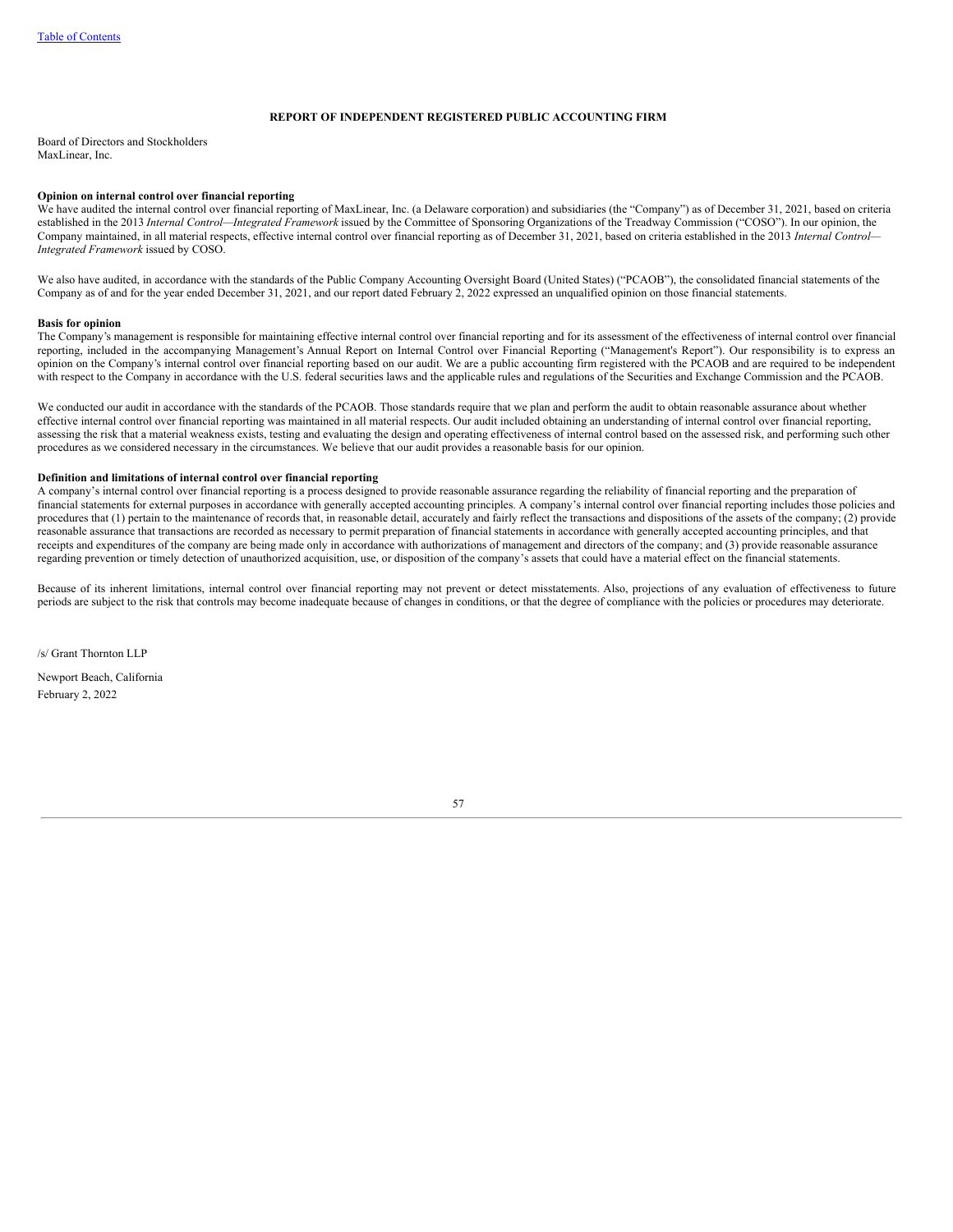### **REPORT OF INDEPENDENT REGISTERED PUBLIC ACCOUNTING FIRM**

Board of Directors and Stockholders MaxLinear, Inc.

#### **Opinion on internal control over financial reporting**

We have audited the internal control over financial reporting of MaxLinear, Inc. (a Delaware corporation) and subsidiaries (the "Company") as of December 31, 2021, based on criteria established in the 2013 *Internal Control—Integrated Framework* issued by the Committee of Sponsoring Organizations of the Treadway Commission ("COSO"). In our opinion, the Company maintained, in all material respects, effective internal control over financial reporting as of December 31, 2021, based on criteria established in the 2013 *Internal Control— Integrated Framework* issued by COSO.

We also have audited, in accordance with the standards of the Public Company Accounting Oversight Board (United States) ("PCAOB"), the consolidated financial statements of the Company as of and for the year ended December 31, 2021, and our report dated February 2, 2022 expressed an unqualified opinion on those financial statements.

#### **Basis for opinion**

The Company's management is responsible for maintaining effective internal control over financial reporting and for its assessment of the effectiveness of internal control over financial reporting, included in the accompanying Management's Annual Report on Internal Control over Financial Reporting ("Management's Report"). Our responsibility is to express an opinion on the Company's internal control over financial reporting based on our audit. We are a public accounting firm registered with the PCAOB and are required to be independent with respect to the Company in accordance with the U.S. federal securities laws and the applicable rules and regulations of the Securities and Exchange Commission and the PCAOB.

We conducted our audit in accordance with the standards of the PCAOB. Those standards require that we plan and perform the audit to obtain reasonable assurance about whether effective internal control over financial reporting was maintained in all material respects. Our audit included obtaining an understanding of internal control over financial reporting, assessing the risk that a material weakness exists, testing and evaluating the design and operating effectiveness of internal control based on the assessed risk, and performing such other procedures as we considered necessary in the circumstances. We believe that our audit provides a reasonable basis for our opinion.

## **Definition and limitations of internal control over financial reporting**

A company's internal control over financial reporting is a process designed to provide reasonable assurance regarding the reliability of financial reporting and the preparation of financial statements for external purposes in accordance with generally accepted accounting principles. A company's internal control over financial reporting includes those policies and procedures that (1) pertain to the maintenance of records that, in reasonable detail, accurately and fairly reflect the transactions and dispositions of the assets of the company; (2) provide reasonable assurance that transactions are recorded as necessary to permit preparation of financial statements in accordance with generally accepted accounting principles, and that receipts and expenditures of the company are being made only in accordance with authorizations of management and directors of the company; and (3) provide reasonable assurance regarding prevention or timely detection of unauthorized acquisition, use, or disposition of the company's assets that could have a material effect on the financial statements.

Because of its inherent limitations, internal control over financial reporting may not prevent or detect misstatements. Also, projections of any evaluation of effectiveness to future periods are subject to the risk that controls may become inadequate because of changes in conditions, or that the degree of compliance with the policies or procedures may deteriorate.

/s/ Grant Thornton LLP

Newport Beach, California February 2, 2022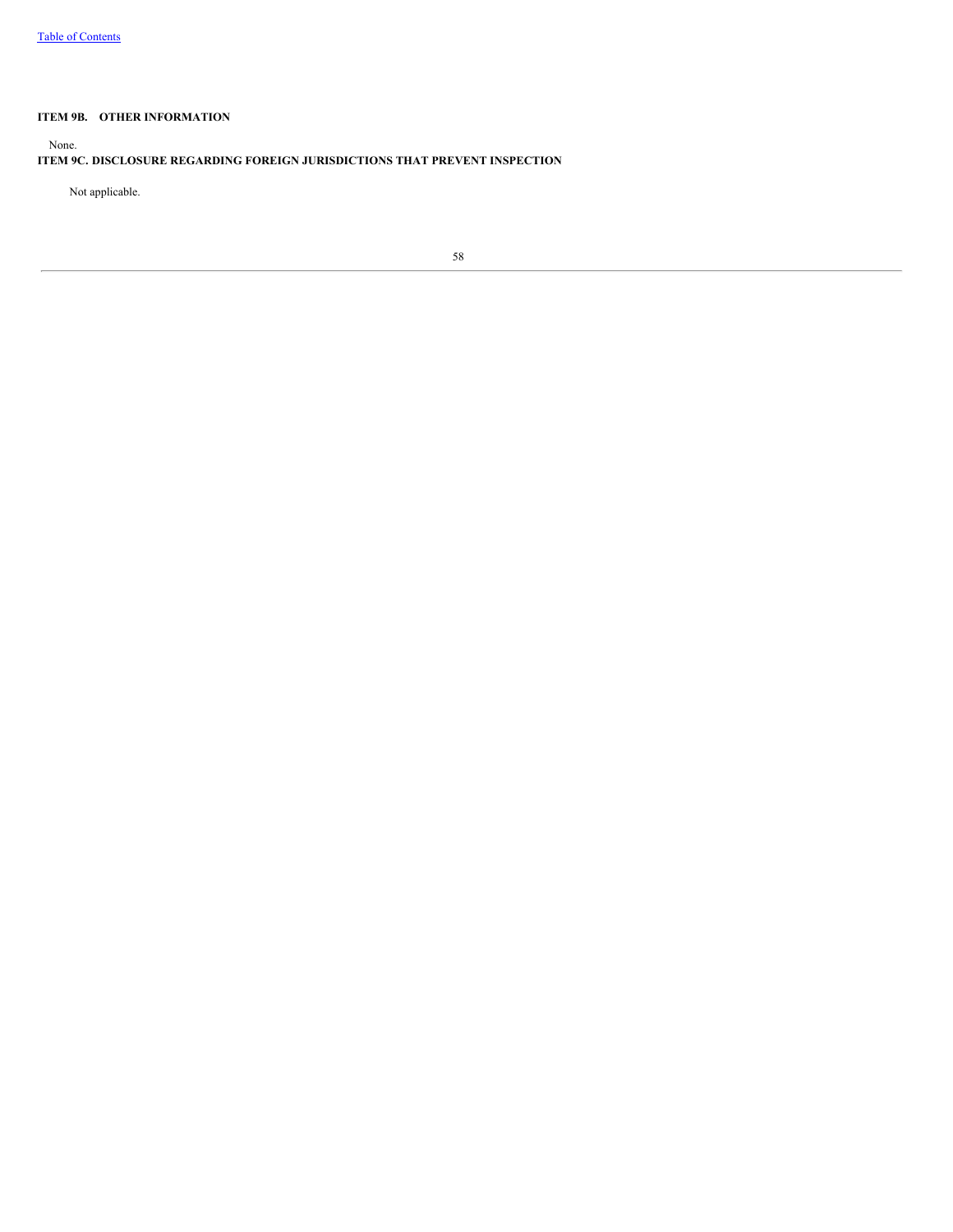# **ITEM 9B. OTHER INFORMATION**

# None.

# **ITEM 9C. DISCLOSURE REGARDING FOREIGN JURISDICTIONS THAT PREVENT INSPECTION**

Not applicable.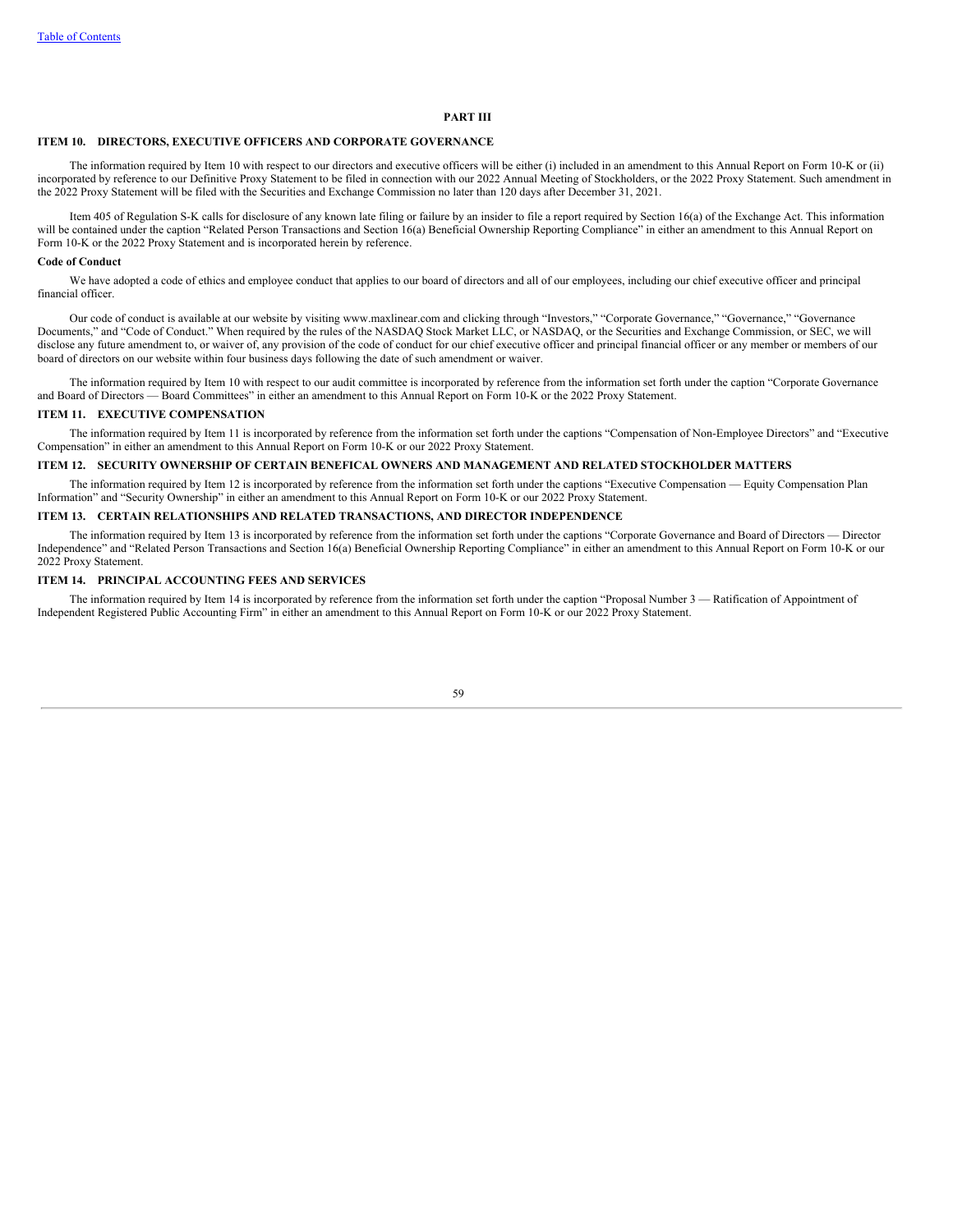# **PART III**

## **ITEM 10. DIRECTORS, EXECUTIVE OFFICERS AND CORPORATE GOVERNANCE**

The information required by Item 10 with respect to our directors and executive officers will be either (i) included in an amendment to this Annual Report on Form 10-K or (ii) incorporated by reference to our Definitive Proxy Statement to be filed in connection with our 2022 Annual Meeting of Stockholders, or the 2022 Proxy Statement. Such amendment in the 2022 Proxy Statement will be filed with the Securities and Exchange Commission no later than 120 days after December 31, 2021.

Item 405 of Regulation S-K calls for disclosure of any known late filing or failure by an insider to file a report required by Section 16(a) of the Exchange Act. This information will be contained under the caption "Related Person Transactions and Section 16(a) Beneficial Ownership Reporting Compliance" in either an amendment to this Annual Report on Form 10-K or the 2022 Proxy Statement and is incorporated herein by reference.

#### **Code of Conduct**

We have adopted a code of ethics and employee conduct that applies to our board of directors and all of our employees, including our chief executive officer and principal financial officer.

Our code of conduct is available at our website by visiting www.maxlinear.com and clicking through "Investors," "Corporate Governance," "Governance," "Governance," "Governance," Documents," and "Code of Conduct." When required by the rules of the NASDAQ Stock Market LLC, or NASDAQ, or the Securities and Exchange Commission, or SEC, we will disclose any future amendment to, or waiver of, any provision of the code of conduct for our chief executive officer and principal financial officer or any member or members of our board of directors on our website within four business days following the date of such amendment or waiver.

The information required by Item 10 with respect to our audit committee is incorporated by reference from the information set forth under the caption "Corporate Governance and Board of Directors — Board Committees" in either an amendment to this Annual Report on Form 10-K or the 2022 Proxy Statement.

#### **ITEM 11. EXECUTIVE COMPENSATION**

The information required by Item 11 is incorporated by reference from the information set forth under the captions "Compensation of Non-Employee Directors" and "Executive Compensation" in either an amendment to this Annual Report on Form 10-K or our 2022 Proxy Statement.

## **ITEM 12. SECURITY OWNERSHIP OF CERTAIN BENEFICAL OWNERS AND MANAGEMENT AND RELATED STOCKHOLDER MATTERS**

The information required by Item 12 is incorporated by reference from the information set forth under the captions "Executive Compensation — Equity Compensation Plan Information" and "Security Ownership" in either an amendment to this Annual Report on Form 10-K or our 2022 Proxy Statement.

#### **ITEM 13. CERTAIN RELATIONSHIPS AND RELATED TRANSACTIONS, AND DIRECTOR INDEPENDENCE**

The information required by Item 13 is incorporated by reference from the information set forth under the captions "Corporate Governance and Board of Directors — Director Independence" and "Related Person Transactions and Section 16(a) Beneficial Ownership Reporting Compliance" in either an amendment to this Annual Report on Form 10-K or our 2022 Proxy Statement.

### **ITEM 14. PRINCIPAL ACCOUNTING FEES AND SERVICES**

The information required by Item 14 is incorporated by reference from the information set forth under the caption "Proposal Number 3 - Ratification of Appointment of Independent Registered Public Accounting Firm" in either an amendment to this Annual Report on Form 10-K or our 2022 Proxy Statement.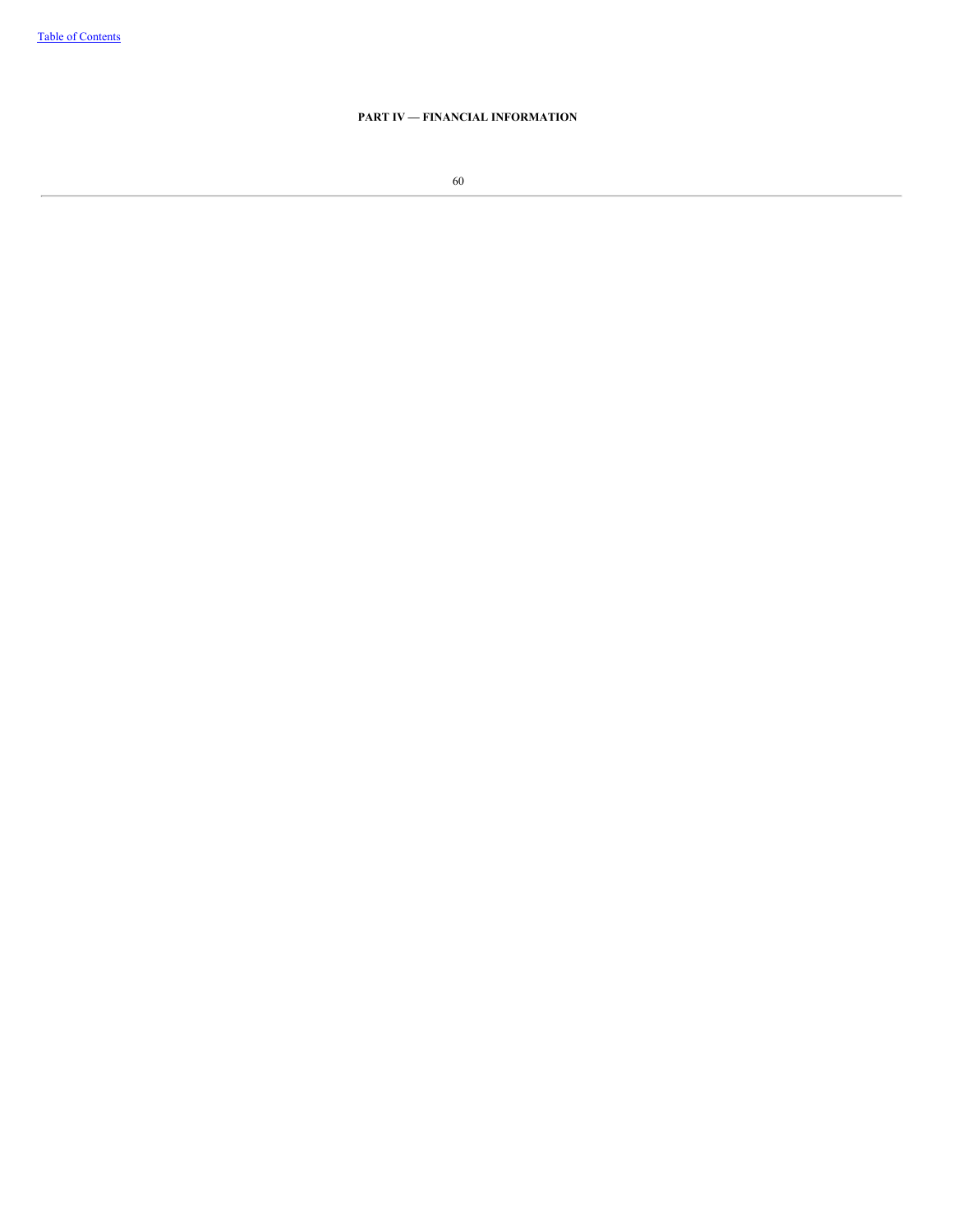# **PART IV — FINANCIAL INFORMATION**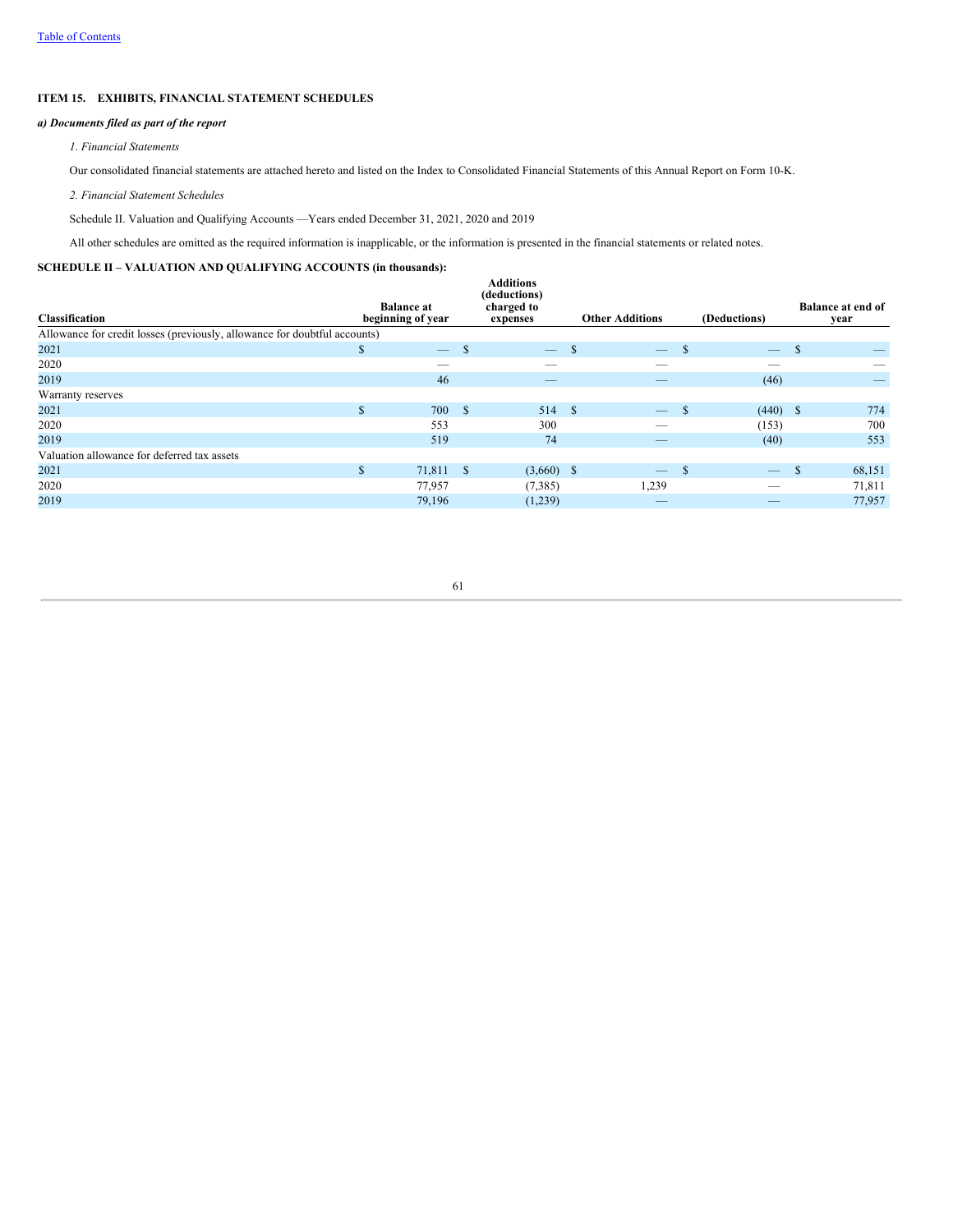# **ITEM 15. EXHIBITS, FINANCIAL STATEMENT SCHEDULES**

# *a) Documents filed as part of the report*

*1. Financial Statements*

Our consolidated financial statements are attached hereto and listed on the Index to Consolidated Financial Statements of this Annual Report on Form 10-K.

*2. Financial Statement Schedules*

Schedule II. Valuation and Qualifying Accounts —Years ended December 31, 2021, 2020 and 2019

All other schedules are omitted as the required information is inapplicable, or the information is presented in the financial statements or related notes.

# **SCHEDULE II – VALUATION AND QUALIFYING ACCOUNTS (in thousands):**

|                                                                           |                                        |                          |               | <b>Additions</b><br>(deductions) |               |                          |     |               |               |                           |
|---------------------------------------------------------------------------|----------------------------------------|--------------------------|---------------|----------------------------------|---------------|--------------------------|-----|---------------|---------------|---------------------------|
| Classification                                                            | <b>Balance at</b><br>beginning of year |                          |               | charged to<br>expenses           |               | <b>Other Additions</b>   |     | (Deductions)  |               | Balance at end of<br>year |
| Allowance for credit losses (previously, allowance for doubtful accounts) |                                        |                          |               |                                  |               |                          |     |               |               |                           |
| 2021                                                                      | <sup>\$</sup>                          | $\overline{\phantom{a}}$ | $\mathcal{S}$ | $\overline{\phantom{0}}$         | $\mathcal{S}$ | $\overline{\phantom{m}}$ | -\$ | $\frac{1}{2}$ | $\mathcal{S}$ |                           |
| 2020                                                                      |                                        |                          |               |                                  |               |                          |     |               |               |                           |
| 2019                                                                      |                                        | 46                       |               | $\overline{\phantom{a}}$         |               |                          |     | (46)          |               |                           |
| Warranty reserves                                                         |                                        |                          |               |                                  |               |                          |     |               |               |                           |
| 2021                                                                      | $\mathbf{s}$                           | 700                      | - \$          | 514 \$                           |               | $\overline{\phantom{m}}$ |     | $(440)$ \$    |               | 774                       |
| 2020                                                                      |                                        | 553                      |               | 300                              |               |                          |     | (153)         |               | 700                       |
| 2019                                                                      |                                        | 519                      |               | 74                               |               |                          |     | (40)          |               | 553                       |
| Valuation allowance for deferred tax assets                               |                                        |                          |               |                                  |               |                          |     |               |               |                           |
| 2021                                                                      | $\mathbf{s}$                           | 71,811                   | <sup>\$</sup> | $(3,660)$ \$                     |               |                          |     |               | \$            | 68,151                    |
| 2020                                                                      |                                        | 77,957                   |               | (7,385)                          |               | 1,239                    |     |               |               | 71,811                    |
| 2019                                                                      |                                        | 79,196                   |               | (1,239)                          |               |                          |     |               |               | 77,957                    |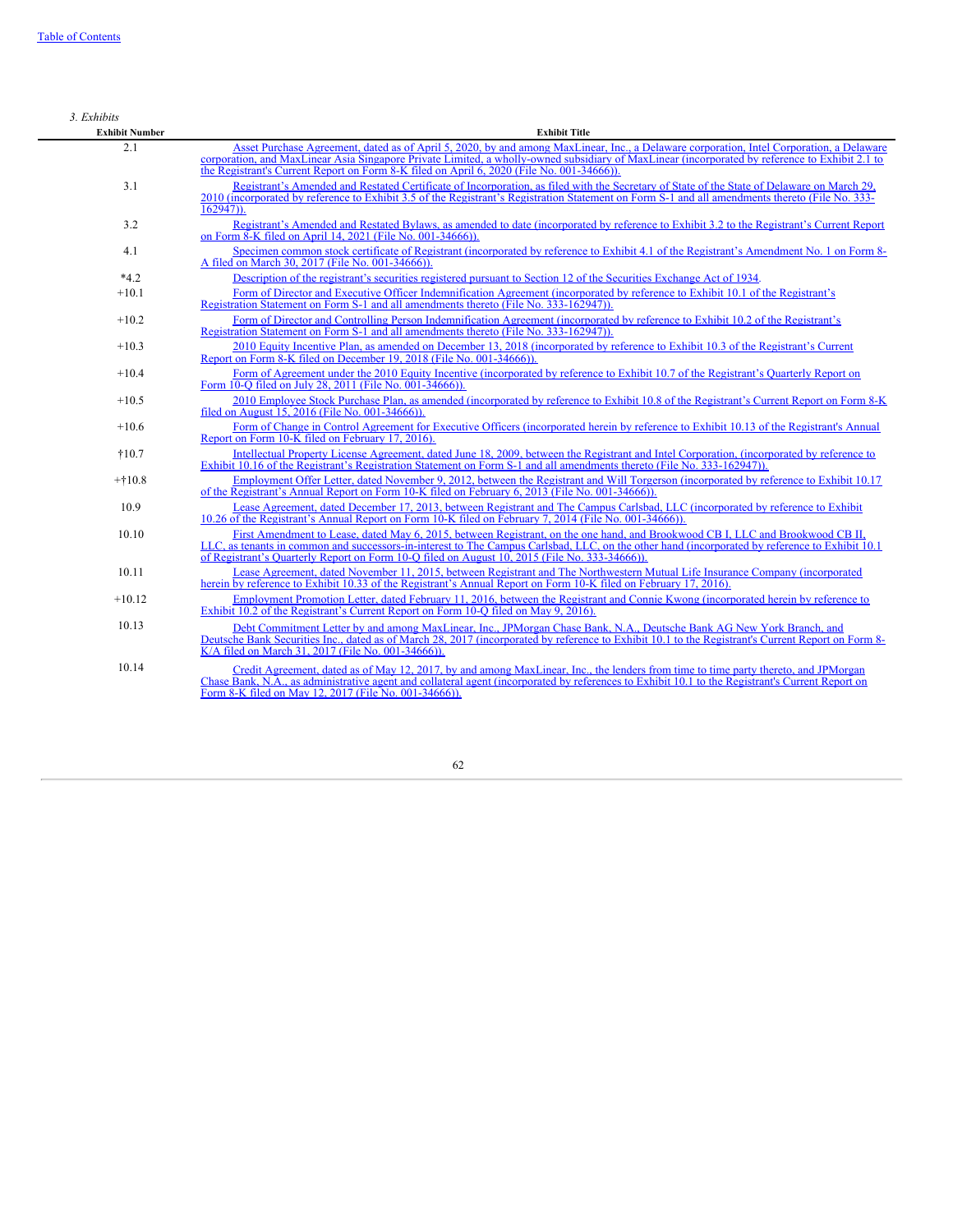| 3. Exhibits           |                                                                                                                                                                                                                                                                                                                                                                                         |
|-----------------------|-----------------------------------------------------------------------------------------------------------------------------------------------------------------------------------------------------------------------------------------------------------------------------------------------------------------------------------------------------------------------------------------|
| <b>Exhibit Number</b> | <b>Exhibit Title</b>                                                                                                                                                                                                                                                                                                                                                                    |
| 2.1                   | Asset Purchase Agreement, dated as of April 5, 2020, by and among MaxLinear, Inc., a Delaware corporation, Intel Corporation, a Delaware<br>corporation, and MaxLinear Asia Singapore Private Limited, a wholly-owned subsidiary of MaxLinear (incorporated by reference to Exhibit 2.1 to<br>the Registrant's Current Report on Form 8-K filed on April 6, 2020 (File No. 001-34666)). |
| 3.1                   | Registrant's Amended and Restated Certificate of Incorporation, as filed with the Secretary of State of the State of Delaware on March 29,<br>2010 (incorporated by reference to Exhibit 3.5 of the Registrant's Registration Statement on Form S-1 and all amendments thereto (File No. 333-<br>$162947$ ).                                                                            |
| 3.2                   | Registrant's Amended and Restated Bylaws, as amended to date (incorporated by reference to Exhibit 3.2 to the Registrant's Current Report<br>on Form 8-K filed on April 14, 2021 (File No. 001-34666)).                                                                                                                                                                                 |
| 4.1                   | Specimen common stock certificate of Registrant (incorporated by reference to Exhibit 4.1 of the Registrant's Amendment No. 1 on Form 8-<br>A filed on March 30, 2017 (File No. 001-34666)).                                                                                                                                                                                            |
| $*4.2$                | Description of the registrant's securities registered pursuant to Section 12 of the Securities Exchange Act of 1934.                                                                                                                                                                                                                                                                    |
| $+10.1$               | Form of Director and Executive Officer Indemnification Agreement (incorporated by reference to Exhibit 10.1 of the Registrant's<br>Registration Statement on Form S-1 and all amendments thereto (File No. 333-162947)).                                                                                                                                                                |
| $+10.2$               | Form of Director and Controlling Person Indemnification Agreement (incorporated by reference to Exhibit 10.2 of the Registrant's<br>Registration Statement on Form S-1 and all amendments thereto (File No. 333-162947)).                                                                                                                                                               |
| $+10.3$               | 2010 Equity Incentive Plan, as amended on December 13, 2018 (incorporated by reference to Exhibit 10.3 of the Registrant's Current<br>Report on Form 8-K filed on December 19, 2018 (File No. 001-34666)).                                                                                                                                                                              |
| $+10.4$               | Form of Agreement under the 2010 Equity Incentive (incorporated by reference to Exhibit 10.7 of the Registrant's Ouarterly Report on<br>Form 10-O filed on July 28, 2011 (File No. 001-34666)).                                                                                                                                                                                         |
| $+10.5$               | 2010 Employee Stock Purchase Plan, as amended (incorporated by reference to Exhibit 10.8 of the Registrant's Current Report on Form 8-K<br>filed on August 15, 2016 (File No. 001-34666)).                                                                                                                                                                                              |
| $+10.6$               | Form of Change in Control Agreement for Executive Officers (incorporated herein by reference to Exhibit 10.13 of the Registrant's Annual<br>Report on Form 10-K filed on February 17, 2016).                                                                                                                                                                                            |
| $\dagger 10.7$        | Intellectual Property License Agreement, dated June 18, 2009, between the Registrant and Intel Corporation, (incorporated by reference to<br>Exhibit 10.16 of the Registrant's Registration Statement on Form S-1 and all amendments thereto (File No. 333-162947)).                                                                                                                    |
| $+10.8$               | Employment Offer Letter, dated November 9, 2012, between the Registrant and Will Torgerson (incorporated by reference to Exhibit 10.17<br>of the Registrant's Annual Report on Form 10-K filed on February 6, 2013 (File No. 001-34666).                                                                                                                                                |
| 10.9                  | Lease Agreement, dated December 17, 2013, between Registrant and The Campus Carlsbad, LLC (incorporated by reference to Exhibit<br>10.26 of the Registrant's Annual Report on Form 10-K filed on February 7, 2014 (File No. 001-34666)).                                                                                                                                                |
| 10.10                 | First Amendment to Lease, dated May 6, 2015, between Registrant, on the one hand, and Brookwood CB I, LLC and Brookwood CB II.<br>LLC, as tenants in common and successors-in-interest to The Campus Carlsbad, LLC, on the other hand (incorporated by reference to Exhibit 10.1)<br>of Registrant's Quarterly Report on Form 10-Q filed on August 10, 2015 (File No. 333-34666)).      |
| 10.11                 | Lease Agreement, dated November 11, 2015, between Registrant and The Northwestern Mutual Life Insurance Company (incorporated<br>herein by reference to Exhibit 10.33 of the Registrant's Annual Report on Form 10-K filed on February 17, 2016).                                                                                                                                       |
| $+10.12$              | Employment Promotion Letter, dated February 11, 2016, between the Registrant and Connie Kwong (incorporated herein by reference to<br>Exhibit 10.2 of the Registrant's Current Report on Form 10-O filed on May 9, 2016).                                                                                                                                                               |
| 10.13                 | Debt Commitment Letter by and among MaxLinear, Inc., JPMorgan Chase Bank, N.A., Deutsche Bank AG New York Branch, and<br>Deutsche Bank Securities Inc., dated as of March 28, 2017 (incorporated by reference to Exhibit 10.1 to the Registrant's Current Report on Form 8-<br>K/A filed on March 31, 2017 (File No. 001-34666)).                                                       |
| 10.14                 | Credit Agreement, dated as of May 12, 2017, by and among MaxLinear, Inc., the lenders from time to time party thereto, and JPMorgan<br>Chase Bank, N.A., as administrative agent and collateral agent (incorporated by references to Exhibit 10.1 to the Registrant's Current Report on<br>Form 8-K filed on May 12, 2017 (File No. 001-34666)).                                        |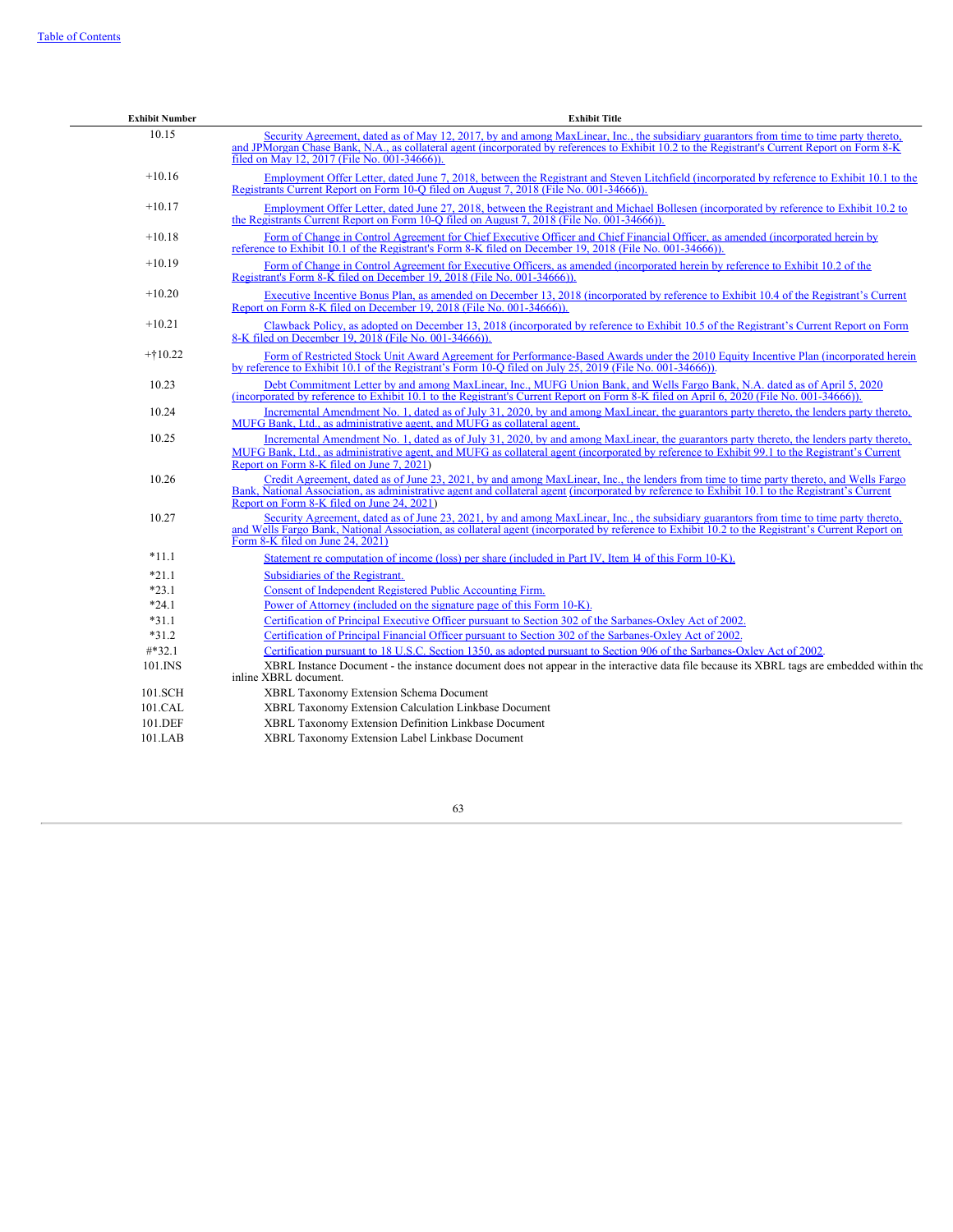L,

| <b>Exhibit Number</b> | <b>Exhibit Title</b>                                                                                                                                                                                                                                                                                                                     |
|-----------------------|------------------------------------------------------------------------------------------------------------------------------------------------------------------------------------------------------------------------------------------------------------------------------------------------------------------------------------------|
| 10.15                 | Security Agreement, dated as of May 12, 2017, by and among MaxLinear, Inc., the subsidiary guarantors from time to time party thereto,<br>and JPMorgan Chase Bank, N.A., as collateral agent (incorporated by references to Exhibit 10.2 to the Registrant's Current Report on Form 8-K<br>filed on May 12, 2017 (File No. 001-34666)).  |
| $+10.16$              | Employment Offer Letter, dated June 7, 2018, between the Registrant and Steven Litchfield (incorporated by reference to Exhibit 10.1 to the<br>Registrants Current Report on Form 10-O filed on August 7, 2018 (File No. 001-34666)).                                                                                                    |
| $+10.17$              | Employment Offer Letter, dated June 27, 2018, between the Registrant and Michael Bollesen (incorporated by reference to Exhibit 10.2 to<br>the Registrants Current Report on Form 10-O filed on August 7, 2018 (File No. 001-34666)).                                                                                                    |
| $+10.18$              | Form of Change in Control Agreement for Chief Executive Officer and Chief Financial Officer, as amended (incorporated herein by<br>reference to Exhibit 10.1 of the Registrant's Form 8-K filed on December 19, 2018 (File No. 001-34666)).                                                                                              |
| $+10.19$              | Form of Change in Control Agreement for Executive Officers, as amended (incorporated herein by reference to Exhibit 10.2 of the<br>Registrant's Form 8-K filed on December 19, 2018 (File No. 001-34666)).                                                                                                                               |
| $+10.20$              | Executive Incentive Bonus Plan, as amended on December 13, 2018 (incorporated by reference to Exhibit 10.4 of the Registrant's Current<br>Report on Form 8-K filed on December 19, 2018 (File No. 001-34666)).                                                                                                                           |
| $+10.21$              | Clawback Policy, as adopted on December 13, 2018 (incorporated by reference to Exhibit 10.5 of the Registrant's Current Report on Form<br>8-K filed on December 19, 2018 (File No. 001-34666)).                                                                                                                                          |
| $+10.22$              | Form of Restricted Stock Unit Award Agreement for Performance-Based Awards under the 2010 Equity Incentive Plan (incorporated herein<br>by reference to Exhibit 10.1 of the Registrant's Form 10-O filed on July 25, 2019 (File No. 001-34666)).                                                                                         |
| 10.23                 | Debt Commitment Letter by and among MaxLinear, Inc., MUFG Union Bank, and Wells Fargo Bank, N.A. dated as of April 5, 2020<br>(incorporated by reference to Exhibit 10.1 to the Registrant's Current Report on Form 8-K filed on April 6, 2020 (File No. 001-34666)).                                                                    |
| 10.24                 | Incremental Amendment No. 1, dated as of July 31, 2020, by and among MaxLinear, the guarantors party thereto, the lenders party thereto,<br>MUFG Bank, Ltd., as administrative agent, and MUFG as collateral agent.                                                                                                                      |
| 10.25                 | Incremental Amendment No. 1, dated as of July 31, 2020, by and among MaxLinear, the guarantors party thereto, the lenders party thereto,<br>MUFG Bank, Ltd., as administrative agent, and MUFG as collateral agent (incorporated by reference to Exhibit 99.1 to the Registrant's Current<br>Report on Form 8-K filed on June 7, 2021)   |
| 10.26                 | Credit Agreement, dated as of June 23, 2021, by and among MaxLinear, Inc., the lenders from time to time party thereto, and Wells Fargo<br>Bank, National Association, as administrative agent and collateral agent (incorporated by reference to Exhibit 10.1 to the Registrant's Current<br>Report on Form 8-K filed on June 24, 2021) |
| 10.27                 | Security Agreement, dated as of June 23, 2021, by and among MaxLinear, Inc., the subsidiary guarantors from time to time party thereto,<br>and Wells Fargo Bank, National Association, as collateral agent (incorporated by reference to Exhibit 10.2 to the Registrant's Current Report on<br>Form 8-K filed on June 24, 2021)          |
| $*11.1$               | Statement re computation of income (loss) per share (included in Part IV, Item 14 of this Form 10-K).                                                                                                                                                                                                                                    |
| $*21.1$               | Subsidiaries of the Registrant.                                                                                                                                                                                                                                                                                                          |
| $*23.1$               | Consent of Independent Registered Public Accounting Firm.                                                                                                                                                                                                                                                                                |
| $*24.1$               | Power of Attorney (included on the signature page of this Form 10-K).                                                                                                                                                                                                                                                                    |
| $*31.1$               | Certification of Principal Executive Officer pursuant to Section 302 of the Sarbanes-Oxley Act of 2002.                                                                                                                                                                                                                                  |
| $*31.2$               | Certification of Principal Financial Officer pursuant to Section 302 of the Sarbanes-Oxley Act of 2002                                                                                                                                                                                                                                   |
| $#*32.1$              | Certification pursuant to 18 U.S.C. Section 1350, as adopted pursuant to Section 906 of the Sarbanes-Oxley Act of 2002.                                                                                                                                                                                                                  |
| 101.INS               | XBRL Instance Document - the instance document does not appear in the interactive data file because its XBRL tags are embedded within the<br>inline XBRL document.                                                                                                                                                                       |
| 101.SCH               | XBRL Taxonomy Extension Schema Document                                                                                                                                                                                                                                                                                                  |
| 101.CAL               | XBRL Taxonomy Extension Calculation Linkbase Document                                                                                                                                                                                                                                                                                    |
| 101.DEF               | XBRL Taxonomy Extension Definition Linkbase Document                                                                                                                                                                                                                                                                                     |
| 101.LAB               | XBRL Taxonomy Extension Label Linkbase Document                                                                                                                                                                                                                                                                                          |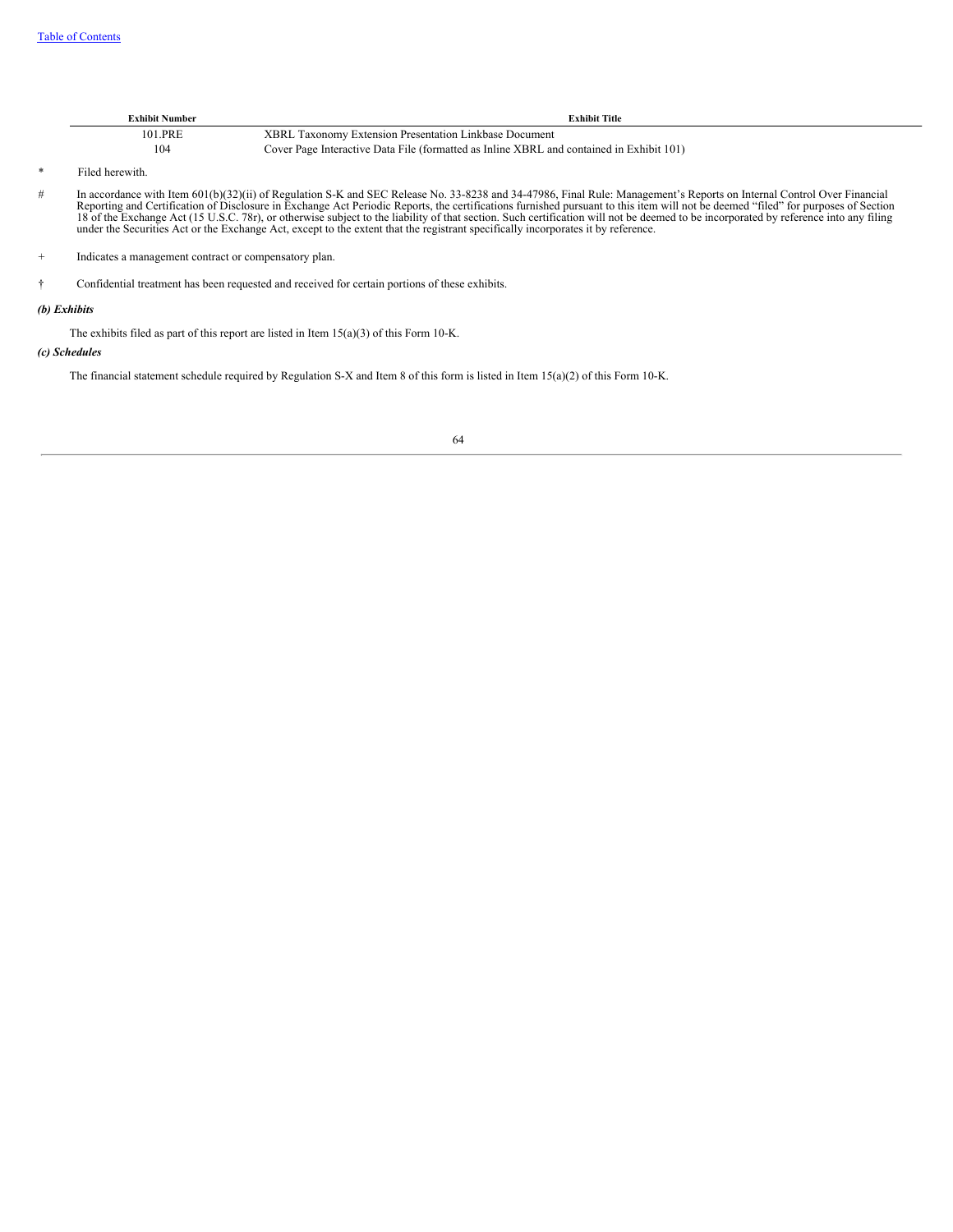| <b>Exhibit Number</b> | Exhibit Title                                                                            |
|-----------------------|------------------------------------------------------------------------------------------|
| 101.PRE               | XBRL Taxonomy Extension Presentation Linkbase Document                                   |
|                       | Cover Page Interactive Data File (formatted as Inline XBRL and contained in Exhibit 101) |

- \* Filed herewith.
- In accordance with Item 601(b)(32)(ii) of Regulation S-K and SEC Release No. 33-8238 and 34-47986, Final Rule: Management's Reports on Internal Control Over Financial<br>Reporting and Certification of Disclosure in Exchange A

+ Indicates a management contract or compensatory plan.

† Confidential treatment has been requested and received for certain portions of these exhibits.

# *(b) Exhibits*

The exhibits filed as part of this report are listed in Item 15(a)(3) of this Form 10-K.

# *(c) Schedules*

<span id="page-63-0"></span>The financial statement schedule required by Regulation S-X and Item 8 of this form is listed in Item 15(a)(2) of this Form 10-K.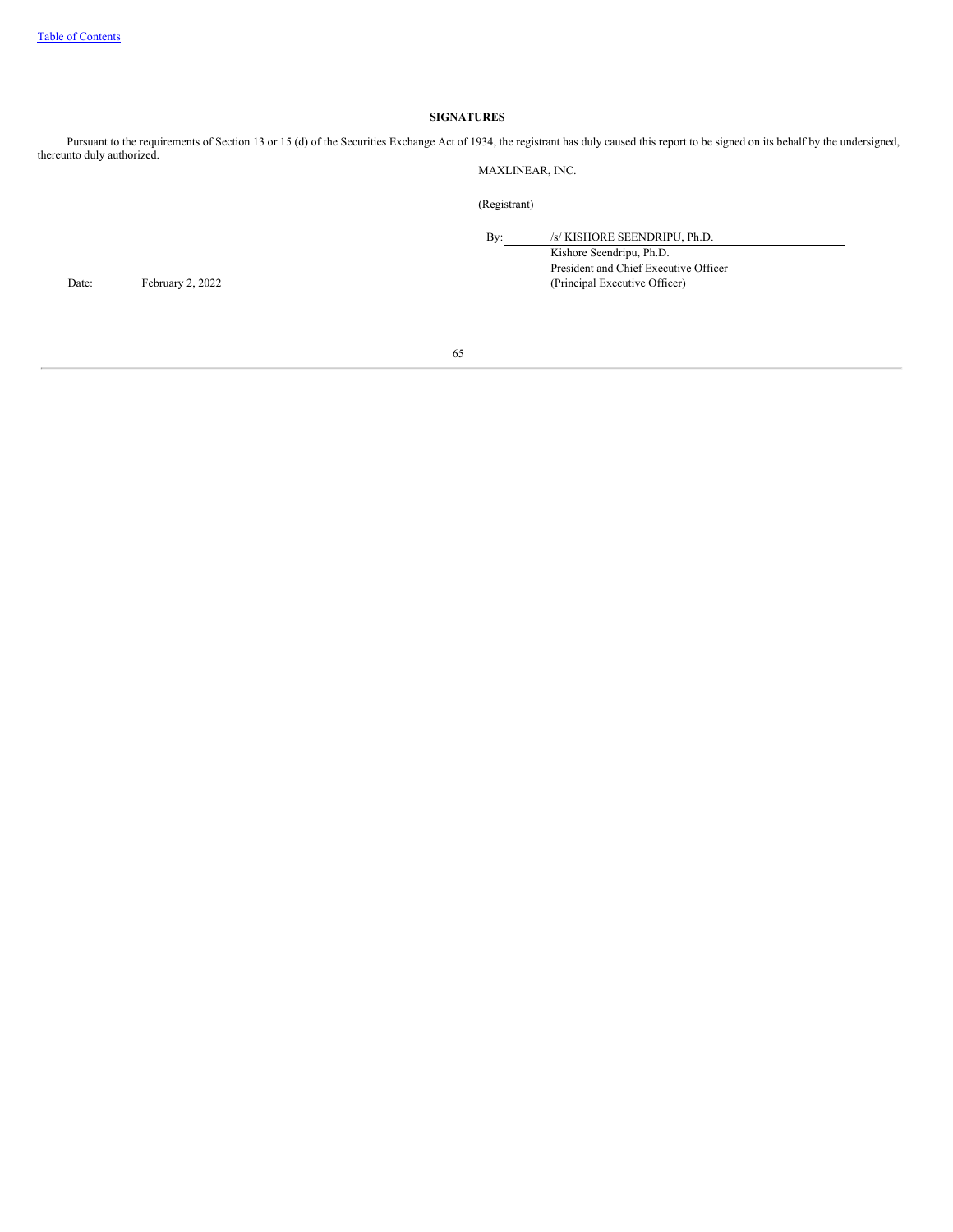# **SIGNATURES**

Pursuant to the requirements of Section 13 or 15 (d) of the Securities Exchange Act of 1934, the registrant has duly caused this report to be signed on its behalf by the undersigned, thereunto duly authorized.

MAXLINEAR, INC.

(Registrant)

By: /s/ KISHORE SEENDRIPU, Ph.D.

Kishore Seendripu, Ph.D. President and Chief Executive Officer Date: February 2, 2022 February 2, 2022 February 2, 2022 February 2, 2022 February 2, 2022 February 2, 2022 February 2, 2022 February 2, 2022 February 2, 2022 February 2, 2022 February 2, 2022 February 2, 2022 February 2,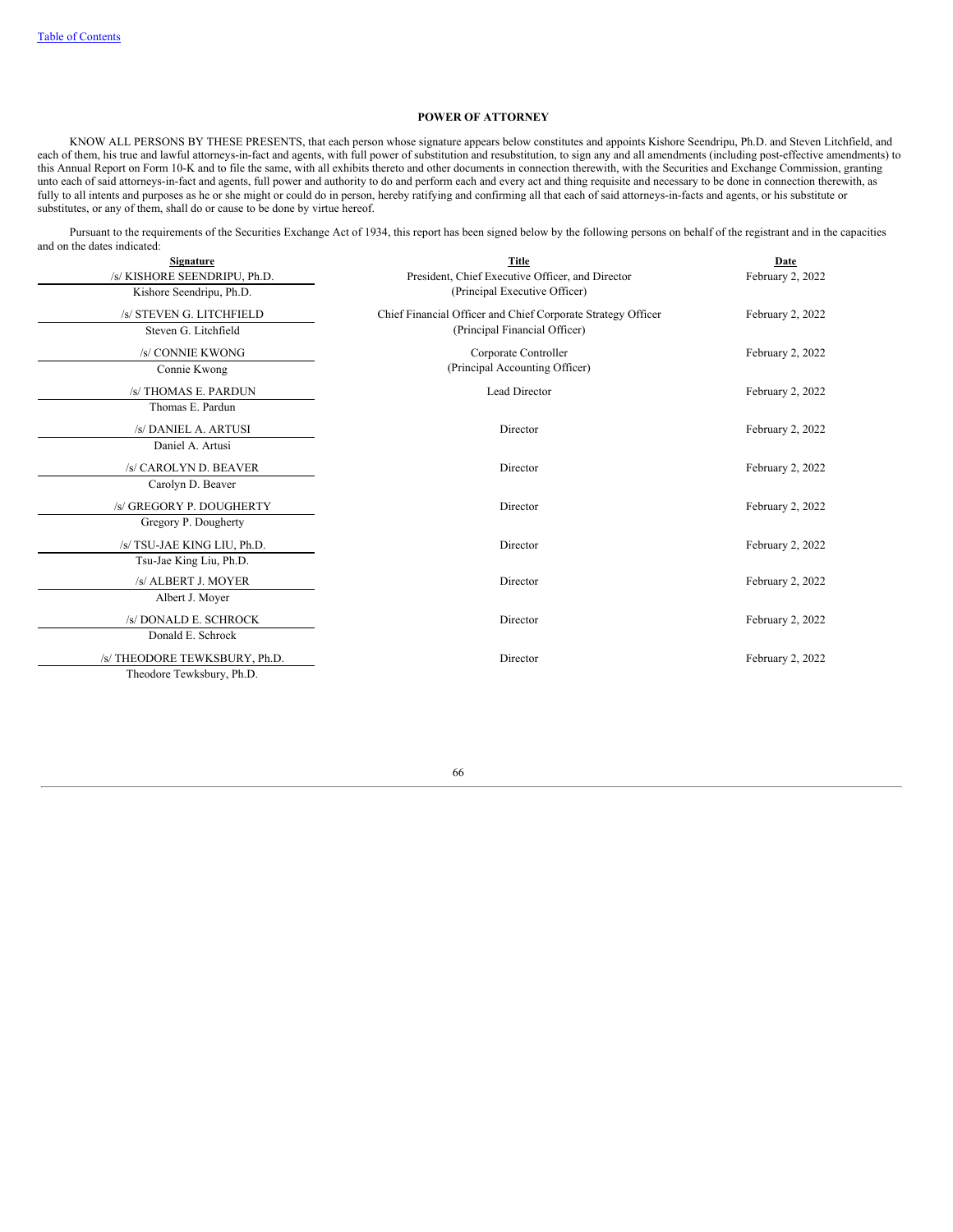# **POWER OF ATTORNEY**

KNOW ALL PERSONS BY THESE PRESENTS, that each person whose signature appears below constitutes and appoints Kishore Seendripu, Ph.D. and Steven Litchfield, and each of them, his true and lawful attorneys-in-fact and agents, with full power of substitution and resubstitution, to sign any and all amendments (including post-effective amendments) to this Annual Report on Form 10-K and to file the same, with all exhibits thereto and other documents in connection therewith, with the Securities and Exchange Commission, granting unto each of said attorneys-in-fact and agents, full power and authority to do and perform each and every act and thing requisite and necessary to be done in connection therewith, as fully to all intents and purposes as he or she might or could do in person, hereby ratifying and confirming all that each of said attorneys-in-facts and agents, or his substitute or substitutes, or any of them, shall do or cause to be done by virtue hereof.

Pursuant to the requirements of the Securities Exchange Act of 1934, this report has been signed below by the following persons on behalf of the registrant and in the capacities and on the dates indicated:

| <b>Signature</b>              | <b>Title</b>                                                 | Date             |
|-------------------------------|--------------------------------------------------------------|------------------|
| /s/ KISHORE SEENDRIPU, Ph.D.  | President, Chief Executive Officer, and Director             | February 2, 2022 |
| Kishore Seendripu, Ph.D.      | (Principal Executive Officer)                                |                  |
| /s/ STEVEN G. LITCHFIELD      | Chief Financial Officer and Chief Corporate Strategy Officer | February 2, 2022 |
| Steven G. Litchfield          | (Principal Financial Officer)                                |                  |
| /s/ CONNIE KWONG              | Corporate Controller                                         | February 2, 2022 |
| Connie Kwong                  | (Principal Accounting Officer)                               |                  |
| /s/ THOMAS E. PARDUN          | Lead Director                                                | February 2, 2022 |
| Thomas E. Pardun              |                                                              |                  |
| /s/ DANIEL A. ARTUSI          | Director                                                     | February 2, 2022 |
| Daniel A. Artusi              |                                                              |                  |
| /s/ CAROLYN D. BEAVER         | Director                                                     | February 2, 2022 |
| Carolyn D. Beaver             |                                                              |                  |
| /s/ GREGORY P. DOUGHERTY      | Director                                                     | February 2, 2022 |
| Gregory P. Dougherty          |                                                              |                  |
| /s/ TSU-JAE KING LIU, Ph.D.   | Director                                                     | February 2, 2022 |
| Tsu-Jae King Liu, Ph.D.       |                                                              |                  |
| /s/ ALBERT J. MOYER           | Director                                                     | February 2, 2022 |
| Albert J. Moyer               |                                                              |                  |
| /s/ DONALD E. SCHROCK         | Director                                                     | February 2, 2022 |
| Donald E. Schrock             |                                                              |                  |
| /s/ THEODORE TEWKSBURY, Ph.D. | Director                                                     | February 2, 2022 |
| Theodore Tewksbury, Ph.D.     |                                                              |                  |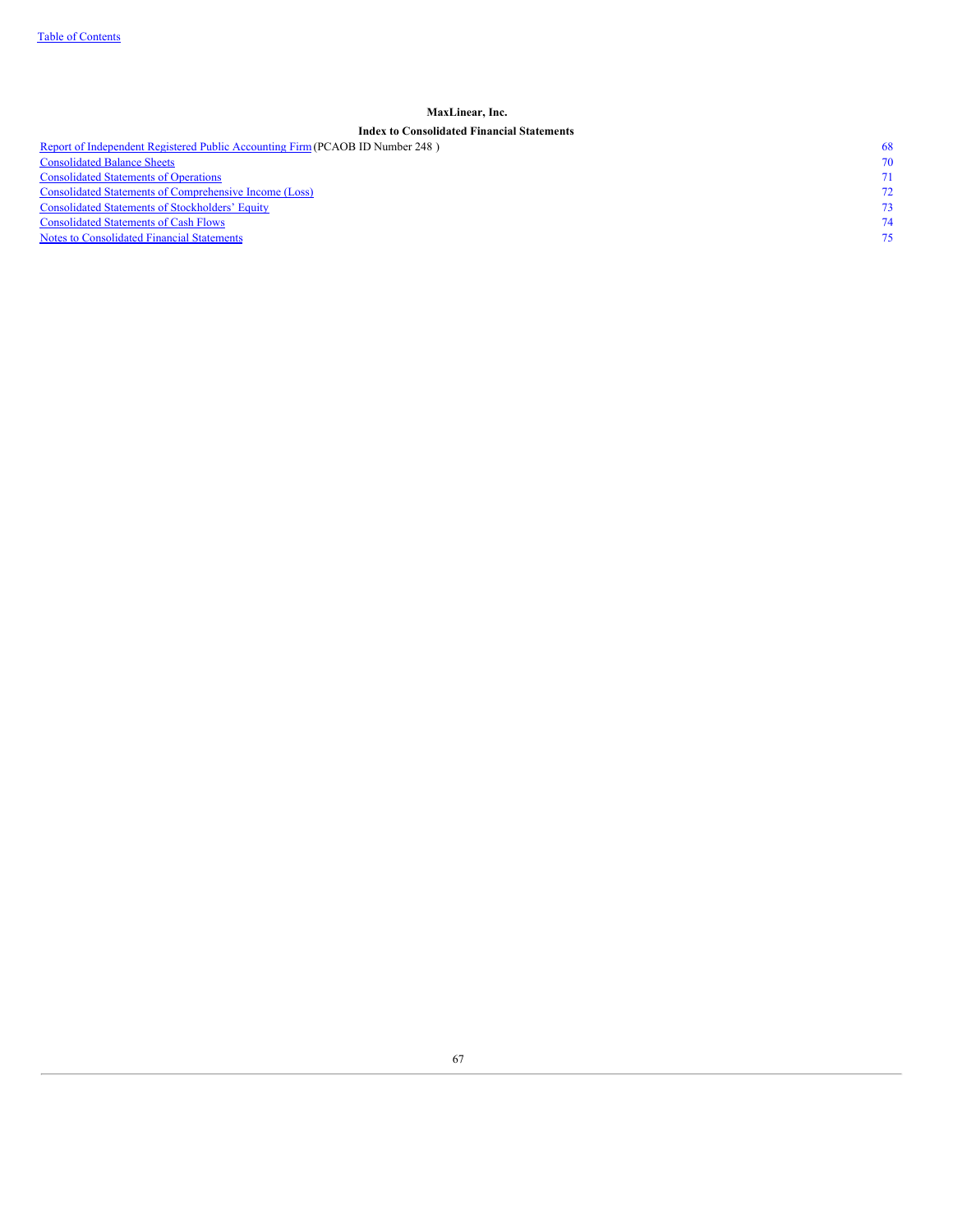# **MaxLinear, Inc.**

# **Index to Consolidated Financial Statements**

<span id="page-66-0"></span>

| Report of Independent Registered Public Accounting Firm (PCAOB ID Number 248) |    |
|-------------------------------------------------------------------------------|----|
| <b>Consolidated Balance Sheets</b>                                            | 70 |
| <b>Consolidated Statements of Operations</b>                                  | 71 |
| <b>Consolidated Statements of Comprehensive Income (Loss)</b>                 | 72 |
| <b>Consolidated Statements of Stockholders' Equity</b>                        | 73 |
| <b>Consolidated Statements of Cash Flows</b>                                  | 74 |
| <b>Notes to Consolidated Financial Statements</b>                             | 75 |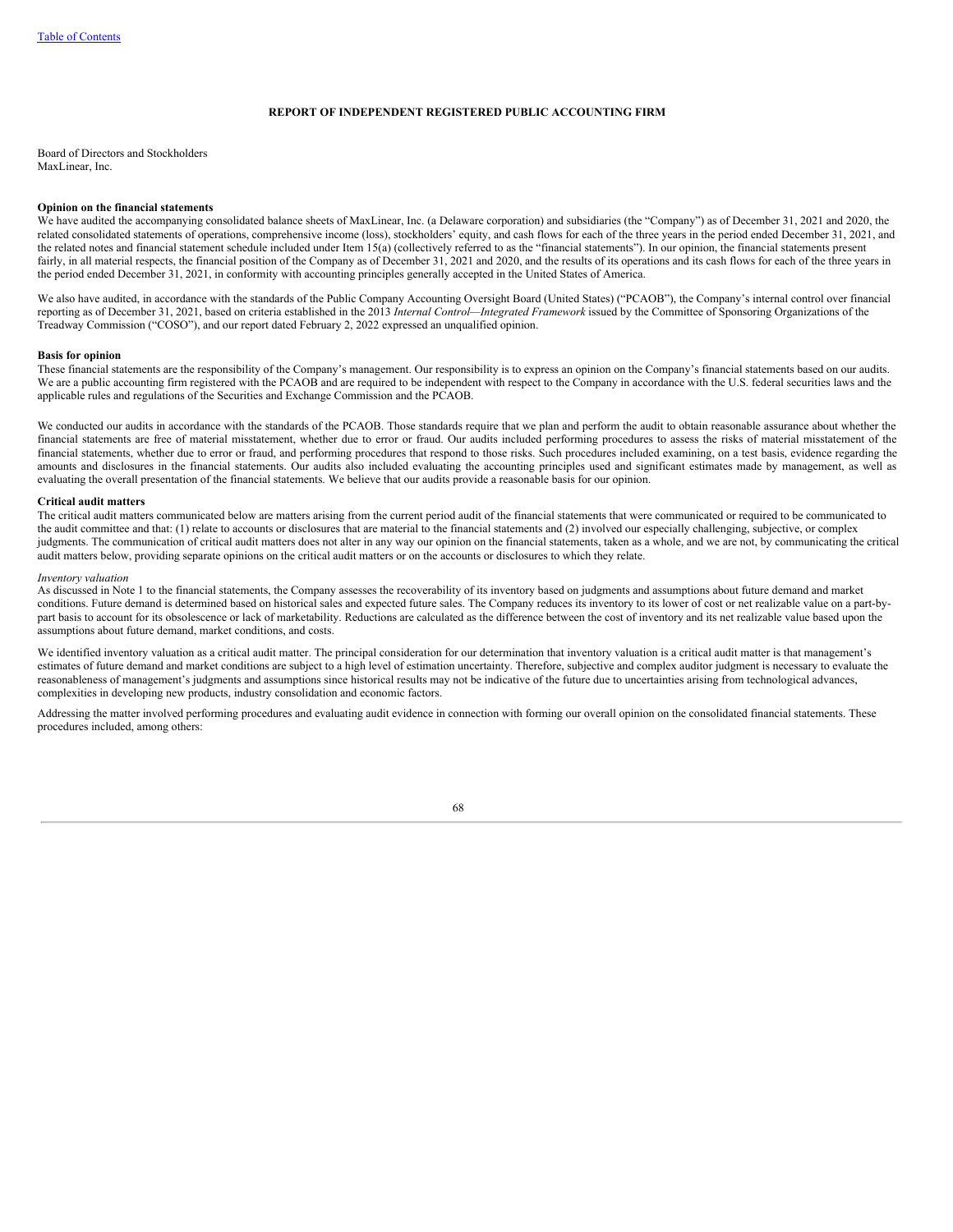# **REPORT OF INDEPENDENT REGISTERED PUBLIC ACCOUNTING FIRM**

Board of Directors and Stockholders MaxLinear, Inc.

## **Opinion on the financial statements**

We have audited the accompanying consolidated balance sheets of MaxLinear, Inc. (a Delaware corporation) and subsidiaries (the "Company") as of December 31, 2021 and 2020, the related consolidated statements of operations, comprehensive income (loss), stockholders' equity, and cash flows for each of the three years in the period ended December 31, 2021, and the related notes and financial statement schedule included under Item 15(a) (collectively referred to as the "financial statements"). In our opinion, the financial statements present fairly, in all material respects, the financial position of the Company as of December 31, 2021 and 2020, and the results of its operations and its cash flows for each of the three years in the period ended December 31, 2021, in conformity with accounting principles generally accepted in the United States of America.

We also have audited, in accordance with the standards of the Public Company Accounting Oversight Board (United States) ("PCAOB"), the Company's internal control over financial reporting as of December 31, 2021, based on criteria established in the 2013 *Internal Control—Integrated Framework* issued by the Committee of Sponsoring Organizations of the Treadway Commission ("COSO"), and our report dated February 2, 2022 expressed an unqualified opinion.

#### **Basis for opinion**

These financial statements are the responsibility of the Company's management. Our responsibility is to express an opinion on the Company's financial statements based on our audits. We are a public accounting firm registered with the PCAOB and are required to be independent with respect to the Company in accordance with the U.S. federal securities laws and the applicable rules and regulations of the Securities and Exchange Commission and the PCAOB.

We conducted our audits in accordance with the standards of the PCAOB. Those standards require that we plan and perform the audit to obtain reasonable assurance about whether the financial statements are free of material misstatement, whether due to error or fraud. Our audits included performing procedures to assess the risks of material misstatement of the financial statements, whether due to error or fraud, and performing procedures that respond to those risks. Such procedures included examining, on a test basis, evidence regarding the amounts and disclosures in the financial statements. Our audits also included evaluating the accounting principles used and significant estimates made by management, as well as evaluating the overall presentation of the financial statements. We believe that our audits provide a reasonable basis for our opinion.

# **Critical audit matters**

The critical audit matters communicated below are matters arising from the current period audit of the financial statements that were communicated or required to be communicated to the audit committee and that: (1) relate to accounts or disclosures that are material to the financial statements and (2) involved our especially challenging, subjective, or complex judgments. The communication of critical audit matters does not alter in any way our opinion on the financial statements, taken as a whole, and we are not, by communicating the critical audit matters below, providing separate opinions on the critical audit matters or on the accounts or disclosures to which they relate.

#### *Inventory valuation*

As discussed in Note 1 to the financial statements, the Company assesses the recoverability of its inventory based on judgments and assumptions about future demand and market conditions. Future demand is determined based on historical sales and expected future sales. The Company reduces its inventory to its lower of cost or net realizable value on a part-bypart basis to account for its obsolescence or lack of marketability. Reductions are calculated as the difference between the cost of inventory and its net realizable value based upon the assumptions about future demand, market conditions, and costs.

We identified inventory valuation as a critical audit matter. The principal consideration for our determination that inventory valuation is a critical audit matter is that management's estimates of future demand and market conditions are subject to a high level of estimation uncertainty. Therefore, subjective and complex auditor judgment is necessary to evaluate the reasonableness of management's judgments and assumptions since historical results may not be indicative of the future due to uncertainties arising from technological advances, complexities in developing new products, industry consolidation and economic factors.

Addressing the matter involved performing procedures and evaluating audit evidence in connection with forming our overall opinion on the consolidated financial statements. These procedures included, among others:

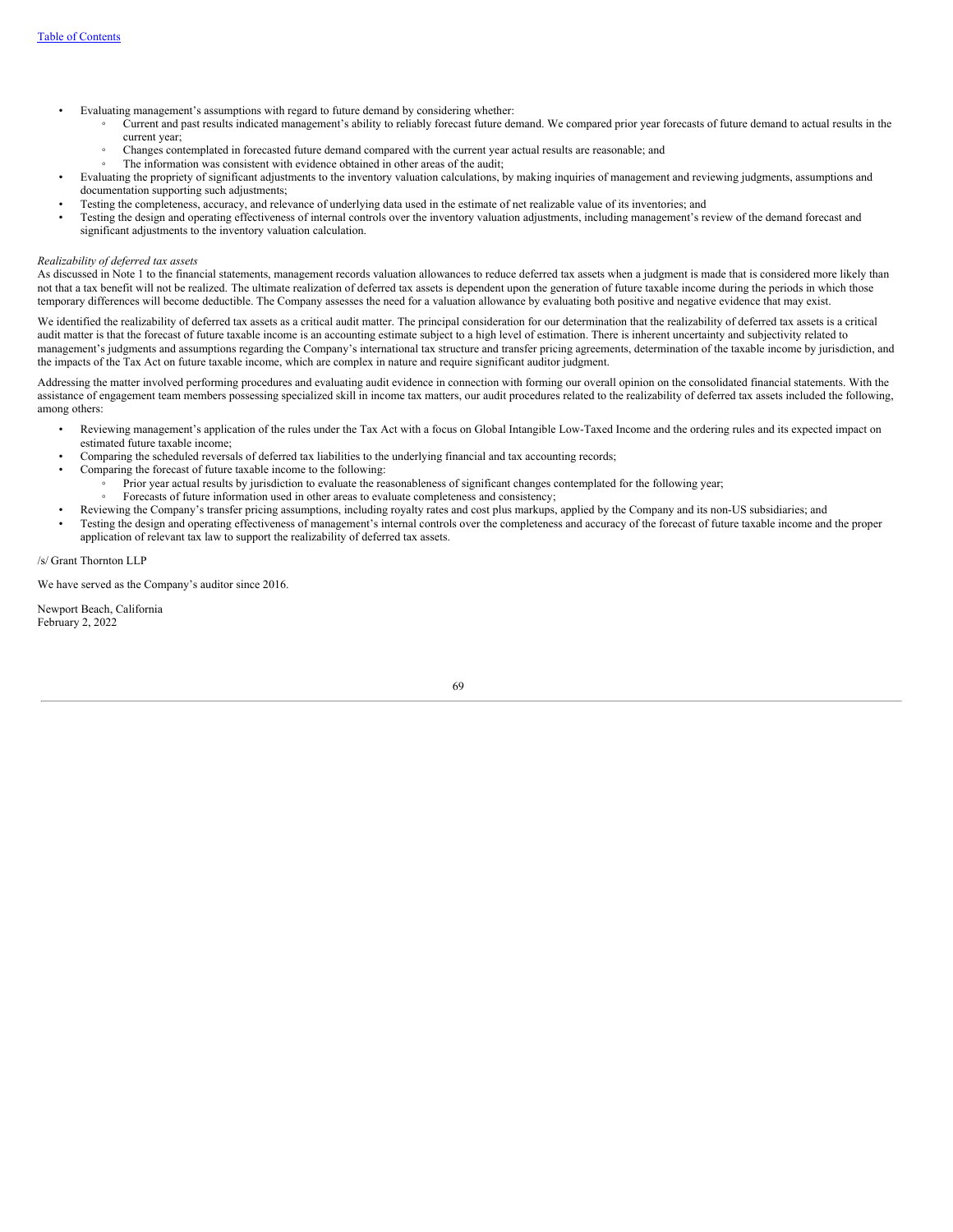- Evaluating management's assumptions with regard to future demand by considering whether:
	- Current and past results indicated management's ability to reliably forecast future demand. We compared prior year forecasts of future demand to actual results in the current year;
	- Changes contemplated in forecasted future demand compared with the current year actual results are reasonable; and
		- The information was consistent with evidence obtained in other areas of the audit;
- Evaluating the propriety of significant adjustments to the inventory valuation calculations, by making inquiries of management and reviewing judgments, assumptions and documentation supporting such adjustments;
- Testing the completeness, accuracy, and relevance of underlying data used in the estimate of net realizable value of its inventories; and
- Testing the design and operating effectiveness of internal controls over the inventory valuation adjustments, including management's review of the demand forecast and significant adjustments to the inventory valuation calculation.

#### *Realizability of deferred tax assets*

As discussed in Note 1 to the financial statements, management records valuation allowances to reduce deferred tax assets when a judgment is made that is considered more likely than not that a tax benefit will not be realized. The ultimate realization of deferred tax assets is dependent upon the generation of future taxable income during the periods in which those temporary differences will become deductible. The Company assesses the need for a valuation allowance by evaluating both positive and negative evidence that may exist.

We identified the realizability of deferred tax assets as a critical audit matter. The principal consideration for our determination that the realizability of deferred tax assets is a critical audit matter is that the forecast of future taxable income is an accounting estimate subject to a high level of estimation. There is inherent uncertainty and subjectivity related to management's judgments and assumptions regarding the Company's international tax structure and transfer pricing agreements, determination of the taxable income by jurisdiction, and the impacts of the Tax Act on future taxable income, which are complex in nature and require significant auditor judgment.

Addressing the matter involved performing procedures and evaluating audit evidence in connection with forming our overall opinion on the consolidated financial statements. With the assistance of engagement team members possessing specialized skill in income tax matters, our audit procedures related to the realizability of deferred tax assets included the following, among others:

- Reviewing management's application of the rules under the Tax Act with a focus on Global Intangible Low-Taxed Income and the ordering rules and its expected impact on estimated future taxable income;
	- Comparing the scheduled reversals of deferred tax liabilities to the underlying financial and tax accounting records;
- Comparing the forecast of future taxable income to the following:
	- Prior year actual results by jurisdiction to evaluate the reasonableness of significant changes contemplated for the following year;
	- Forecasts of future information used in other areas to evaluate completeness and consistency;
- Reviewing the Company's transfer pricing assumptions, including royalty rates and cost plus markups, applied by the Company and its non-US subsidiaries; and
- Testing the design and operating effectiveness of management's internal controls over the completeness and accuracy of the forecast of future taxable income and the proper application of relevant tax law to support the realizability of deferred tax assets.

### /s/ Grant Thornton LLP

We have served as the Company's auditor since 2016.

<span id="page-68-0"></span>Newport Beach, California February 2, 2022

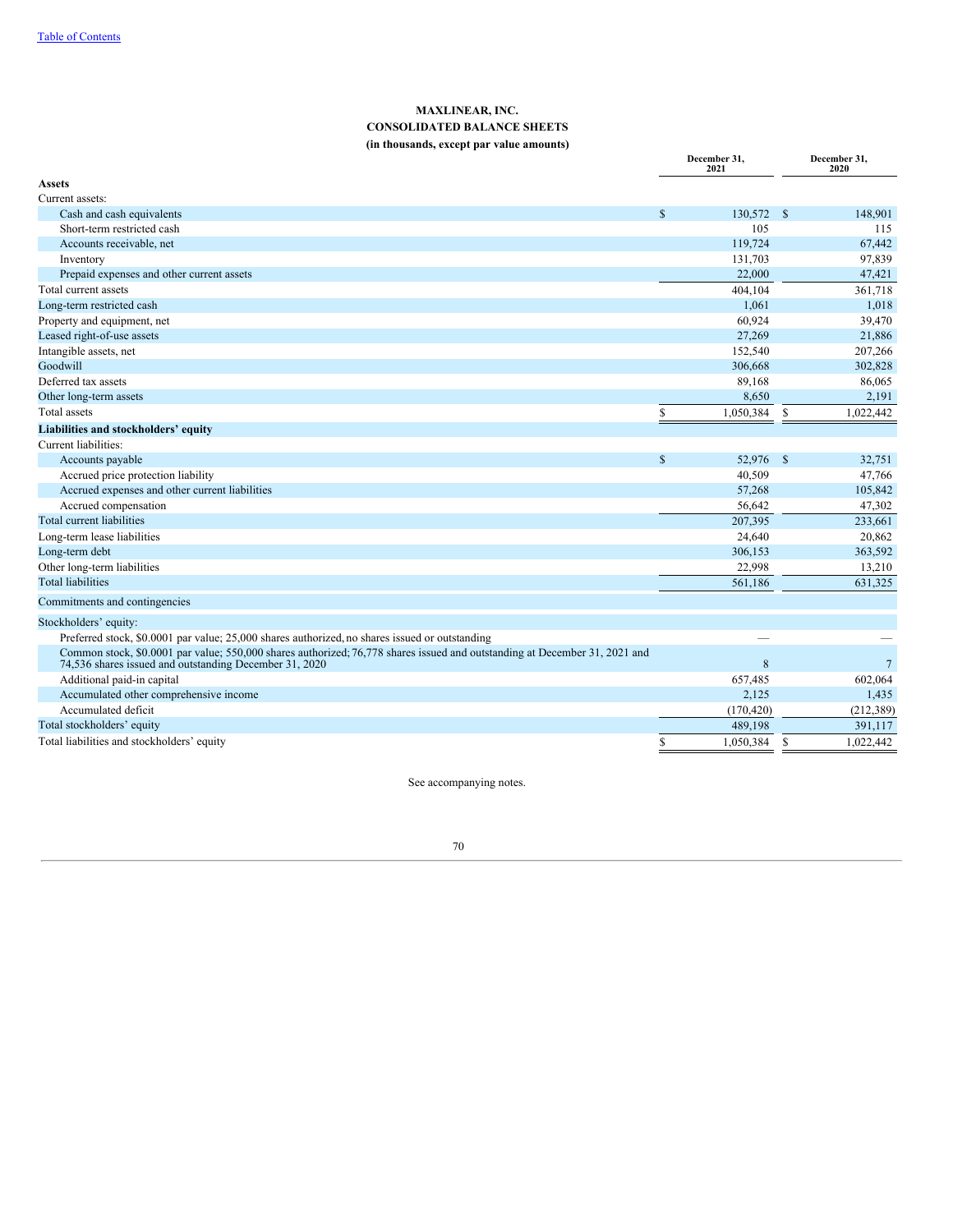# **MAXLINEAR, INC. CONSOLIDATED BALANCE SHEETS (in thousands, except par value amounts)**

|                                                                                                                                                                                      |               | December 31,<br>2021 |              | December 31,<br>2020 |
|--------------------------------------------------------------------------------------------------------------------------------------------------------------------------------------|---------------|----------------------|--------------|----------------------|
| Assets                                                                                                                                                                               |               |                      |              |                      |
| Current assets:                                                                                                                                                                      |               |                      |              |                      |
| Cash and cash equivalents                                                                                                                                                            | $\mathbf S$   | 130,572 \$           |              | 148,901              |
| Short-term restricted cash                                                                                                                                                           |               | 105                  |              | 115                  |
| Accounts receivable, net                                                                                                                                                             |               | 119,724              |              | 67,442               |
| Inventory                                                                                                                                                                            |               | 131,703              |              | 97,839               |
| Prepaid expenses and other current assets                                                                                                                                            |               | 22,000               |              | 47,421               |
| Total current assets                                                                                                                                                                 |               | 404,104              |              | 361,718              |
| Long-term restricted cash                                                                                                                                                            |               | 1,061                |              | 1,018                |
| Property and equipment, net                                                                                                                                                          |               | 60,924               |              | 39,470               |
| Leased right-of-use assets                                                                                                                                                           |               | 27,269               |              | 21,886               |
| Intangible assets, net                                                                                                                                                               |               | 152,540              |              | 207,266              |
| Goodwill                                                                                                                                                                             |               | 306,668              |              | 302,828              |
| Deferred tax assets                                                                                                                                                                  |               | 89,168               |              | 86,065               |
| Other long-term assets                                                                                                                                                               |               | 8,650                |              | 2,191                |
| Total assets                                                                                                                                                                         | \$            | 1,050,384            | \$           | 1,022,442            |
| Liabilities and stockholders' equity                                                                                                                                                 |               |                      |              |                      |
| Current liabilities:                                                                                                                                                                 |               |                      |              |                      |
| Accounts payable                                                                                                                                                                     | $\mathsf{\$}$ | 52,976               | $\mathbf{s}$ | 32,751               |
| Accrued price protection liability                                                                                                                                                   |               | 40,509               |              | 47,766               |
| Accrued expenses and other current liabilities                                                                                                                                       |               | 57,268               |              | 105,842              |
| Accrued compensation                                                                                                                                                                 |               | 56,642               |              | 47,302               |
| Total current liabilities                                                                                                                                                            |               | 207,395              |              | 233,661              |
| Long-term lease liabilities                                                                                                                                                          |               | 24,640               |              | 20,862               |
| Long-term debt                                                                                                                                                                       |               | 306,153              |              | 363,592              |
| Other long-term liabilities                                                                                                                                                          |               | 22,998               |              | 13,210               |
| <b>Total liabilities</b>                                                                                                                                                             |               | 561,186              |              | 631,325              |
| Commitments and contingencies                                                                                                                                                        |               |                      |              |                      |
| Stockholders' equity:                                                                                                                                                                |               |                      |              |                      |
| Preferred stock, \$0.0001 par value; 25,000 shares authorized, no shares issued or outstanding                                                                                       |               |                      |              |                      |
| Common stock, \$0.0001 par value; 550,000 shares authorized; 76,778 shares issued and outstanding at December 31, 2021 and<br>74,536 shares issued and outstanding December 31, 2020 |               | 8                    |              | $7\overline{ }$      |
| Additional paid-in capital                                                                                                                                                           |               | 657,485              |              | 602,064              |
| Accumulated other comprehensive income                                                                                                                                               |               | 2,125                |              | 1,435                |
| Accumulated deficit                                                                                                                                                                  |               | (170, 420)           |              | (212, 389)           |
| Total stockholders' equity                                                                                                                                                           |               | 489,198              |              | 391,117              |
| Total liabilities and stockholders' equity                                                                                                                                           | $\mathbf S$   | 1,050,384            | -S           | 1.022.442            |

<span id="page-69-0"></span>See accompanying notes.

|   | ٧        |
|---|----------|
|   |          |
| I | ۰.<br>۰. |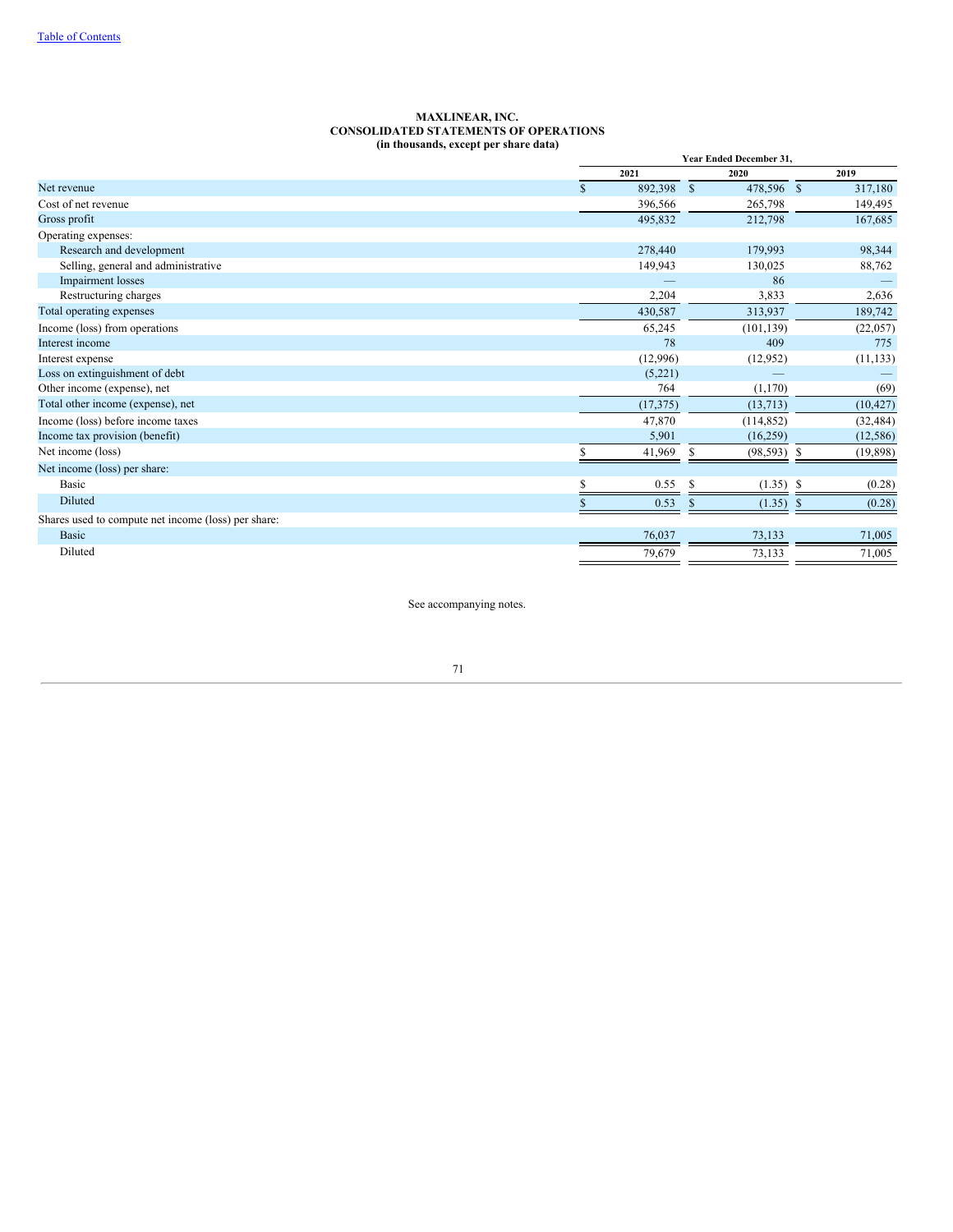#### **MAXLINEAR, INC. CONSOLIDATED STATEMENTS OF OPERATIONS (in thousands, except per share data)**

|                                                     |              | Year Ended December 31, |                            |           |  |  |
|-----------------------------------------------------|--------------|-------------------------|----------------------------|-----------|--|--|
|                                                     |              | 2021                    | 2020                       | 2019      |  |  |
| Net revenue                                         | $\mathbb{S}$ | 892,398                 | 478,596 \$<br>$\mathbf{s}$ | 317,180   |  |  |
| Cost of net revenue                                 |              | 396,566                 | 265,798                    | 149,495   |  |  |
| Gross profit                                        |              | 495,832                 | 212,798                    | 167,685   |  |  |
| Operating expenses:                                 |              |                         |                            |           |  |  |
| Research and development                            |              | 278,440                 | 179,993                    | 98,344    |  |  |
| Selling, general and administrative                 |              | 149,943                 | 130,025                    | 88,762    |  |  |
| Impairment losses                                   |              |                         | 86                         |           |  |  |
| Restructuring charges                               |              | 2,204                   | 3,833                      | 2,636     |  |  |
| Total operating expenses                            |              | 430,587                 | 313,937                    | 189,742   |  |  |
| Income (loss) from operations                       |              | 65,245                  | (101, 139)                 | (22,057)  |  |  |
| Interest income                                     |              | 78                      | 409                        | 775       |  |  |
| Interest expense                                    |              | (12,996)                | (12,952)                   | (11, 133) |  |  |
| Loss on extinguishment of debt                      |              | (5,221)                 |                            |           |  |  |
| Other income (expense), net                         |              | 764                     | (1,170)                    | (69)      |  |  |
| Total other income (expense), net                   |              | (17, 375)               | (13,713)                   | (10, 427) |  |  |
| Income (loss) before income taxes                   |              | 47,870                  | (114, 852)                 | (32, 484) |  |  |
| Income tax provision (benefit)                      |              | 5,901                   | (16,259)                   | (12, 586) |  |  |
| Net income (loss)                                   |              | 41,969                  | $(98,593)$ \$<br>-S        | (19,898)  |  |  |
| Net income (loss) per share:                        |              |                         |                            |           |  |  |
| <b>Basic</b>                                        |              | 0.55                    | $(1.35)$ \$<br>-S          | (0.28)    |  |  |
| Diluted                                             |              | 0.53                    | $(1.35)$ \$<br>-8          | (0.28)    |  |  |
| Shares used to compute net income (loss) per share: |              |                         |                            |           |  |  |
| <b>Basic</b>                                        |              | 76,037                  | 73,133                     | 71,005    |  |  |
| Diluted                                             |              | 79,679                  | 73,133                     | 71,005    |  |  |

<span id="page-70-0"></span>See accompanying notes.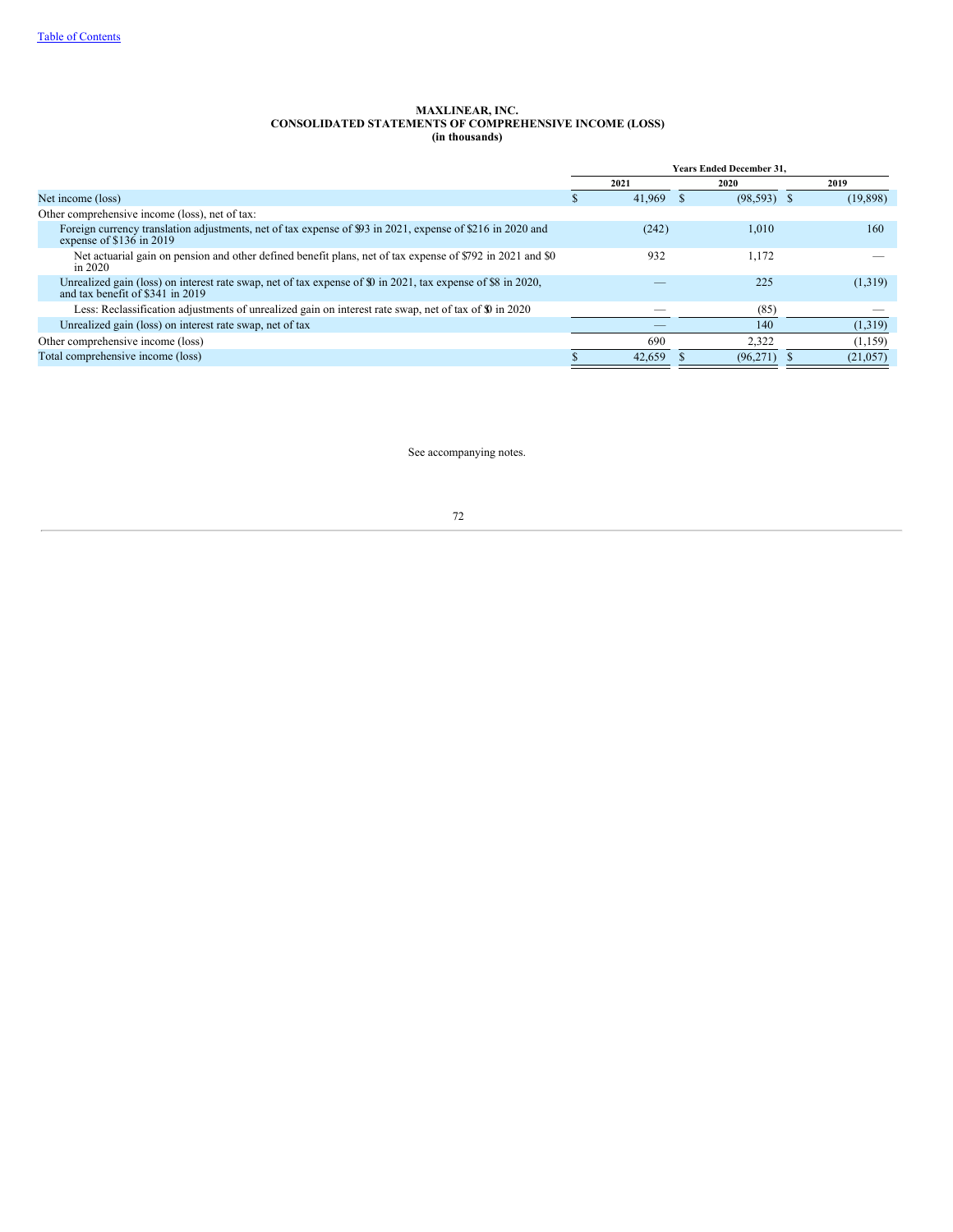### **MAXLINEAR, INC. CONSOLIDATED STATEMENTS OF COMPREHENSIVE INCOME (LOSS) (in thousands)**

<span id="page-71-0"></span>

|                                                                                                                                                                   | <b>Years Ended December 31.</b> |        |      |               |      |          |
|-------------------------------------------------------------------------------------------------------------------------------------------------------------------|---------------------------------|--------|------|---------------|------|----------|
|                                                                                                                                                                   | 2021                            |        | 2020 |               | 2019 |          |
| Net income (loss)                                                                                                                                                 |                                 | 41,969 |      | $(98,593)$ \$ |      | (19,898) |
| Other comprehensive income (loss), net of tax:                                                                                                                    |                                 |        |      |               |      |          |
| Foreign currency translation adjustments, net of tax expense of \$93 in 2021, expense of \$216 in 2020 and<br>expense of $$136$ in 2019                           |                                 | (242)  |      | 1.010         |      | 160      |
| Net actuarial gain on pension and other defined benefit plans, net of tax expense of \$792 in 2021 and \$0<br>in $2020$                                           |                                 | 932    |      | 1.172         |      |          |
| Unrealized gain (loss) on interest rate swap, net of tax expense of $\text{\$}$ in 2021, tax expense of $\text{\$}8$ in 2020,<br>and tax benefit of \$341 in 2019 |                                 |        |      | 225           |      | (1,319)  |
| Less: Reclassification adjustments of unrealized gain on interest rate swap, net of tax of \$0 in 2020                                                            |                                 |        |      | (85)          |      |          |
| Unrealized gain (loss) on interest rate swap, net of tax                                                                                                          |                                 |        |      | 140           |      | (1,319)  |
| Other comprehensive income (loss)                                                                                                                                 |                                 | 690    |      | 2,322         |      | (1,159)  |
| Total comprehensive income (loss)                                                                                                                                 |                                 | 42,659 |      | (96,271)      |      | (21,057) |

See accompanying notes.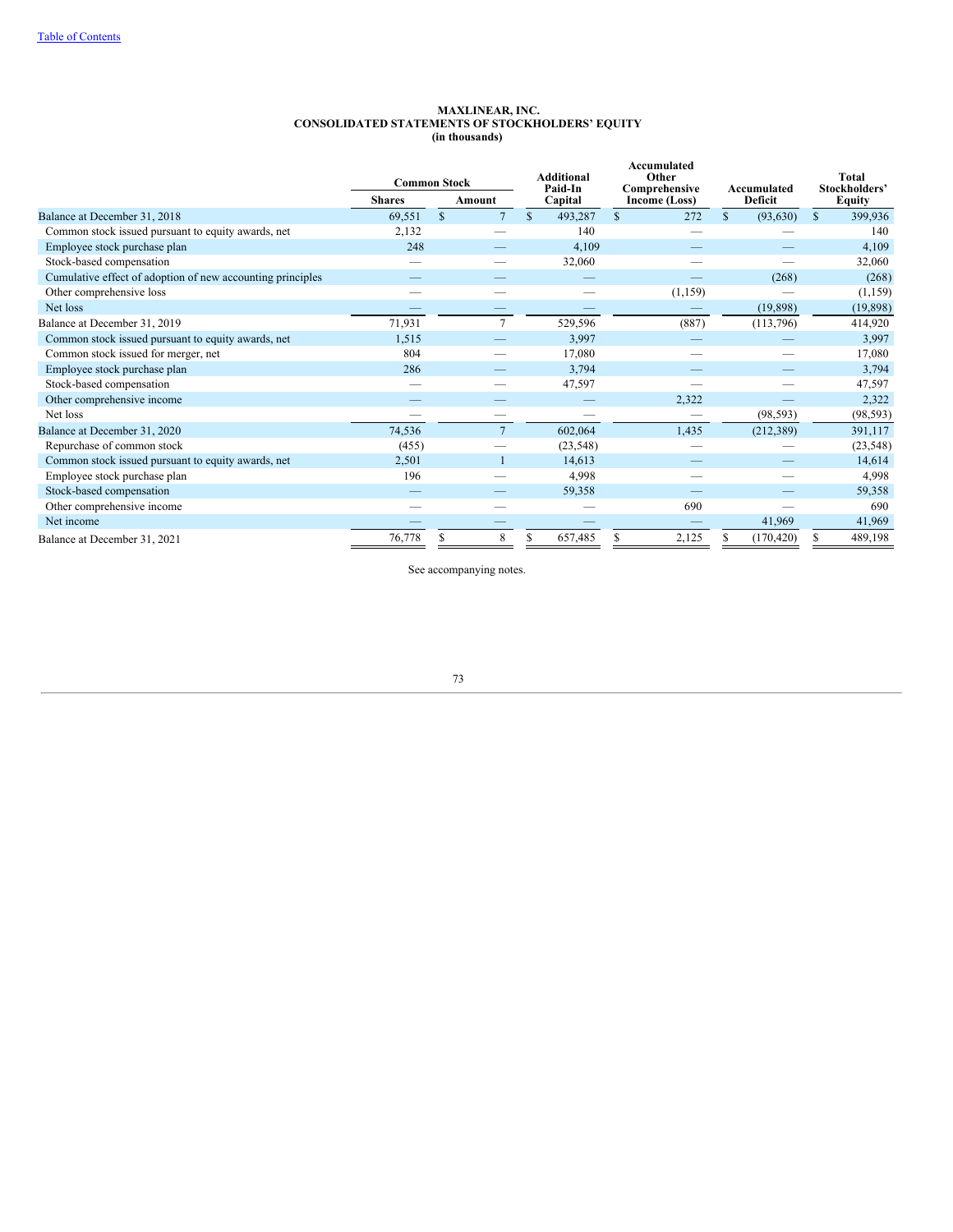#### **MAXLINEAR, INC. CONSOLIDATED STATEMENTS OF STOCKHOLDERS' EQUITY (in thousands)**

|                                                            | <b>Common Stock</b> |             |                   | Additional<br>Paid-In |           | Accumulated<br>Other<br>Comprehensive<br>Accumulated |          |               | <b>Total</b><br>Stockholders' |              |           |
|------------------------------------------------------------|---------------------|-------------|-------------------|-----------------------|-----------|------------------------------------------------------|----------|---------------|-------------------------------|--------------|-----------|
|                                                            | <b>Shares</b>       |             | Capital<br>Amount |                       |           | Income (Loss)                                        |          | Deficit       |                               | Equity       |           |
| Balance at December 31, 2018                               | 69,551              | $\mathbf S$ | $\overline{7}$    | $\mathcal{S}$         | 493,287   | $\mathbf{s}$                                         | 272      | $\mathcal{S}$ | (93, 630)                     | $\mathbb{S}$ | 399,936   |
| Common stock issued pursuant to equity awards, net         | 2,132               |             |                   |                       | 140       |                                                      |          |               |                               |              | 140       |
| Employee stock purchase plan                               | 248                 |             |                   |                       | 4,109     |                                                      |          |               |                               |              | 4,109     |
| Stock-based compensation                                   |                     |             |                   |                       | 32,060    |                                                      |          |               |                               |              | 32,060    |
| Cumulative effect of adoption of new accounting principles |                     |             |                   |                       |           |                                                      |          |               | (268)                         |              | (268)     |
| Other comprehensive loss                                   |                     |             |                   |                       |           |                                                      | (1, 159) |               |                               |              | (1, 159)  |
| Net loss                                                   |                     |             | --                |                       |           |                                                      |          |               | (19,898)                      |              | (19,898)  |
| Balance at December 31, 2019                               | 71,931              |             | 7                 |                       | 529,596   |                                                      | (887)    |               | (113,796)                     |              | 414,920   |
| Common stock issued pursuant to equity awards, net         | 1,515               |             |                   |                       | 3,997     |                                                      |          |               |                               |              | 3,997     |
| Common stock issued for merger, net                        | 804                 |             |                   |                       | 17,080    |                                                      |          |               |                               |              | 17,080    |
| Employee stock purchase plan                               | 286                 |             |                   |                       | 3,794     |                                                      |          |               |                               |              | 3,794     |
| Stock-based compensation                                   |                     |             |                   |                       | 47,597    |                                                      |          |               |                               |              | 47,597    |
| Other comprehensive income                                 |                     |             |                   |                       |           |                                                      | 2,322    |               |                               |              | 2,322     |
| Net loss                                                   |                     |             |                   |                       |           |                                                      |          |               | (98, 593)                     |              | (98, 593) |
| Balance at December 31, 2020                               | 74,536              |             | $\overline{7}$    |                       | 602,064   |                                                      | 1,435    |               | (212, 389)                    |              | 391,117   |
| Repurchase of common stock                                 | (455)               |             |                   |                       | (23, 548) |                                                      |          |               |                               |              | (23, 548) |
| Common stock issued pursuant to equity awards, net         | 2,501               |             |                   |                       | 14,613    |                                                      |          |               |                               |              | 14,614    |
| Employee stock purchase plan                               | 196                 |             |                   |                       | 4,998     |                                                      |          |               |                               |              | 4,998     |
| Stock-based compensation                                   |                     |             |                   |                       | 59,358    |                                                      |          |               |                               |              | 59,358    |
| Other comprehensive income                                 |                     |             |                   |                       |           |                                                      | 690      |               |                               |              | 690       |
| Net income                                                 |                     |             |                   |                       |           |                                                      |          |               | 41,969                        |              | 41,969    |
| Balance at December 31, 2021                               | 76,778              |             | 8                 |                       | 657,485   |                                                      | 2,125    |               | (170, 420)                    |              | 489,198   |

See accompanying notes.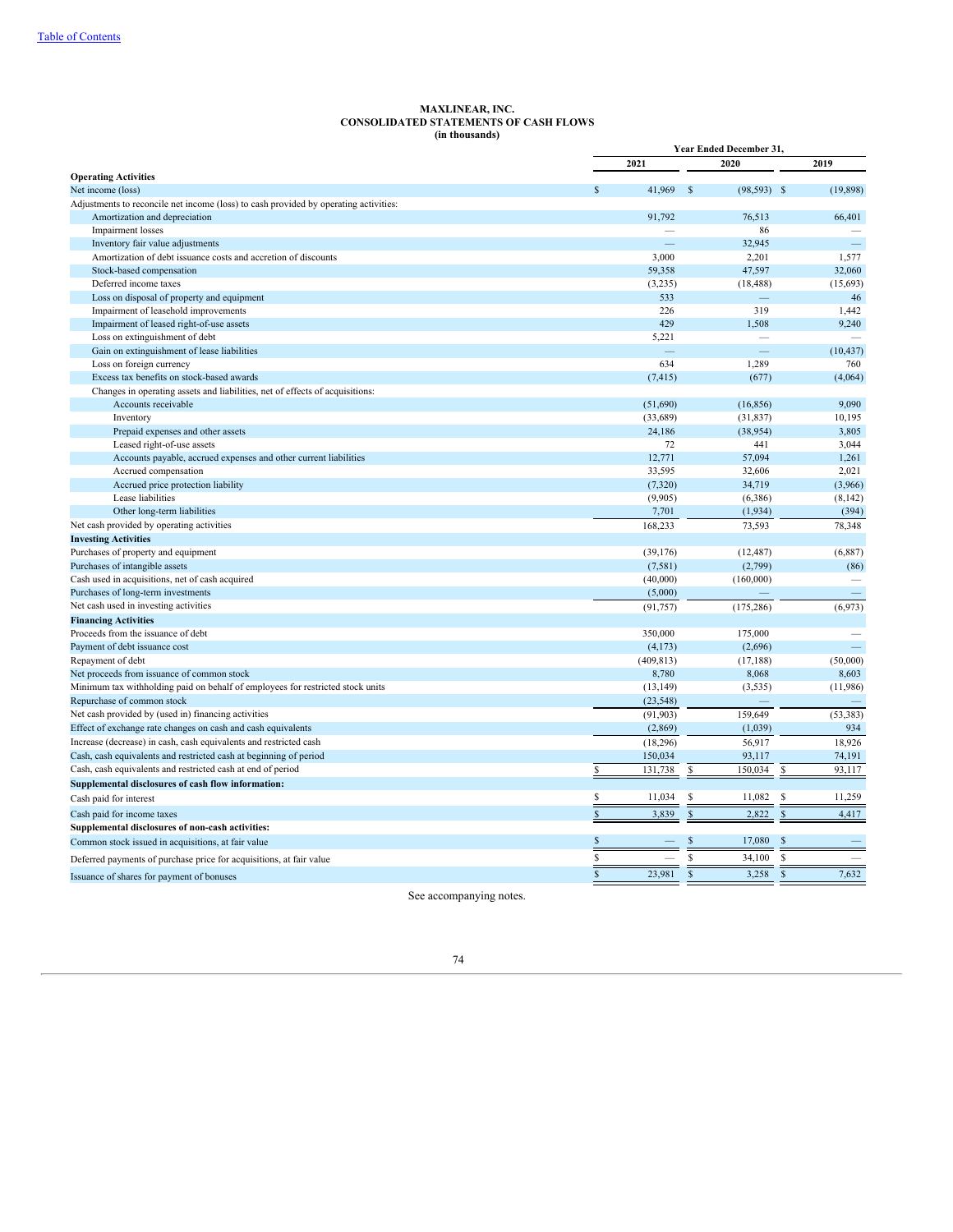#### **MAXLINEAR, INC. CONSOLIDATED STATEMENTS OF CASH FLOWS (in thousands)**

|                                                                                      |                       | <b>Year Ended December 31.</b>  |                          |  |
|--------------------------------------------------------------------------------------|-----------------------|---------------------------------|--------------------------|--|
|                                                                                      | 2021                  | 2020                            | 2019                     |  |
| <b>Operating Activities</b>                                                          |                       |                                 |                          |  |
| Net income (loss)                                                                    | \$<br>41,969          | $(98, 593)$ \$<br>$\mathcal{S}$ | (19, 898)                |  |
| Adjustments to reconcile net income (loss) to cash provided by operating activities: |                       |                                 |                          |  |
| Amortization and depreciation                                                        | 91.792                | 76,513                          | 66,401                   |  |
| Impairment losses                                                                    |                       |                                 | 86                       |  |
| Inventory fair value adjustments                                                     |                       | 32.945                          |                          |  |
| Amortization of debt issuance costs and accretion of discounts                       | 3,000                 | 2,201                           | 1,577                    |  |
| Stock-based compensation                                                             | 59,358                | 47,597                          | 32,060                   |  |
| Deferred income taxes                                                                | (3,235)               | (18, 488)                       | (15, 693)                |  |
| Loss on disposal of property and equipment                                           | 533                   |                                 | 46                       |  |
| Impairment of leasehold improvements                                                 | 226                   | 319                             | 1,442                    |  |
| Impairment of leased right-of-use assets                                             | 429                   | 1,508                           | 9,240                    |  |
| Loss on extinguishment of debt                                                       | 5,221                 |                                 |                          |  |
| Gain on extinguishment of lease liabilities                                          |                       |                                 | (10, 437)                |  |
| Loss on foreign currency                                                             | 634                   | 1,289                           | 760                      |  |
| Excess tax benefits on stock-based awards                                            | (7, 415)              | (677)                           | (4,064)                  |  |
| Changes in operating assets and liabilities, net of effects of acquisitions:         |                       |                                 |                          |  |
| Accounts receivable                                                                  | (51,690)              | (16, 856)                       | 9,090                    |  |
| Inventory                                                                            | (33,689)              | (31, 837)                       | 10,195                   |  |
| Prepaid expenses and other assets                                                    | 24,186                | (38, 954)                       | 3,805                    |  |
| Leased right-of-use assets                                                           | 72                    | 441                             | 3,044                    |  |
| Accounts payable, accrued expenses and other current liabilities                     | 12,771                | 57,094                          | 1,261                    |  |
| Accrued compensation                                                                 | 33,595                | 32,606                          | 2,021                    |  |
| Accrued price protection liability                                                   | (7,320)               | 34,719                          | (3,966)                  |  |
| Lease liabilities                                                                    | (9,905)               | (6,386)                         | (8,142)                  |  |
| Other long-term liabilities                                                          | 7,701                 | (1,934)                         | (394)                    |  |
| Net cash provided by operating activities                                            | 168,233               | 73,593                          | 78,348                   |  |
| <b>Investing Activities</b>                                                          |                       |                                 |                          |  |
| Purchases of property and equipment                                                  | (39, 176)             | (12, 487)                       | (6,887)                  |  |
| Purchases of intangible assets                                                       | (7, 581)              | (2,799)                         | (86)                     |  |
| Cash used in acquisitions, net of cash acquired                                      | (40,000)              | (160,000)                       | $\overline{\phantom{a}}$ |  |
| Purchases of long-term investments                                                   | (5,000)               |                                 |                          |  |
| Net cash used in investing activities                                                | (91, 757)             | (175, 286)                      | (6,973)                  |  |
| <b>Financing Activities</b>                                                          |                       |                                 |                          |  |
| Proceeds from the issuance of debt                                                   | 350,000               | 175,000                         |                          |  |
| Payment of debt issuance cost                                                        | (4,173)               | (2,696)                         |                          |  |
| Repayment of debt                                                                    | (409, 813)            | (17, 188)                       | (50,000)                 |  |
| Net proceeds from issuance of common stock                                           | 8,780                 | 8,068                           | 8,603                    |  |
| Minimum tax withholding paid on behalf of employees for restricted stock units       | (13, 149)             | (3, 535)                        | (11,986)                 |  |
| Repurchase of common stock                                                           | (23, 548)             |                                 |                          |  |
| Net cash provided by (used in) financing activities                                  | (91.903)              | 159,649                         | (53, 383)                |  |
| Effect of exchange rate changes on cash and cash equivalents                         | (2,869)               | (1,039)                         | 934                      |  |
| Increase (decrease) in cash, cash equivalents and restricted cash                    | (18, 296)             | 56,917                          | 18,926                   |  |
| Cash, cash equivalents and restricted cash at beginning of period                    | 150,034               | 93,117                          | 74,191                   |  |
| Cash, cash equivalents and restricted cash at end of period                          | 131,738<br>\$         | 150,034<br>$\mathbb{S}$         | 93,117<br><sup>\$</sup>  |  |
| Supplemental disclosures of cash flow information:                                   |                       |                                 |                          |  |
| Cash paid for interest                                                               | \$<br>11,034          | S<br>11,082                     | \$<br>11,259             |  |
| Cash paid for income taxes                                                           | \$<br>3,839           | <sup>S</sup><br>2,822           | 4,417<br>\$              |  |
| Supplemental disclosures of non-cash activities:                                     |                       |                                 |                          |  |
|                                                                                      | \$                    | 17,080<br>\$                    | $\mathbb{S}$             |  |
| Common stock issued in acquisitions, at fair value                                   |                       |                                 |                          |  |
| Deferred payments of purchase price for acquisitions, at fair value                  | \$                    | $\mathbb{S}$<br>34,100          | \$                       |  |
| Issuance of shares for payment of bonuses                                            | $\mathbf S$<br>23.981 | 3,258<br>$\mathsf{s}$           | $\mathcal{S}$<br>7.632   |  |

See accompanying notes.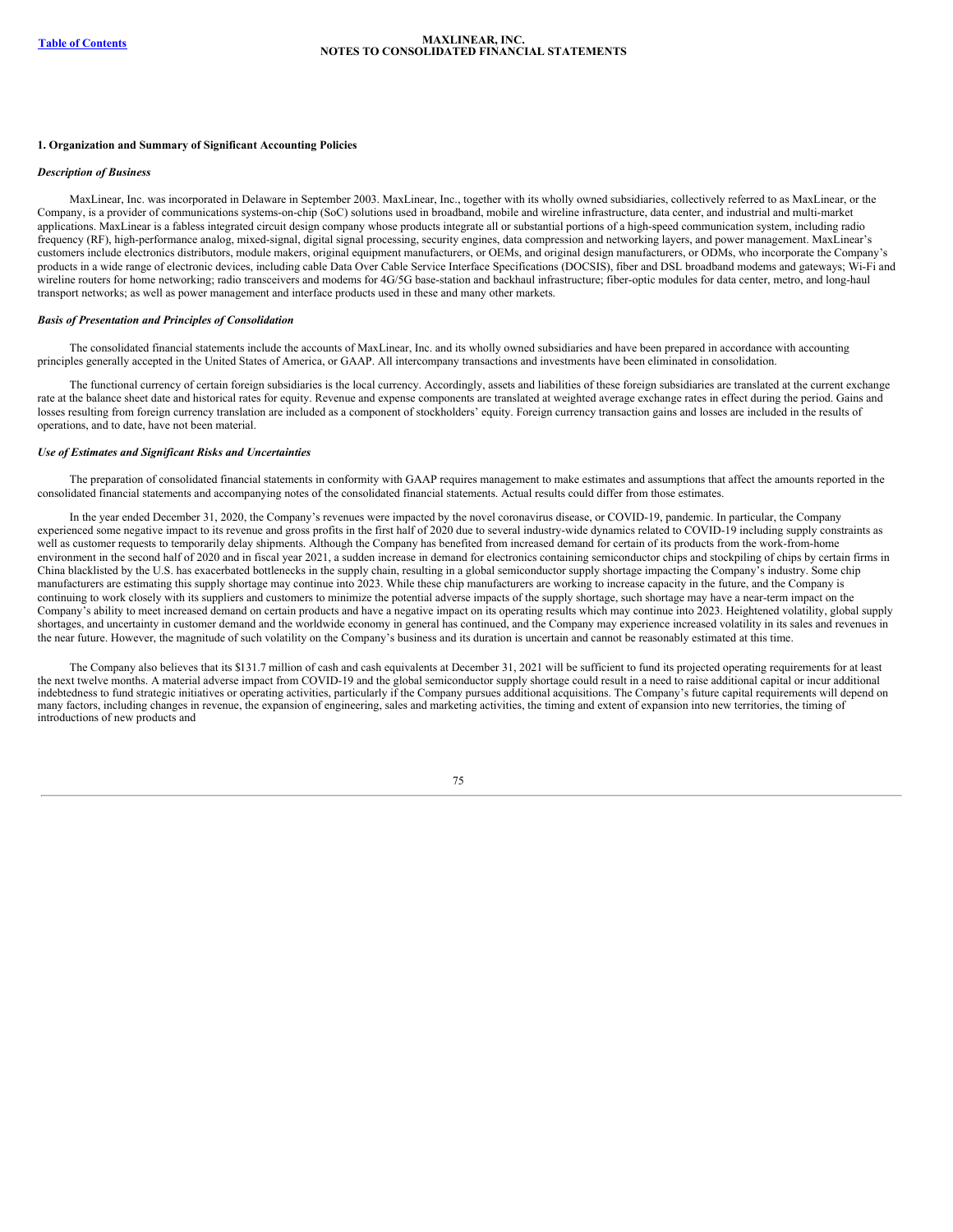#### **1. Organization and Summary of Significant Accounting Policies**

#### *Description of Business*

MaxLinear, Inc. was incorporated in Delaware in September 2003. MaxLinear, Inc., together with its wholly owned subsidiaries, collectively referred to as MaxLinear, or the Company, is a provider of communications systems-on-chip (SoC) solutions used in broadband, mobile and wireline infrastructure, data center, and industrial and multi-market applications. MaxLinear is a fabless integrated circuit design company whose products integrate all or substantial portions of a high-speed communication system, including radio frequency (RF), high-performance analog, mixed-signal, digital signal processing, security engines, data compression and networking layers, and power management. MaxLinear's customers include electronics distributors, module makers, original equipment manufacturers, or OEMs, and original design manufacturers, or ODMs, who incorporate the Company's products in a wide range of electronic devices, including cable Data Over Cable Service Interface Specifications (DOCSIS), fiber and DSL broadband modems and gateways; Wi-Fi and wireline routers for home networking; radio transceivers and modems for 4G/5G base-station and backhaul infrastructure; fiber-optic modules for data center, metro, and long-haul transport networks; as well as power management and interface products used in these and many other markets.

#### *Basis of Presentation and Principles of Consolidation*

The consolidated financial statements include the accounts of MaxLinear, Inc. and its wholly owned subsidiaries and have been prepared in accordance with accounting principles generally accepted in the United States of America, or GAAP. All intercompany transactions and investments have been eliminated in consolidation.

The functional currency of certain foreign subsidiaries is the local currency. Accordingly, assets and liabilities of these foreign subsidiaries are translated at the current exchange rate at the balance sheet date and historical rates for equity. Revenue and expense components are translated at weighted average exchange rates in effect during the period. Gains and losses resulting from foreign currency translation are included as a component of stockholders' equity. Foreign currency transaction gains and losses are included in the results of operations, and to date, have not been material.

#### *Use of Estimates and Significant Risks and Uncertainties*

The preparation of consolidated financial statements in conformity with GAAP requires management to make estimates and assumptions that affect the amounts reported in the consolidated financial statements and accompanying notes of the consolidated financial statements. Actual results could differ from those estimates.

In the year ended December 31, 2020, the Company's revenues were impacted by the novel coronavirus disease, or COVID-19, pandemic. In particular, the Company experienced some negative impact to its revenue and gross profits in the first half of 2020 due to several industry-wide dynamics related to COVID-19 including supply constraints as well as customer requests to temporarily delay shipments. Although the Company has benefited from increased demand for certain of its products from the work-from-home environment in the second half of 2020 and in fiscal year 2021, a sudden increase in demand for electronics containing semiconductor chips and stockpiling of chips by certain firms in China blacklisted by the U.S. has exacerbated bottlenecks in the supply chain, resulting in a global semiconductor supply shortage impacting the Company's industry. Some chip manufacturers are estimating this supply shortage may continue into 2023. While these chip manufacturers are working to increase capacity in the future, and the Company is continuing to work closely with its suppliers and customers to minimize the potential adverse impacts of the supply shortage, such shortage may have a near-term impact on the Company's ability to meet increased demand on certain products and have a negative impact on its operating results which may continue into 2023. Heightened volatility, global supply shortages, and uncertainty in customer demand and the worldwide economy in general has continued, and the Company may experience increased volatility in its sales and revenues in the near future. However, the magnitude of such volatility on the Company's business and its duration is uncertain and cannot be reasonably estimated at this time.

The Company also believes that its \$131.7 million of cash and cash equivalents at December 31, 2021 will be sufficient to fund its projected operating requirements for at least the next twelve months. A material adverse impact from COVID-19 and the global semiconductor supply shortage could result in a need to raise additional capital or incur additional indebtedness to fund strategic initiatives or operating activities, particularly if the Company pursues additional acquisitions. The Company's future capital requirements will depend on many factors, including changes in revenue, the expansion of engineering, sales and marketing activities, the timing and extent of expansion into new territories, the timing of introductions of new products and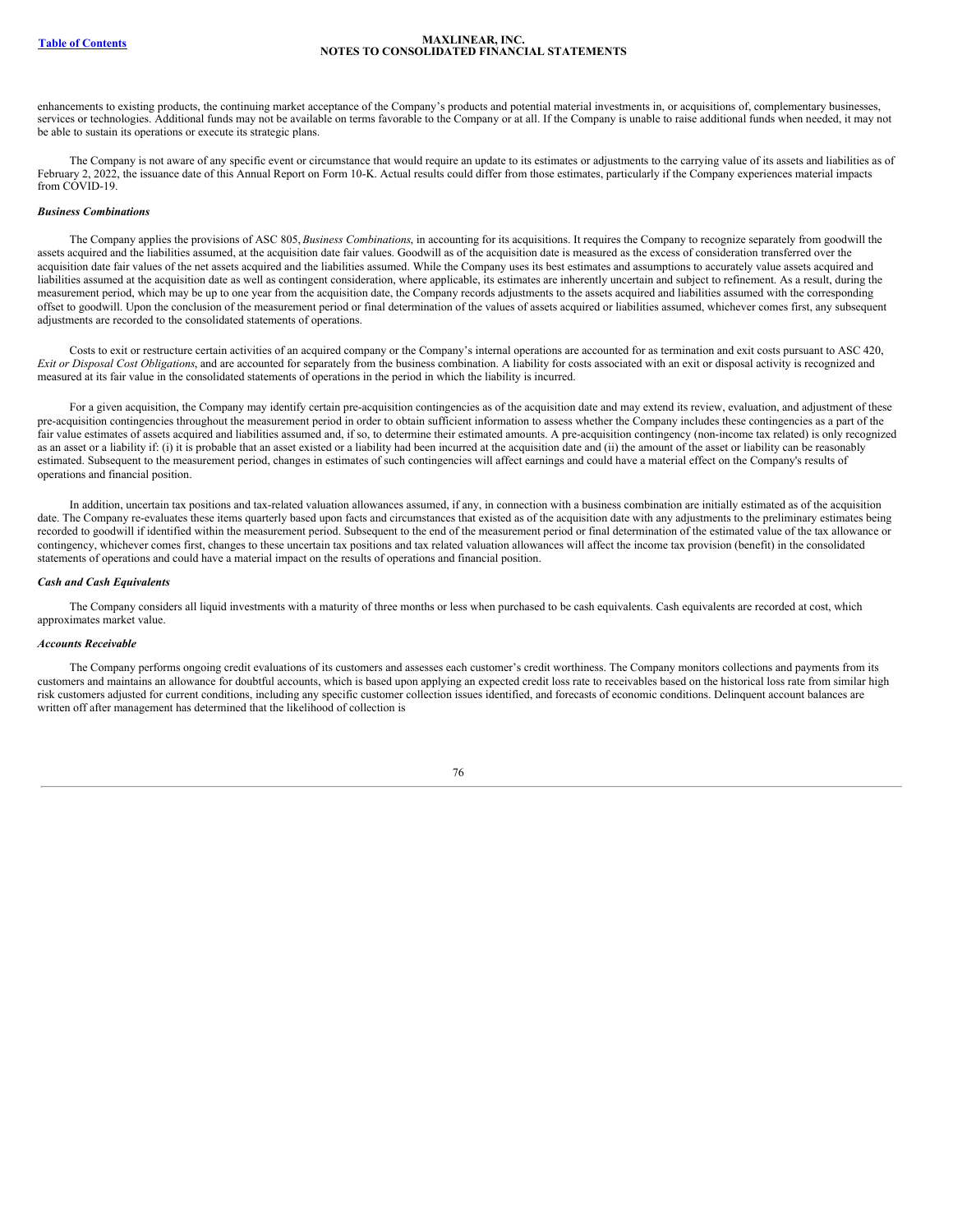enhancements to existing products, the continuing market acceptance of the Company's products and potential material investments in, or acquisitions of, complementary businesses, services or technologies. Additional funds may not be available on terms favorable to the Company or at all. If the Company is unable to raise additional funds when needed, it may not be able to sustain its operations or execute its strategic plans.

The Company is not aware of any specific event or circumstance that would require an update to its estimates or adjustments to the carrying value of its assets and liabilities as of February 2, 2022, the issuance date of this Annual Report on Form 10-K. Actual results could differ from those estimates, particularly if the Company experiences material impacts from COVID-19.

#### *Business Combinations*

The Company applies the provisions of ASC 805,*Business Combinations*, in accounting for its acquisitions. It requires the Company to recognize separately from goodwill the assets acquired and the liabilities assumed, at the acquisition date fair values. Goodwill as of the acquisition date is measured as the excess of consideration transferred over the acquisition date fair values of the net assets acquired and the liabilities assumed. While the Company uses its best estimates and assumptions to accurately value assets acquired and liabilities assumed at the acquisition date as well as contingent consideration, where applicable, its estimates are inherently uncertain and subject to refinement. As a result, during the measurement period, which may be up to one year from the acquisition date, the Company records adjustments to the assets acquired and liabilities assumed with the corresponding offset to goodwill. Upon the conclusion of the measurement period or final determination of the values of assets acquired or liabilities assumed, whichever comes first, any subsequent adjustments are recorded to the consolidated statements of operations.

Costs to exit or restructure certain activities of an acquired company or the Company's internal operations are accounted for as termination and exit costs pursuant to ASC 420, *Exit or Disposal Cost Obligations*, and are accounted for separately from the business combination. A liability for costs associated with an exit or disposal activity is recognized and measured at its fair value in the consolidated statements of operations in the period in which the liability is incurred.

For a given acquisition, the Company may identify certain pre-acquisition contingencies as of the acquisition date and may extend its review, evaluation, and adjustment of these pre-acquisition contingencies throughout the measurement period in order to obtain sufficient information to assess whether the Company includes these contingencies as a part of the fair value estimates of assets acquired and liabilities assumed and, if so, to determine their estimated amounts. A pre-acquisition contingency (non-income tax related) is only recognized as an asset or a liability if: (i) it is probable that an asset existed or a liability had been incurred at the acquisition date and (ii) the amount of the asset or liability can be reasonably estimated. Subsequent to the measurement period, changes in estimates of such contingencies will affect earnings and could have a material effect on the Company's results of operations and financial position.

In addition, uncertain tax positions and tax-related valuation allowances assumed, if any, in connection with a business combination are initially estimated as of the acquisition date. The Company re-evaluates these items quarterly based upon facts and circumstances that existed as of the acquisition date with any adjustments to the preliminary estimates being recorded to goodwill if identified within the measurement period. Subsequent to the end of the measurement period or final determination of the estimated value of the tax allowance or contingency, whichever comes first, changes to these uncertain tax positions and tax related valuation allowances will affect the income tax provision (benefit) in the consolidated statements of operations and could have a material impact on the results of operations and financial position.

#### *Cash and Cash Equivalents*

The Company considers all liquid investments with a maturity of three months or less when purchased to be cash equivalents. Cash equivalents are recorded at cost, which approximates market value.

#### *Accounts Receivable*

The Company performs ongoing credit evaluations of its customers and assesses each customer's credit worthiness. The Company monitors collections and payments from its customers and maintains an allowance for doubtful accounts, which is based upon applying an expected credit loss rate to receivables based on the historical loss rate from similar high risk customers adjusted for current conditions, including any specific customer collection issues identified, and forecasts of economic conditions. Delinquent account balances are written off after management has determined that the likelihood of collection is

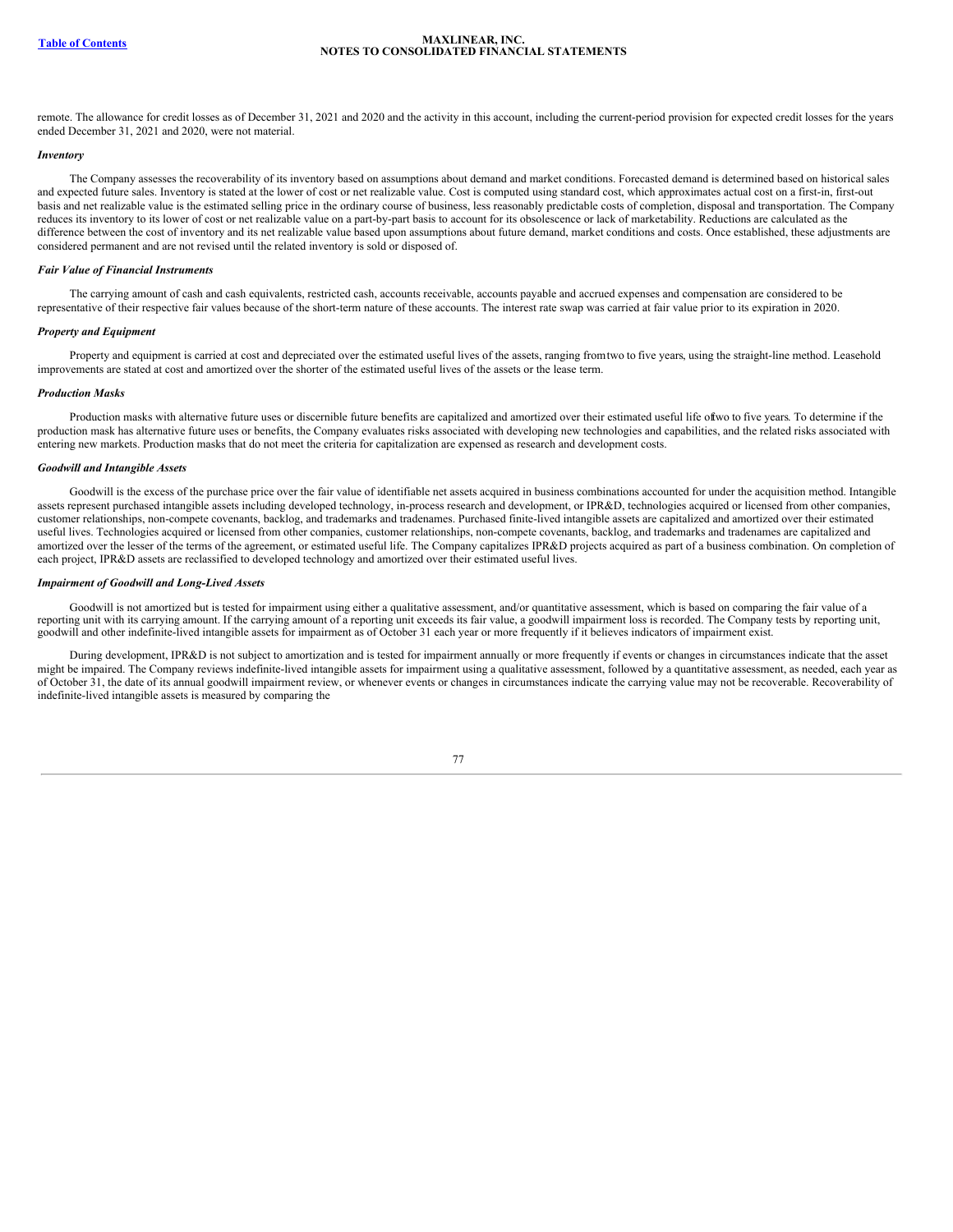remote. The allowance for credit losses as of December 31, 2021 and 2020 and the activity in this account, including the current-period provision for expected credit losses for the years ended December 31, 2021 and 2020, were not material.

#### *Inventory*

The Company assesses the recoverability of its inventory based on assumptions about demand and market conditions. Forecasted demand is determined based on historical sales and expected future sales. Inventory is stated at the lower of cost or net realizable value. Cost is computed using standard cost, which approximates actual cost on a first-in, first-out basis and net realizable value is the estimated selling price in the ordinary course of business, less reasonably predictable costs of completion, disposal and transportation. The Company reduces its inventory to its lower of cost or net realizable value on a part-by-part basis to account for its obsolescence or lack of marketability. Reductions are calculated as the difference between the cost of inventory and its net realizable value based upon assumptions about future demand, market conditions and costs. Once established, these adjustments are considered permanent and are not revised until the related inventory is sold or disposed of.

#### *Fair Value of Financial Instruments*

The carrying amount of cash and cash equivalents, restricted cash, accounts receivable, accounts payable and accrued expenses and compensation are considered to be representative of their respective fair values because of the short-term nature of these accounts. The interest rate swap was carried at fair value prior to its expiration in 2020.

#### *Property and Equipment*

Property and equipment is carried at cost and depreciated over the estimated useful lives of the assets, ranging from two to five years, using the straight-line method. Leasehold improvements are stated at cost and amortized over the shorter of the estimated useful lives of the assets or the lease term.

#### *Production Masks*

Production masks with alternative future uses or discernible future benefits are capitalized and amortized over their estimated useful life oftwo to five years. To determine if the production mask has alternative future uses or benefits, the Company evaluates risks associated with developing new technologies and capabilities, and the related risks associated with entering new markets. Production masks that do not meet the criteria for capitalization are expensed as research and development costs.

#### *Goodwill and Intangible Assets*

Goodwill is the excess of the purchase price over the fair value of identifiable net assets acquired in business combinations accounted for under the acquisition method. Intangible assets represent purchased intangible assets including developed technology, in-process research and development, or IPR&D, technologies acquired or licensed from other companies, customer relationships, non-compete covenants, backlog, and trademarks and tradenames. Purchased finite-lived intangible assets are capitalized and amortized over their estimated useful lives. Technologies acquired or licensed from other companies, customer relationships, non-compete covenants, backlog, and trademarks and tradenames are capitalized and amortized over the lesser of the terms of the agreement, or estimated useful life. The Company capitalizes IPR&D projects acquired as part of a business combination. On completion of each project, IPR&D assets are reclassified to developed technology and amortized over their estimated useful lives.

#### *Impairment of Goodwill and Long-Lived Assets*

Goodwill is not amortized but is tested for impairment using either a qualitative assessment, and/or quantitative assessment, which is based on comparing the fair value of a reporting unit with its carrying amount. If the carrying amount of a reporting unit exceeds its fair value, a goodwill impairment loss is recorded. The Company tests by reporting unit, goodwill and other indefinite-lived intangible assets for impairment as of October 31 each year or more frequently if it believes indicators of impairment exist.

During development, IPR&D is not subject to amortization and is tested for impairment annually or more frequently if events or changes in circumstances indicate that the asset might be impaired. The Company reviews indefinite-lived intangible assets for impairment using a qualitative assessment, followed by a quantitative assessment, as needed, each year as of October 31, the date of its annual goodwill impairment review, or whenever events or changes in circumstances indicate the carrying value may not be recoverable. Recoverability of indefinite-lived intangible assets is measured by comparing the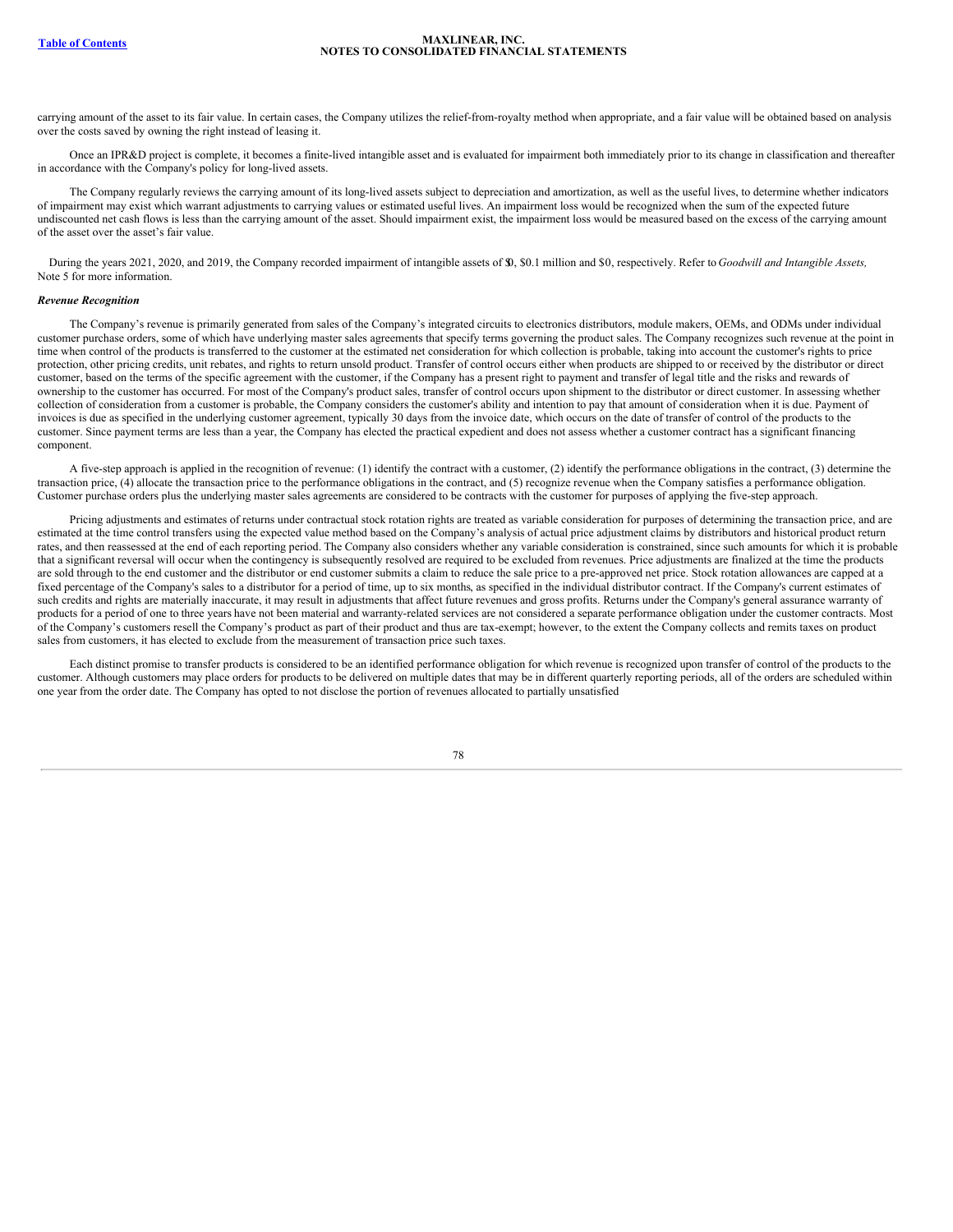carrying amount of the asset to its fair value. In certain cases, the Company utilizes the relief-from-royalty method when appropriate, and a fair value will be obtained based on analysis over the costs saved by owning the right instead of leasing it.

Once an IPR&D project is complete, it becomes a finite-lived intangible asset and is evaluated for impairment both immediately prior to its change in classification and thereafter in accordance with the Company's policy for long-lived assets.

The Company regularly reviews the carrying amount of its long-lived assets subject to depreciation and amortization, as well as the useful lives, to determine whether indicators of impairment may exist which warrant adjustments to carrying values or estimated useful lives. An impairment loss would be recognized when the sum of the expected future undiscounted net cash flows is less than the carrying amount of the asset. Should impairment exist, the impairment loss would be measured based on the excess of the carrying amount of the asset over the asset's fair value.

During the years 2021, 2020, and 2019, the Company recorded impairment of intangible assets of \$0, \$0.1 million and \$0, respectively. Refer to *Goodwill and Intangible Assets,* Note 5 for more information.

#### *Revenue Recognition*

The Company's revenue is primarily generated from sales of the Company's integrated circuits to electronics distributors, module makers, OEMs, and ODMs under individual customer purchase orders, some of which have underlying master sales agreements that specify terms governing the product sales. The Company recognizes such revenue at the point in time when control of the products is transferred to the customer at the estimated net consideration for which collection is probable, taking into account the customer's rights to price protection, other pricing credits, unit rebates, and rights to return unsold product. Transfer of control occurs either when products are shipped to or received by the distributor or direct customer, based on the terms of the specific agreement with the customer, if the Company has a present right to payment and transfer of legal title and the risks and rewards of ownership to the customer has occurred. For most of the Company's product sales, transfer of control occurs upon shipment to the distributor or direct customer. In assessing whether collection of consideration from a customer is probable, the Company considers the customer's ability and intention to pay that amount of consideration when it is due. Payment of invoices is due as specified in the underlying customer agreement, typically 30 days from the invoice date, which occurs on the date of transfer of control of the products to the customer. Since payment terms are less than a year, the Company has elected the practical expedient and does not assess whether a customer contract has a significant financing component.

A five-step approach is applied in the recognition of revenue: (1) identify the contract with a customer, (2) identify the performance obligations in the contract, (3) determine the transaction price, (4) allocate the transaction price to the performance obligations in the contract, and (5) recognize revenue when the Company satisfies a performance obligation. Customer purchase orders plus the underlying master sales agreements are considered to be contracts with the customer for purposes of applying the five-step approach.

Pricing adjustments and estimates of returns under contractual stock rotation rights are treated as variable consideration for purposes of determining the transaction price, and are estimated at the time control transfers using the expected value method based on the Company's analysis of actual price adjustment claims by distributors and historical product return rates, and then reassessed at the end of each reporting period. The Company also considers whether any variable consideration is constrained, since such amounts for which it is probable that a significant reversal will occur when the contingency is subsequently resolved are required to be excluded from revenues. Price adjustments are finalized at the time the products are sold through to the end customer and the distributor or end customer submits a claim to reduce the sale price to a pre-approved net price. Stock rotation allowances are capped at a fixed percentage of the Company's sales to a distributor for a period of time, up to six months, as specified in the individual distributor contract. If the Company's current estimates of such credits and rights are materially inaccurate, it may result in adjustments that affect future revenues and gross profits. Returns under the Company's general assurance warranty of products for a period of one to three years have not been material and warranty-related services are not considered a separate performance obligation under the customer contracts. Most of the Company's customers resell the Company's product as part of their product and thus are tax-exempt; however, to the extent the Company collects and remits taxes on product sales from customers, it has elected to exclude from the measurement of transaction price such taxes.

Each distinct promise to transfer products is considered to be an identified performance obligation for which revenue is recognized upon transfer of control of the products to the customer. Although customers may place orders for products to be delivered on multiple dates that may be in different quarterly reporting periods, all of the orders are scheduled within one year from the order date. The Company has opted to not disclose the portion of revenues allocated to partially unsatisfied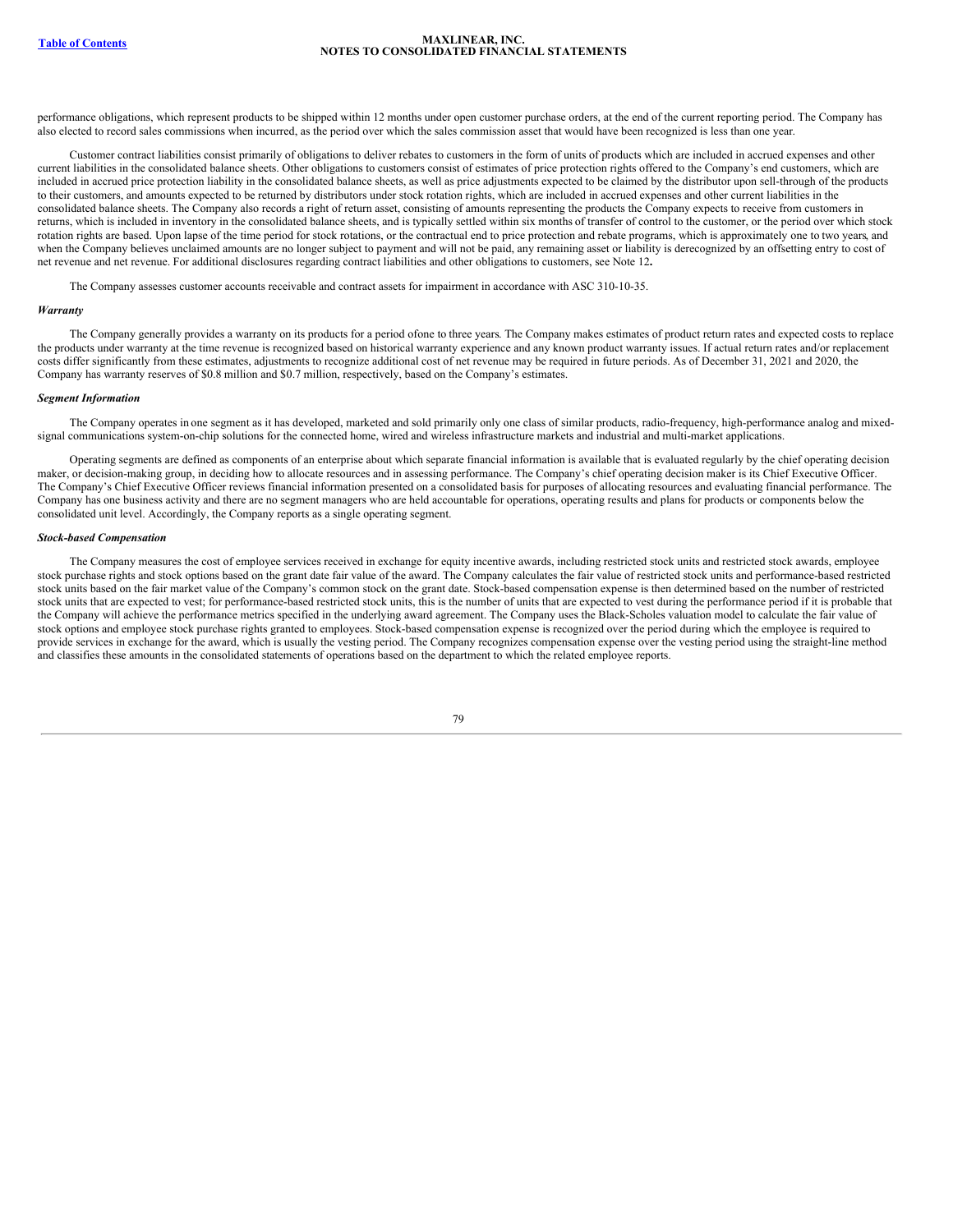performance obligations, which represent products to be shipped within 12 months under open customer purchase orders, at the end of the current reporting period. The Company has also elected to record sales commissions when incurred, as the period over which the sales commission asset that would have been recognized is less than one year.

Customer contract liabilities consist primarily of obligations to deliver rebates to customers in the form of units of products which are included in accrued expenses and other current liabilities in the consolidated balance sheets. Other obligations to customers consist of estimates of price protection rights offered to the Company's end customers, which are included in accrued price protection liability in the consolidated balance sheets, as well as price adjustments expected to be claimed by the distributor upon sell-through of the products to their customers, and amounts expected to be returned by distributors under stock rotation rights, which are included in accrued expenses and other current liabilities in the consolidated balance sheets. The Company also records a right of return asset, consisting of amounts representing the products the Company expects to receive from customers in returns, which is included in inventory in the consolidated balance sheets, and is typically settled within six months of transfer of control to the customer, or the period over which stock rotation rights are based. Upon lapse of the time period for stock rotations, or the contractual end to price protection and rebate programs, which is approximately one to two years, and when the Company believes unclaimed amounts are no longer subject to payment and will not be paid, any remaining asset or liability is derecognized by an offsetting entry to cost of net revenue and net revenue. For additional disclosures regarding contract liabilities and other obligations to customers, see Note 12**.**

The Company assesses customer accounts receivable and contract assets for impairment in accordance with ASC 310-10-35.

#### *Warranty*

The Company generally provides a warranty on its products for a period ofone to three years. The Company makes estimates of product return rates and expected costs to replace the products under warranty at the time revenue is recognized based on historical warranty experience and any known product warranty issues. If actual return rates and/or replacement costs differ significantly from these estimates, adjustments to recognize additional cost of net revenue may be required in future periods. As of December 31, 2021 and 2020, the Company has warranty reserves of \$0.8 million and \$0.7 million, respectively, based on the Company's estimates.

#### *Segment Information*

The Company operates in one segment as it has developed, marketed and sold primarily only one class of similar products, radio-frequency, high-performance analog and mixedsignal communications system-on-chip solutions for the connected home, wired and wireless infrastructure markets and industrial and multi-market applications.

Operating segments are defined as components of an enterprise about which separate financial information is available that is evaluated regularly by the chief operating decision maker, or decision-making group, in deciding how to allocate resources and in assessing performance. The Company's chief operating decision maker is its Chief Executive Officer. The Company's Chief Executive Officer reviews financial information presented on a consolidated basis for purposes of allocating resources and evaluating financial performance. The Company has one business activity and there are no segment managers who are held accountable for operations, operating results and plans for products or components below the consolidated unit level. Accordingly, the Company reports as a single operating segment.

#### *Stock-based Compensation*

The Company measures the cost of employee services received in exchange for equity incentive awards, including restricted stock units and restricted stock awards, employee stock purchase rights and stock options based on the grant date fair value of the award. The Company calculates the fair value of restricted stock units and performance-based restricted stock units based on the fair market value of the Company's common stock on the grant date. Stock-based compensation expense is then determined based on the number of restricted stock units that are expected to vest; for performance-based restricted stock units, this is the number of units that are expected to vest during the performance period if it is probable that the Company will achieve the performance metrics specified in the underlying award agreement. The Company uses the Black-Scholes valuation model to calculate the fair value of stock options and employee stock purchase rights granted to employees. Stock-based compensation expense is recognized over the period during which the employee is required to provide services in exchange for the award, which is usually the vesting period. The Company recognizes compensation expense over the vesting period using the straight-line method and classifies these amounts in the consolidated statements of operations based on the department to which the related employee reports.

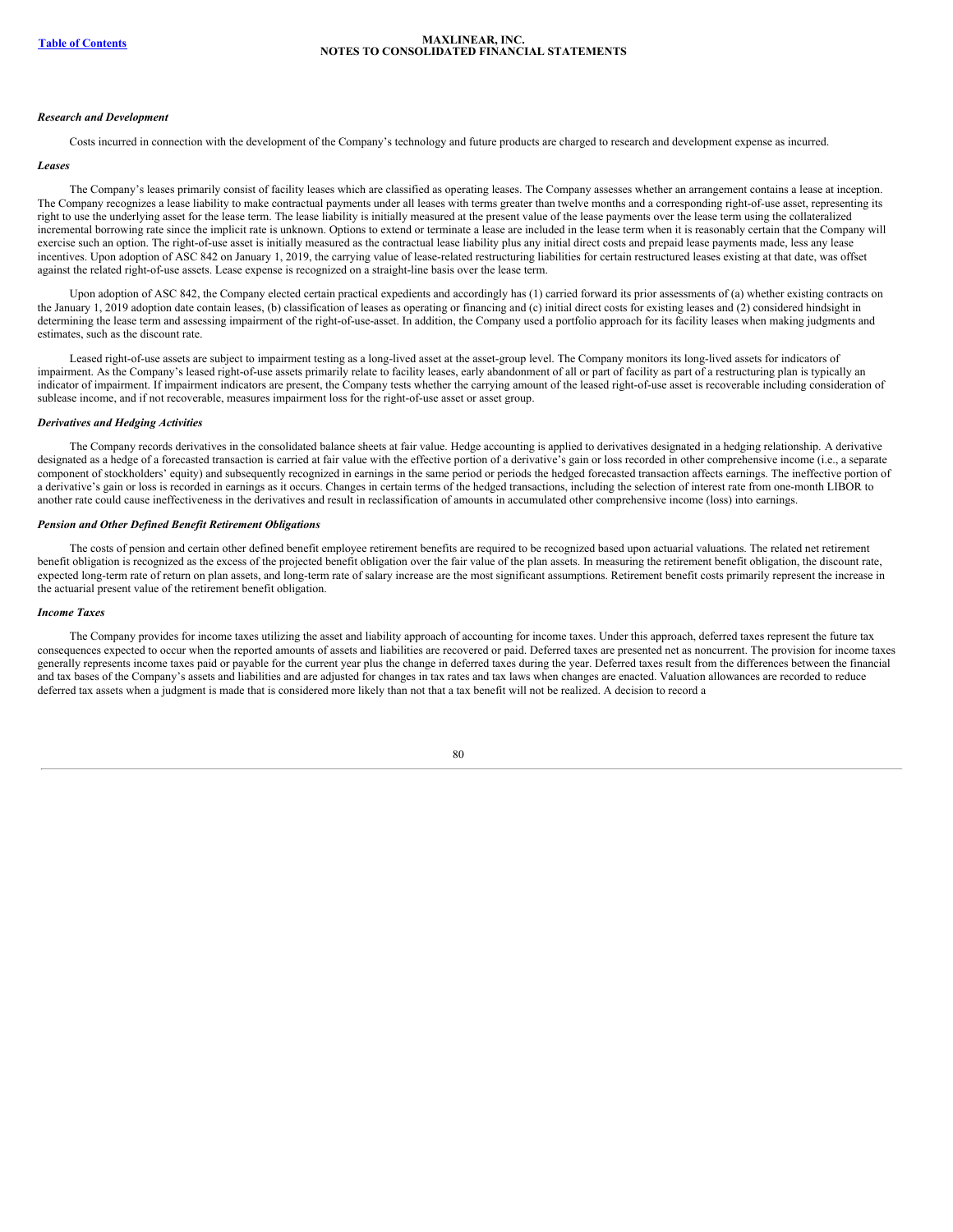#### *Research and Development*

Costs incurred in connection with the development of the Company's technology and future products are charged to research and development expense as incurred.

#### *Leases*

The Company's leases primarily consist of facility leases which are classified as operating leases. The Company assesses whether an arrangement contains a lease at inception. The Company recognizes a lease liability to make contractual payments under all leases with terms greater than twelve months and a corresponding right-of-use asset, representing its right to use the underlying asset for the lease term. The lease liability is initially measured at the present value of the lease payments over the lease term using the collateralized incremental borrowing rate since the implicit rate is unknown. Options to extend or terminate a lease are included in the lease term when it is reasonably certain that the Company will exercise such an option. The right-of-use asset is initially measured as the contractual lease liability plus any initial direct costs and prepaid lease payments made, less any lease incentives. Upon adoption of ASC 842 on January 1, 2019, the carrying value of lease-related restructuring liabilities for certain restructured leases existing at that date, was offset against the related right-of-use assets. Lease expense is recognized on a straight-line basis over the lease term.

Upon adoption of ASC 842, the Company elected certain practical expedients and accordingly has (1) carried forward its prior assessments of (a) whether existing contracts on the January 1, 2019 adoption date contain leases, (b) classification of leases as operating or financing and (c) initial direct costs for existing leases and (2) considered hindsight in determining the lease term and assessing impairment of the right-of-use-asset. In addition, the Company used a portfolio approach for its facility leases when making judgments and estimates, such as the discount rate.

Leased right-of-use assets are subject to impairment testing as a long-lived asset at the asset-group level. The Company monitors its long-lived assets for indicators of impairment. As the Company's leased right-of-use assets primarily relate to facility leases, early abandonment of all or part of facility as part of a restructuring plan is typically an indicator of impairment. If impairment indicators are present, the Company tests whether the carrying amount of the leased right-of-use asset is recoverable including consideration of sublease income, and if not recoverable, measures impairment loss for the right-of-use asset or asset group.

#### *Derivatives and Hedging Activities*

The Company records derivatives in the consolidated balance sheets at fair value. Hedge accounting is applied to derivatives designated in a hedging relationship. A derivative designated as a hedge of a forecasted transaction is carried at fair value with the effective portion of a derivative's gain or loss recorded in other comprehensive income (i.e., a separate component of stockholders' equity) and subsequently recognized in earnings in the same period or periods the hedged forecasted transaction affects earnings. The ineffective portion of a derivative's gain or loss is recorded in earnings as it occurs. Changes in certain terms of the hedged transactions, including the selection of interest rate from one-month LIBOR to another rate could cause ineffectiveness in the derivatives and result in reclassification of amounts in accumulated other comprehensive income (loss) into earnings.

#### *Pension and Other Defined Benefit Retirement Obligations*

The costs of pension and certain other defined benefit employee retirement benefits are required to be recognized based upon actuarial valuations. The related net retirement benefit obligation is recognized as the excess of the projected benefit obligation over the fair value of the plan assets. In measuring the retirement benefit obligation, the discount rate, expected long-term rate of return on plan assets, and long-term rate of salary increase are the most significant assumptions. Retirement benefit costs primarily represent the increase in the actuarial present value of the retirement benefit obligation.

#### *Income Taxes*

The Company provides for income taxes utilizing the asset and liability approach of accounting for income taxes. Under this approach, deferred taxes represent the future tax consequences expected to occur when the reported amounts of assets and liabilities are recovered or paid. Deferred taxes are presented net as noncurrent. The provision for income taxes generally represents income taxes paid or payable for the current year plus the change in deferred taxes during the year. Deferred taxes result from the differences between the financial and tax bases of the Company's assets and liabilities and are adjusted for changes in tax rates and tax laws when changes are enacted. Valuation allowances are recorded to reduce deferred tax assets when a judgment is made that is considered more likely than not that a tax benefit will not be realized. A decision to record a

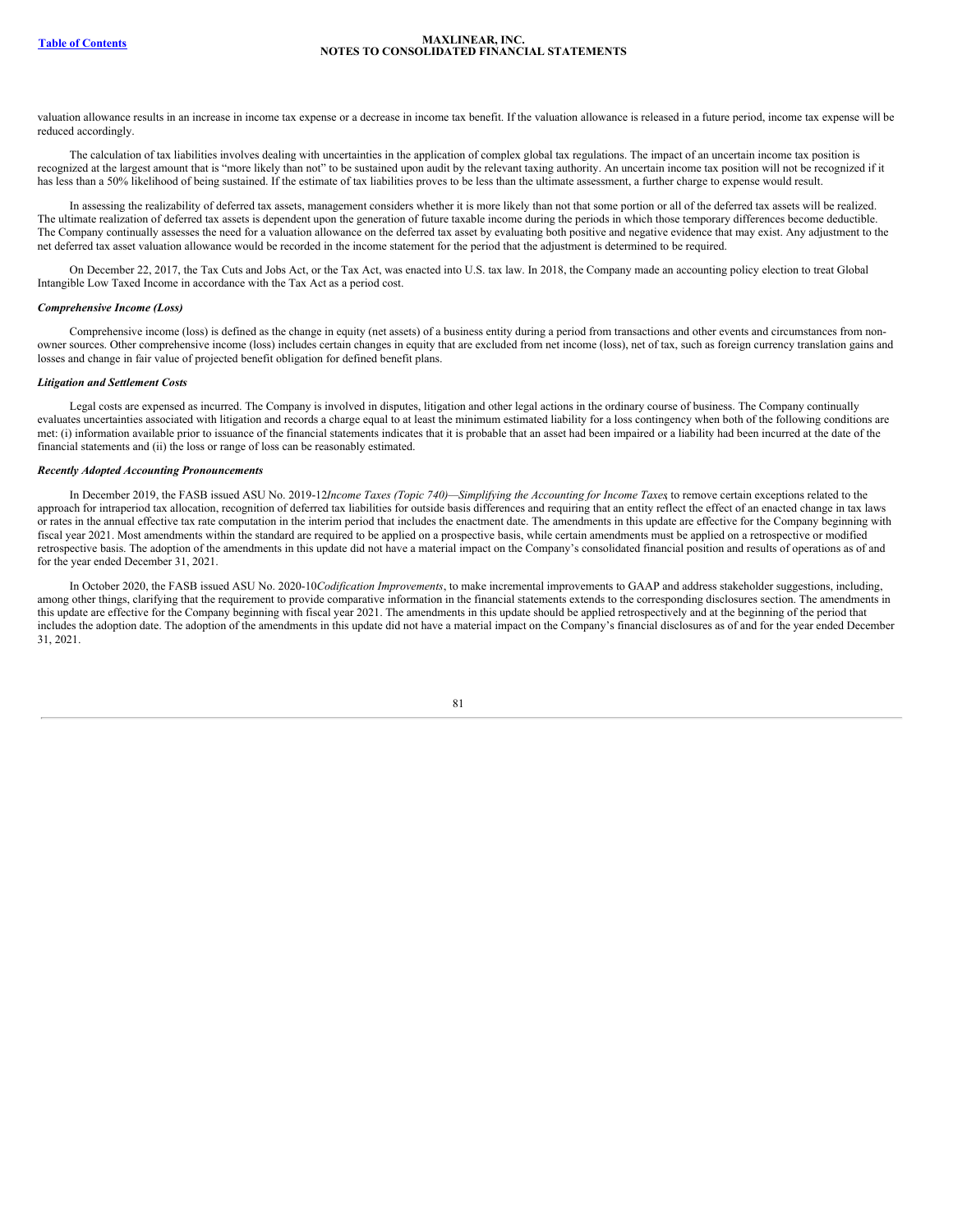valuation allowance results in an increase in income tax expense or a decrease in income tax benefit. If the valuation allowance is released in a future period, income tax expense will be reduced accordingly.

The calculation of tax liabilities involves dealing with uncertainties in the application of complex global tax regulations. The impact of an uncertain income tax position is recognized at the largest amount that is "more likely than not" to be sustained upon audit by the relevant taxing authority. An uncertain income tax position will not be recognized if it has less than a 50% likelihood of being sustained. If the estimate of tax liabilities proves to be less than the ultimate assessment, a further charge to expense would result.

In assessing the realizability of deferred tax assets, management considers whether it is more likely than not that some portion or all of the deferred tax assets will be realized. The ultimate realization of deferred tax assets is dependent upon the generation of future taxable income during the periods in which those temporary differences become deductible. The Company continually assesses the need for a valuation allowance on the deferred tax asset by evaluating both positive and negative evidence that may exist. Any adjustment to the net deferred tax asset valuation allowance would be recorded in the income statement for the period that the adjustment is determined to be required.

On December 22, 2017, the Tax Cuts and Jobs Act, or the Tax Act, was enacted into U.S. tax law. In 2018, the Company made an accounting policy election to treat Global Intangible Low Taxed Income in accordance with the Tax Act as a period cost.

#### *Comprehensive Income (Loss)*

Comprehensive income (loss) is defined as the change in equity (net assets) of a business entity during a period from transactions and other events and circumstances from nonowner sources. Other comprehensive income (loss) includes certain changes in equity that are excluded from net income (loss), net of tax, such as foreign currency translation gains and losses and change in fair value of projected benefit obligation for defined benefit plans.

#### *Litigation and Settlement Costs*

Legal costs are expensed as incurred. The Company is involved in disputes, litigation and other legal actions in the ordinary course of business. The Company continually evaluates uncertainties associated with litigation and records a charge equal to at least the minimum estimated liability for a loss contingency when both of the following conditions are met: (i) information available prior to issuance of the financial statements indicates that it is probable that an asset had been impaired or a liability had been incurred at the date of the financial statements and (ii) the loss or range of loss can be reasonably estimated.

#### *Recently Adopted Accounting Pronouncements*

In December 2019, the FASB issued ASU No. 2019-12Income Taxes (Topic 740)-Simplifying the Accounting for Income Taxes to remove certain exceptions related to the approach for intraperiod tax allocation, recognition of deferred tax liabilities for outside basis differences and requiring that an entity reflect the effect of an enacted change in tax laws or rates in the annual effective tax rate computation in the interim period that includes the enactment date. The amendments in this update are effective for the Company beginning with fiscal year 2021. Most amendments within the standard are required to be applied on a prospective basis, while certain amendments must be applied on a retrospective or modified retrospective basis. The adoption of the amendments in this update did not have a material impact on the Company's consolidated financial position and results of operations as of and for the year ended December 31, 2021.

In October 2020, the FASB issued ASU No. 2020-10*Codification Improvements*, to make incremental improvements to GAAP and address stakeholder suggestions, including, among other things, clarifying that the requirement to provide comparative information in the financial statements extends to the corresponding disclosures section. The amendments in this update are effective for the Company beginning with fiscal year 2021. The amendments in this update should be applied retrospectively and at the beginning of the period that includes the adoption date. The adoption of the amendments in this update did not have a material impact on the Company's financial disclosures as of and for the year ended December 31, 2021.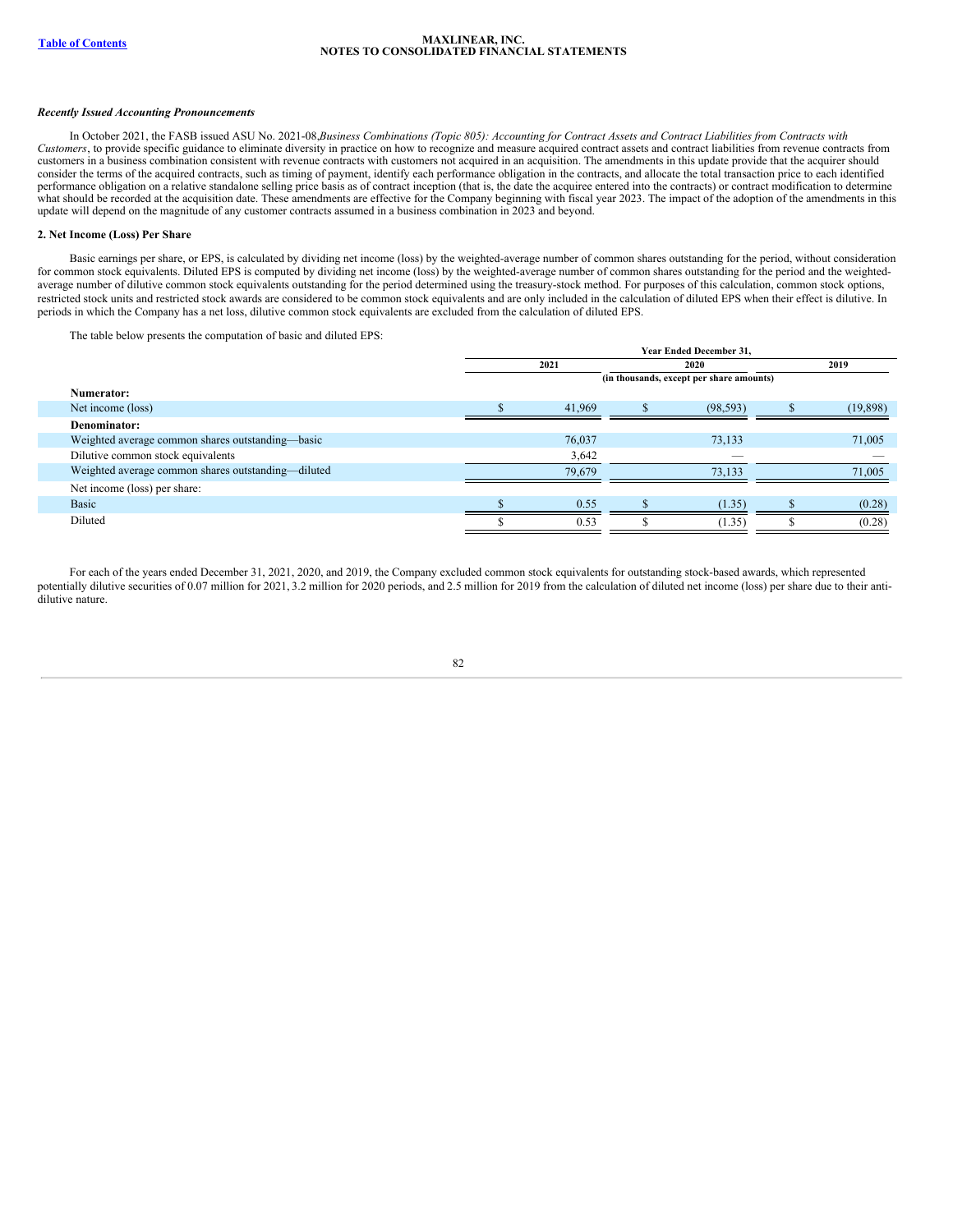#### *Recently Issued Accounting Pronouncements*

In October 2021, the FASB issued ASU No. 2021-08,Business Combinations (Topic 805): Accounting for Contract Assets and Contract Liabilities from Contracts with *Customers*, to provide specific guidance to eliminate diversity in practice on how to recognize and measure acquired contract assets and contract liabilities from revenue contracts from customers in a business combination consistent with revenue contracts with customers not acquired in an acquisition. The amendments in this update provide that the acquirer should consider the terms of the acquired contracts, such as timing of payment, identify each performance obligation in the contracts, and allocate the total transaction price to each identified performance obligation on a relative standalone selling price basis as of contract inception (that is, the date the acquiree entered into the contracts) or contract modification to determine what should be recorded at the acquisition date. These amendments are effective for the Company beginning with fiscal year 2023. The impact of the adoption of the amendments in this update will depend on the magnitude of any customer contracts assumed in a business combination in 2023 and beyond.

#### **2. Net Income (Loss) Per Share**

Basic earnings per share, or EPS, is calculated by dividing net income (loss) by the weighted-average number of common shares outstanding for the period, without consideration for common stock equivalents. Diluted EPS is computed by dividing net income (loss) by the weighted-average number of common shares outstanding for the period and the weightedaverage number of dilutive common stock equivalents outstanding for the period determined using the treasury-stock method. For purposes of this calculation, common stock options, restricted stock units and restricted stock awards are considered to be common stock equivalents and are only included in the calculation of diluted EPS when their effect is dilutive. In periods in which the Company has a net loss, dilutive common stock equivalents are excluded from the calculation of diluted EPS.

The table below presents the computation of basic and diluted EPS:

|                                                    | Year Ended December 31, |        |      |                                          |  |           |  |
|----------------------------------------------------|-------------------------|--------|------|------------------------------------------|--|-----------|--|
|                                                    |                         |        | 2020 | 2019                                     |  |           |  |
|                                                    |                         |        |      | (in thousands, except per share amounts) |  |           |  |
| Numerator:                                         |                         |        |      |                                          |  |           |  |
| Net income (loss)                                  |                         | 41,969 |      | (98, 593)                                |  | (19, 898) |  |
| Denominator:                                       |                         |        |      |                                          |  |           |  |
| Weighted average common shares outstanding—basic   |                         | 76,037 |      | 73,133                                   |  | 71,005    |  |
| Dilutive common stock equivalents                  |                         | 3,642  |      |                                          |  |           |  |
| Weighted average common shares outstanding—diluted |                         | 79,679 |      | 73,133                                   |  | 71,005    |  |
| Net income (loss) per share:                       |                         |        |      |                                          |  |           |  |
| Basic                                              |                         | 0.55   |      | (1.35)                                   |  | (0.28)    |  |
| Diluted                                            |                         | 0.53   |      | (1.35)                                   |  | (0.28)    |  |
|                                                    |                         |        |      |                                          |  |           |  |

For each of the years ended December 31, 2021, 2020, and 2019, the Company excluded common stock equivalents for outstanding stock-based awards, which represented potentially dilutive securities of 0.07 million for 2021, 3.2 million for 2020 periods, and 2.5 million for 2019 from the calculation of diluted net income (loss) per share due to their antidilutive nature.

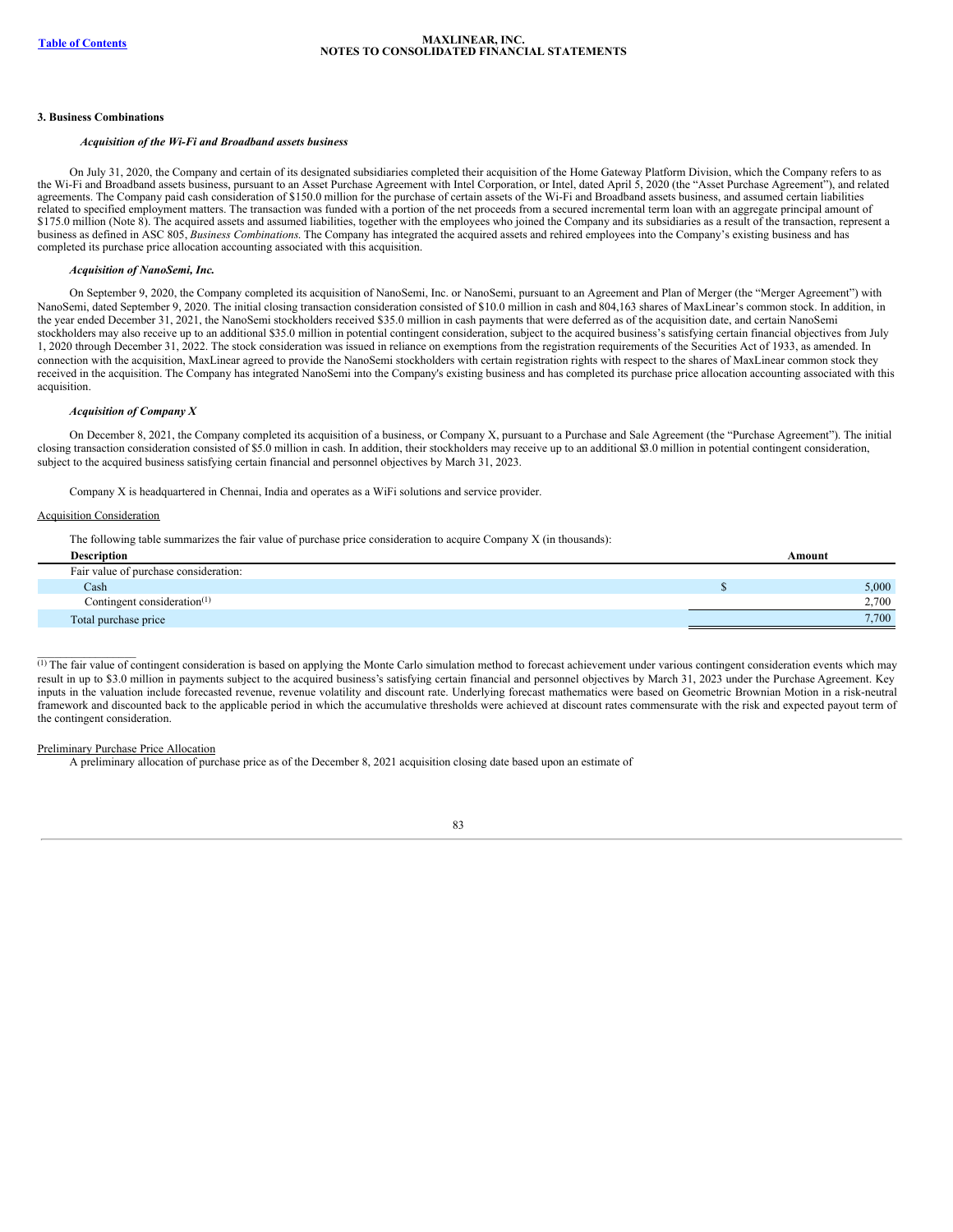#### **3. Business Combinations**

### *Acquisition of the Wi-Fi and Broadband assets business*

On July 31, 2020, the Company and certain of its designated subsidiaries completed their acquisition of the Home Gateway Platform Division, which the Company refers to as the Wi-Fi and Broadband assets business, pursuant to an Asset Purchase Agreement with Intel Corporation, or Intel, dated April 5, 2020 (the "Asset Purchase Agreement"), and related agreements. The Company paid cash consideration of \$150.0 million for the purchase of certain assets of the Wi-Fi and Broadband assets business, and assumed certain liabilities related to specified employment matters. The transaction was funded with a portion of the net proceeds from a secured incremental term loan with an aggregate principal amount of \$175.0 million (Note 8). The acquired assets and assumed liabilities, together with the employees who joined the Company and its subsidiaries as a result of the transaction, represent a business as defined in ASC 805, *Business Combinations*. The Company has integrated the acquired assets and rehired employees into the Company's existing business and has completed its purchase price allocation accounting associated with this acquisition.

#### *Acquisition of NanoSemi, Inc.*

On September 9, 2020, the Company completed its acquisition of NanoSemi, Inc. or NanoSemi, pursuant to an Agreement and Plan of Merger (the "Merger Agreement") with NanoSemi, dated September 9, 2020. The initial closing transaction consideration consisted of \$10.0 million in cash and 804,163 shares of MaxLinear's common stock. In addition, in the year ended December 31, 2021, the NanoSemi stockholders received \$35.0 million in cash payments that were deferred as of the acquisition date, and certain NanoSemi stockholders may also receive up to an additional \$35.0 million in potential contingent consideration, subject to the acquired business's satisfying certain financial objectives from July 1, 2020 through December 31, 2022. The stock consideration was issued in reliance on exemptions from the registration requirements of the Securities Act of 1933, as amended. In connection with the acquisition, MaxLinear agreed to provide the NanoSemi stockholders with certain registration rights with respect to the shares of MaxLinear common stock they received in the acquisition. The Company has integrated NanoSemi into the Company's existing business and has completed its purchase price allocation accounting associated with this acquisition.

#### *Acquisition of Company X*

On December 8, 2021, the Company completed its acquisition of a business, or Company X, pursuant to a Purchase and Sale Agreement (the "Purchase Agreement"). The initial closing transaction consideration consisted of \$5.0 million in cash. In addition, their stockholders may receive up to an additional \$3.0 million in potential contingent consideration, subject to the acquired business satisfying certain financial and personnel objectives by March 31, 2023.

Company X is headquartered in Chennai, India and operates as a WiFi solutions and service provider.

#### Acquisition Consideration

 $\mathcal{L}=\mathcal{L}^{\mathcal{L}}$  , we have the set of the set of the set of the set of the set of the set of the set of the set of the set of the set of the set of the set of the set of the set of the set of the set of the set of th

The following table summarizes the fair value of purchase price consideration to acquire Company X (in thousands):

| <b>Description</b>                    | Amount |
|---------------------------------------|--------|
| Fair value of purchase consideration: |        |
| Cash                                  | 5,000  |
| Contingent consideration $(1)$        | 2.700  |
| Total purchase price                  | 7,700  |

 $<sup>(1)</sup>$  The fair value of contingent consideration is based on applying the Monte Carlo simulation method to forecast achievement under various contingent consideration events which may</sup> result in up to \$3.0 million in payments subject to the acquired business's satisfying certain financial and personnel objectives by March 31, 2023 under the Purchase Agreement. Key inputs in the valuation include forecasted revenue, revenue volatility and discount rate. Underlying forecast mathematics were based on Geometric Brownian Motion in a risk-neutral framework and discounted back to the applicable period in which the accumulative thresholds were achieved at discount rates commensurate with the risk and expected payout term of the contingent consideration.

#### Preliminary Purchase Price Allocation

A preliminary allocation of purchase price as of the December 8, 2021 acquisition closing date based upon an estimate of

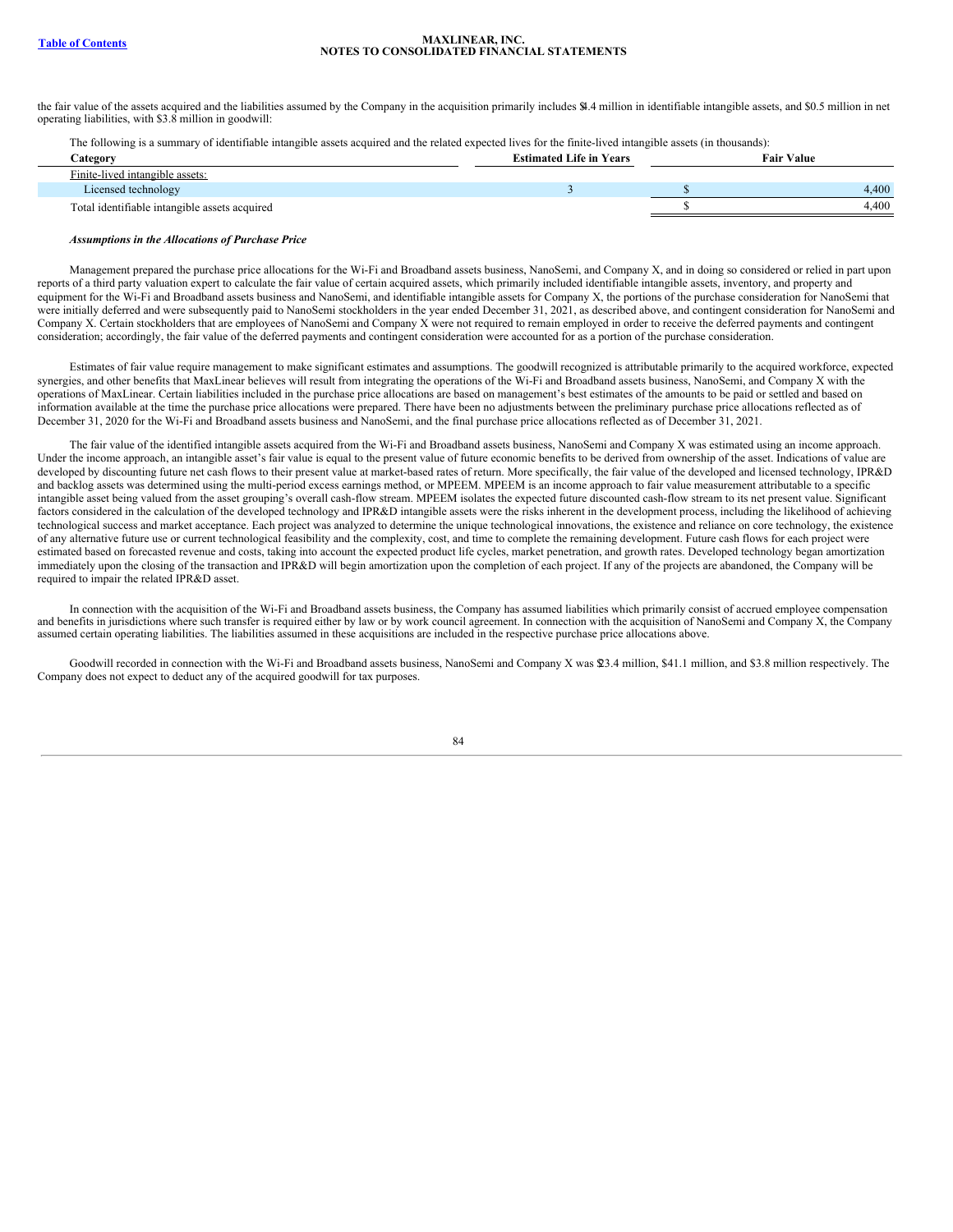the fair value of the assets acquired and the liabilities assumed by the Company in the acquisition primarily includes \$4.4 million in identifiable intangible assets, and \$0.5 million in net operating liabilities, with \$3.8 million in goodwill:

The following is a summary of identifiable intangible assets acquired and the related expected lives for the finite-lived intangible assets (in thousands):

| <i>L</i> ategory                              | <b>Estimated Life in Years</b> | <b>Fair Value</b> |
|-----------------------------------------------|--------------------------------|-------------------|
| Finite-lived intangible assets:               |                                |                   |
| Licensed technology                           |                                | 4.400             |
| Total identifiable intangible assets acquired |                                | 4.400             |

#### *Assumptions in the Allocations of Purchase Price*

Management prepared the purchase price allocations for the Wi-Fi and Broadband assets business, NanoSemi, and Company X, and in doing so considered or relied in part upon reports of a third party valuation expert to calculate the fair value of certain acquired assets, which primarily included identifiable intangible assets, inventory, and property and equipment for the Wi-Fi and Broadband assets business and NanoSemi, and identifiable intangible assets for Company X, the portions of the purchase consideration for NanoSemi that were initially deferred and were subsequently paid to NanoSemi stockholders in the year ended December 31, 2021, as described above, and contingent consideration for NanoSemi and Company X. Certain stockholders that are employees of NanoSemi and Company X were not required to remain employed in order to receive the deferred payments and contingent consideration; accordingly, the fair value of the deferred payments and contingent consideration were accounted for as a portion of the purchase consideration.

Estimates of fair value require management to make significant estimates and assumptions. The goodwill recognized is attributable primarily to the acquired workforce, expected synergies, and other benefits that MaxLinear believes will result from integrating the operations of the Wi-Fi and Broadband assets business, NanoSemi, and Company X with the operations of MaxLinear. Certain liabilities included in the purchase price allocations are based on management's best estimates of the amounts to be paid or settled and based on information available at the time the purchase price allocations were prepared. There have been no adjustments between the preliminary purchase price allocations reflected as of December 31, 2020 for the Wi-Fi and Broadband assets business and NanoSemi, and the final purchase price allocations reflected as of December 31, 2021.

The fair value of the identified intangible assets acquired from the Wi-Fi and Broadband assets business, NanoSemi and Company X was estimated using an income approach. Under the income approach, an intangible asset's fair value is equal to the present value of future economic benefits to be derived from ownership of the asset. Indications of value are developed by discounting future net cash flows to their present value at market-based rates of return. More specifically, the fair value of the developed and licensed technology, IPR&D and backlog assets was determined using the multi-period excess earnings method, or MPEEM. MPEEM is an income approach to fair value measurement attributable to a specific intangible asset being valued from the asset grouping's overall cash-flow stream. MPEEM isolates the expected future discounted cash-flow stream to its net present value. Significant factors considered in the calculation of the developed technology and IPR&D intangible assets were the risks inherent in the development process, including the likelihood of achieving technological success and market acceptance. Each project was analyzed to determine the unique technological innovations, the existence and reliance on core technology, the existence of any alternative future use or current technological feasibility and the complexity, cost, and time to complete the remaining development. Future cash flows for each project were estimated based on forecasted revenue and costs, taking into account the expected product life cycles, market penetration, and growth rates. Developed technology began amortization immediately upon the closing of the transaction and IPR&D will begin amortization upon the completion of each project. If any of the projects are abandoned, the Company will be required to impair the related IPR&D asset.

In connection with the acquisition of the Wi-Fi and Broadband assets business, the Company has assumed liabilities which primarily consist of accrued employee compensation and benefits in jurisdictions where such transfer is required either by law or by work council agreement. In connection with the acquisition of NanoSemi and Company X, the Company assumed certain operating liabilities. The liabilities assumed in these acquisitions are included in the respective purchase price allocations above.

Goodwill recorded in connection with the Wi-Fi and Broadband assets business, NanoSemi and Company X was \$2.4 million, \$41.1 million, and \$3.8 million respectively. The Company does not expect to deduct any of the acquired goodwill for tax purposes.

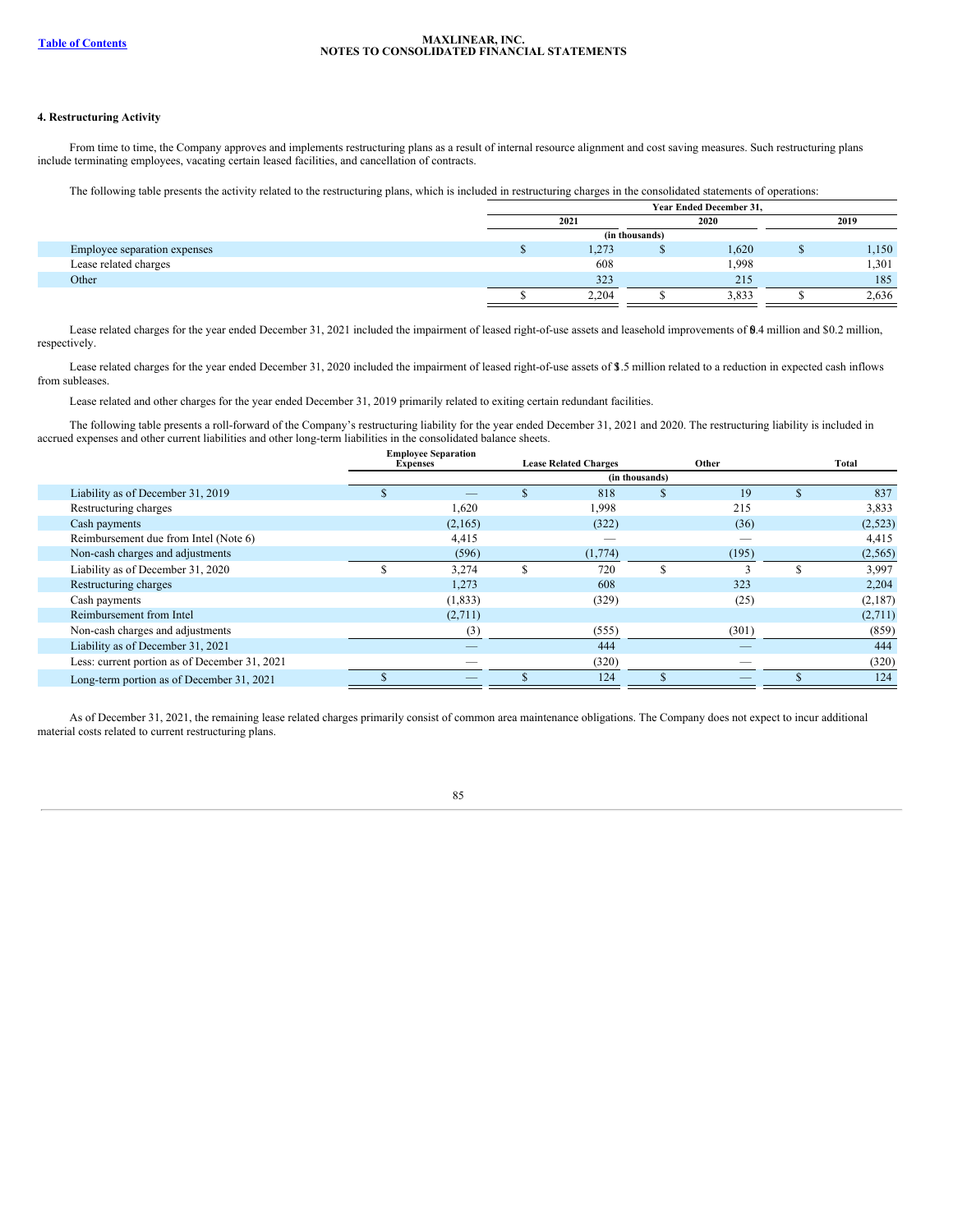### **4. Restructuring Activity**

From time to time, the Company approves and implements restructuring plans as a result of internal resource alignment and cost saving measures. Such restructuring plans include terminating employees, vacating certain leased facilities, and cancellation of contracts.

The following table presents the activity related to the restructuring plans, which is included in restructuring charges in the consolidated statements of operations:

|                              | Year Ended December 31, |       |                |       |  |       |  |
|------------------------------|-------------------------|-------|----------------|-------|--|-------|--|
|                              |                         | 2021  |                | 2020  |  | 2019  |  |
|                              |                         |       | (in thousands) |       |  |       |  |
| Employee separation expenses |                         | 1,273 |                | 1,620 |  | 1,150 |  |
| Lease related charges        |                         | 608   |                | 1,998 |  | 1,301 |  |
| Other                        |                         | 323   |                | 215   |  | 185   |  |
|                              |                         | 2.204 |                | 3.833 |  | 2,636 |  |

Lease related charges for the year ended December 31, 2021 included the impairment of leased right-of-use assets and leasehold improvements of 0.4 million and \$0.2 million, respectively.

Lease related charges for the year ended December 31, 2020 included the impairment of leased right-of-use assets of \$1.5 million related to a reduction in expected cash inflows from subleases.

Lease related and other charges for the year ended December 31, 2019 primarily related to exiting certain redundant facilities.

The following table presents a roll-forward of the Company's restructuring liability for the year ended December 31, 2021 and 2020. The restructuring liability is included in accrued expenses and other current liabilities and other long-term liabilities in the consolidated balance sheets.

|                                               | <b>Expenses</b> | <b>Employee Separation</b> |                | <b>Lease Related Charges</b> |    | Other |   | Total    |
|-----------------------------------------------|-----------------|----------------------------|----------------|------------------------------|----|-------|---|----------|
|                                               |                 |                            | (in thousands) |                              |    |       |   |          |
| Liability as of December 31, 2019             |                 |                            |                | 818                          | \$ | 19    | э | 837      |
| Restructuring charges                         |                 | 1,620                      |                | 1,998                        |    | 215   |   | 3,833    |
| Cash payments                                 |                 | (2,165)                    |                | (322)                        |    | (36)  |   | (2,523)  |
| Reimbursement due from Intel (Note 6)         |                 | 4,415                      |                |                              |    |       |   | 4,415    |
| Non-cash charges and adjustments              |                 | (596)                      |                | (1,774)                      |    | (195) |   | (2, 565) |
| Liability as of December 31, 2020             |                 | 3,274                      | ¢              | 720                          | \$ |       |   | 3,997    |
| Restructuring charges                         |                 | 1,273                      |                | 608                          |    | 323   |   | 2,204    |
| Cash payments                                 |                 | (1,833)                    |                | (329)                        |    | (25)  |   | (2,187)  |
| Reimbursement from Intel                      |                 | (2,711)                    |                |                              |    |       |   | (2,711)  |
| Non-cash charges and adjustments              |                 | (3)                        |                | (555)                        |    | (301) |   | (859)    |
| Liability as of December 31, 2021             |                 |                            |                | 444                          |    |       |   | 444      |
| Less: current portion as of December 31, 2021 |                 |                            |                | (320)                        |    |       |   | (320)    |
| Long-term portion as of December 31, 2021     |                 |                            |                | 124                          |    |       |   | 124      |

As of December 31, 2021, the remaining lease related charges primarily consist of common area maintenance obligations. The Company does not expect to incur additional material costs related to current restructuring plans.

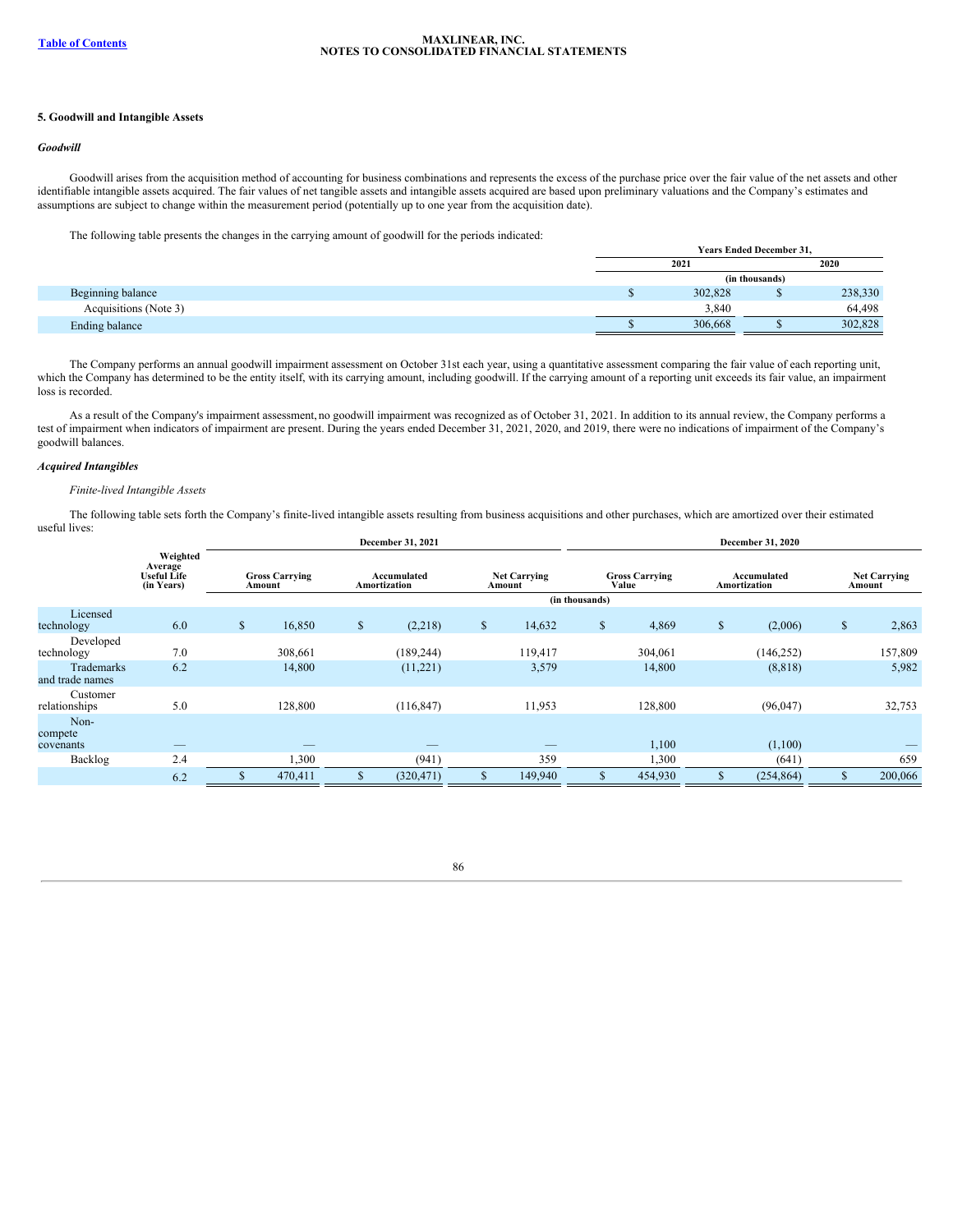### **5. Goodwill and Intangible Assets**

### *Goodwill*

Goodwill arises from the acquisition method of accounting for business combinations and represents the excess of the purchase price over the fair value of the net assets and other identifiable intangible assets acquired. The fair values of net tangible assets and intangible assets acquired are based upon preliminary valuations and the Company's estimates and assumptions are subject to change within the measurement period (potentially up to one year from the acquisition date).

The following table presents the changes in the carrying amount of goodwill for the periods indicated:

|                       | <b>Years Ended December 31,</b> |         |  |         |
|-----------------------|---------------------------------|---------|--|---------|
|                       |                                 | 2021    |  | 2020    |
|                       | (in thousands)                  |         |  |         |
| Beginning balance     |                                 | 302,828 |  | 238,330 |
| Acquisitions (Note 3) |                                 | 3.840   |  | 64.498  |
| Ending balance        |                                 | 306,668 |  | 302,828 |

The Company performs an annual goodwill impairment assessment on October 31st each year, using a quantitative assessment comparing the fair value of each reporting unit, which the Company has determined to be the entity itself, with its carrying amount, including goodwill. If the carrying amount of a reporting unit exceeds its fair value, an impairment loss is recorded.

As a result of the Company's impairment assessment, no goodwill impairment was recognized as of October 31, 2021. In addition to its annual review, the Company performs a test of impairment when indicators of impairment are present. During the years ended December 31, 2021, 2020, and 2019, there were no indications of impairment of the Company's goodwill balances.

#### *Acquired Intangibles*

#### *Finite-lived Intangible Assets*

The following table sets forth the Company's finite-lived intangible assets resulting from business acquisitions and other purchases, which are amortized over their estimated useful lives:

|                               |                                                         |    |                                 |              | December 31, 2021           |              |                               |                |                                | December 31, 2020           |                               |
|-------------------------------|---------------------------------------------------------|----|---------------------------------|--------------|-----------------------------|--------------|-------------------------------|----------------|--------------------------------|-----------------------------|-------------------------------|
|                               | Weighted<br>Average<br><b>Useful Life</b><br>(in Years) |    | <b>Gross Carrying</b><br>Amount |              | Accumulated<br>Amortization |              | <b>Net Carrying</b><br>Amount | (in thousands) | <b>Gross Carrying</b><br>Value | Accumulated<br>Amortization | <b>Net Carrying</b><br>Amount |
| Licensed<br>technology        | 6.0                                                     | \$ | 16,850                          | $\mathbb{S}$ | (2,218)                     | $\mathbb{S}$ | 14,632                        | \$             | 4,869                          | \$<br>(2,006)               | \$<br>2,863                   |
| Developed<br>technology       | 7.0                                                     |    | 308,661                         |              | (189, 244)                  |              | 119,417                       |                | 304,061                        | (146, 252)                  | 157,809                       |
| Trademarks<br>and trade names | 6.2                                                     |    | 14,800                          |              | (11,221)                    |              | 3,579                         |                | 14,800                         | (8, 818)                    | 5,982                         |
| Customer<br>relationships     | 5.0                                                     |    | 128,800                         |              | (116, 847)                  |              | 11,953                        |                | 128,800                        | (96, 047)                   | 32,753                        |
| Non-<br>compete<br>covenants  |                                                         |    |                                 |              |                             |              |                               |                | 1,100                          | (1,100)                     |                               |
| Backlog                       | 2.4                                                     |    | 1,300                           |              | (941)                       |              | 359                           |                | 1,300                          | (641)                       | 659                           |
|                               | 6.2                                                     | æ  | 470.411                         | S.           | (320, 471)                  |              | 149,940                       |                | 454,930                        | (254, 864)                  | \$<br>200,066                 |

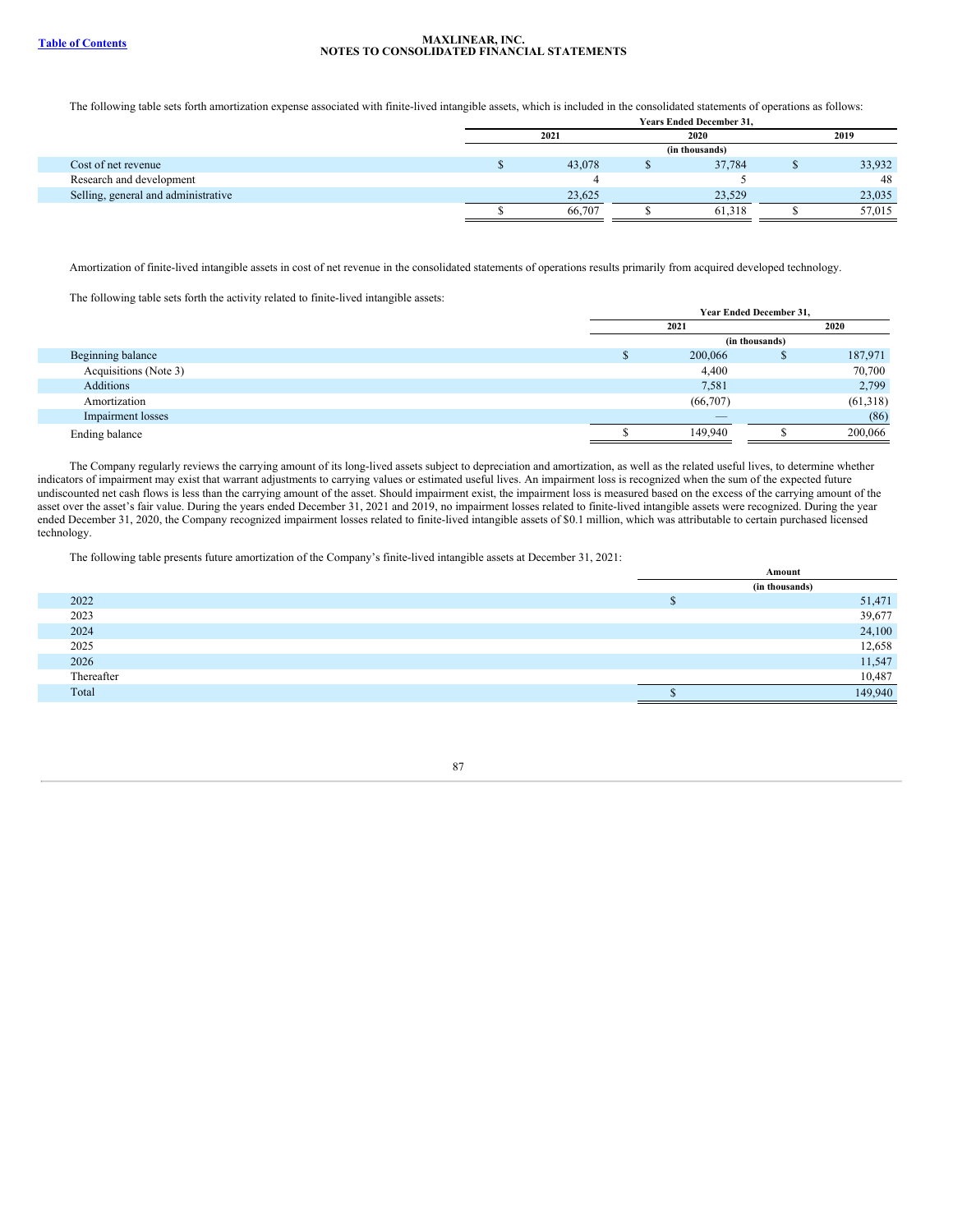The following table sets forth amortization expense associated with finite-lived intangible assets, which is included in the consolidated statements of operations as follows: **Years Ended December 31,**

|                                     | rears Enueu December 31. |        |  |                |      |        |
|-------------------------------------|--------------------------|--------|--|----------------|------|--------|
|                                     |                          | 2021   |  | 2020           | 2019 |        |
|                                     |                          |        |  | (in thousands) |      |        |
| Cost of net revenue                 |                          | 43,078 |  | 37,784         |      | 33,932 |
| Research and development            |                          |        |  |                |      | 48     |
| Selling, general and administrative |                          | 23.625 |  | 23,529         |      | 23,035 |
|                                     |                          | 66,707 |  | 61,318         |      | 57,015 |

Amortization of finite-lived intangible assets in cost of net revenue in the consolidated statements of operations results primarily from acquired developed technology.

The following table sets forth the activity related to finite-lived intangible assets:

|                       | <b>Year Ended December 31.</b> |          |                |          |  |
|-----------------------|--------------------------------|----------|----------------|----------|--|
|                       |                                | 2021     |                | 2020     |  |
|                       |                                |          | (in thousands) |          |  |
| Beginning balance     |                                | 200,066  |                | 187,971  |  |
| Acquisitions (Note 3) |                                | 4,400    |                | 70,700   |  |
| Additions             |                                | 7,581    |                | 2,799    |  |
| Amortization          |                                | (66,707) |                | (61,318) |  |
| Impairment losses     |                                | __       |                | (86)     |  |
| Ending balance        |                                | 149,940  |                | 200,066  |  |

The Company regularly reviews the carrying amount of its long-lived assets subject to depreciation and amortization, as well as the related useful lives, to determine whether indicators of impairment may exist that warrant adjustments to carrying values or estimated useful lives. An impairment loss is recognized when the sum of the expected future undiscounted net cash flows is less than the carrying amount of the asset. Should impairment exist, the impairment loss is measured based on the excess of the carrying amount of the asset over the asset's fair value. During the years ended December 31, 2021 and 2019, no impairment losses related to finite-lived intangible assets were recognized. During the year ended December 31, 2020, the Company recognized impairment losses related to finite-lived intangible assets of \$0.1 million, which was attributable to certain purchased licensed technology.

The following table presents future amortization of the Company's finite-lived intangible assets at December 31, 2021:

|            | Amount         |         |
|------------|----------------|---------|
|            | (in thousands) |         |
| 2022       |                | 51,471  |
| 2023       |                | 39,677  |
| 2024       |                | 24,100  |
| 2025       |                | 12,658  |
| 2026       |                | 11,547  |
| Thereafter |                | 10,487  |
| Total      |                | 149,940 |
|            |                |         |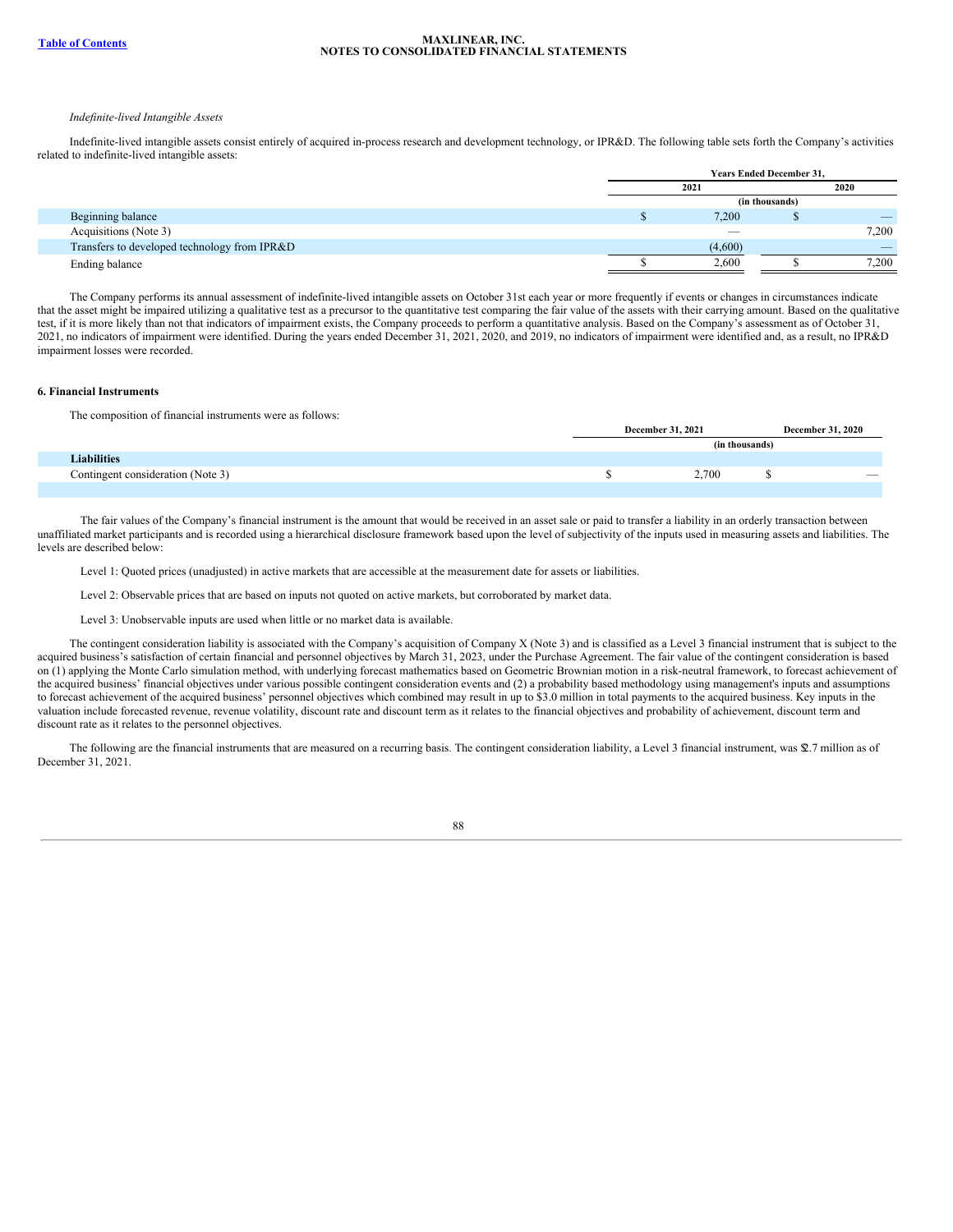#### *Indefinite-lived Intangible Assets*

Indefinite-lived intangible assets consist entirely of acquired in-process research and development technology, or IPR&D. The following table sets forth the Company's activities related to indefinite-lived intangible assets:

|                                              | <b>Years Ended December 31,</b> |                          |  |       |
|----------------------------------------------|---------------------------------|--------------------------|--|-------|
|                                              |                                 | 2021                     |  | 2020  |
|                                              | (in thousands)                  |                          |  |       |
| Beginning balance                            |                                 | 7,200                    |  |       |
| Acquisitions (Note 3)                        |                                 | $\overline{\phantom{a}}$ |  | 7,200 |
| Transfers to developed technology from IPR&D |                                 | (4,600)                  |  |       |
| Ending balance                               |                                 | 2,600                    |  | 7,200 |

The Company performs its annual assessment of indefinite-lived intangible assets on October 31st each year or more frequently if events or changes in circumstances indicate that the asset might be impaired utilizing a qualitative test as a precursor to the quantitative test comparing the fair value of the assets with their carrying amount. Based on the qualitative test, if it is more likely than not that indicators of impairment exists, the Company proceeds to perform a quantitative analysis. Based on the Company's assessment as of October 31, 2021, no indicators of impairment were identified. During the years ended December 31, 2021, 2020, and 2019, no indicators of impairment were identified and, as a result, no IPR&D impairment losses were recorded.

#### **6. Financial Instruments**

The composition of financial instruments were as follows:

|                                   | December 31, 2021 |       |  | <b>December 31, 2020</b> |
|-----------------------------------|-------------------|-------|--|--------------------------|
|                                   | (in thousands)    |       |  |                          |
| Liabilities                       |                   |       |  |                          |
| Contingent consideration (Note 3) |                   | 2.700 |  | $\overline{\phantom{a}}$ |
|                                   |                   |       |  |                          |

The fair values of the Company's financial instrument is the amount that would be received in an asset sale or paid to transfer a liability in an orderly transaction between unaffiliated market participants and is recorded using a hierarchical disclosure framework based upon the level of subjectivity of the inputs used in measuring assets and liabilities. The levels are described below:

Level 1: Quoted prices (unadjusted) in active markets that are accessible at the measurement date for assets or liabilities.

Level 2: Observable prices that are based on inputs not quoted on active markets, but corroborated by market data.

Level 3: Unobservable inputs are used when little or no market data is available.

The contingent consideration liability is associated with the Company's acquisition of Company X (Note 3) and is classified as a Level 3 financial instrument that is subject to the acquired business's satisfaction of certain financial and personnel objectives by March 31, 2023, under the Purchase Agreement. The fair value of the contingent consideration is based on (1) applying the Monte Carlo simulation method, with underlying forecast mathematics based on Geometric Brownian motion in a risk-neutral framework, to forecast achievement of the acquired business' financial objectives under various possible contingent consideration events and (2) a probability based methodology using management's inputs and assumptions to forecast achievement of the acquired business' personnel objectives which combined may result in up to \$3.0 million in total payments to the acquired business. Key inputs in the valuation include forecasted revenue, revenue volatility, discount rate and discount term as it relates to the financial objectives and probability of achievement, discount term and discount rate as it relates to the personnel objectives.

The following are the financial instruments that are measured on a recurring basis. The contingent consideration liability, a Level 3 financial instrument, was \$2.7 million as of December 31, 2021.

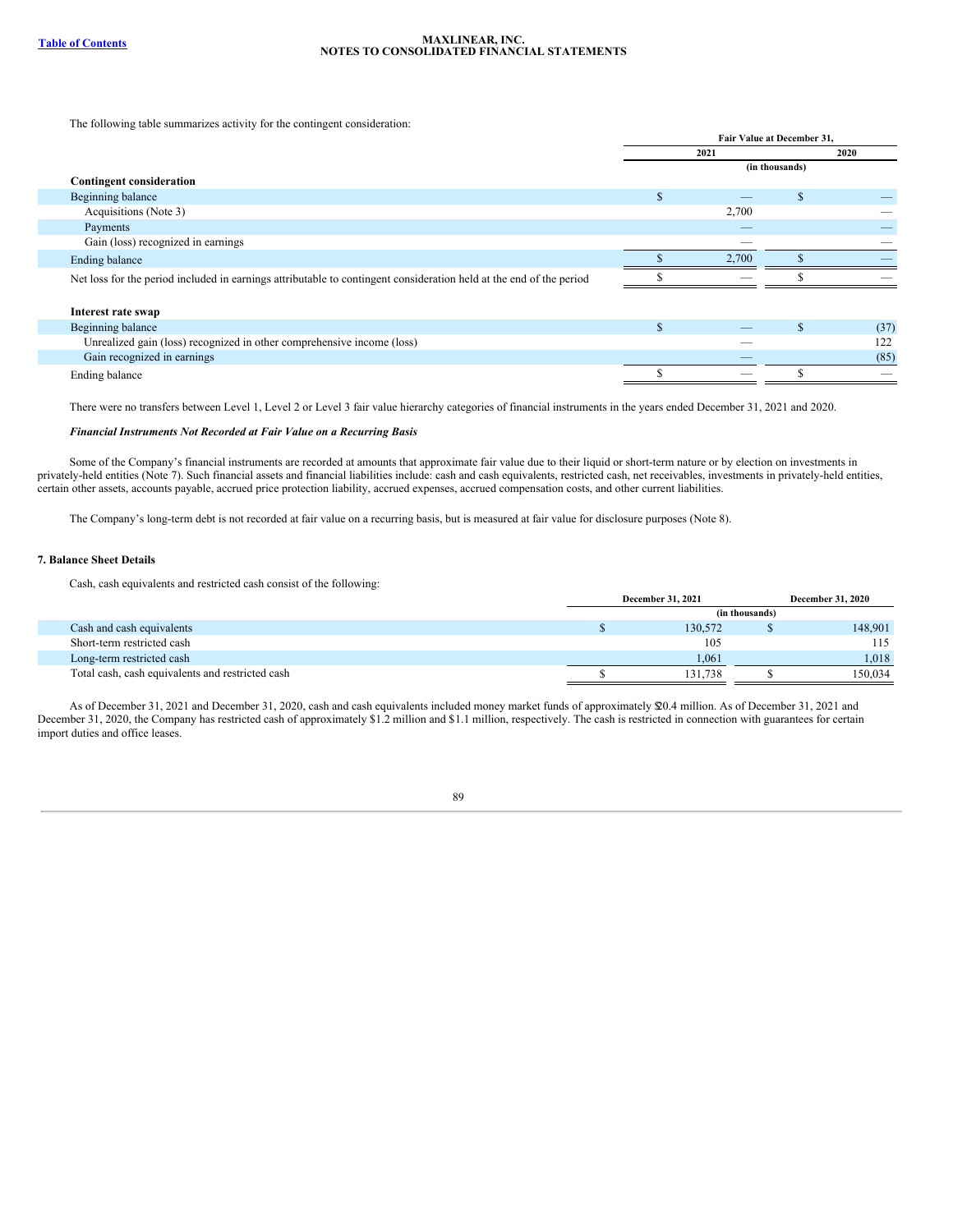The following table summarizes activity for the contingent consideration:

|                                                                                                                     | Fair Value at December 31, |       |                |      |
|---------------------------------------------------------------------------------------------------------------------|----------------------------|-------|----------------|------|
|                                                                                                                     | 2021                       | 2020  |                |      |
|                                                                                                                     |                            |       | (in thousands) |      |
| <b>Contingent consideration</b>                                                                                     |                            |       |                |      |
| Beginning balance                                                                                                   | \$                         | __    | ъ              |      |
| Acquisitions (Note 3)                                                                                               |                            | 2,700 |                |      |
| Payments                                                                                                            |                            |       |                |      |
| Gain (loss) recognized in earnings                                                                                  |                            |       |                |      |
| Ending balance                                                                                                      |                            | 2,700 |                |      |
| Net loss for the period included in earnings attributable to contingent consideration held at the end of the period |                            |       |                |      |
| Interest rate swap                                                                                                  |                            |       |                |      |
| <b>Beginning balance</b>                                                                                            | \$                         |       | S              | (37) |
| Unrealized gain (loss) recognized in other comprehensive income (loss)                                              |                            |       |                | 122  |
| Gain recognized in earnings                                                                                         |                            |       |                | (85) |
| Ending balance                                                                                                      |                            |       |                |      |

There were no transfers between Level 1, Level 2 or Level 3 fair value hierarchy categories of financial instruments in the years ended December 31, 2021 and 2020.

#### *Financial Instruments Not Recorded at Fair Value on a Recurring Basis*

Some of the Company's financial instruments are recorded at amounts that approximate fair value due to their liquid or short-term nature or by election on investments in privately-held entities (Note 7). Such financial assets and financial liabilities include: cash and cash equivalents, restricted cash, net receivables, investments in privately-held entities, certain other assets, accounts payable, accrued price protection liability, accrued expenses, accrued compensation costs, and other current liabilities.

The Company's long-term debt is not recorded at fair value on a recurring basis, but is measured at fair value for disclosure purposes (Note 8).

#### **7. Balance Sheet Details**

Cash, cash equivalents and restricted cash consist of the following:

|                                                  | <b>December 31, 2021</b> |         |  | <b>December 31, 2020</b> |  |  |
|--------------------------------------------------|--------------------------|---------|--|--------------------------|--|--|
|                                                  | (in thousands)           |         |  |                          |  |  |
| Cash and cash equivalents                        |                          | 130.572 |  | 148,901                  |  |  |
| Short-term restricted cash                       |                          | 105     |  | 115                      |  |  |
| Long-term restricted cash                        |                          | 1.061   |  | 1,018                    |  |  |
| Total cash, cash equivalents and restricted cash |                          | 131.738 |  | 150,034                  |  |  |

As of December 31, 2021 and December 31, 2020, cash and cash equivalents included money market funds of approximately \$20.4 million. As of December 31, 2021 and December 31, 2020, the Company has restricted cash of approximately \$1.2 million and \$1.1 million, respectively. The cash is restricted in connection with guarantees for certain import duties and office leases.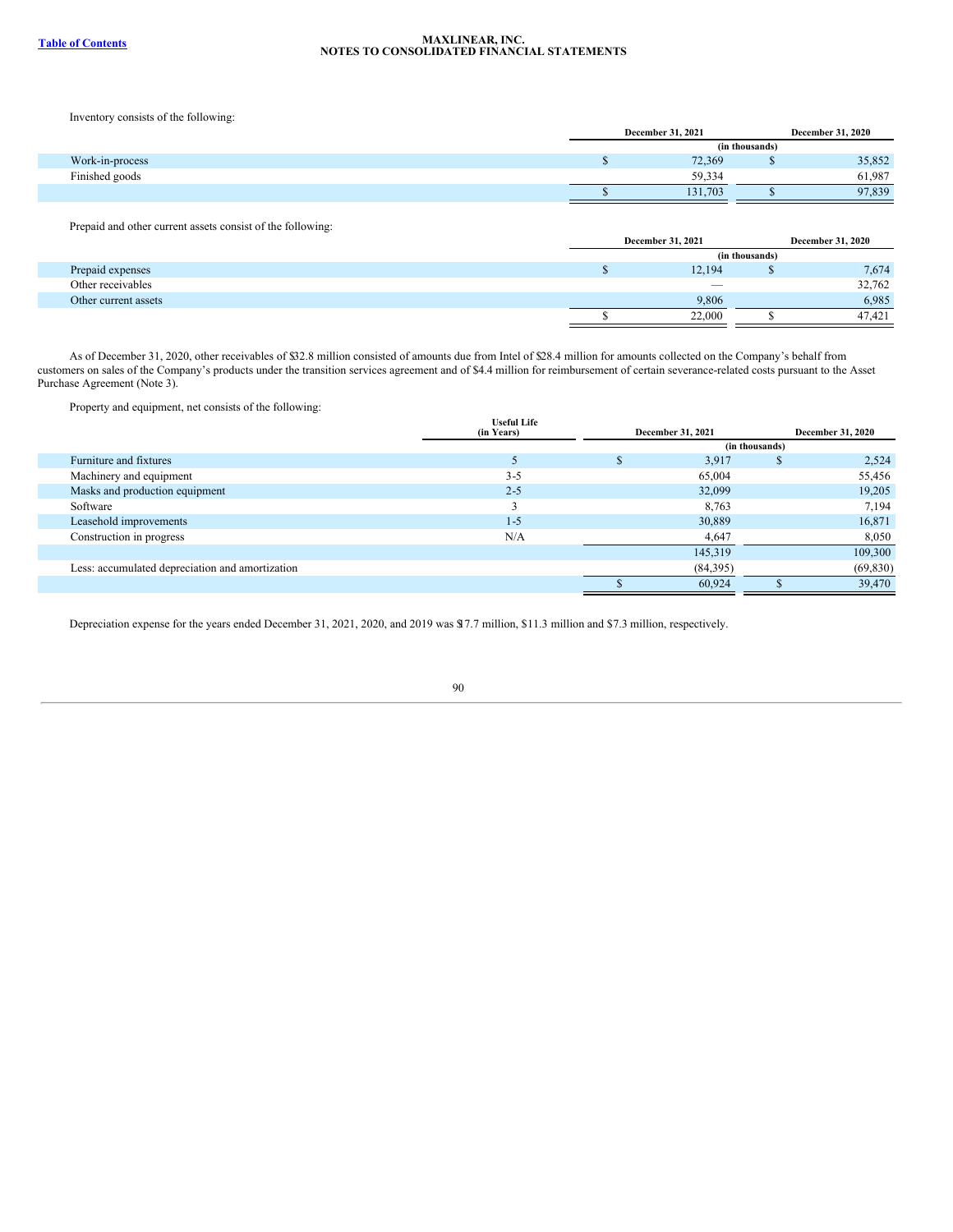Inventory consists of the following:

| <b>December 31, 2021</b> |         |  | <b>December 31, 2020</b> |
|--------------------------|---------|--|--------------------------|
| (in thousands)           |         |  |                          |
|                          | 72,369  |  | 35,852                   |
|                          | 59,334  |  | 61,987                   |
|                          | 131.703 |  | 97,839                   |
|                          |         |  |                          |

Prepaid and other current assets consist of the following:

|                      | <b>December 31, 2021</b> |                                 |  | <b>December 31, 2020</b> |
|----------------------|--------------------------|---------------------------------|--|--------------------------|
|                      | (in thousands)           |                                 |  |                          |
| Prepaid expenses     |                          | 12,194                          |  | 7,674                    |
| Other receivables    |                          | $\hspace{0.1mm}-\hspace{0.1mm}$ |  | 32,762                   |
| Other current assets |                          | 9.806                           |  | 6,985                    |
|                      |                          | 22,000                          |  | 47.421                   |

As of December 31, 2020, other receivables of \$32.8 million consisted of amounts due from Intel of \$28.4 million for amounts collected on the Company's behalf from customers on sales of the Company's products under the transition services agreement and of \$4.4 million for reimbursement of certain severance-related costs pursuant to the Asset Purchase Agreement (Note 3).

Property and equipment, net consists of the following:

|                                                 | <b>Useful Life</b><br>(in Years) | December 31, 2021 |                | December 31, 2020 |
|-------------------------------------------------|----------------------------------|-------------------|----------------|-------------------|
|                                                 |                                  |                   | (in thousands) |                   |
| Furniture and fixtures                          |                                  | 3,917             | .n             | 2,524             |
| Machinery and equipment                         | $3 - 5$                          | 65,004            |                | 55,456            |
| Masks and production equipment                  | $2 - 5$                          | 32,099            |                | 19,205            |
| Software                                        |                                  | 8,763             |                | 7,194             |
| Leasehold improvements                          | $1 - 5$                          | 30,889            |                | 16,871            |
| Construction in progress                        | N/A                              | 4,647             |                | 8,050             |
|                                                 |                                  | 145,319           |                | 109,300           |
| Less: accumulated depreciation and amortization |                                  | (84,395)          |                | (69, 830)         |
|                                                 |                                  | 60,924            |                | 39,470            |

Depreciation expense for the years ended December 31, 2021, 2020, and 2019 was \$17.7 million, \$11.3 million and \$7.3 million, respectively.

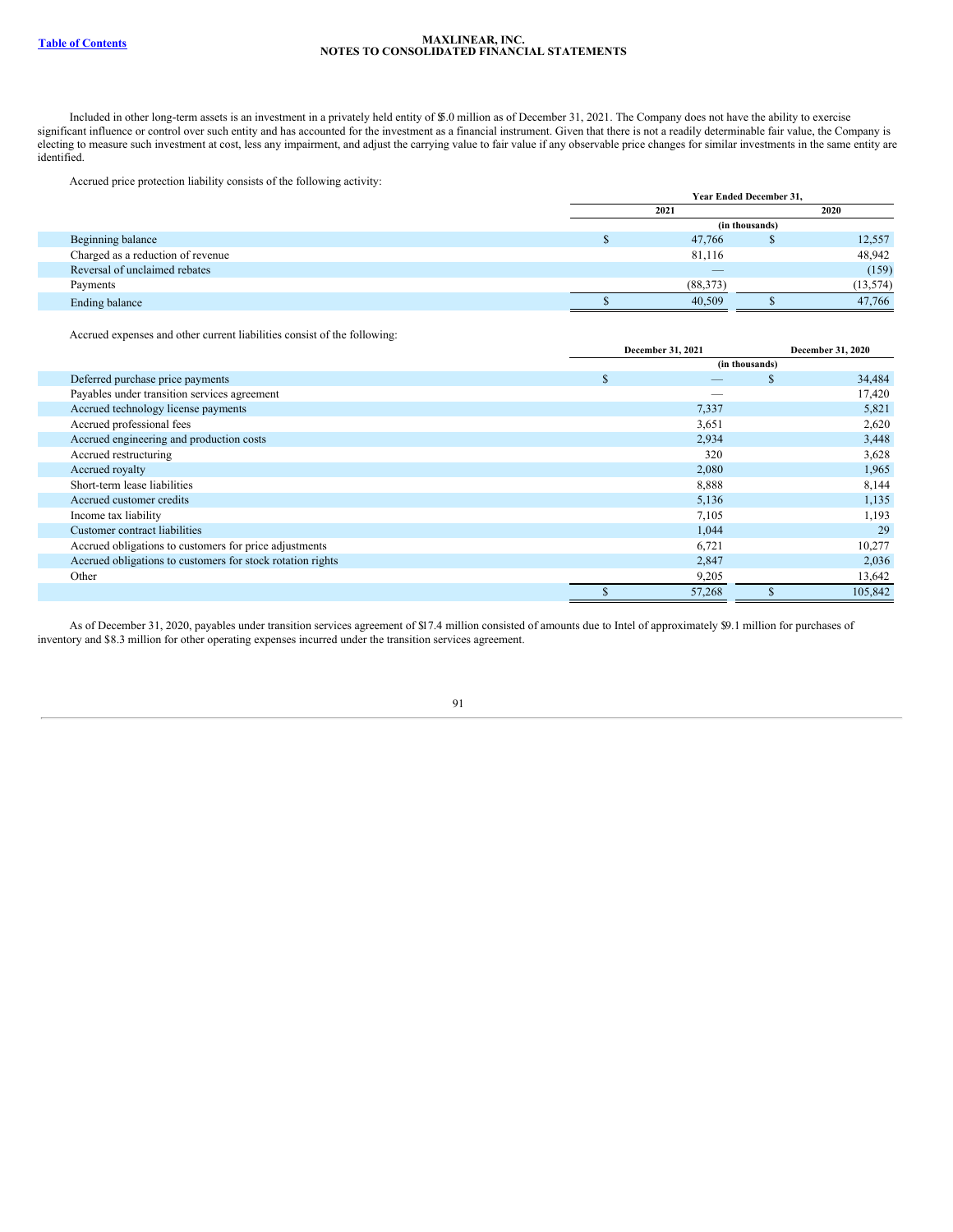Included in other long-term assets is an investment in a privately held entity of \$5.0 million as of December 31, 2021. The Company does not have the ability to exercise significant influence or control over such entity and has accounted for the investment as a financial instrument. Given that there is not a readily determinable fair value, the Company is electing to measure such investment at cost, less any impairment, and adjust the carrying value to fair value if any observable price changes for similar investments in the same entity are identified.

Accrued price protection liability consists of the following activity:

|                                   | <b>Year Ended December 31.</b> |          |  |           |
|-----------------------------------|--------------------------------|----------|--|-----------|
|                                   |                                | 2021     |  | 2020      |
|                                   | (in thousands)                 |          |  |           |
| Beginning balance                 |                                | 47,766   |  | 12,557    |
| Charged as a reduction of revenue |                                | 81,116   |  | 48,942    |
| Reversal of unclaimed rebates     |                                | __       |  | (159)     |
| Payments                          |                                | (88,373) |  | (13, 574) |
| Ending balance                    |                                | 40,509   |  | 47,766    |

Accrued expenses and other current liabilities consist of the following:

|                                                            | December 31, 2021 |                |  | December 31, 2020 |
|------------------------------------------------------------|-------------------|----------------|--|-------------------|
|                                                            |                   | (in thousands) |  |                   |
| Deferred purchase price payments                           | $\mathcal{S}$     |                |  | 34,484            |
| Payables under transition services agreement               |                   |                |  | 17,420            |
| Accrued technology license payments                        |                   | 7,337          |  | 5,821             |
| Accrued professional fees                                  |                   | 3,651          |  | 2,620             |
| Accrued engineering and production costs                   |                   | 2,934          |  | 3,448             |
| Accrued restructuring                                      |                   | 320            |  | 3,628             |
| Accrued royalty                                            |                   | 2,080          |  | 1,965             |
| Short-term lease liabilities                               |                   | 8,888          |  | 8,144             |
| Accrued customer credits                                   |                   | 5,136          |  | 1,135             |
| Income tax liability                                       |                   | 7,105          |  | 1,193             |
| Customer contract liabilities                              |                   | 1,044          |  | 29                |
| Accrued obligations to customers for price adjustments     |                   | 6,721          |  | 10,277            |
| Accrued obligations to customers for stock rotation rights |                   | 2,847          |  | 2,036             |
| Other                                                      |                   | 9,205          |  | 13,642            |
|                                                            |                   | 57,268         |  | 105,842           |

As of December 31, 2020, payables under transition services agreement of \$17.4 million consisted of amounts due to Intel of approximately \$9.1 million for purchases of inventory and \$8.3 million for other operating expenses incurred under the transition services agreement.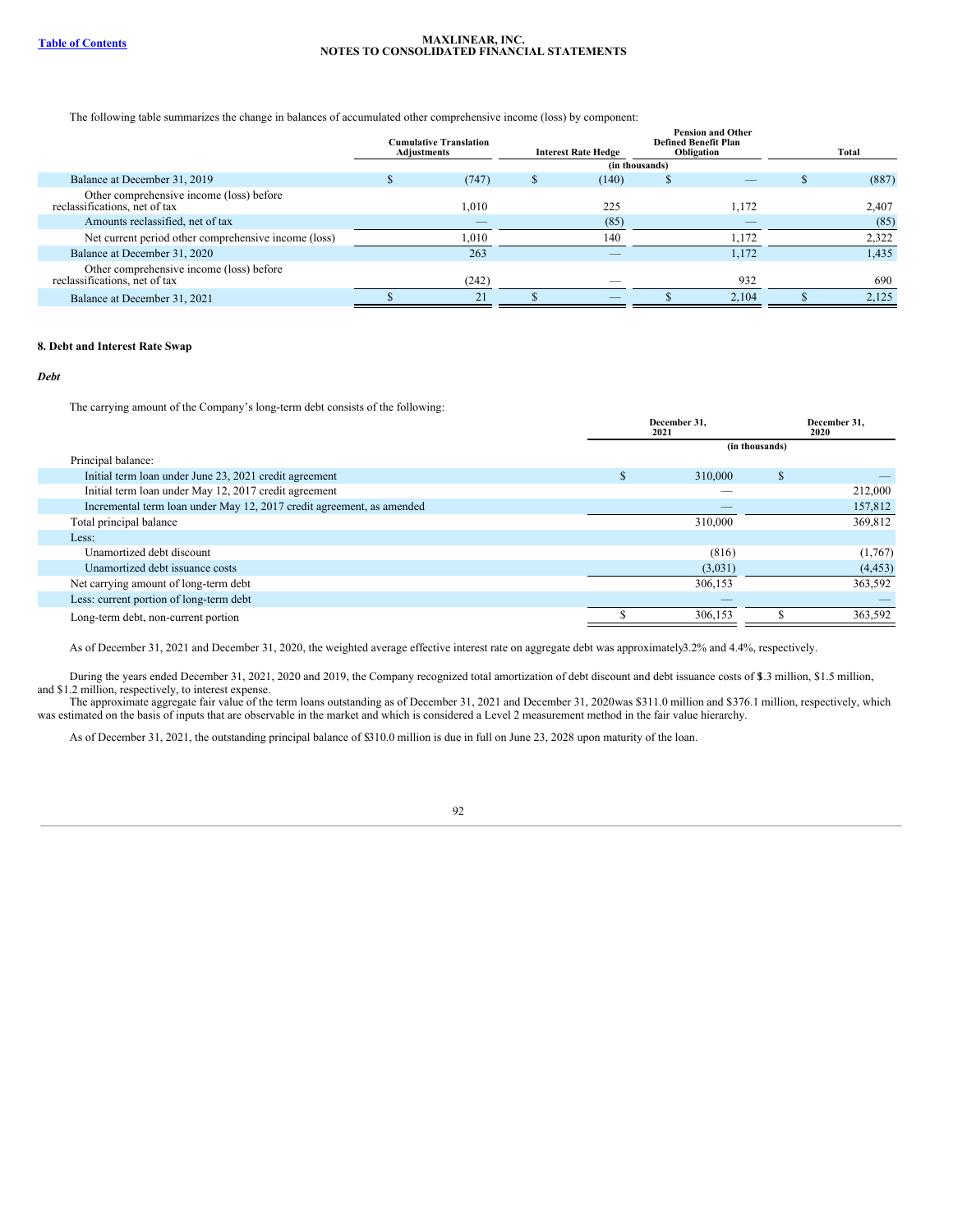The following table summarizes the change in balances of accumulated other comprehensive income (loss) by component:

|                                                                           | Adjustments | <b>Cumulative Translation</b> |          | <b>Pension and Other</b><br><b>Defined Benefit Plan</b><br>Obligation<br><b>Interest Rate Hedge</b> |                |       |  | Total |  |  |
|---------------------------------------------------------------------------|-------------|-------------------------------|----------|-----------------------------------------------------------------------------------------------------|----------------|-------|--|-------|--|--|
|                                                                           |             |                               |          |                                                                                                     | (in thousands) |       |  |       |  |  |
| Balance at December 31, 2019                                              |             | (747)                         | <b>J</b> | (140)                                                                                               |                |       |  | (887) |  |  |
| Other comprehensive income (loss) before<br>reclassifications, net of tax |             | 1.010                         |          | 225                                                                                                 |                | 1,172 |  | 2,407 |  |  |
| Amounts reclassified, net of tax                                          |             |                               |          | (85)                                                                                                |                |       |  | (85)  |  |  |
| Net current period other comprehensive income (loss)                      |             | 1.010                         |          | 140                                                                                                 |                | 1.172 |  | 2,322 |  |  |
| Balance at December 31, 2020                                              |             | 263                           |          |                                                                                                     |                | 1,172 |  | 1,435 |  |  |
| Other comprehensive income (loss) before<br>reclassifications, net of tax |             | (242)                         |          |                                                                                                     |                | 932   |  | 690   |  |  |
| Balance at December 31, 2021                                              |             | 21                            |          |                                                                                                     |                | 2.104 |  | 2,125 |  |  |
|                                                                           |             |                               |          |                                                                                                     |                |       |  |       |  |  |

#### **8. Debt and Interest Rate Swap**

#### *Debt*

The carrying amount of the Company's long-term debt consists of the following:

|                                                                       | December 31.<br>2021 |         |                | December 31,<br>2020 |
|-----------------------------------------------------------------------|----------------------|---------|----------------|----------------------|
|                                                                       |                      |         | (in thousands) |                      |
| Principal balance:                                                    |                      |         |                |                      |
| Initial term loan under June 23, 2021 credit agreement                | S                    | 310,000 | <sup>\$</sup>  |                      |
| Initial term loan under May 12, 2017 credit agreement                 |                      | __      |                | 212,000              |
| Incremental term loan under May 12, 2017 credit agreement, as amended |                      |         |                | 157,812              |
| Total principal balance                                               |                      | 310,000 |                | 369,812              |
| Less:                                                                 |                      |         |                |                      |
| Unamortized debt discount                                             |                      | (816)   |                | (1,767)              |
| Unamortized debt issuance costs                                       |                      | (3,031) |                | (4, 453)             |
| Net carrying amount of long-term debt                                 |                      | 306,153 |                | 363,592              |
| Less: current portion of long-term debt                               |                      |         |                |                      |
| Long-term debt, non-current portion                                   |                      | 306,153 |                | 363,592              |

As of December 31, 2021 and December 31, 2020, the weighted average effective interest rate on aggregate debt was approximately3.2% and 4.4%, respectively.

During the years ended December 31, 2021, 2020 and 2019, the Company recognized total amortization of debt discount and debt issuance costs of \$1.3 million, \$1.5 million, and \$1.2 million, respectively, to interest expense.

The approximate aggregate fair value of the term loans outstanding as of December 31, 2021 and December 31, 2020was \$311.0 million and \$376.1 million, respectively, which was estimated on the basis of inputs that are observable in the market and which is considered a Level 2 measurement method in the fair value hierarchy.

As of December 31, 2021, the outstanding principal balance of \$310.0 million is due in full on June 23, 2028 upon maturity of the loan.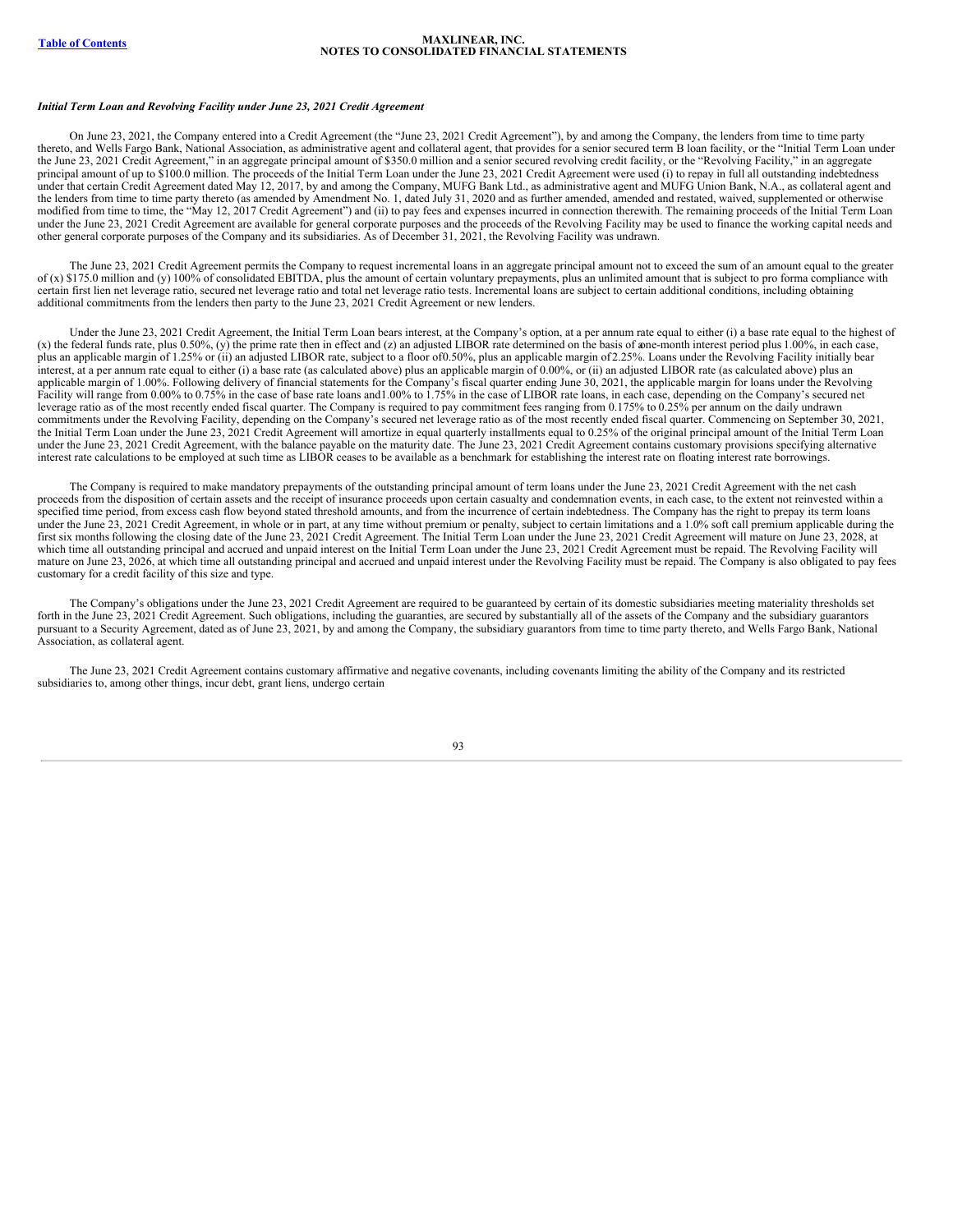#### *Initial Term Loan and Revolving Facility under June 23, 2021 Credit Agreement*

On June 23, 2021, the Company entered into a Credit Agreement (the "June 23, 2021 Credit Agreement"), by and among the Company, the lenders from time to time party thereto, and Wells Fargo Bank, National Association, as administrative agent and collateral agent, that provides for a senior secured term B loan facility, or the "Initial Term Loan under the June 23, 2021 Credit Agreement," in an aggregate principal amount of \$350.0 million and a senior secured revolving credit facility, or the "Revolving Facility," in an aggregate principal amount of up to \$100.0 million. The proceeds of the Initial Term Loan under the June 23, 2021 Credit Agreement were used (i) to repay in full all outstanding indebtedness under that certain Credit Agreement dated May 12, 2017, by and among the Company, MUFG Bank Ltd., as administrative agent and MUFG Union Bank, N.A., as collateral agent and the lenders from time to time party thereto (as amended by Amendment No. 1, dated July 31, 2020 and as further amended, amended and restated, waived, supplemented or otherwise modified from time to time, the "May 12, 2017 Credit Agreement") and (ii) to pay fees and expenses incurred in connection therewith. The remaining proceeds of the Initial Term Loan modified from time to time, the "May 12, under the June 23, 2021 Credit Agreement are available for general corporate purposes and the proceeds of the Revolving Facility may be used to finance the working capital needs and other general corporate purposes of the Company and its subsidiaries. As of December 31, 2021, the Revolving Facility was undrawn.

The June 23, 2021 Credit Agreement permits the Company to request incremental loans in an aggregate principal amount not to exceed the sum of an amount equal to the greater of (x) \$175.0 million and (y) 100% of consolidated EBITDA, plus the amount of certain voluntary prepayments, plus an unlimited amount that is subject to pro forma compliance with certain first lien net leverage ratio, secured net leverage ratio and total net leverage ratio tests. Incremental loans are subject to certain additional conditions, including obtaining additional commitments from the lenders then party to the June 23, 2021 Credit Agreement or new lenders.

Under the June 23, 2021 Credit Agreement, the Initial Term Loan bears interest, at the Company's option, at a per annum rate equal to either (i) a base rate equal to the highest of (x) the federal funds rate, plus 0.50%, (y) the prime rate then in effect and (z) an adjusted LIBOR rate determined on the basis of a me-month interest period plus 1.00%, in each case, plus an applicable margin of 1.25% or (ii) an adjusted LIBOR rate, subject to a floor of0.50%, plus an applicable margin of 2.25%. Loans under the Revolving Facility initially bear interest, at a per annum rate equal to either (i) a base rate (as calculated above) plus an applicable margin of 0.00%, or (ii) an adjusted LIBOR rate (as calculated above) plus an applicable margin of 1.00%. Following delivery of financial statements for the Company's fiscal quarter ending June 30, 2021, the applicable margin for loans under the Revolving Facility will range from 0.00% to 0.75% in the case of base rate loans and 1.00% to 1.75% in the case of LIBOR rate loans, in each case, depending on the Company's secured net leverage ratio as of the most recently ended fiscal quarter. The Company is required to pay commitment fees ranging from 0.175% to 0.25% per annum on the daily undrawn commitments under the Revolving Facility, depending on the Company's secured net leverage ratio as of the most recently ended fiscal quarter. Commencing on September 30, 2021, the Initial Term Loan under the June 23, 2021 Credit Agreement will amortize in equal quarterly installments equal to 0.25% of the original principal amount of the Initial Term Loan under the June 23, 2021 Credit Agreement, with the balance payable on the maturity date. The June 23, 2021 Credit Agreement contains customary provisions specifying alternative interest rate calculations to be employed at such time as LIBOR ceases to be available as a benchmark for establishing the interest rate on floating interest rate borrowings.

The Company is required to make mandatory prepayments of the outstanding principal amount of term loans under the June 23, 2021 Credit Agreement with the net cash proceeds from the disposition of certain assets and the receipt of insurance proceeds upon certain casualty and condemnation events, in each case, to the extent not reinvested within a specified time period, from excess cash flow beyond stated threshold amounts, and from the incurrence of certain indebtedness. The Company has the right to prepay its term loans under the June 23, 2021 Credit Agreement, in whole or in part, at any time without premium or penalty, subject to certain limitations and a 1.0% soft call premium applicable during the first six months following the closing date of the June 23, 2021 Credit Agreement. The Initial Term Loan under the June 23, 2021 Credit Agreement will mature on June 23, 2028, at which time all outstanding principal and accrued and unpaid interest on the Initial Term Loan under the June 23, 2021 Credit Agreement must be repaid. The Revolving Facility will mature on June 23, 2026, at which time all outstanding principal and accrued and unpaid interest under the Revolving Facility must be repaid. The Company is also obligated to pay fees customary for a credit facility of this size and type.

The Company's obligations under the June 23, 2021 Credit Agreement are required to be guaranteed by certain of its domestic subsidiaries meeting materiality thresholds set forth in the June 23, 2021 Credit Agreement. Such obligations, including the guaranties, are secured by substantially all of the assets of the Company and the subsidiary guarantors pursuant to a Security Agreement, dated as of June 23, 2021, by and among the Company, the subsidiary guarantors from time to time party thereto, and Wells Fargo Bank, National Association, as collateral agent.

The June 23, 2021 Credit Agreement contains customary affirmative and negative covenants, including covenants limiting the ability of the Company and its restricted subsidiaries to, among other things, incur debt, grant liens, undergo certain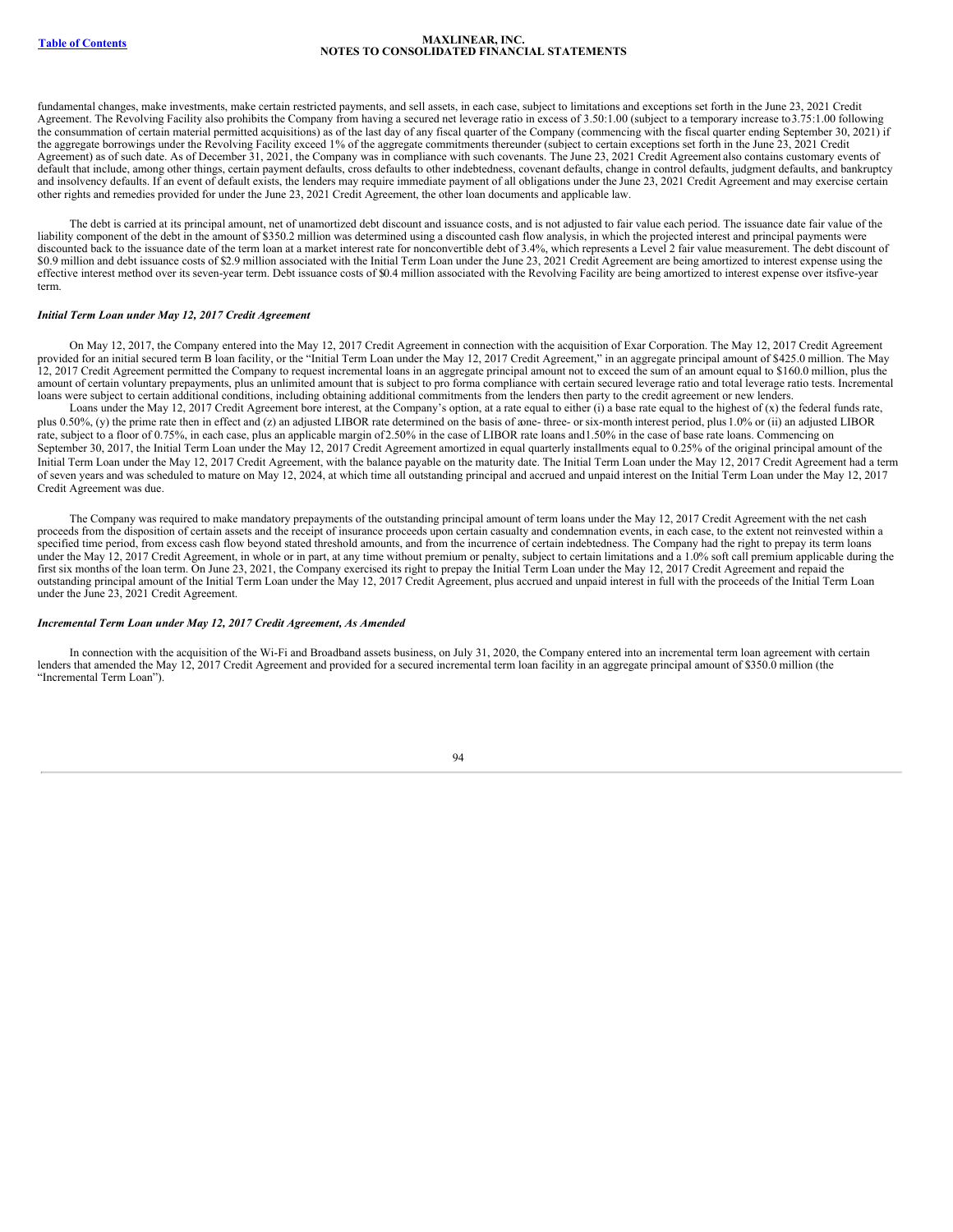fundamental changes, make investments, make certain restricted payments, and sell assets, in each case, subject to limitations and exceptions set forth in the June 23, 2021 Credit Agreement. The Revolving Facility also prohibits the Company from having a secured net leverage ratio in excess of 3.50:1.00 (subject to a temporary increase to3.75:1.00 following the consummation of certain material permitted acquisitions) as of the last day of any fiscal quarter of the Company (commencing with the fiscal quarter ending September 30, 2021) if the aggregate borrowings under the Revolving Facility exceed 1% of the aggregate commitments thereunder (subject to certain exceptions set forth in the June 23, 2021 Credit Agreement) as of such date. As of December 31, 2021, the Company was in compliance with such covenants. The June 23, 2021 Credit Agreement also contains customary events of default that include, among other things, certain payment defaults, cross defaults to other indebtedness, covenant defaults, change in control defaults, judgment defaults, and bankruptcy and insolvency defaults. If an event of default exists, the lenders may require immediate payment of all obligations under the June 23, 2021 Credit Agreement and may exercise certain other rights and remedies provided for under the June 23, 2021 Credit Agreement, the other loan documents and applicable law.

The debt is carried at its principal amount, net of unamortized debt discount and issuance costs, and is not adjusted to fair value each period. The issuance date fair value of the liability component of the debt in the amount of \$350.2 million was determined using a discounted cash flow analysis, in which the projected interest and principal payments were discounted back to the issuance date of the term loan at a market interest rate for nonconvertible debt of 3.4%, which represents a Level 2 fair value measurement. The debt discount of \$0.9 million and debt issuance costs of \$2.9 million associated with the Initial Term Loan under the June 23, 2021 Credit Agreement are being amortized to interest expense using the effective interest method over its seven-year term. Debt issuance costs of \$0.4 million associated with the Revolving Facility are being amortized to interest expense over itsfive-year term.

#### *Initial Term Loan under May 12, 2017 Credit Agreement*

On May 12, 2017, the Company entered into the May 12, 2017 Credit Agreement in connection with the acquisition of Exar Corporation. The May 12, 2017 Credit Agreement provided for an initial secured term B loan facility, or the "Initial Term Loan under the May 12, 2017 Credit Agreement," in an aggregate principal amount of \$425.0 million. The May 10, 2017 Credit Agreement," in an aggreg 12, 2017 Credit Agreement permitted the Company to request incremental loans in an aggregate principal amount not to exceed the sum of an amount equal to \$160.0 million, plus the amount of certain voluntary prepayments, plus an unlimited amount that is subject to pro forma compliance with certain secured leverage ratio and total leverage ratio tests. Incremental loans were subject to certain additional conditions, including obtaining additional commitments from the lenders then party to the credit agreement or new lenders.

Loans under the May 12, 2017 Credit Agreement bore interest, at the Company's option, at a rate equal to either (i) a base rate equal to the highest of (x) the federal funds rate, plus 0.50%, (y) the prime rate then in effect and (z) an adjusted LIBOR rate determined on the basis of a me-three- or six-month interest period, plus 1.0% or (ii) an adjusted LIBOR rate, subject to a floor of 0.75%, in each case, plus an applicable margin of2.50% in the case of LIBOR rate loans and1.50% in the case of base rate loans. Commencing on September 30, 2017, the Initial Term Loan under the May 12, 2017 Credit Agreement amortized in equal quarterly installments equal to 0.25% of the original principal amount of the Initial Term Loan under the May 12, 2017 Credit Agreement, with the balance payable on the maturity date. The Initial Term Loan under the May 12, 2017 Credit Agreement had a term of seven years and was scheduled to mature on May 12, 2024, at which time all outstanding principal and accrued and unpaid interest on the Initial Term Loan under the May 12, 2017 Credit Agreement was due.

The Company was required to make mandatory prepayments of the outstanding principal amount of term loans under the May 12, 2017 Credit Agreement with the net cash proceeds from the disposition of certain assets and the receipt of insurance proceeds upon certain casualty and condemnation events, in each case, to the extent not reinvested within a specified time period, from excess cash flow beyond stated threshold amounts, and from the incurrence of certain indebtedness. The Company had the right to prepay its term loans under the May 12, 2017 Credit Agreement, in whole or in part, at any time without premium or penalty, subject to certain limitations and a 1.0% soft call premium applicable during the first six months of the loan term. On June 23, 2021, the Company exercised its right to prepay the Initial Term Loan under the May 12, 2017 Credit Agreement and repaid the outstanding principal amount of the Initial Term Loan under the May 12, 2017 Credit Agreement, plus accrued and unpaid interest in full with the proceeds of the Initial Term Loan under the June 23, 2021 Credit Agreement.

#### *Incremental Term Loan under May 12, 2017 Credit Agreement, As Amended*

In connection with the acquisition of the Wi-Fi and Broadband assets business, on July 31, 2020, the Company entered into an incremental term loan agreement with certain lenders that amended the May 12, 2017 Credit Agreement and provided for a secured incremental term loan facility in an aggregate principal amount of \$350.0 million (the "Incremental Term Loan").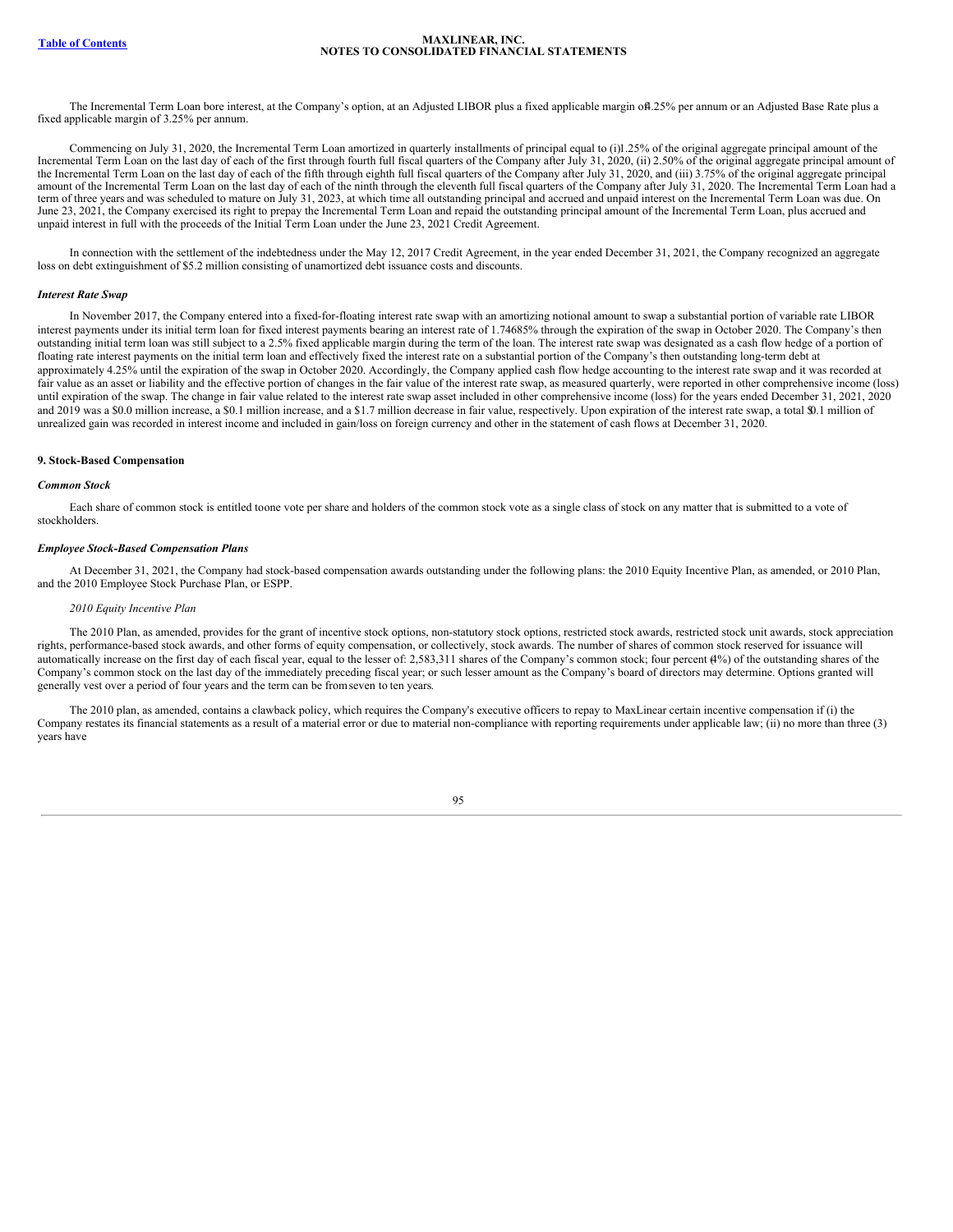The Incremental Term Loan bore interest, at the Company's option, at an Adjusted LIBOR plus a fixed applicable margin of4.25% per annum or an Adjusted Base Rate plus a fixed applicable margin of 3.25% per annum.

Commencing on July 31, 2020, the Incremental Term Loan amortized in quarterly installments of principal equal to (i)1.25% of the original aggregate principal amount of the Incremental Term Loan on the last day of each of the first through fourth full fiscal quarters of the Company after July 31, 2020, (ii) 2.50% of the original aggregate principal amount of the Incremental Term Loan on the last day of each of the fifth through eighth full fiscal quarters of the Company after July 31, 2020, and (iii) 3.75% of the original aggregate principal amount of the Incremental Term Loan on the last day of each of the ninth through the eleventh full fiscal quarters of the Company after July 31, 2020. The Incremental Term Loan had a term of three years and was scheduled to mature on July 31, 2023, at which time all outstanding principal and accrued and unpaid interest on the Incremental Term Loan was due. On June 23, 2021, the Company exercised its right to prepay the Incremental Term Loan and repaid the outstanding principal amount of the Incremental Term Loan, plus accrued and unpaid interest in full with the proceeds of the Initial Term Loan under the June 23, 2021 Credit Agreement.

In connection with the settlement of the indebtedness under the May 12, 2017 Credit Agreement, in the year ended December 31, 2021, the Company recognized an aggregate loss on debt extinguishment of \$5.2 million consisting of unamortized debt issuance costs and discounts.

#### *Interest Rate Swap*

In November 2017, the Company entered into a fixed-for-floating interest rate swap with an amortizing notional amount to swap a substantial portion of variable rate LIBOR interest payments under its initial term loan for fixed interest payments bearing an interest rate of 1.74685% through the expiration of the swap in October 2020. The Company's then outstanding initial term loan was still subject to a 2.5% fixed applicable margin during the term of the loan. The interest rate swap was designated as a cash flow hedge of a portion of floating rate interest payments on the initial term loan and effectively fixed the interest rate on a substantial portion of the Company's then outstanding long-term debt at approximately 4.25% until the expiration of the swap in October 2020. Accordingly, the Company applied cash flow hedge accounting to the interest rate swap and it was recorded at fair value as an asset or liability and the effective portion of changes in the fair value of the interest rate swap, as measured quarterly, were reported in other comprehensive income (loss) until expiration of the swap. The change in fair value related to the interest rate swap asset included in other comprehensive income (loss) for the years ended December 31, 2021, 2020 and 2019 was a \$0.0 million increase, a \$0.1 million increase, and a \$1.7 million decrease in fair value, respectively. Upon expiration of the interest rate swap, a total \$0.1 million of unrealized gain was recorded in interest income and included in gain/loss on foreign currency and other in the statement of cash flows at December 31, 2020.

#### **9. Stock-Based Compensation**

#### *Common Stock*

Each share of common stock is entitled toone vote per share and holders of the common stock vote as a single class of stock on any matter that is submitted to a vote of stockholders.

#### *Employee Stock-Based Compensation Plans*

At December 31, 2021, the Company had stock-based compensation awards outstanding under the following plans: the 2010 Equity Incentive Plan, as amended, or 2010 Plan, and the 2010 Employee Stock Purchase Plan, or ESPP.

#### *2010 Equity Incentive Plan*

The 2010 Plan, as amended, provides for the grant of incentive stock options, non-statutory stock options, restricted stock awards, restricted stock unit awards, stock appreciation rights, performance-based stock awards, and other forms of equity compensation, or collectively, stock awards. The number of shares of common stock reserved for issuance will automatically increase on the first day of each fiscal year, equal to the lesser of: 2,583,311 shares of the Company's common stock; four percent (4%) of the outstanding shares of the Company's common stock on the last day of the immediately preceding fiscal year; or such lesser amount as the Company's board of directors may determine. Options granted will generally vest over a period of four years and the term can be fromseven to ten years.

The 2010 plan, as amended, contains a clawback policy, which requires the Company's executive officers to repay to MaxLinear certain incentive compensation if (i) the Company restates its financial statements as a result of a material error or due to material non-compliance with reporting requirements under applicable law; (ii) no more than three (3) years have

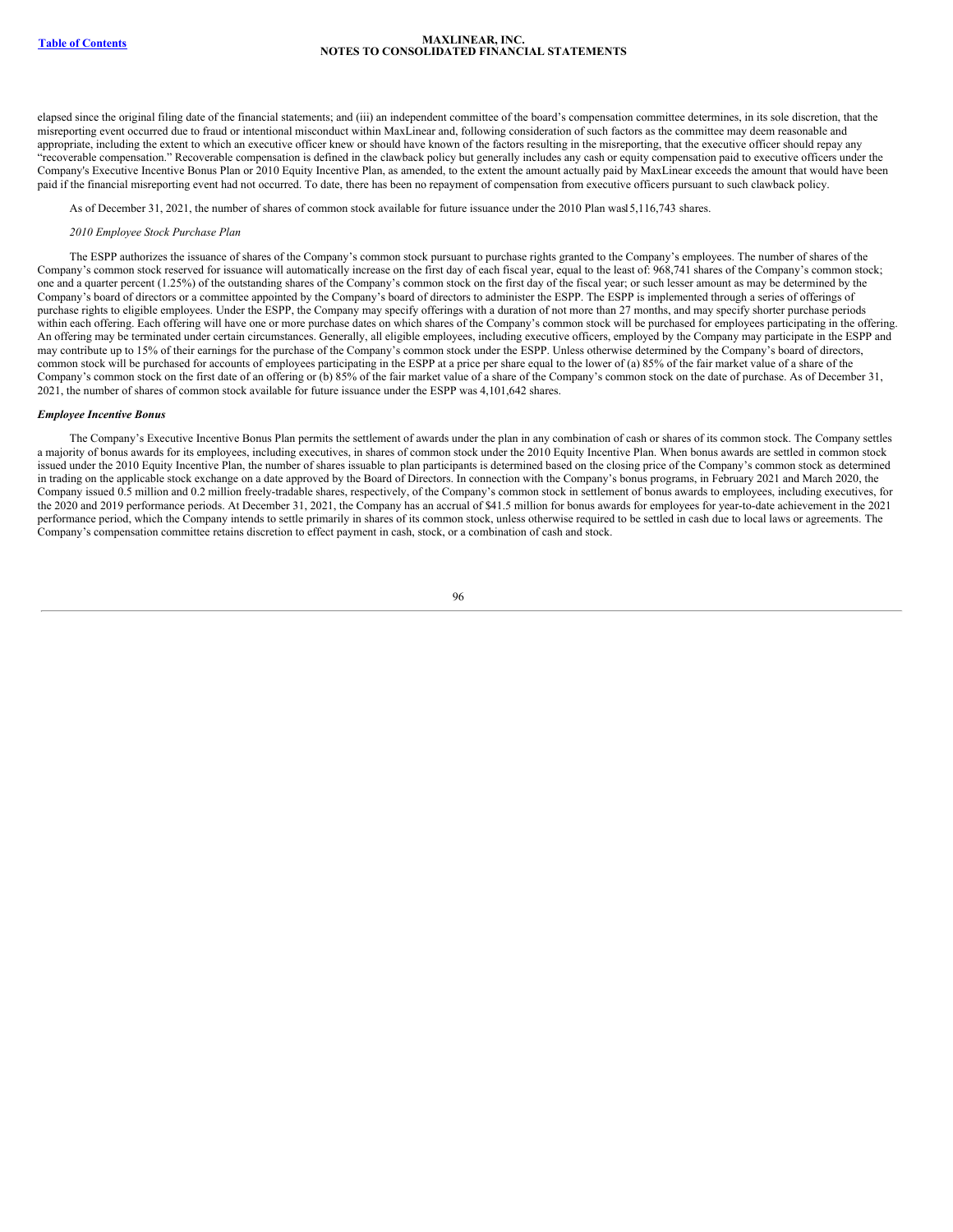elapsed since the original filing date of the financial statements; and (iii) an independent committee of the board's compensation committee determines, in its sole discretion, that the misreporting event occurred due to fraud or intentional misconduct within MaxLinear and, following consideration of such factors as the committee may deem reasonable and appropriate, including the extent to which an executive officer knew or should have known of the factors resulting in the misreporting, that the executive officer should repay any "recoverable compensation." Recoverable compensation is defined in the clawback policy but generally includes any cash or equity compensation paid to executive officers under the Company's Executive Incentive Bonus Plan or 2010 Equity Incentive Plan, as amended, to the extent the amount actually paid by MaxLinear exceeds the amount that would have been paid if the financial misreporting event had not occurred. To date, there has been no repayment of compensation from executive officers pursuant to such clawback policy.

As of December 31, 2021, the number of shares of common stock available for future issuance under the 2010 Plan was15,116,743 shares.

#### *2010 Employee Stock Purchase Plan*

The ESPP authorizes the issuance of shares of the Company's common stock pursuant to purchase rights granted to the Company's employees. The number of shares of the Company's common stock reserved for issuance will automatically increase on the first day of each fiscal year, equal to the least of: 968,741 shares of the Company's common stock; one and a quarter percent (1.25%) of the outstanding shares of the Company's common stock on the first day of the fiscal year; or such lesser amount as may be determined by the Company's board of directors or a committee appointed by the Company's board of directors to administer the ESPP. The ESPP is implemented through a series of offerings of purchase rights to eligible employees. Under the ESPP, the Company may specify offerings with a duration of not more than 27 months, and may specify shorter purchase periods within each offering. Each offering will have one or more purchase dates on which shares of the Company's common stock will be purchased for employees participating in the offering. An offering may be terminated under certain circumstances. Generally, all eligible employees, including executive officers, employed by the Company may participate in the ESPP and may contribute up to 15% of their earnings for the purchase of the Company's common stock under the ESPP. Unless otherwise determined by the Company's board of directors, common stock will be purchased for accounts of employees participating in the ESPP at a price per share equal to the lower of (a) 85% of the fair market value of a share of the Company's common stock on the first date of an offering or (b) 85% of the fair market value of a share of the Company's common stock on the date of purchase. As of December 31, 2021, the number of shares of common stock available for future issuance under the ESPP was 4,101,642 shares.

#### *Employee Incentive Bonus*

The Company's Executive Incentive Bonus Plan permits the settlement of awards under the plan in any combination of cash or shares of its common stock. The Company settles a majority of bonus awards for its employees, including executives, in shares of common stock under the 2010 Equity Incentive Plan. When bonus awards are settled in common stock issued under the 2010 Equity Incentive Plan, the number of shares issuable to plan participants is determined based on the closing price of the Company's common stock as determined in trading on the applicable stock exchange on a date approved by the Board of Directors. In connection with the Company's bonus programs, in February 2021 and March 2020, the Company issued 0.5 million and 0.2 million freely-tradable shares, respectively, of the Company's common stock in settlement of bonus awards to employees, including executives, for the 2020 and 2019 performance periods. At December 31, 2021, the Company has an accrual of \$41.5 million for bonus awards for employees for year-to-date achievement in the 2021 performance period, which the Company intends to settle primarily in shares of its common stock, unless otherwise required to be settled in cash due to local laws or agreements. The Company's compensation committee retains discretion to effect payment in cash, stock, or a combination of cash and stock.

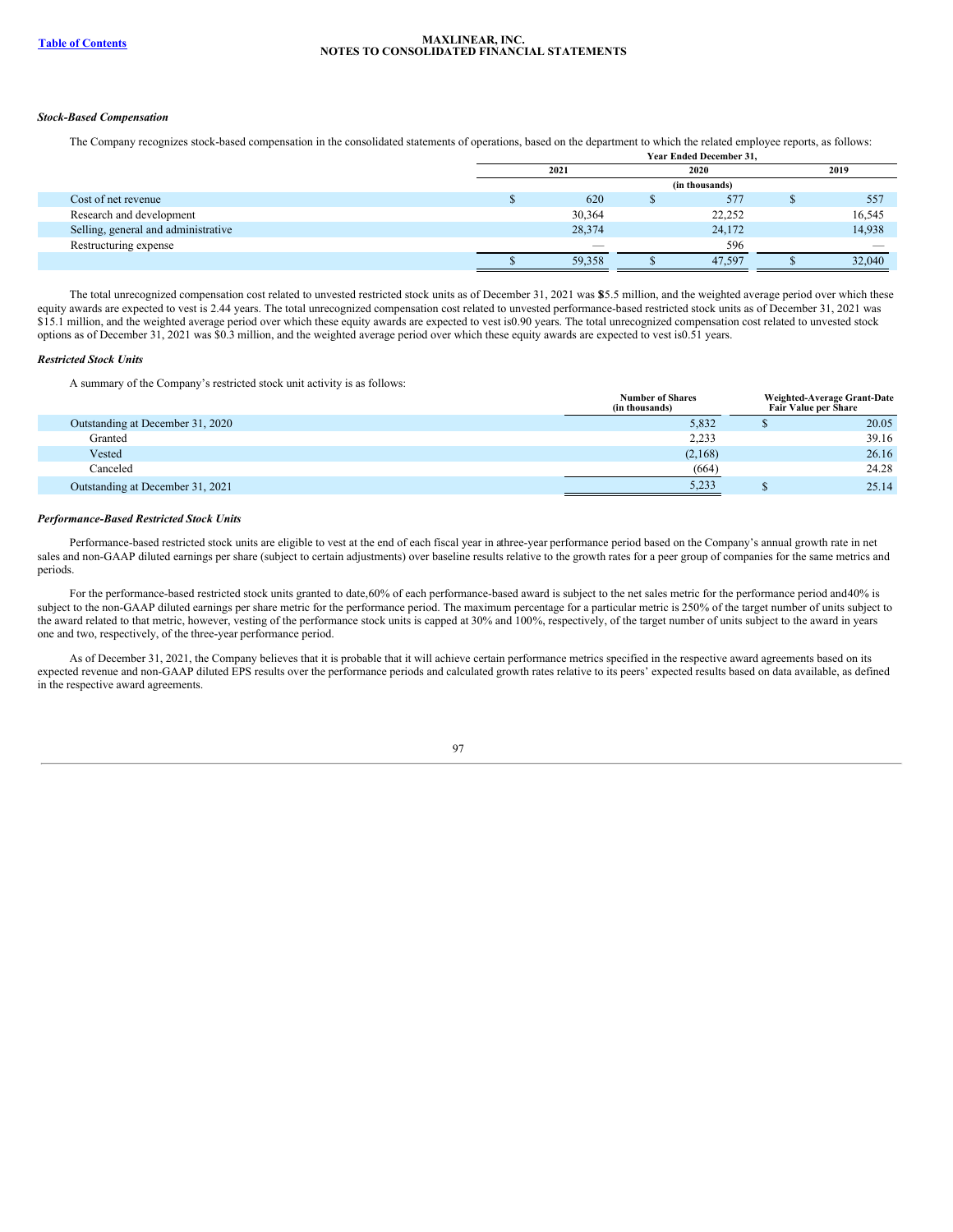#### *Stock-Based Compensation*

The Company recognizes stock-based compensation in the consolidated statements of operations, based on the department to which the related employee reports, as follows: **Year Ended December 31,**

|                                     | real Enueu December 31. |                          |      |                |  |        |
|-------------------------------------|-------------------------|--------------------------|------|----------------|--|--------|
|                                     | 2021                    |                          | 2020 |                |  | 2019   |
|                                     |                         |                          |      | (in thousands) |  |        |
| Cost of net revenue                 |                         | 620                      |      | 577            |  | 557    |
| Research and development            |                         | 30,364                   |      | 22,252         |  | 16,545 |
| Selling, general and administrative |                         | 28,374                   |      | 24,172         |  | 14,938 |
| Restructuring expense               |                         | $\overline{\phantom{a}}$ |      | 596            |  | __     |
|                                     |                         | 59,358                   |      | 47.597         |  | 32,040 |
|                                     |                         |                          |      |                |  |        |

The total unrecognized compensation cost related to unvested restricted stock units as of December 31, 2021 was \$5.5 million, and the weighted average period over which these equity awards are expected to vest is 2.44 years. The total unrecognized compensation cost related to unvested performance-based restricted stock units as of December 31, 2021 was \$15.1 million, and the weighted average period over which these equity awards are expected to vest is0.90 years. The total unrecognized compensation cost related to unvested stock options as of December 31, 2021 was \$0.3 million, and the weighted average period over which these equity awards are expected to vest is0.51 years.

#### *Restricted Stock Units*

A summary of the Company's restricted stock unit activity is as follows:

|                                  | <b>Number of Shares</b><br>(in thousands) | Weighted-Average Grant-Date<br><b>Fair Value per Share</b> |       |  |
|----------------------------------|-------------------------------------------|------------------------------------------------------------|-------|--|
| Outstanding at December 31, 2020 | 5,832                                     |                                                            | 20.05 |  |
| Granted                          | 2,233                                     |                                                            | 39.16 |  |
| Vested                           | (2,168)                                   |                                                            | 26.16 |  |
| Canceled                         | (664)                                     |                                                            | 24.28 |  |
| Outstanding at December 31, 2021 | 5,233                                     |                                                            | 25.14 |  |

#### *Performance-Based Restricted Stock Units*

Performance-based restricted stock units are eligible to vest at the end of each fiscal year in athree-year performance period based on the Company's annual growth rate in net sales and non-GAAP diluted earnings per share (subject to certain adjustments) over baseline results relative to the growth rates for a peer group of companies for the same metrics and periods.

For the performance-based restricted stock units granted to date, 60% of each performance-based award is subject to the net sales metric for the performance period and 40% is subject to the non-GAAP diluted earnings per share metric for the performance period. The maximum percentage for a particular metric is 250% of the target number of units subject to the award related to that metric, however, vesting of the performance stock units is capped at 30% and 100%, respectively, of the target number of units subject to the award in years one and two, respectively, of the three-year performance period.

As of December 31, 2021, the Company believes that it is probable that it will achieve certain performance metrics specified in the respective award agreements based on its expected revenue and non-GAAP diluted EPS results over the performance periods and calculated growth rates relative to its peers' expected results based on data available, as defined in the respective award agreements.

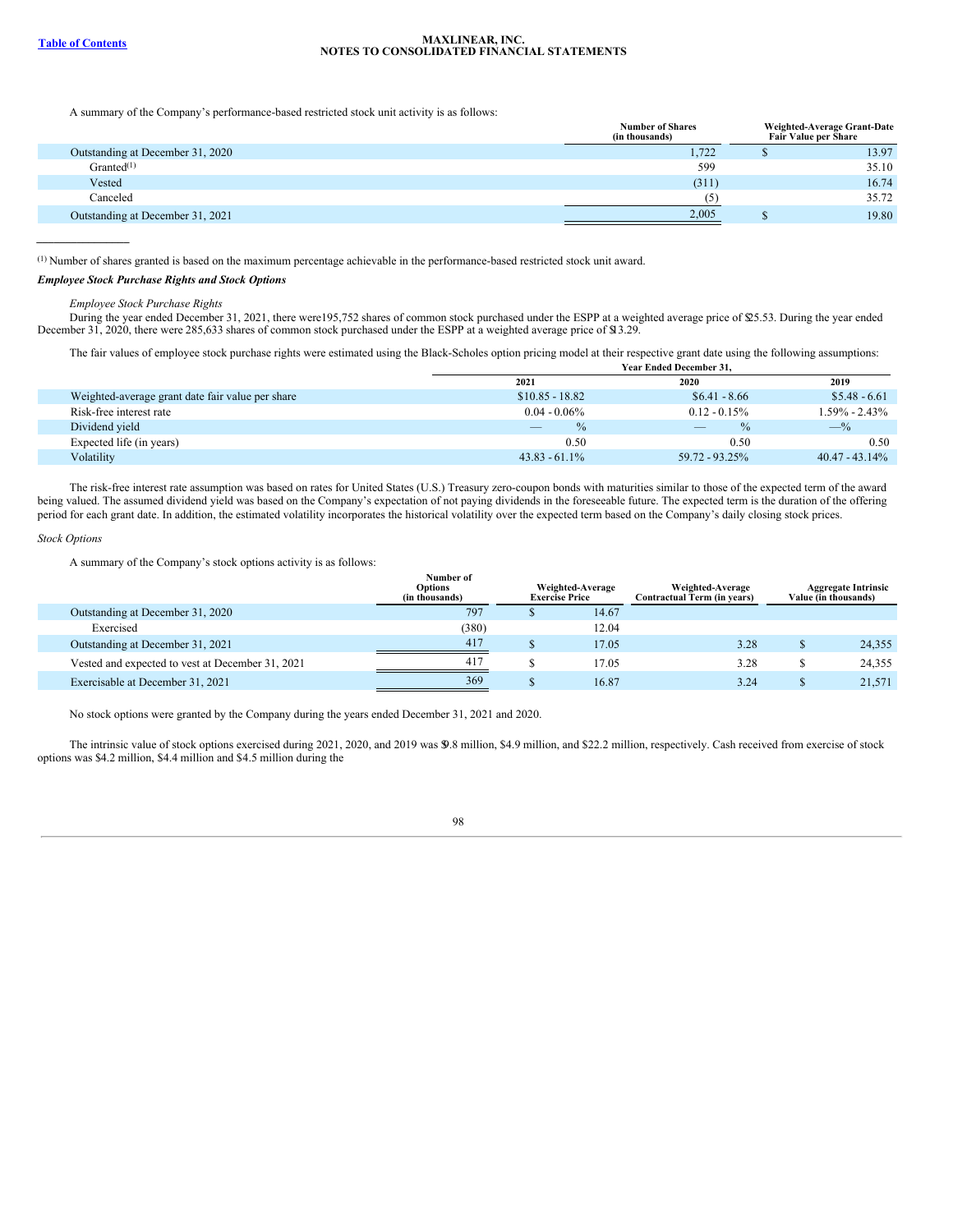*\_\_\_\_\_\_\_\_\_\_\_\_\_\_\_\_*

## **Table of [Contents](#page-0-0) MAXLINEAR, INC. NOTES TO CONSOLIDATED FINANCIAL STATEMENTS**

A summary of the Company's performance-based restricted stock unit activity is as follows:

|                                  | <b>Number of Shares</b><br>(in thousands) | Weighted-Average Grant-Date<br><b>Fair Value per Share</b> |       |
|----------------------------------|-------------------------------------------|------------------------------------------------------------|-------|
| Outstanding at December 31, 2020 | 1,722                                     |                                                            | 13.97 |
| Granted $(1)$                    | 599                                       |                                                            | 35.10 |
| Vested                           | (311)                                     |                                                            | 16.74 |
| Canceled                         | (5                                        |                                                            | 35.72 |
| Outstanding at December 31, 2021 | 2,005                                     |                                                            | 19.80 |

Number of shares granted is based on the maximum percentage achievable in the performance-based restricted stock unit award. (1)

### *Employee Stock Purchase Rights and Stock Options*

#### *Employee Stock Purchase Rights*

During the year ended December 31, 2021, there were195,752 shares of common stock purchased under the ESPP at a weighted average price of \$25.53. During the year ended December 31, 2020, there were 285,633 shares of common stock purchased under the ESPP at a weighted average price of \$13.29.

The fair values of employee stock purchase rights were estimated using the Black-Scholes option pricing model at their respective grant date using the following assumptions: **Year Ended December 31,**

|                                                  | 2021             | 2020                                           | 2019              |  |  |
|--------------------------------------------------|------------------|------------------------------------------------|-------------------|--|--|
| Weighted-average grant date fair value per share | $$10.85 - 18.82$ | $$6.41 - 8.66$                                 | $$5.48 - 6.61$    |  |  |
| Risk-free interest rate                          | $0.04 - 0.06\%$  | $0.12 - 0.15\%$                                | 1.59% - 2.43%     |  |  |
| Dividend yield                                   | $\frac{0}{0}$    | $\frac{0}{0}$<br>$\overbrace{\phantom{aaaaa}}$ | $-$ %             |  |  |
| Expected life (in years)                         | 0.50             | 0.50                                           | 0.50              |  |  |
| Volatility                                       | $43.83 - 61.1\%$ | $59.72 - 93.25\%$                              | $40.47 - 43.14\%$ |  |  |
|                                                  |                  |                                                |                   |  |  |

The risk-free interest rate assumption was based on rates for United States (U.S.) Treasury zero-coupon bonds with maturities similar to those of the expected term of the award being valued. The assumed dividend yield was based on the Company's expectation of not paying dividends in the foreseeable future. The expected term is the duration of the offering period for each grant date. In addition, the estimated volatility incorporates the historical volatility over the expected term based on the Company's daily closing stock prices.

#### *Stock Options*

A summary of the Company's stock options activity is as follows:

|                                                  | Number of<br><b>Options</b><br>(in thousands) | Weighted-Average<br><b>Exercise Price</b> |       |      |        | Weighted-Average<br>Contractual Term (in years) | <b>Aggregate Intrinsic</b><br>Value (in thousands) |
|--------------------------------------------------|-----------------------------------------------|-------------------------------------------|-------|------|--------|-------------------------------------------------|----------------------------------------------------|
| Outstanding at December 31, 2020                 | 797                                           |                                           | 14.67 |      |        |                                                 |                                                    |
| Exercised                                        | (380)                                         |                                           | 12.04 |      |        |                                                 |                                                    |
| Outstanding at December 31, 2021                 | 417                                           |                                           | 17.05 | 3.28 | 24,355 |                                                 |                                                    |
| Vested and expected to vest at December 31, 2021 | 417                                           |                                           | 17.05 | 3.28 | 24.355 |                                                 |                                                    |
| Exercisable at December 31, 2021                 | 369                                           |                                           | 16.87 | 3.24 | 21.571 |                                                 |                                                    |

No stock options were granted by the Company during the years ended December 31, 2021 and 2020.

The intrinsic value of stock options exercised during 2021, 2020, and 2019 was \$9.8 million, \$4.9 million, and \$22.2 million, respectively. Cash received from exercise of stock options was \$4.2 million, \$4.4 million and \$4.5 million during the

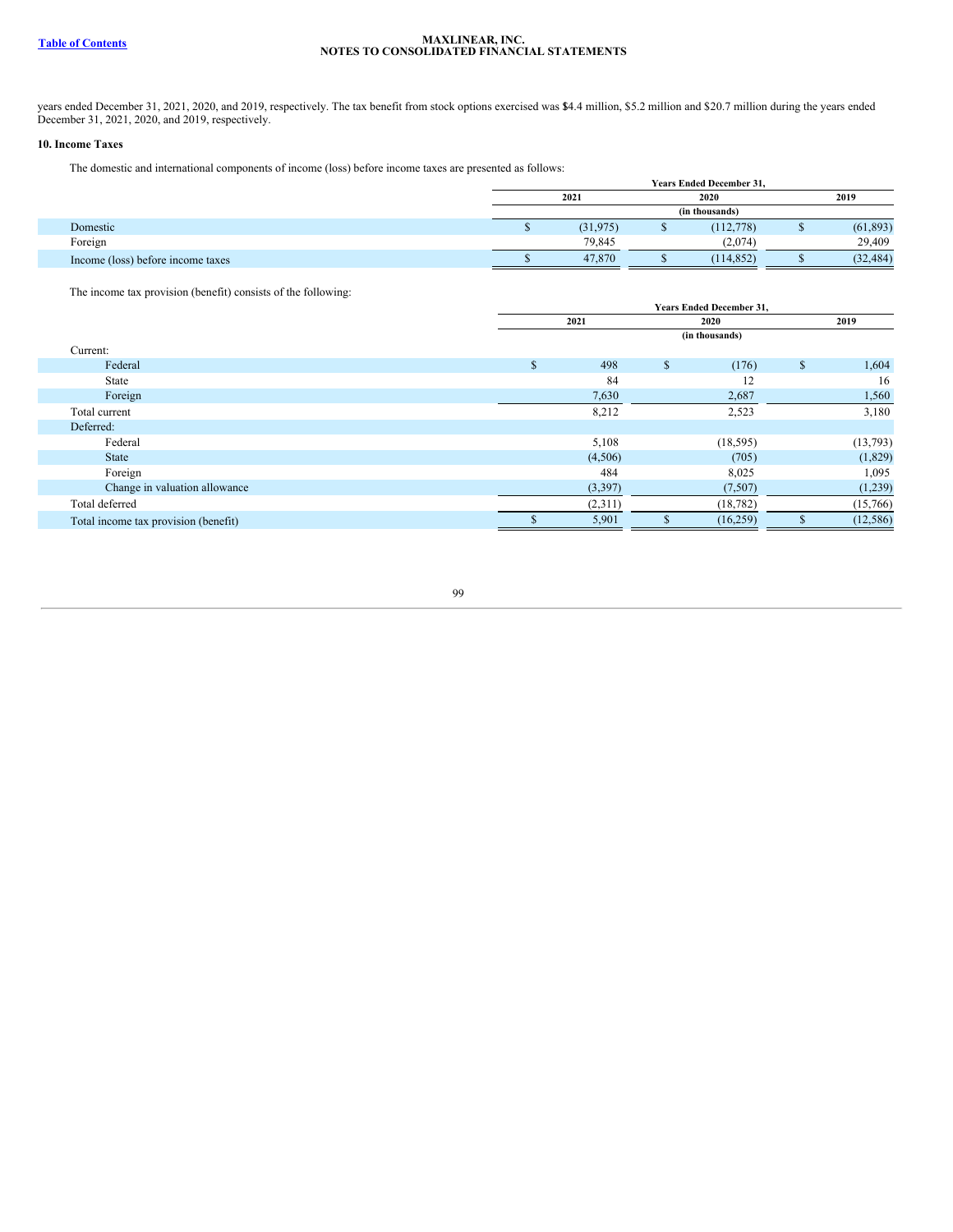years ended December 31, 2021, 2020, and 2019, respectively. The tax benefit from stock options exercised was 1\$4.4 million, \$5.2 million and \$20.7 million during the years ended December 31, 2021, 2020, and 2019, respectively.

### **10. Income Taxes**

The domestic and international components of income (loss) before income taxes are presented as follows:

|                                   | <b>Years Ended December 31.</b> |                |      |           |  |           |
|-----------------------------------|---------------------------------|----------------|------|-----------|--|-----------|
|                                   | 2021                            |                | 2020 |           |  | 2019      |
|                                   |                                 | (in thousands) |      |           |  |           |
| Domestic                          |                                 | (31,975)       |      | (112,778) |  | (61, 893) |
| Foreign                           |                                 | 79.845         |      | (2,074)   |  | 29.409    |
| Income (loss) before income taxes |                                 | 47,870         |      | (114.852) |  | (32, 484) |
|                                   |                                 |                |      |           |  |           |

The income tax provision (benefit) consists of the following:

|                                      |              | <b>Years Ended December 31,</b> |              |                |              |           |
|--------------------------------------|--------------|---------------------------------|--------------|----------------|--------------|-----------|
|                                      |              | 2021                            | 2020         |                |              | 2019      |
|                                      |              |                                 |              | (in thousands) |              |           |
| Current:                             |              |                                 |              |                |              |           |
| Federal                              | $\mathbb{S}$ | 498                             | $\mathbb{S}$ | (176)          | $\mathbb{S}$ | 1,604     |
| State                                |              | 84                              |              | 12             |              | 16        |
| Foreign                              |              | 7,630                           |              | 2,687          |              | 1,560     |
| Total current                        |              | 8,212                           |              | 2,523          |              | 3,180     |
| Deferred:                            |              |                                 |              |                |              |           |
| Federal                              |              | 5,108                           |              | (18, 595)      |              | (13,793)  |
| State                                |              | (4,506)                         |              | (705)          |              | (1,829)   |
| Foreign                              |              | 484                             |              | 8,025          |              | 1,095     |
| Change in valuation allowance        |              | (3,397)                         |              | (7,507)        |              | (1,239)   |
| Total deferred                       |              | (2,311)                         |              | (18, 782)      |              | (15,766)  |
| Total income tax provision (benefit) |              | 5,901                           |              | (16,259)       |              | (12, 586) |
|                                      |              |                                 |              |                |              |           |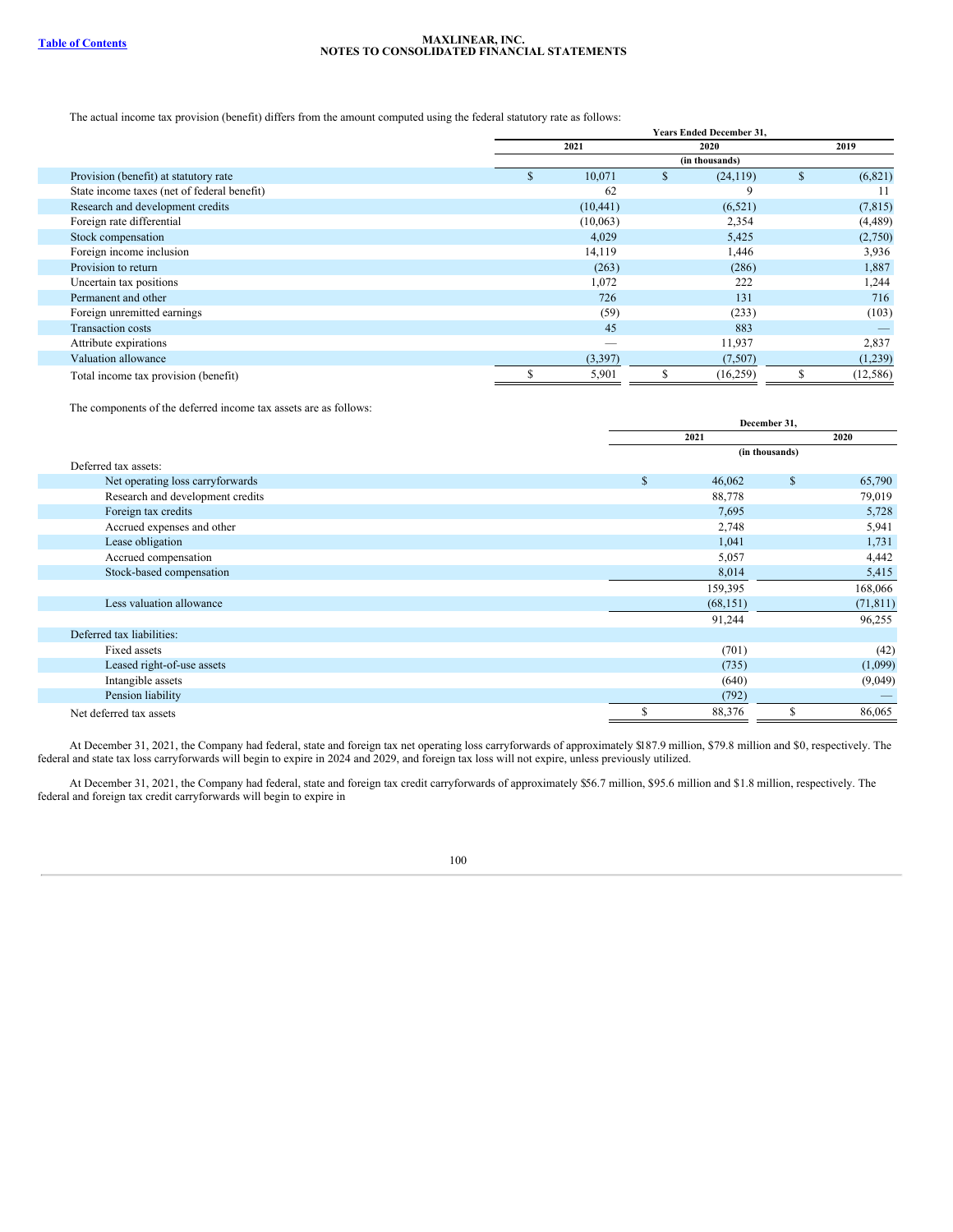The actual income tax provision (benefit) differs from the amount computed using the federal statutory rate as follows:

|                                             | <b>Years Ended December 31,</b> |           |    |           |    |           |
|---------------------------------------------|---------------------------------|-----------|----|-----------|----|-----------|
|                                             |                                 | 2021      |    | 2020      |    | 2019      |
|                                             | (in thousands)                  |           |    |           |    |           |
| Provision (benefit) at statutory rate       | ъ                               | 10,071    | \$ | (24, 119) | \$ | (6,821)   |
| State income taxes (net of federal benefit) |                                 | 62        |    | 9         |    | 11        |
| Research and development credits            |                                 | (10, 441) |    | (6,521)   |    | (7, 815)  |
| Foreign rate differential                   |                                 | (10,063)  |    | 2,354     |    | (4,489)   |
| Stock compensation                          |                                 | 4,029     |    | 5,425     |    | (2,750)   |
| Foreign income inclusion                    |                                 | 14,119    |    | 1,446     |    | 3,936     |
| Provision to return                         |                                 | (263)     |    | (286)     |    | 1,887     |
| Uncertain tax positions                     |                                 | 1,072     |    | 222       |    | 1,244     |
| Permanent and other                         |                                 | 726       |    | 131       |    | 716       |
| Foreign unremitted earnings                 |                                 | (59)      |    | (233)     |    | (103)     |
| <b>Transaction costs</b>                    |                                 | 45        |    | 883       |    |           |
| Attribute expirations                       |                                 |           |    | 11,937    |    | 2,837     |
| Valuation allowance                         |                                 | (3,397)   |    | (7,507)   |    | (1,239)   |
| Total income tax provision (benefit)        |                                 | 5,901     |    | (16, 259) |    | (12, 586) |

The components of the deferred income tax assets are as follows:

|                                  |                | December 31, |             |           |  |
|----------------------------------|----------------|--------------|-------------|-----------|--|
|                                  |                | 2021         |             | 2020      |  |
|                                  | (in thousands) |              |             |           |  |
| Deferred tax assets:             |                |              |             |           |  |
| Net operating loss carryforwards | $\mathbb{S}$   | 46,062       | $\mathbf S$ | 65,790    |  |
| Research and development credits |                | 88,778       |             | 79,019    |  |
| Foreign tax credits              |                | 7,695        |             | 5,728     |  |
| Accrued expenses and other       |                | 2,748        |             | 5,941     |  |
| Lease obligation                 |                | 1,041        |             | 1,731     |  |
| Accrued compensation             |                | 5,057        |             | 4,442     |  |
| Stock-based compensation         |                | 8,014        |             | 5,415     |  |
|                                  |                | 159,395      |             | 168,066   |  |
| Less valuation allowance         |                | (68, 151)    |             | (71, 811) |  |
|                                  |                | 91,244       |             | 96,255    |  |
| Deferred tax liabilities:        |                |              |             |           |  |
| Fixed assets                     |                | (701)        |             | (42)      |  |
| Leased right-of-use assets       |                | (735)        |             | (1,099)   |  |
| Intangible assets                |                | (640)        |             | (9,049)   |  |
| Pension liability                |                | (792)        |             |           |  |
| Net deferred tax assets          | \$             | 88,376       |             | 86,065    |  |

At December 31, 2021, the Company had federal, state and foreign tax net operating loss carryforwards of approximately \$187.9 million, \$79.8 million and \$0, respectively. The federal and state tax loss carryforwards will begin to expire in 2024 and 2029, and foreign tax loss will not expire, unless previously utilized.

At December 31, 2021, the Company had federal, state and foreign tax credit carryforwards of approximately \$56.7 million, \$95.6 million and \$1.8 million, respectively. The federal and foreign tax credit carryforwards will begin to expire in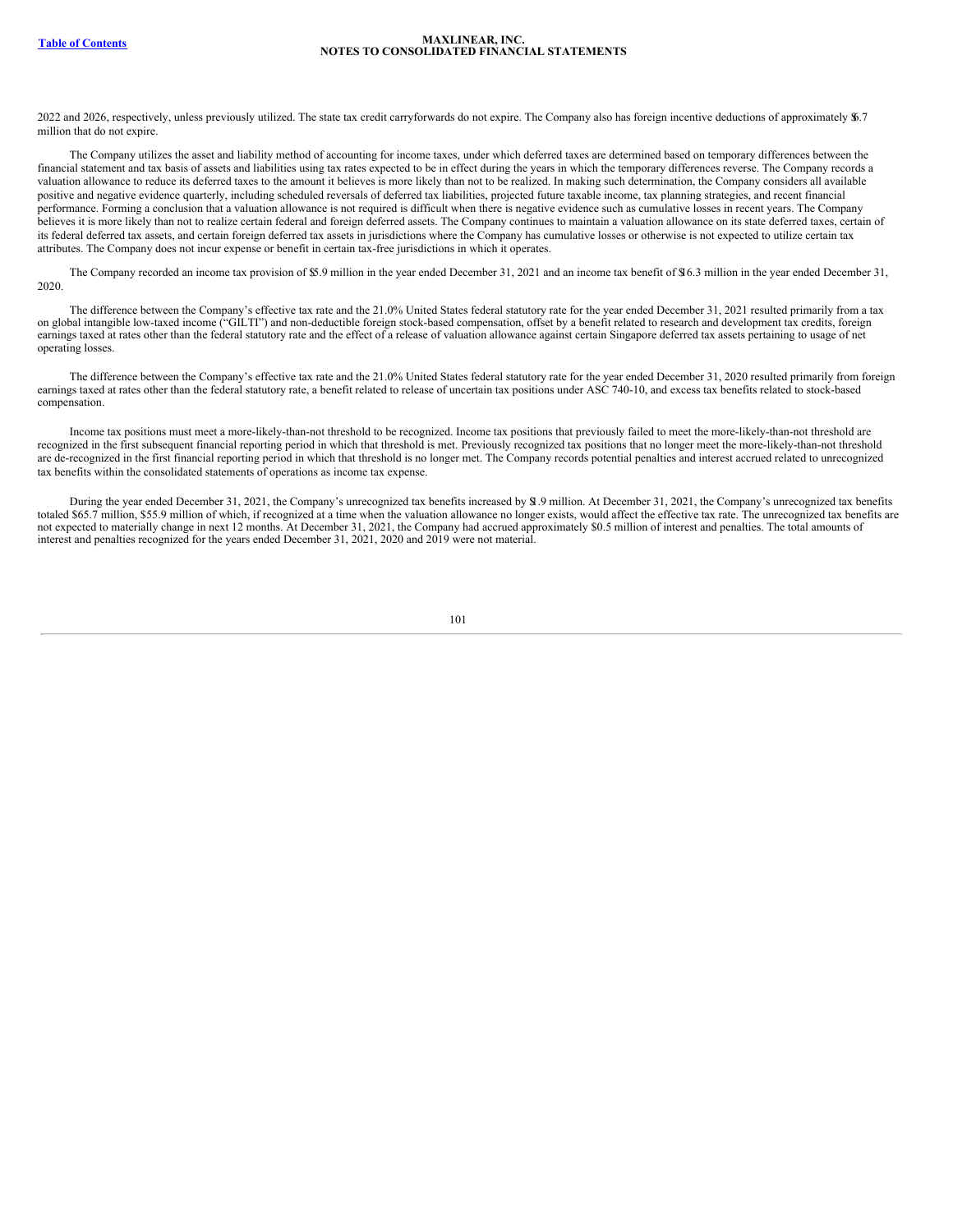2022 and 2026, respectively, unless previously utilized. The state tax credit carryforwards do not expire. The Company also has foreign incentive deductions of approximately \$6.7 million that do not expire.

The Company utilizes the asset and liability method of accounting for income taxes, under which deferred taxes are determined based on temporary differences between the financial statement and tax basis of assets and liabilities using tax rates expected to be in effect during the years in which the temporary differences reverse. The Company records a valuation allowance to reduce its deferred taxes to the amount it believes is more likely than not to be realized. In making such determination, the Company considers all available positive and negative evidence quarterly, including scheduled reversals of deferred tax liabilities, projected future taxable income, tax planning strategies, and recent financial performance. Forming a conclusion that a valuation allowance is not required is difficult when there is negative evidence such as cumulative losses in recent years. The Company believes it is more likely than not to realize certain federal and foreign deferred assets. The Company continues to maintain a valuation allowance on its state deferred taxes, certain of its federal deferred tax assets, and certain foreign deferred tax assets in jurisdictions where the Company has cumulative losses or otherwise is not expected to utilize certain tax attributes. The Company does not incur expense or benefit in certain tax-free jurisdictions in which it operates.

The Company recorded an income tax provision of \$5.9 million in the year ended December 31, 2021 and an income tax benefit of \$16.3 million in the year ended December 31, 2020.

The difference between the Company's effective tax rate and the 21.0% United States federal statutory rate for the year ended December 31, 2021 resulted primarily from a tax on global intangible low-taxed income ("GILTI") and non-deductible foreign stock-based compensation, offset by a benefit related to research and development tax credits, foreign earnings taxed at rates other than the federal statutory rate and the effect of a release of valuation allowance against certain Singapore deferred tax assets pertaining to usage of net operating losses.

The difference between the Company's effective tax rate and the 21.0% United States federal statutory rate for the year ended December 31, 2020 resulted primarily from foreign earnings taxed at rates other than the federal statutory rate, a benefit related to release of uncertain tax positions under ASC 740-10, and excess tax benefits related to stock-based compensation.

Income tax positions must meet a more-likely-than-not threshold to be recognized. Income tax positions that previously failed to meet the more-likely-than-not threshold are recognized in the first subsequent financial reporting period in which that threshold is met. Previously recognized tax positions that no longer meet the more-likely-than-not threshold are de-recognized in the first financial reporting period in which that threshold is no longer met. The Company records potential penalties and interest accrued related to unrecognized tax benefits within the consolidated statements of operations as income tax expense.

During the year ended December 31, 2021, the Company's unrecognized tax benefits increased by \$1.9 million. At December 31, 2021, the Company's unrecognized tax benefits totaled \$65.7 million, \$55.9 million of which, if recognized at a time when the valuation allowance no longer exists, would affect the effective tax rate. The unrecognized tax benefits are not expected to materially change in next 12 months. At December 31, 2021, the Company had accrued approximately \$0.5 million of interest and penalties. The total amounts of interest and penalties recognized for the years ended December 31, 2021, 2020 and 2019 were not material.

| ٦<br>×<br>т. |  |
|--------------|--|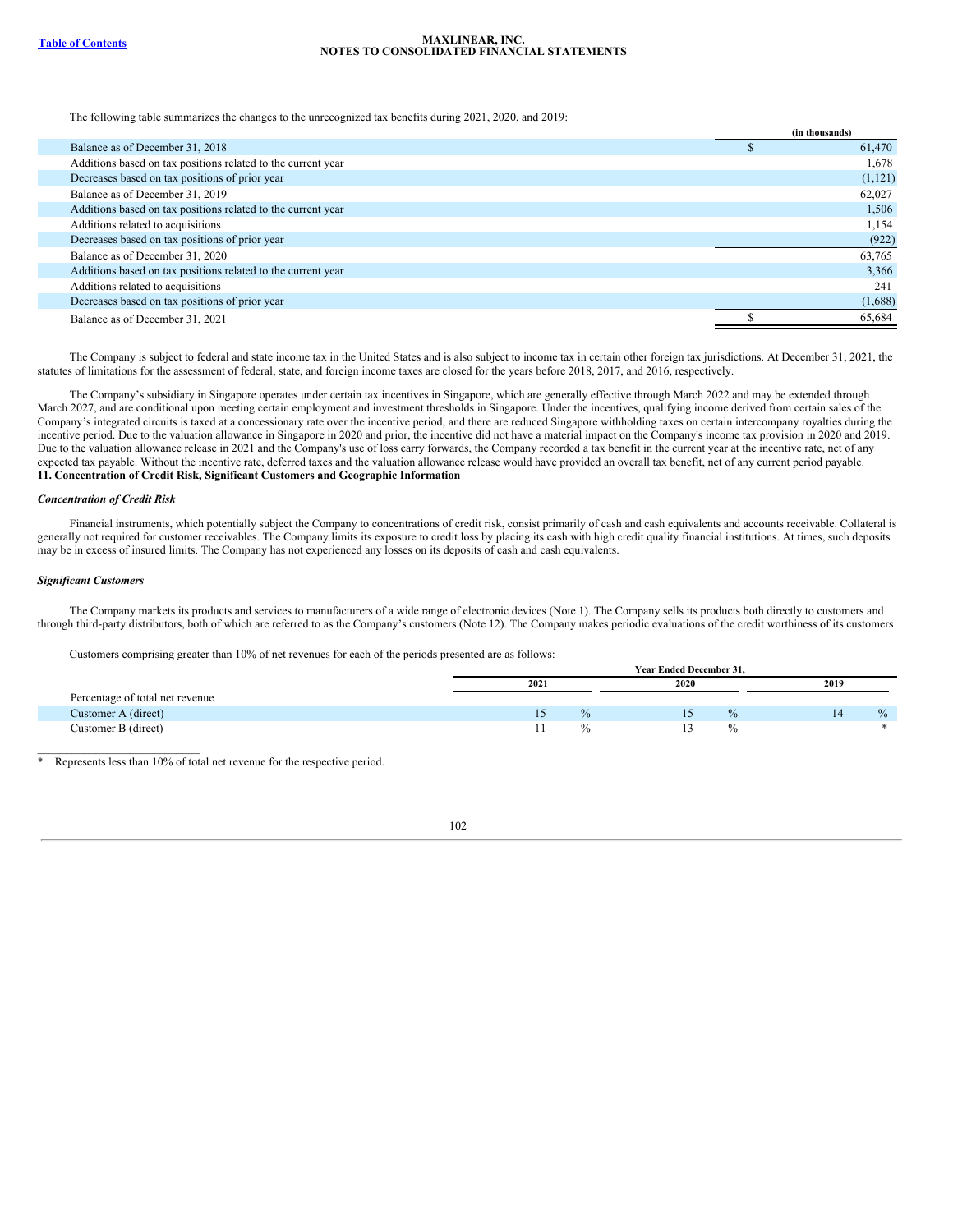The following table summarizes the changes to the unrecognized tax benefits during 2021, 2020, and 2019:

|                                                              | (in thousands) |
|--------------------------------------------------------------|----------------|
| Balance as of December 31, 2018                              | 61,470         |
| Additions based on tax positions related to the current year | 1,678          |
| Decreases based on tax positions of prior year               | (1,121)        |
| Balance as of December 31, 2019                              | 62,027         |
| Additions based on tax positions related to the current year | 1,506          |
| Additions related to acquisitions                            | 1,154          |
| Decreases based on tax positions of prior year               | (922)          |
| Balance as of December 31, 2020                              | 63,765         |
| Additions based on tax positions related to the current year | 3,366          |
| Additions related to acquisitions                            | 241            |
| Decreases based on tax positions of prior year               | (1,688)        |
| Balance as of December 31, 2021                              | 65,684         |
|                                                              |                |

The Company is subject to federal and state income tax in the United States and is also subject to income tax in certain other foreign tax jurisdictions. At December 31, 2021, the statutes of limitations for the assessment of federal, state, and foreign income taxes are closed for the years before 2018, 2017, and 2016, respectively.

The Company's subsidiary in Singapore operates under certain tax incentives in Singapore, which are generally effective through March 2022 and may be extended through March 2027, and are conditional upon meeting certain employment and investment thresholds in Singapore. Under the incentives, qualifying income derived from certain sales of the Company's integrated circuits is taxed at a concessionary rate over the incentive period, and there are reduced Singapore withholding taxes on certain intercompany royalties during the incentive period. Due to the valuation allowance in Singapore in 2020 and prior, the incentive did not have a material impact on the Company's income tax provision in 2020 and 2019. Due to the valuation allowance release in 2021 and the Company's use of loss carry forwards, the Company recorded a tax benefit in the current year at the incentive rate, net of any expected tax payable. Without the incentive rate, deferred taxes and the valuation allowance release would have provided an overall tax benefit, net of any current period payable. **11. Concentration of Credit Risk, Significant Customers and Geographic Information**

#### *Concentration of Credit Risk*

Financial instruments, which potentially subject the Company to concentrations of credit risk, consist primarily of cash and cash equivalents and accounts receivable. Collateral is generally not required for customer receivables. The Company limits its exposure to credit loss by placing its cash with high credit quality financial institutions. At times, such deposits may be in excess of insured limits. The Company has not experienced any losses on its deposits of cash and cash equivalents.

#### *Significant Customers*

The Company markets its products and services to manufacturers of a wide range of electronic devices (Note 1). The Company sells its products both directly to customers and through third-party distributors, both of which are referred to as the Company's customers (Note 12). The Company makes periodic evaluations of the credit worthiness of its customers.

Customers comprising greater than 10% of net revenues for each of the periods presented are as follows:

|                                 | <b>Year Ended December 31.</b> |               |      |               |      |      |  |
|---------------------------------|--------------------------------|---------------|------|---------------|------|------|--|
|                                 | 2021                           |               | 2020 |               | 2019 |      |  |
| Percentage of total net revenue |                                |               |      |               |      |      |  |
| Customer A (direct)             |                                | $\frac{0}{2}$ |      | $\frac{0}{0}$ |      | $\%$ |  |
| Customer B (direct)             |                                | $\frac{0}{0}$ |      | $\frac{0}{0}$ |      |      |  |

\_\_\_\_\_\_\_\_\_\_\_\_\_\_\_\_\_\_\_\_\_\_\_\_\_\_\_\_ \* Represents less than 10% of total net revenue for the respective period.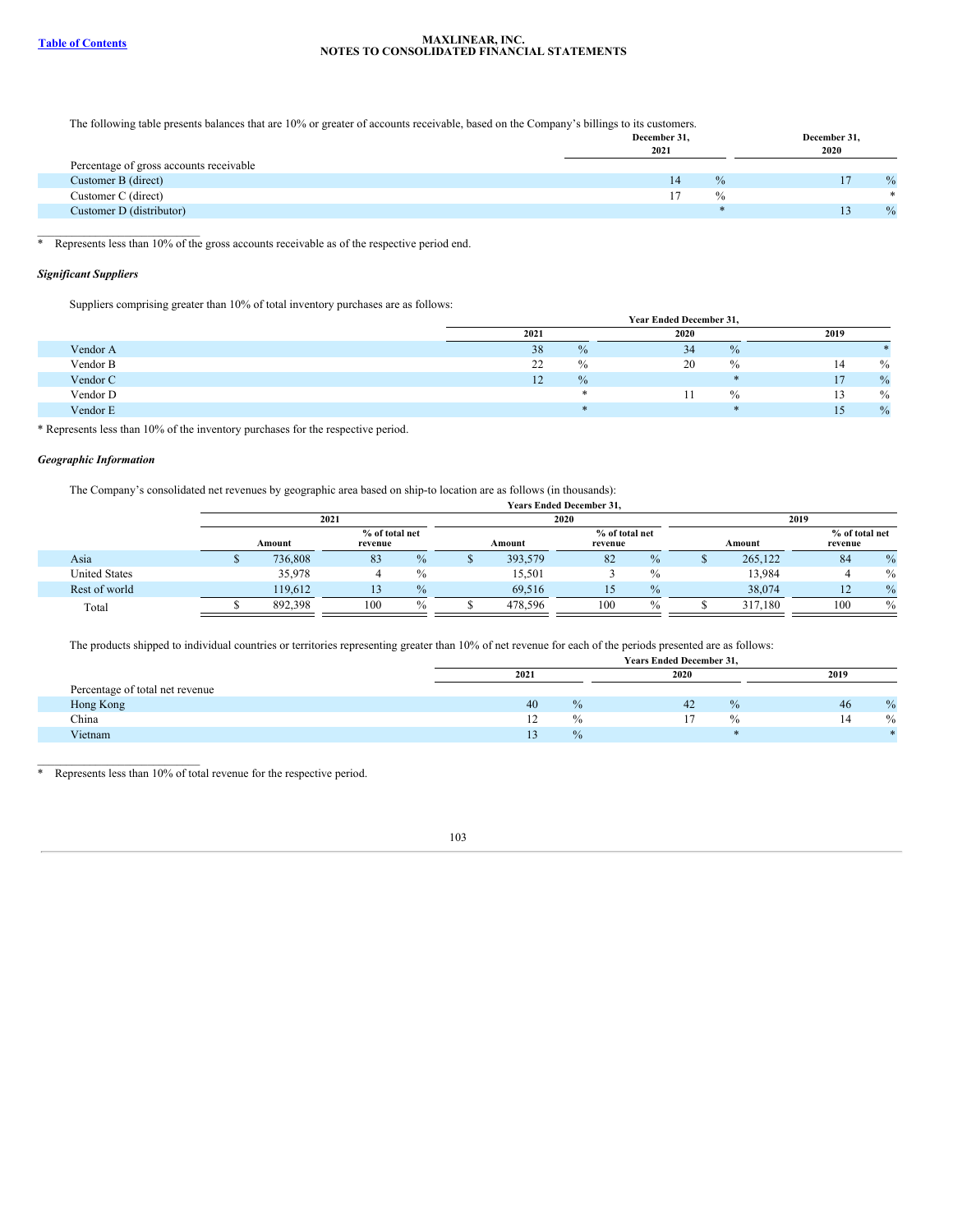The following table presents balances that are 10% or greater of accounts receivable, based on the Company's billings to its customers.

|                                         | December 31,<br>2021 | December 31,<br>2020 |  |               |
|-----------------------------------------|----------------------|----------------------|--|---------------|
| Percentage of gross accounts receivable |                      |                      |  |               |
| Customer B (direct)                     |                      | $\frac{0}{2}$        |  | $\frac{0}{0}$ |
| Customer C (direct)                     |                      | $\%$                 |  | *             |
| Customer D (distributor)                |                      |                      |  | $\frac{0}{0}$ |

\* Represents less than 10% of the gross accounts receivable as of the respective period end.

### *Significant Suppliers*

\_\_\_\_\_\_\_\_\_\_\_\_\_\_\_\_\_\_\_\_\_\_\_\_\_\_\_\_

Suppliers comprising greater than 10% of total inventory purchases are as follows:

| 2021                |               | 2020 |               | 2019                    |               |
|---------------------|---------------|------|---------------|-------------------------|---------------|
| 38                  | $\frac{0}{0}$ | 34   | $\%$          |                         |               |
| $\mathcal{D}$<br>∠∠ | $\%$          | 20   | $\frac{0}{0}$ | 14                      | $\%$          |
| 12                  | $\frac{0}{6}$ |      |               | 1 <sub>7</sub><br>$\pm$ | $\frac{0}{0}$ |
|                     | $\ast$        |      | 0/2           |                         | $\frac{0}{0}$ |
|                     | ÷             |      |               | 15                      | $\frac{0}{0}$ |
|                     |               |      |               | Year Ended December 31, |               |

\* Represents less than 10% of the inventory purchases for the respective period.

### *Geographic Information*

\_\_\_\_\_\_\_\_\_\_\_\_\_\_\_\_\_\_\_\_\_\_\_\_\_\_\_\_

The Company's consolidated net revenues by geographic area based on ship-to location are as follows (in thousands):

|                      |        |         |      |                           |  |         | <b>Years Ended December 31.</b> |               |         |                           |               |
|----------------------|--------|---------|------|---------------------------|--|---------|---------------------------------|---------------|---------|---------------------------|---------------|
|                      |        |         | 2021 |                           |  |         | 2020                            |               |         | 2019                      |               |
|                      | Amount |         |      | % of total net<br>revenue |  | Amount  | % of total net<br>revenue       |               | Amount  | % of total net<br>revenue |               |
| Asia                 |        | 736,808 | 83   | $\%$                      |  | 393,579 | 82                              | $\frac{0}{6}$ | 265,122 | 84                        | $\%$          |
| <b>United States</b> |        | 35,978  |      | $\frac{0}{0}$             |  | 15,501  |                                 | $\%$          | 13,984  |                           | $\%$          |
| Rest of world        |        | 119,612 |      | $\frac{0}{0}$             |  | 69.516  |                                 | $\frac{0}{0}$ | 38,074  | ר ו<br>$\overline{1}$     | $\frac{0}{0}$ |
| Total                |        | 892.398 | 100  | $\%$                      |  | 478.596 | 100                             | $\%$          | 317,180 | 100                       | $\frac{0}{0}$ |

The products shipped to individual countries or territories representing greater than 10% of net revenue for each of the periods presented are as follows:

|                                 | <b>Years Ended December 31,</b> |               |      |               |      |               |  |  |  |  |
|---------------------------------|---------------------------------|---------------|------|---------------|------|---------------|--|--|--|--|
|                                 | 2021                            |               | 2020 |               | 2019 |               |  |  |  |  |
| Percentage of total net revenue |                                 |               |      |               |      |               |  |  |  |  |
| Hong Kong                       | 40                              | $\frac{0}{0}$ | 42   | $\frac{0}{0}$ | 46   | $\frac{0}{0}$ |  |  |  |  |
| China                           | $\overline{1}$                  | 0/2           |      | $\%$          | 14   | $\%$          |  |  |  |  |
| Vietnam                         |                                 | $\%$          |      |               |      |               |  |  |  |  |

\* Represents less than 10% of total revenue for the respective period.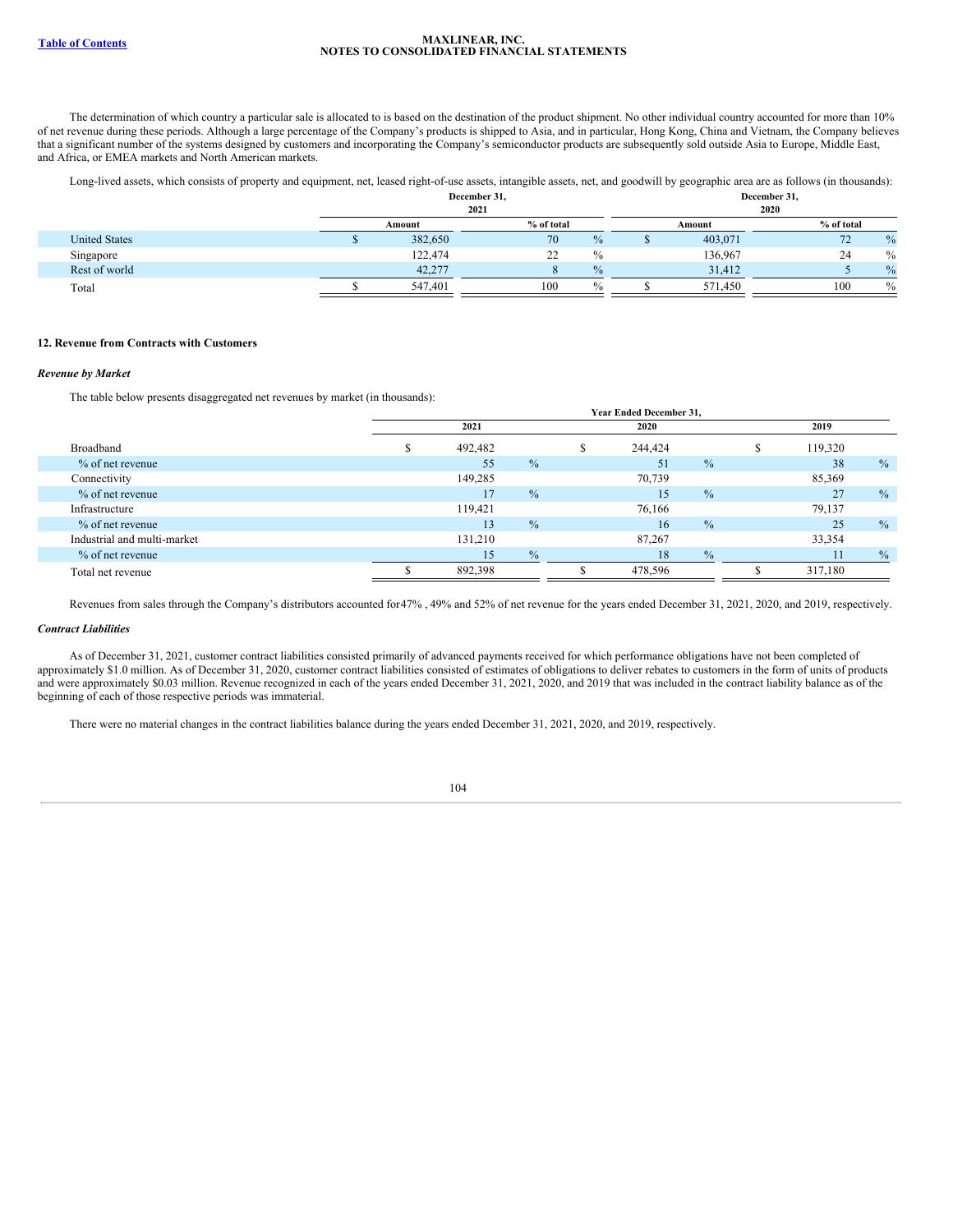The determination of which country a particular sale is allocated to is based on the destination of the product shipment. No other individual country accounted for more than 10% of net revenue during these periods. Although a large percentage of the Company's products is shipped to Asia, and in particular, Hong Kong, China and Vietnam, the Company believes that a significant number of the systems designed by customers and incorporating the Company's semiconductor products are subsequently sold outside Asia to Europe, Middle East, and Africa, or EMEA markets and North American markets.

Long-lived assets, which consists of property and equipment, net, leased right-of-use assets, intangible assets, net, and goodwill by geographic area are as follows (in thousands):

|                      | December 31,<br>2021 |         |            |               |  |         | December 31,<br>2020 |               |
|----------------------|----------------------|---------|------------|---------------|--|---------|----------------------|---------------|
|                      | Amount               |         | % of total |               |  | Amount  | % of total           |               |
| <b>United States</b> |                      | 382,650 | 70         | $\frac{0}{0}$ |  | 403,071 | 72                   | $\frac{0}{0}$ |
| Singapore            |                      | 122,474 | 22         | $\%$          |  | 136,967 | 24                   | $\%$          |
| Rest of world        |                      | 42,277  |            | $\frac{0}{0}$ |  | 31.412  |                      | $\frac{0}{0}$ |
| Total                |                      | 547,401 | 100        | $\frac{0}{0}$ |  | 571.450 | 100                  | $\frac{0}{0}$ |

#### **12. Revenue from Contracts with Customers**

#### *Revenue by Market*

The table below presents disaggregated net revenues by market (in thousands):

|                             | <b>Year Ended December 31.</b> |         |               |   |         |               |  |         |               |
|-----------------------------|--------------------------------|---------|---------------|---|---------|---------------|--|---------|---------------|
|                             |                                | 2021    |               |   | 2020    |               |  | 2019    |               |
| Broadband                   |                                | 492,482 |               | S | 244,424 |               |  | 119,320 |               |
| $%$ of net revenue          |                                | 55      | $\frac{0}{0}$ |   | 51      | $\%$          |  | 38      | $\%$          |
| Connectivity                |                                | 149,285 |               |   | 70,739  |               |  | 85,369  |               |
| % of net revenue            |                                | 17      | $\%$          |   | 15      | $\%$          |  | 27      | $\%$          |
| Infrastructure              |                                | 119,421 |               |   | 76,166  |               |  | 79,137  |               |
| $%$ of net revenue          |                                | 13      | $\frac{0}{0}$ |   | 16      | $\frac{0}{6}$ |  | 25      | $\frac{0}{0}$ |
| Industrial and multi-market |                                | 131,210 |               |   | 87,267  |               |  | 33,354  |               |
| $%$ of net revenue          |                                | 15      | $\%$          |   | 18      | $\frac{0}{0}$ |  | 11      | $\%$          |
| Total net revenue           |                                | 892,398 |               |   | 478,596 |               |  | 317,180 |               |

Revenues from sales through the Company's distributors accounted for47% ,49% and 52% of net revenue for the years ended December 31, 2021, 2020, and 2019, respectively.

#### *Contract Liabilities*

As of December 31, 2021, customer contract liabilities consisted primarily of advanced payments received for which performance obligations have not been completed of approximately \$1.0 million. As of December 31, 2020, customer contract liabilities consisted of estimates of obligations to deliver rebates to customers in the form of units of products and were approximately \$0.03 million. Revenue recognized in each of the years ended December 31, 2021, 2020, and 2019 that was included in the contract liability balance as of the beginning of each of those respective periods was immaterial.

There were no material changes in the contract liabilities balance during the years ended December 31, 2021, 2020, and 2019, respectively.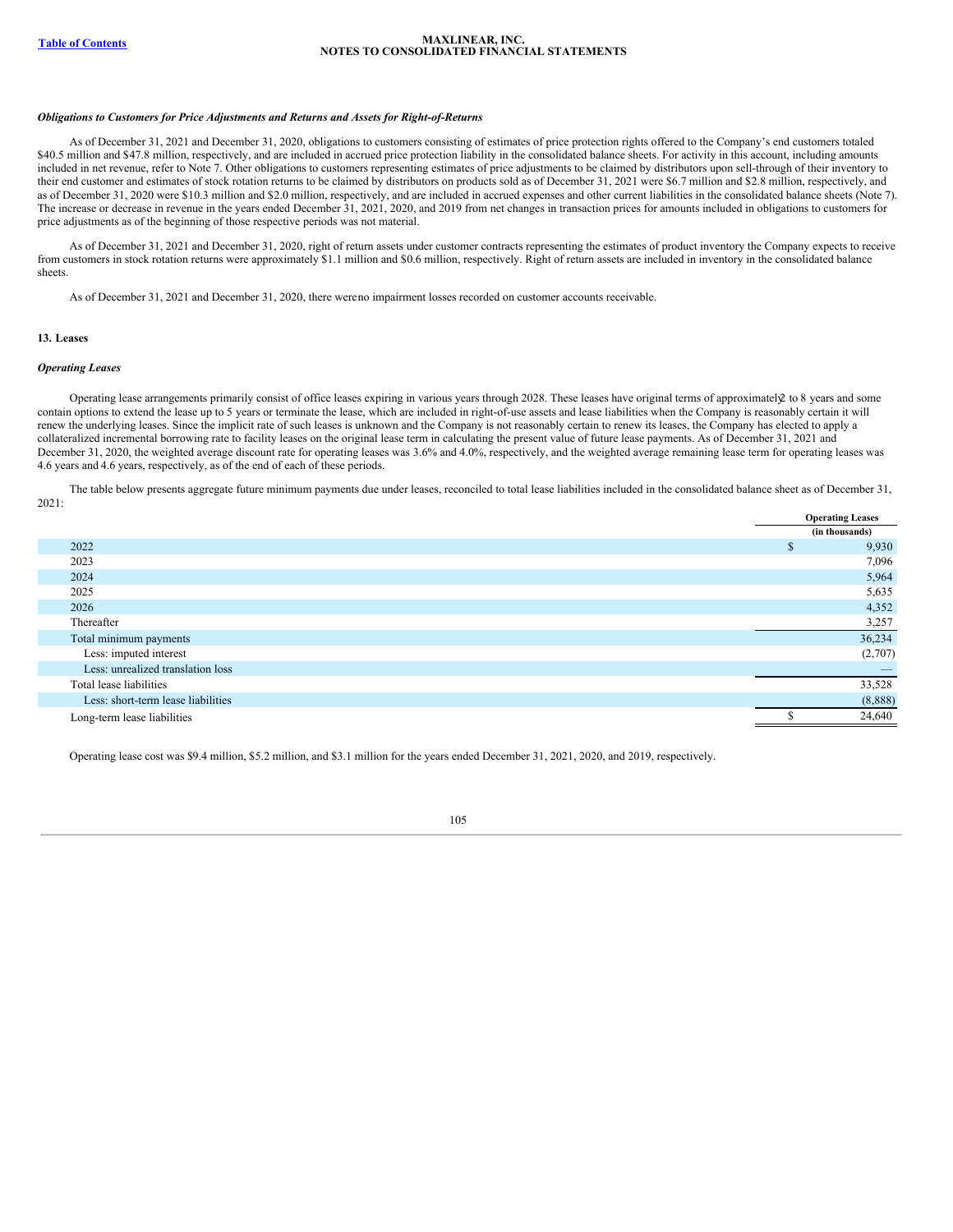#### *Obligations to Customers for Price Adjustments and Returns and Assets for Right-of-Returns*

As of December 31, 2021 and December 31, 2020, obligations to customers consisting of estimates of price protection rights offered to the Company's end customers totaled \$40.5 million and \$47.8 million, respectively, and are included in accrued price protection liability in the consolidated balance sheets. For activity in this account, including amounts included in net revenue, refer to Note 7. Other obligations to customers representing estimates of price adjustments to be claimed by distributors upon sell-through of their inventory to their end customer and estimates of stock rotation returns to be claimed by distributors on products sold as of December 31, 2021 were \$6.7 million and \$2.8 million, respectively, and as of December 31, 2020 were \$10.3 million and \$2.0 million, respectively, and are included in accrued expenses and other current liabilities in the consolidated balance sheets (Note 7). The increase or decrease in revenue in the years ended December 31, 2021, 2020, and 2019 from net changes in transaction prices for amounts included in obligations to customers for price adjustments as of the beginning of those respective periods was not material.

As of December 31, 2021 and December 31, 2020, right of return assets under customer contracts representing the estimates of product inventory the Company expects to receive from customers in stock rotation returns were approximately \$1.1 million and \$0.6 million, respectively. Right of return assets are included in inventory in the consolidated balance sheets.

As of December 31, 2021 and December 31, 2020, there wereno impairment losses recorded on customer accounts receivable.

#### **13. Leases**

#### *Operating Leases*

Operating lease arrangements primarily consist of office leases expiring in various years through 2028. These leases have original terms of approximately2 to 8 years and some contain options to extend the lease up to 5 years or terminate the lease, which are included in right-of-use assets and lease liabilities when the Company is reasonably certain it will renew the underlying leases. Since the implicit rate of such leases is unknown and the Company is not reasonably certain to renew its leases, the Company has elected to apply a collateralized incremental borrowing rate to facility leases on the original lease term in calculating the present value of future lease payments. As of December 31, 2021 and December 31, 2020, the weighted average discount rate for operating leases was 3.6% and 4.0%, respectively, and the weighted average remaining lease term for operating leases was 4.6 years and 4.6 years, respectively, as of the end of each of these periods.

The table below presents aggregate future minimum payments due under leases, reconciled to total lease liabilities included in the consolidated balance sheet as of December 31, 2021:

|                                    | <b>Operating Leases</b> |
|------------------------------------|-------------------------|
|                                    | (in thousands)          |
| 2022                               | \$<br>9,930             |
| 2023                               | 7,096                   |
| 2024                               | 5,964                   |
| 2025                               | 5,635                   |
| 2026                               | 4,352                   |
| Thereafter                         | 3,257                   |
| Total minimum payments             | 36,234                  |
| Less: imputed interest             | (2,707)                 |
| Less: unrealized translation loss  |                         |
| Total lease liabilities            | 33,528                  |
| Less: short-term lease liabilities | (8,888)                 |
| Long-term lease liabilities        | 24,640                  |
|                                    |                         |

Operating lease cost was \$9.4 million, \$5.2 million, and \$3.1 million for the years ended December 31, 2021, 2020, and 2019, respectively.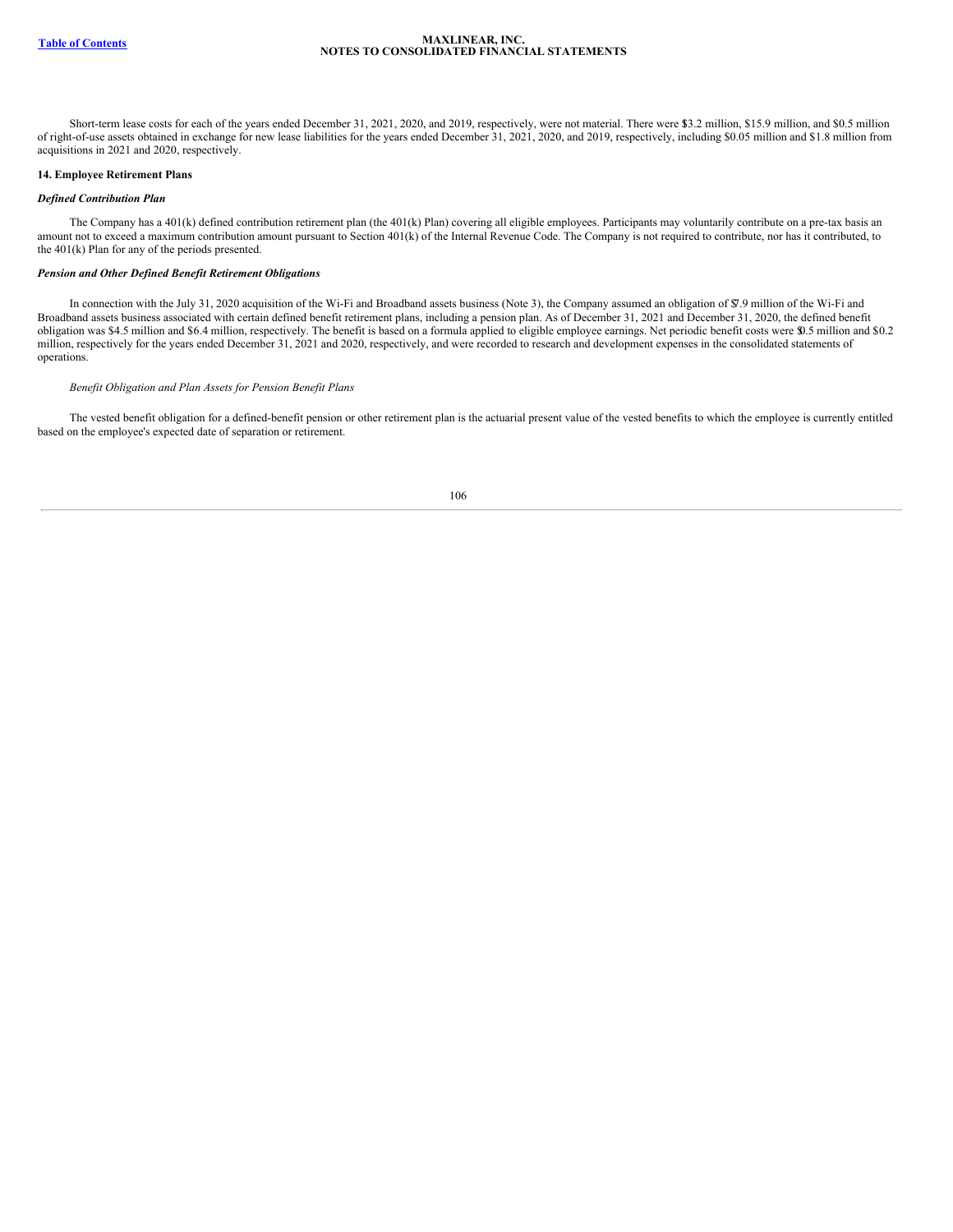Short-term lease costs for each of the years ended December 31, 2021, 2020, and 2019, respectively, were not material. There were \$3.2 million, \$15.9 million, and \$0.5 million of right-of-use assets obtained in exchange for new lease liabilities for the years ended December 31, 2021, 2020, and 2019, respectively, including \$0.05 million and \$1.8 million from acquisitions in 2021 and 2020, respectively.

#### **14. Employee Retirement Plans**

#### *Defined Contribution Plan*

The Company has a 401(k) defined contribution retirement plan (the 401(k) Plan) covering all eligible employees. Participants may voluntarily contribute on a pre-tax basis an amount not to exceed a maximum contribution amount pursuant to Section 401(k) of the Internal Revenue Code. The Company is not required to contribute, nor has it contributed, to the 401(k) Plan for any of the periods presented.

#### *Pension and Other Defined Benefit Retirement Obligations*

In connection with the July 31, 2020 acquisition of the Wi-Fi and Broadband assets business (Note 3), the Company assumed an obligation of \$7.9 million of the Wi-Fi and Broadband assets business associated with certain defined benefit retirement plans, including a pension plan. As of December 31, 2021 and December 31, 2020, the defined benefit obligation was \$4.5 million and \$6.4 million, respectively. The benefit is based on a formula applied to eligible employee earnings. Net periodic benefit costs were \$0.5 million and \$0.2 million, respectively for the years ended December 31, 2021 and 2020, respectively, and were recorded to research and development expenses in the consolidated statements of operations.

#### *Benefit Obligation and Plan Assets for Pension Benefit Plans*

The vested benefit obligation for a defined-benefit pension or other retirement plan is the actuarial present value of the vested benefits to which the employee is currently entitled based on the employee's expected date of separation or retirement.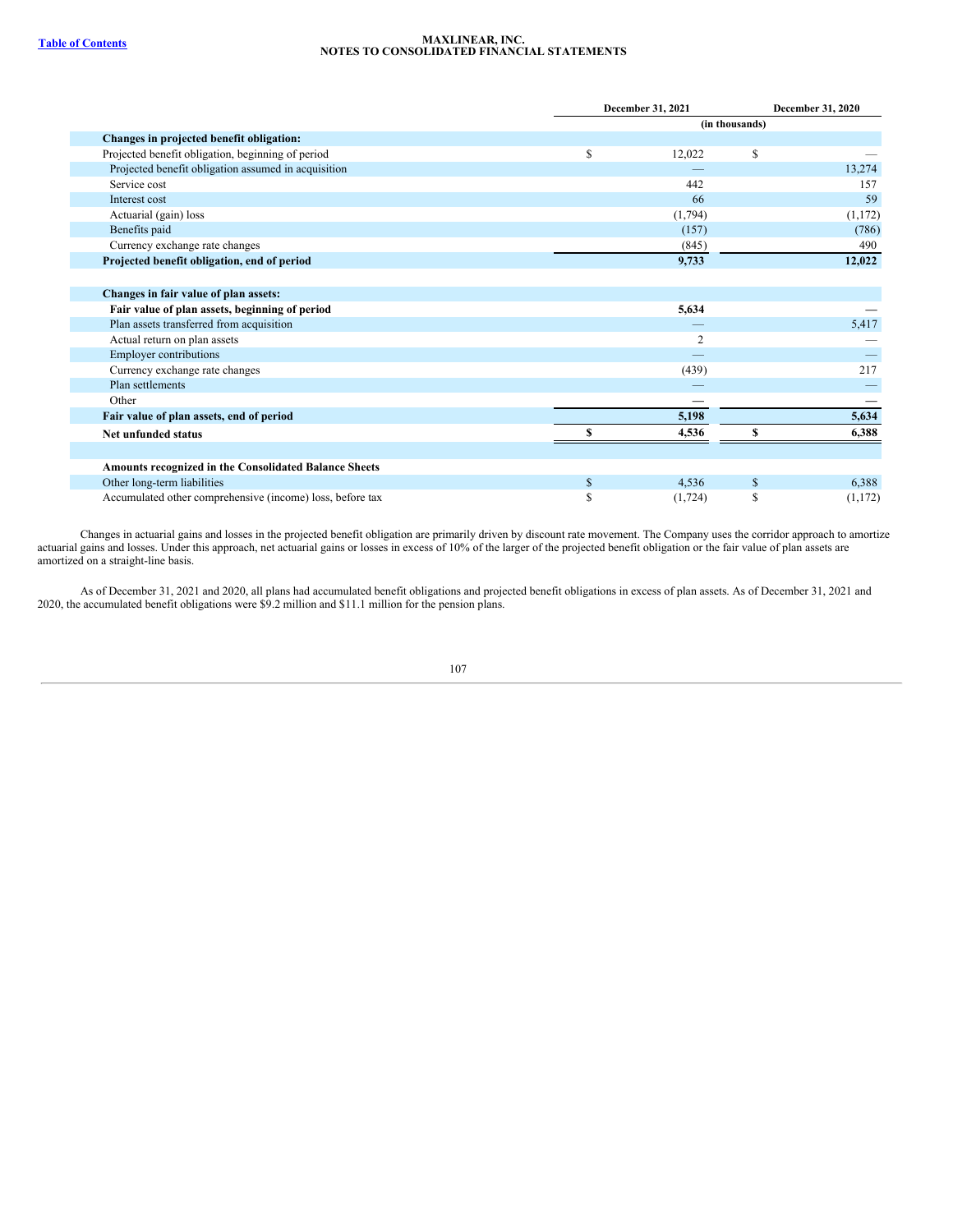|                                                           |              | December 31, 2021 |                | December 31, 2020 |  |
|-----------------------------------------------------------|--------------|-------------------|----------------|-------------------|--|
|                                                           |              |                   | (in thousands) |                   |  |
| Changes in projected benefit obligation:                  |              |                   |                |                   |  |
| Projected benefit obligation, beginning of period         | \$           | 12,022            | S              |                   |  |
| Projected benefit obligation assumed in acquisition       |              |                   |                | 13,274            |  |
| Service cost                                              |              | 442               |                | 157               |  |
| Interest cost                                             |              | 66                |                | 59                |  |
| Actuarial (gain) loss                                     |              | (1,794)           |                | (1, 172)          |  |
| Benefits paid                                             |              | (157)             |                | (786)             |  |
| Currency exchange rate changes                            |              | (845)             |                | 490               |  |
| Projected benefit obligation, end of period               |              | 9,733             |                | 12,022            |  |
|                                                           |              |                   |                |                   |  |
| Changes in fair value of plan assets:                     |              |                   |                |                   |  |
| Fair value of plan assets, beginning of period            |              | 5,634             |                |                   |  |
| Plan assets transferred from acquisition                  |              |                   |                | 5,417             |  |
| Actual return on plan assets                              |              | $\overline{c}$    |                |                   |  |
| <b>Employer contributions</b>                             |              |                   |                |                   |  |
| Currency exchange rate changes                            |              | (439)             |                | 217               |  |
| Plan settlements                                          |              |                   |                |                   |  |
| Other                                                     |              |                   |                |                   |  |
| Fair value of plan assets, end of period                  |              | 5,198             |                | 5,634             |  |
| Net unfunded status                                       |              | 4,536             |                | 6,388             |  |
|                                                           |              |                   |                |                   |  |
| Amounts recognized in the Consolidated Balance Sheets     |              |                   |                |                   |  |
| Other long-term liabilities                               | $\mathbb{S}$ | 4,536             | $\mathbf S$    | 6,388             |  |
| Accumulated other comprehensive (income) loss, before tax | \$           | (1, 724)          | S              | (1, 172)          |  |

Changes in actuarial gains and losses in the projected benefit obligation are primarily driven by discount rate movement. The Company uses the corridor approach to amortize actuarial gains and losses. Under this approach, net actuarial gains or losses in excess of 10% of the larger of the projected benefit obligation or the fair value of plan assets are amortized on a straight-line basis.

As of December 31, 2021 and 2020, all plans had accumulated benefit obligations and projected benefit obligations in excess of plan assets. As of December 31, 2021 and 2020, the accumulated benefit obligations were \$9.2 million and \$11.1 million for the pension plans.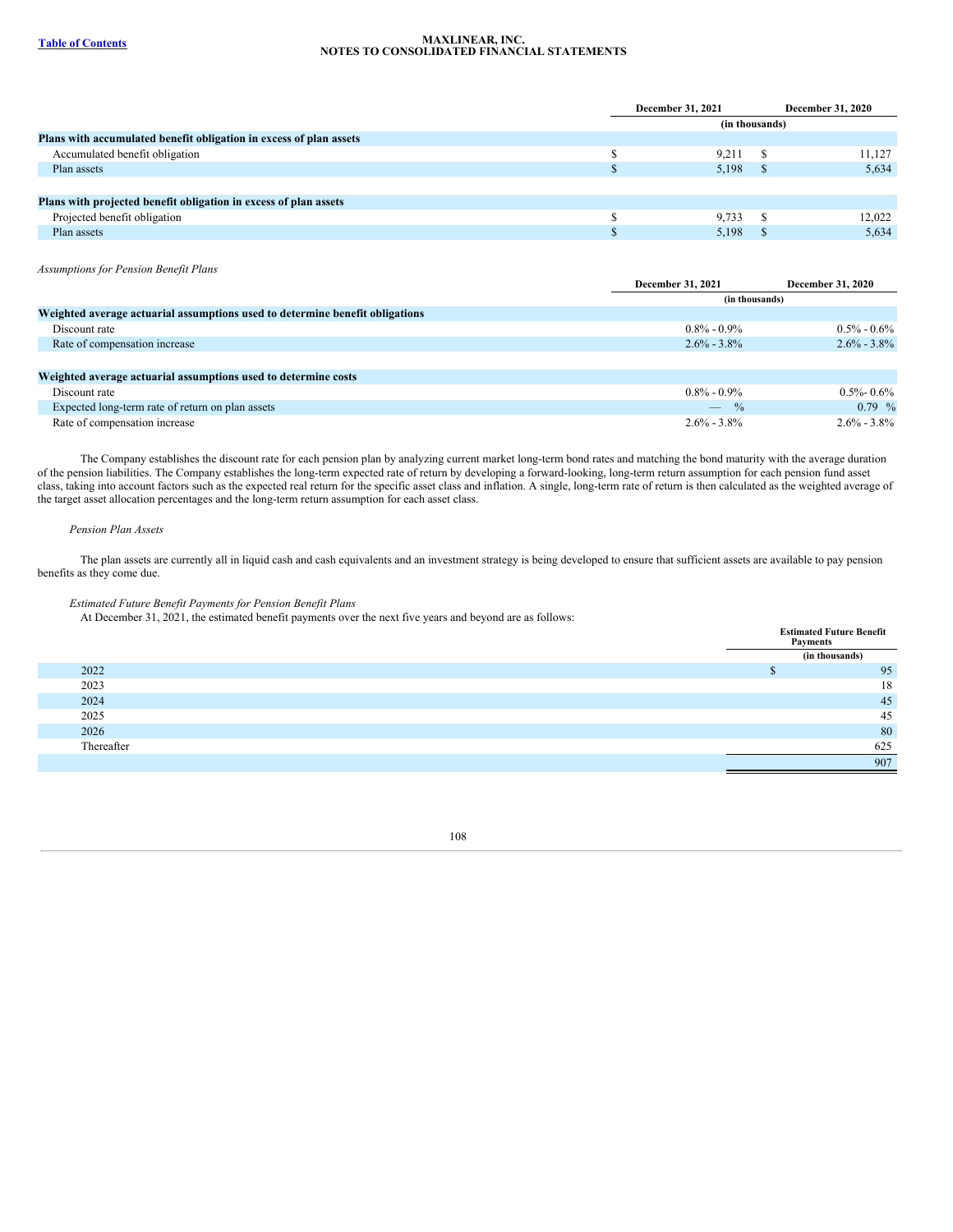|                                                                    | December 31, 2021 |  | <b>December 31, 2020</b> |  |  |
|--------------------------------------------------------------------|-------------------|--|--------------------------|--|--|
|                                                                    | (in thousands)    |  |                          |  |  |
| Plans with accumulated benefit obligation in excess of plan assets |                   |  |                          |  |  |
| Accumulated benefit obligation                                     | 9,211             |  | 11,127                   |  |  |
| Plan assets                                                        | 5,198             |  | 5,634                    |  |  |
|                                                                    |                   |  |                          |  |  |
| Plans with projected benefit obligation in excess of plan assets   |                   |  |                          |  |  |
| Projected benefit obligation                                       | 9,733             |  | 12.022                   |  |  |
| Plan assets                                                        | 5,198             |  | 5.634                    |  |  |

*Assumptions for Pension Benefit Plans*

|                                                                              | December 31, 2021 | December 31, 2020 |
|------------------------------------------------------------------------------|-------------------|-------------------|
|                                                                              | (in thousands)    |                   |
| Weighted average actuarial assumptions used to determine benefit obligations |                   |                   |
| Discount rate                                                                | $0.8\% - 0.9\%$   | $0.5\% - 0.6\%$   |
| Rate of compensation increase                                                | $2.6\% - 3.8\%$   | $2.6\% - 3.8\%$   |
|                                                                              |                   |                   |
| Weighted average actuarial assumptions used to determine costs               |                   |                   |
| Discount rate                                                                | $0.8\% - 0.9\%$   | $0.5\% - 0.6\%$   |
| Expected long-term rate of return on plan assets                             | $-$ %             | $0.79\%$          |
| Rate of compensation increase                                                | $2.6\% - 3.8\%$   | $2.6\% - 3.8\%$   |

The Company establishes the discount rate for each pension plan by analyzing current market long-term bond rates and matching the bond maturity with the average duration of the pension liabilities. The Company establishes the long-term expected rate of return by developing a forward-looking, long-term return assumption for each pension fund asset class, taking into account factors such as the expected real return for the specific asset class and inflation. A single, long-term rate of return is then calculated as the weighted average of the target asset allocation percentages and the long-term return assumption for each asset class.

#### *Pension Plan Assets*

The plan assets are currently all in liquid cash and cash equivalents and an investment strategy is being developed to ensure that sufficient assets are available to pay pension benefits as they come due.

*Estimated Future Benefit Payments for Pension Benefit Plans*

At December 31, 2021, the estimated benefit payments over the next five years and beyond are as follows:

|            | Payments | <b>Estimated Future Benefit</b> |
|------------|----------|---------------------------------|
|            |          | (in thousands)                  |
| 2022       |          | 95                              |
| 2023       |          | 18                              |
| 2024       |          | 45                              |
| 2025       |          | 45                              |
| 2026       |          | 80                              |
| Thereafter |          | 625                             |
|            |          | 907                             |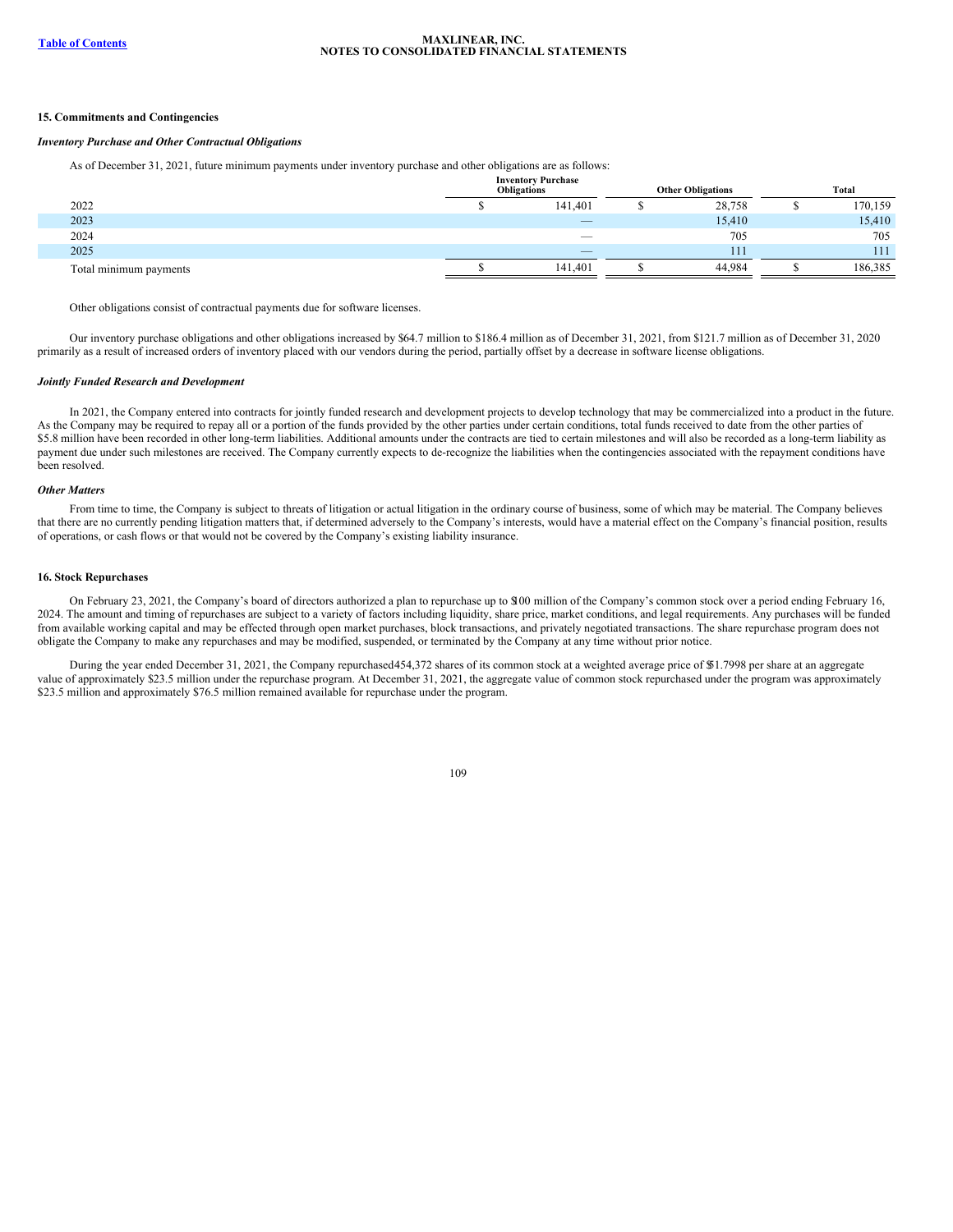## **15. Commitments and Contingencies**

## *Inventory Purchase and Other Contractual Obligations*

As of December 31, 2021, future minimum payments under inventory purchase and other obligations are as follows:

|                        | <b>Inventory Purchase</b><br><b>Obligations</b> |         | <b>Other Obligations</b> |        | Total |         |
|------------------------|-------------------------------------------------|---------|--------------------------|--------|-------|---------|
| 2022                   |                                                 | 141,401 |                          | 28,758 |       | 170,159 |
| 2023                   |                                                 |         |                          | 15,410 |       | 15,410  |
| 2024                   |                                                 |         |                          | 705    |       | 705     |
| 2025                   |                                                 |         |                          |        |       | 111     |
| Total minimum payments |                                                 | 141.401 |                          | 44.984 |       | 186,385 |

Other obligations consist of contractual payments due for software licenses.

Our inventory purchase obligations and other obligations increased by \$64.7 million to \$186.4 million as of December 31, 2021, from \$121.7 million as of December 31, 2020 primarily as a result of increased orders of inventory placed with our vendors during the period, partially offset by a decrease in software license obligations.

#### *Jointly Funded Research and Development*

In 2021, the Company entered into contracts for jointly funded research and development projects to develop technology that may be commercialized into a product in the future. As the Company may be required to repay all or a portion of the funds provided by the other parties under certain conditions, total funds received to date from the other parties of \$5.8 million have been recorded in other long-term liabilities. Additional amounts under the contracts are tied to certain milestones and will also be recorded as a long-term liability as payment due under such milestones are received. The Company currently expects to de-recognize the liabilities when the contingencies associated with the repayment conditions have been resolved.

#### *Other Matters*

From time to time, the Company is subject to threats of litigation or actual litigation in the ordinary course of business, some of which may be material. The Company believes that there are no currently pending litigation matters that, if determined adversely to the Company's interests, would have a material effect on the Company's financial position, results of operations, or cash flows or that would not be covered by the Company's existing liability insurance.

### **16. Stock Repurchases**

On February 23, 2021, the Company's board of directors authorized a plan to repurchase up to \$100 million of the Company's common stock over a period ending February 16, 2024. The amount and timing of repurchases are subject to a variety of factors including liquidity, share price, market conditions, and legal requirements. Any purchases will be funded from available working capital and may be effected through open market purchases, block transactions, and privately negotiated transactions. The share repurchase program does not obligate the Company to make any repurchases and may be modified, suspended, or terminated by the Company at any time without prior notice.

During the year ended December 31, 2021, the Company repurchased454,372 shares of its common stock at a weighted average price of \$1.7998 per share at an aggregate value of approximately \$23.5 million under the repurchase program. At December 31, 2021, the aggregate value of common stock repurchased under the program was approximately \$23.5 million and approximately \$76.5 million remained available for repurchase under the program.

109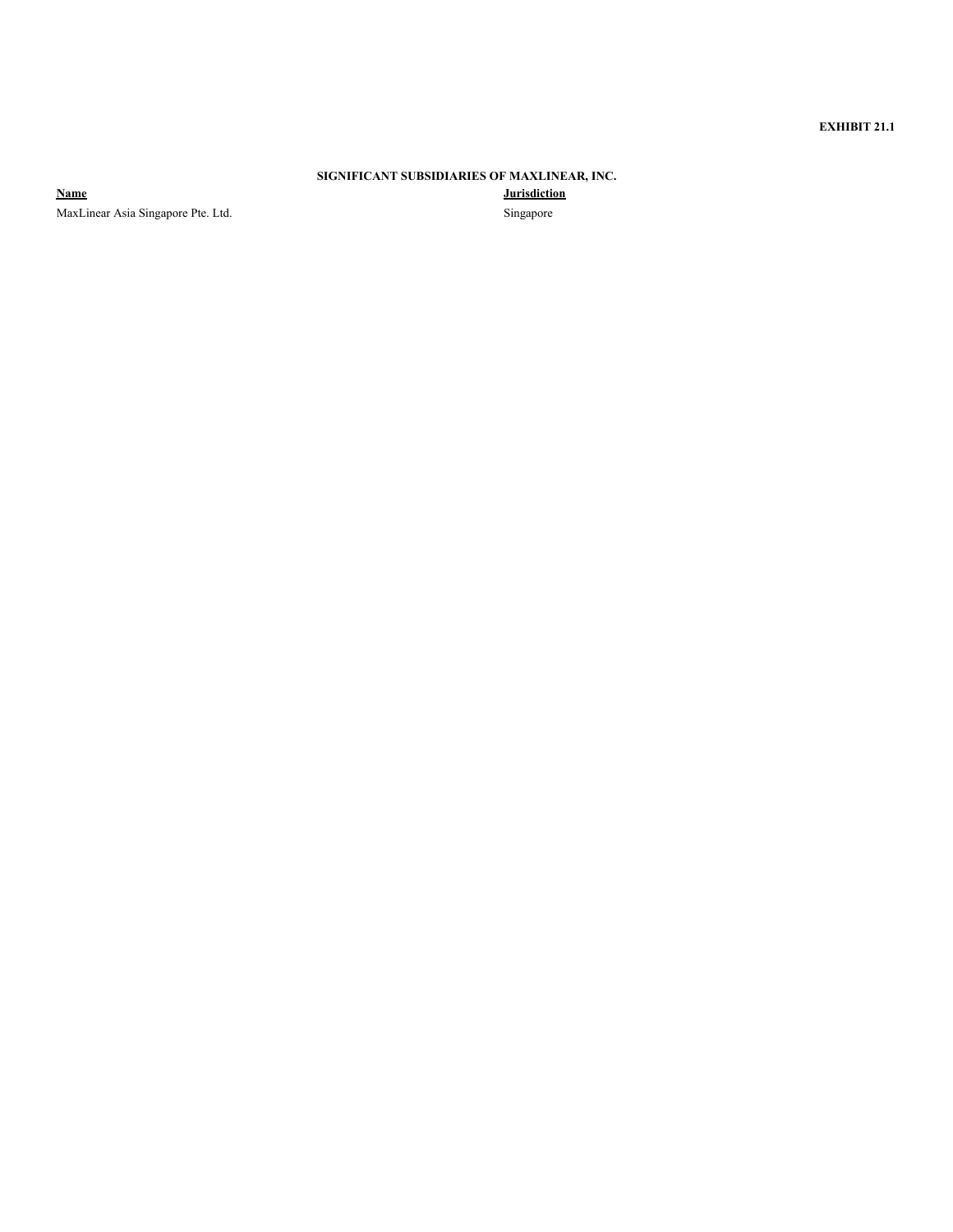# **EXHIBIT 21.1**

# **SIGNIFICANT SUBSIDIARIES OF MAXLINEAR, INC. Name Jurisdiction**

MaxLinear Asia Singapore Pte. Ltd. Singapore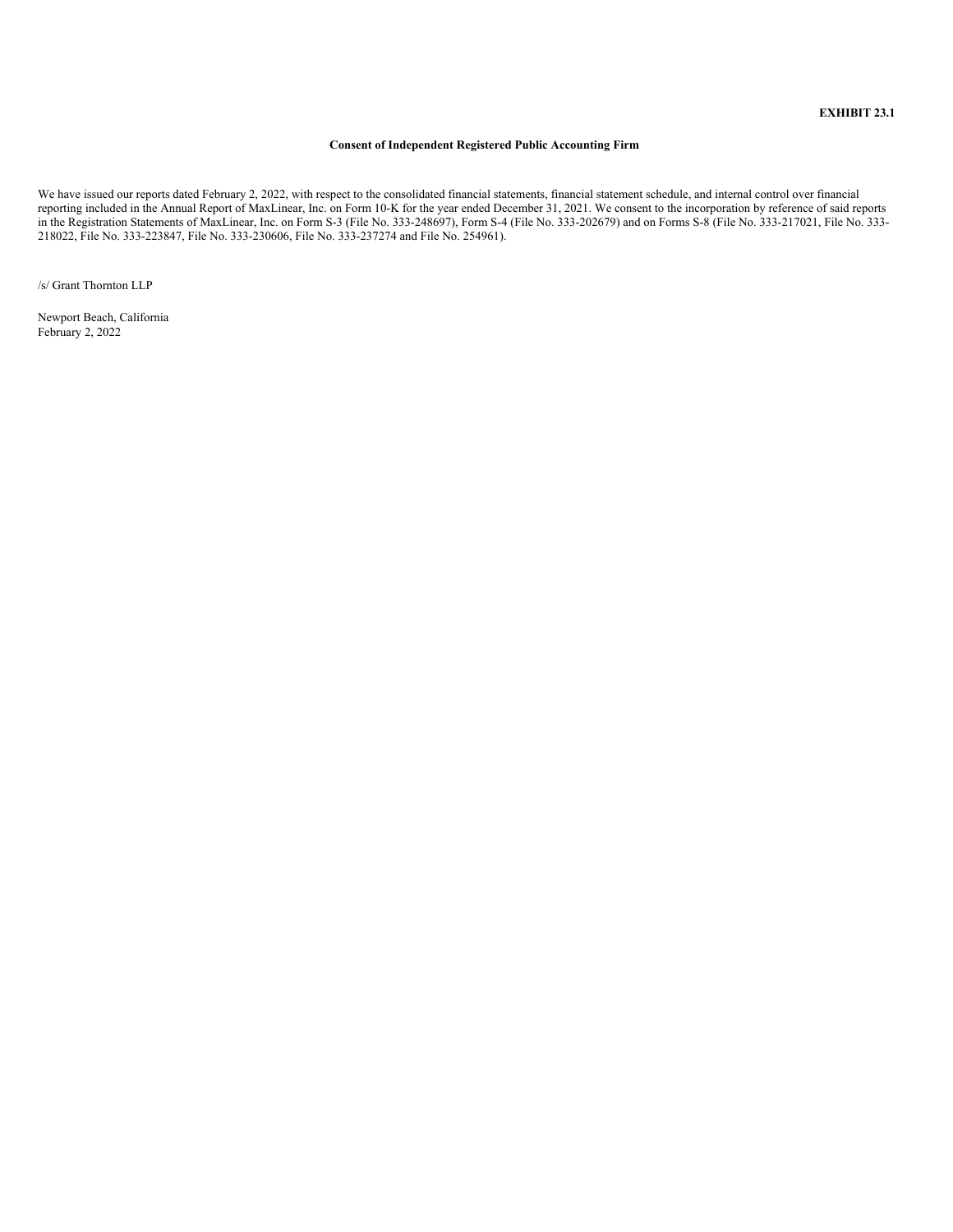## **Consent of Independent Registered Public Accounting Firm**

We have issued our reports dated February 2, 2022, with respect to the consolidated financial statements, financial statement schedule, and internal control over financial reporting included in the Annual Report of MaxLinear, Inc. on Form 10-K for the year ended December 31, 2021. We consent to the incorporation by reference of said reports in the Registration Statements of MaxLinear, Inc. on Form S-3 (File No. 333-248697), Form S-4 (File No. 333-202679) and on Forms S-8 (File No. 333-217021, File No. 333- 218022, File No. 333-223847, File No. 333-230606, File No. 333-237274 and File No. 254961).

/s/ Grant Thornton LLP

Newport Beach, California February 2, 2022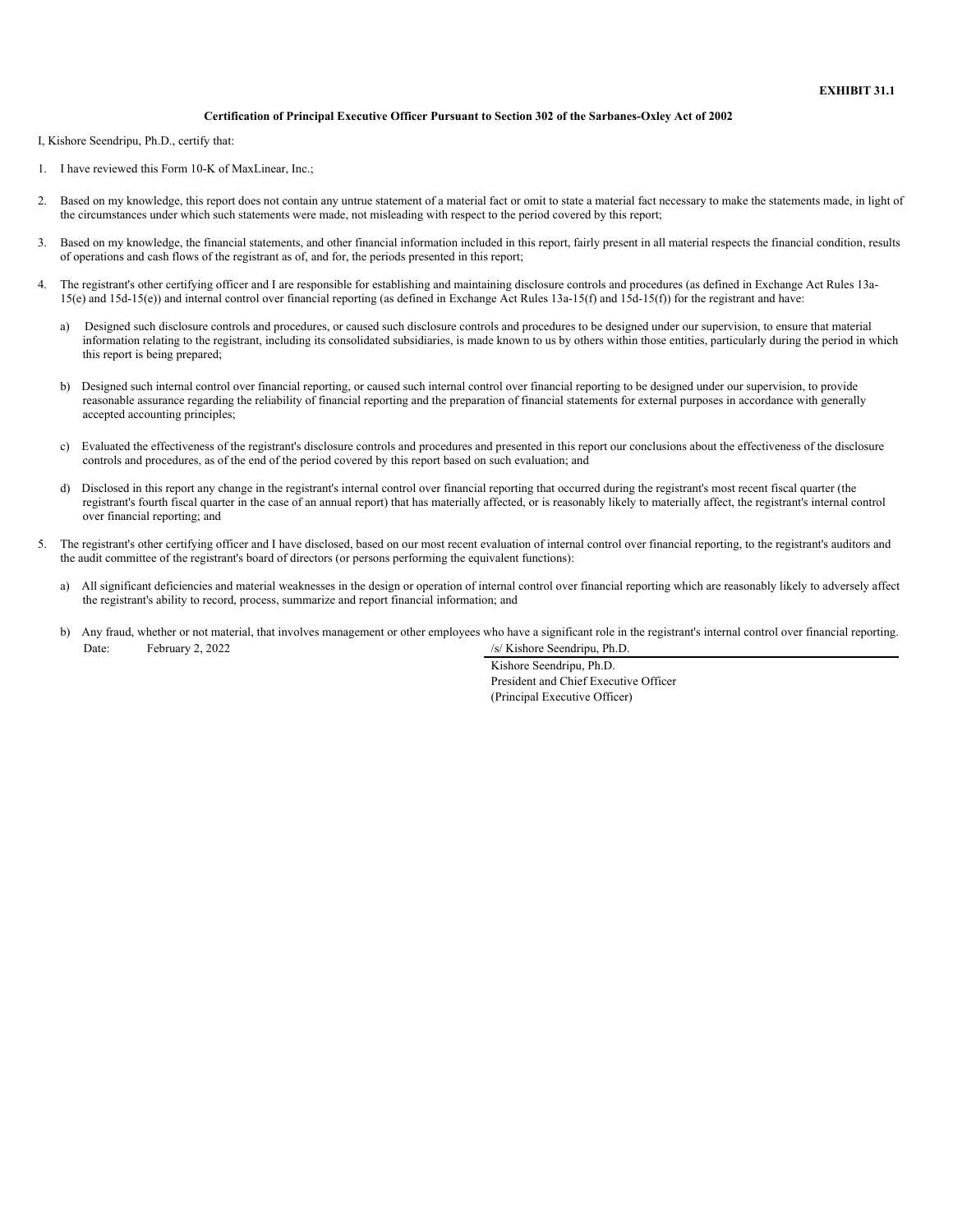### **Certification of Principal Executive Officer Pursuant to Section 302 of the Sarbanes-Oxley Act of 2002**

I, Kishore Seendripu, Ph.D., certify that:

- 1. I have reviewed this Form 10-K of MaxLinear, Inc.;
- Based on my knowledge, this report does not contain any untrue statement of a material fact or omit to state a material fact necessary to make the statements made, in light of the circumstances under which such statements were made, not misleading with respect to the period covered by this report;
- 3. Based on my knowledge, the financial statements, and other financial information included in this report, fairly present in all material respects the financial condition, results of operations and cash flows of the registrant as of, and for, the periods presented in this report;
- 4. The registrant's other certifying officer and I are responsible for establishing and maintaining disclosure controls and procedures (as defined in Exchange Act Rules 13a-15(e) and 15d-15(e)) and internal control over financial reporting (as defined in Exchange Act Rules 13a-15(f) and 15d-15(f)) for the registrant and have:
	- a) Designed such disclosure controls and procedures, or caused such disclosure controls and procedures to be designed under our supervision, to ensure that material information relating to the registrant, including its consolidated subsidiaries, is made known to us by others within those entities, particularly during the period in which this report is being prepared;
	- b) Designed such internal control over financial reporting, or caused such internal control over financial reporting to be designed under our supervision, to provide reasonable assurance regarding the reliability of financial reporting and the preparation of financial statements for external purposes in accordance with generally accepted accounting principles;
	- c) Evaluated the effectiveness of the registrant's disclosure controls and procedures and presented in this report our conclusions about the effectiveness of the disclosure controls and procedures, as of the end of the period covered by this report based on such evaluation; and
	- d) Disclosed in this report any change in the registrant's internal control over financial reporting that occurred during the registrant's most recent fiscal quarter (the registrant's fourth fiscal quarter in the case of an annual report) that has materially affected, or is reasonably likely to materially affect, the registrant's internal control over financial reporting; and
- 5. The registrant's other certifying officer and I have disclosed, based on our most recent evaluation of internal control over financial reporting, to the registrant's auditors and the audit committee of the registrant's board of directors (or persons performing the equivalent functions):
	- a) All significant deficiencies and material weaknesses in the design or operation of internal control over financial reporting which are reasonably likely to adversely affect the registrant's ability to record, process, summarize and report financial information; and
	- b) Any fraud, whether or not material, that involves management or other employees who have a significant role in the registrant's internal control over financial reporting. Date: February 2, 2022 /s/ Kishore Seendripu, Ph.D.

Kishore Seendripu, Ph.D. President and Chief Executive Officer (Principal Executive Officer)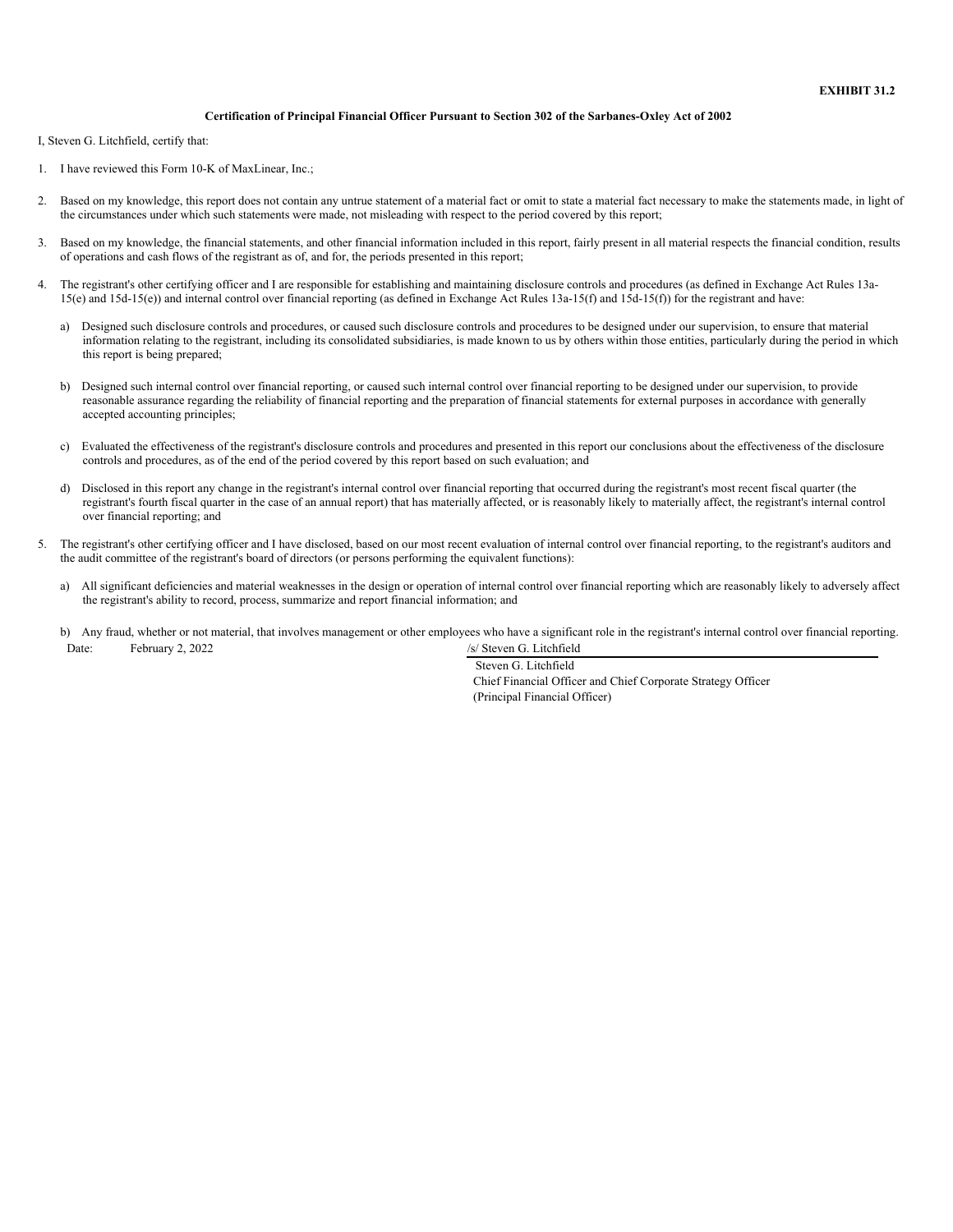### **Certification of Principal Financial Officer Pursuant to Section 302 of the Sarbanes-Oxley Act of 2002**

I, Steven G. Litchfield, certify that:

- 1. I have reviewed this Form 10-K of MaxLinear, Inc.;
- Based on my knowledge, this report does not contain any untrue statement of a material fact or omit to state a material fact necessary to make the statements made, in light of the circumstances under which such statements were made, not misleading with respect to the period covered by this report;
- 3. Based on my knowledge, the financial statements, and other financial information included in this report, fairly present in all material respects the financial condition, results of operations and cash flows of the registrant as of, and for, the periods presented in this report;
- 4. The registrant's other certifying officer and I are responsible for establishing and maintaining disclosure controls and procedures (as defined in Exchange Act Rules 13a-15(e) and 15d-15(e)) and internal control over financial reporting (as defined in Exchange Act Rules 13a-15(f) and 15d-15(f)) for the registrant and have:
	- a) Designed such disclosure controls and procedures, or caused such disclosure controls and procedures to be designed under our supervision, to ensure that material information relating to the registrant, including its consolidated subsidiaries, is made known to us by others within those entities, particularly during the period in which this report is being prepared;
	- b) Designed such internal control over financial reporting, or caused such internal control over financial reporting to be designed under our supervision, to provide reasonable assurance regarding the reliability of financial reporting and the preparation of financial statements for external purposes in accordance with generally accepted accounting principles;
	- c) Evaluated the effectiveness of the registrant's disclosure controls and procedures and presented in this report our conclusions about the effectiveness of the disclosure controls and procedures, as of the end of the period covered by this report based on such evaluation; and
	- d) Disclosed in this report any change in the registrant's internal control over financial reporting that occurred during the registrant's most recent fiscal quarter (the registrant's fourth fiscal quarter in the case of an annual report) that has materially affected, or is reasonably likely to materially affect, the registrant's internal control over financial reporting; and
- 5. The registrant's other certifying officer and I have disclosed, based on our most recent evaluation of internal control over financial reporting, to the registrant's auditors and the audit committee of the registrant's board of directors (or persons performing the equivalent functions):
	- a) All significant deficiencies and material weaknesses in the design or operation of internal control over financial reporting which are reasonably likely to adversely affect the registrant's ability to record, process, summarize and report financial information; and
	- b) Any fraud, whether or not material, that involves management or other employees who have a significant role in the registrant's internal control over financial reporting. Date: February 2, 2022 /s/ Steven G. Litchfield

Steven G. Litchfield Chief Financial Officer and Chief Corporate Strategy Officer (Principal Financial Officer)